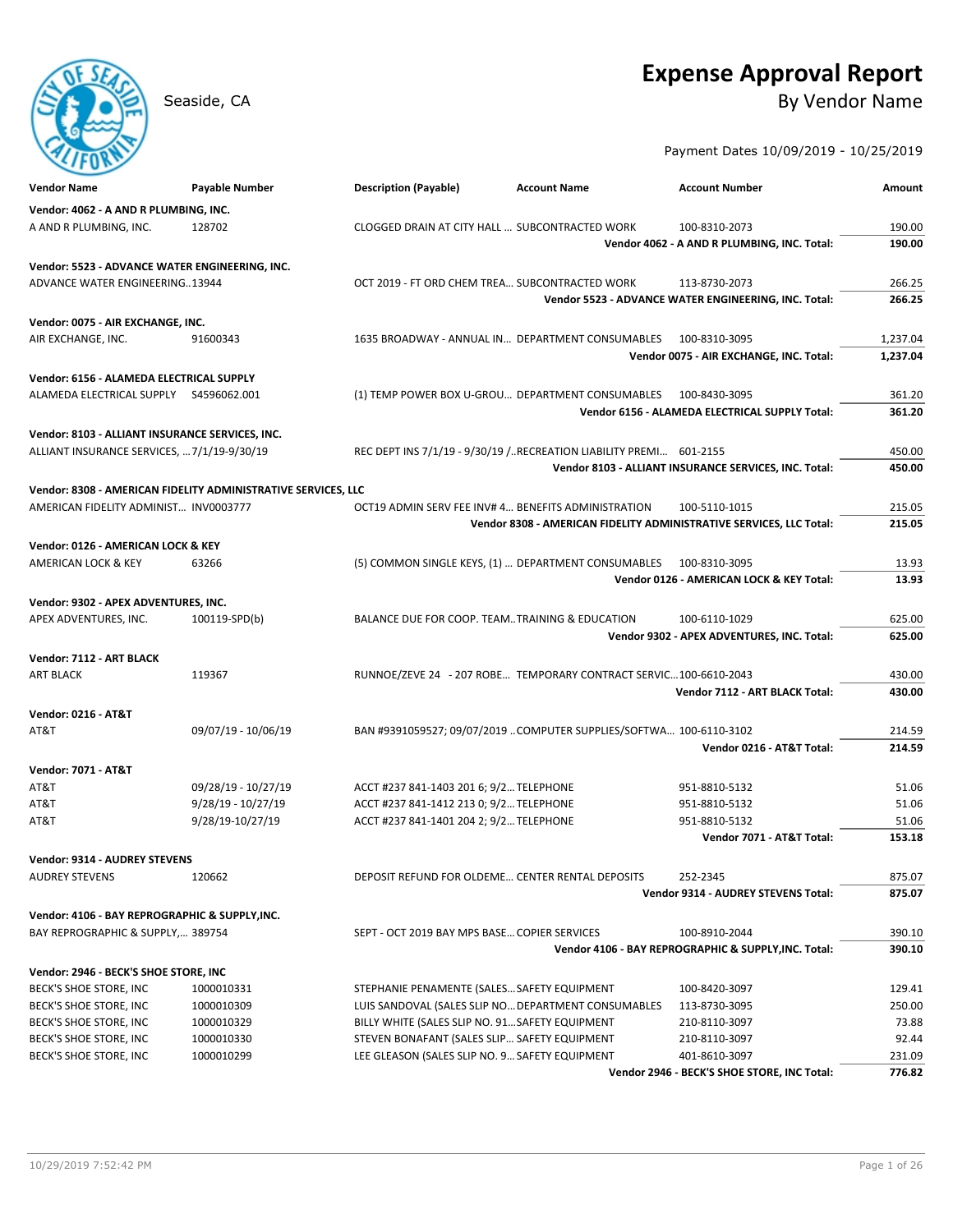# **Expense Approval Report**

# Seaside, CA By Vendor Name

Payment Dates 10/09/2019 - 10/25/2019

| Vendor: 4062 - A AND R PLUMBING, INC.<br>A AND R PLUMBING, INC.<br>CLOGGED DRAIN AT CITY HALL  SUBCONTRACTED WORK<br>190.00<br>128702<br>100-8310-2073<br>Vendor 4062 - A AND R PLUMBING, INC. Total:<br>190.00<br>Vendor: 5523 - ADVANCE WATER ENGINEERING, INC.<br><b>ADVANCE WATER ENGINEERING13944</b><br>OCT 2019 - FT ORD CHEM TREA SUBCONTRACTED WORK<br>266.25<br>113-8730-2073<br>Vendor 5523 - ADVANCE WATER ENGINEERING, INC. Total:<br>266.25<br>Vendor: 0075 - AIR EXCHANGE, INC.<br>1635 BROADWAY - ANNUAL IN DEPARTMENT CONSUMABLES<br>AIR EXCHANGE, INC.<br>91600343<br>100-8310-3095<br>1,237.04<br>1,237.04<br>Vendor 0075 - AIR EXCHANGE, INC. Total:<br>Vendor: 6156 - ALAMEDA ELECTRICAL SUPPLY<br>(1) TEMP POWER BOX U-GROU DEPARTMENT CONSUMABLES 100-8430-3095<br>361.20<br>Vendor 6156 - ALAMEDA ELECTRICAL SUPPLY Total:<br>361.20<br>Vendor: 8103 - ALLIANT INSURANCE SERVICES, INC.<br>ALLIANT INSURANCE SERVICES,  7/1/19-9/30/19<br>REC DEPT INS 7/1/19 - 9/30/19 /RECREATION LIABILITY PREMI 601-2155<br>450.00<br>Vendor 8103 - ALLIANT INSURANCE SERVICES, INC. Total:<br>450.00<br>Vendor: 8308 - AMERICAN FIDELITY ADMINISTRATIVE SERVICES, LLC<br>AMERICAN FIDELITY ADMINIST INV0003777<br>OCT19 ADMIN SERV FEE INV# 4 BENEFITS ADMINISTRATION<br>215.05<br>100-5110-1015<br>Vendor 8308 - AMERICAN FIDELITY ADMINISTRATIVE SERVICES, LLC Total:<br>215.05<br>Vendor: 0126 - AMERICAN LOCK & KEY<br>(5) COMMON SINGLE KEYS, (1)  DEPARTMENT CONSUMABLES<br>13.93<br>AMERICAN LOCK & KEY<br>63266<br>100-8310-3095<br>Vendor 0126 - AMERICAN LOCK & KEY Total:<br>13.93<br>Vendor: 9302 - APEX ADVENTURES, INC.<br>BALANCE DUE FOR COOP. TEAMTRAINING & EDUCATION<br>625.00<br>APEX ADVENTURES, INC.<br>100119-SPD(b)<br>100-6110-1029<br>Vendor 9302 - APEX ADVENTURES, INC. Total:<br>625.00<br>Vendor: 7112 - ART BLACK<br><b>ART BLACK</b><br>RUNNOE/ZEVE 24 - 207 ROBE TEMPORARY CONTRACT SERVIC 100-6610-2043<br>430.00<br>119367<br>Vendor 7112 - ART BLACK Total:<br>430.00<br><b>Vendor: 0216 - AT&amp;T</b><br>09/07/19 - 10/06/19<br>BAN #9391059527; 09/07/2019 COMPUTER SUPPLIES/SOFTWA 100-6110-3102<br>214.59<br>AT&T<br>Vendor 0216 - AT&T Total:<br>214.59<br><b>Vendor: 7071 - AT&amp;T</b><br>09/28/19 - 10/27/19<br>ACCT #237 841-1403 201 6; 9/2 TELEPHONE<br>51.06<br>AT&T<br>951-8810-5132<br>AT&T<br>$9/28/19 - 10/27/19$<br>ACCT #237 841-1412 213 0; 9/2 TELEPHONE<br>51.06<br>951-8810-5132<br>AT&T<br>9/28/19-10/27/19<br>ACCT #237 841-1401 204 2; 9/2 TELEPHONE<br>951-8810-5132<br>51.06<br>153.18<br>Vendor 7071 - AT&T Total:<br><b>Vendor: 9314 - AUDREY STEVENS</b><br>DEPOSIT REFUND FOR OLDEME CENTER RENTAL DEPOSITS<br>875.07<br>AUDREY STEVENS<br>120662<br>252-2345<br>875.07<br>Vendor 9314 - AUDREY STEVENS Total:<br>Vendor: 4106 - BAY REPROGRAPHIC & SUPPLY,INC.<br>BAY REPROGRAPHIC & SUPPLY, 389754<br>SEPT - OCT 2019 BAY MPS BASE COPIER SERVICES<br>100-8910-2044<br>390.10<br>390.10<br>Vendor 4106 - BAY REPROGRAPHIC & SUPPLY, INC. Total:<br>Vendor: 2946 - BECK'S SHOE STORE, INC<br>BECK'S SHOE STORE, INC<br>1000010331<br>STEPHANIE PENAMENTE (SALES SAFETY EQUIPMENT<br>129.41<br>100-8420-3097<br>250.00<br>BECK'S SHOE STORE, INC<br>1000010309<br>LUIS SANDOVAL (SALES SLIP NO DEPARTMENT CONSUMABLES<br>113-8730-3095<br>BECK'S SHOE STORE, INC<br>1000010329<br>BILLY WHITE (SALES SLIP NO. 91 SAFETY EQUIPMENT<br>210-8110-3097<br>73.88<br>BECK'S SHOE STORE, INC<br>92.44<br>1000010330<br>STEVEN BONAFANT (SALES SLIP SAFETY EQUIPMENT<br>210-8110-3097<br>BECK'S SHOE STORE, INC<br>1000010299<br>LEE GLEASON (SALES SLIP NO. 9 SAFETY EQUIPMENT<br>401-8610-3097<br>231.09<br>Vendor 2946 - BECK'S SHOE STORE, INC Total: | Vendor Name | Payable Number | <b>Description (Payable)</b><br><b>Account Name</b> | <b>Account Number</b> | Amount |
|-------------------------------------------------------------------------------------------------------------------------------------------------------------------------------------------------------------------------------------------------------------------------------------------------------------------------------------------------------------------------------------------------------------------------------------------------------------------------------------------------------------------------------------------------------------------------------------------------------------------------------------------------------------------------------------------------------------------------------------------------------------------------------------------------------------------------------------------------------------------------------------------------------------------------------------------------------------------------------------------------------------------------------------------------------------------------------------------------------------------------------------------------------------------------------------------------------------------------------------------------------------------------------------------------------------------------------------------------------------------------------------------------------------------------------------------------------------------------------------------------------------------------------------------------------------------------------------------------------------------------------------------------------------------------------------------------------------------------------------------------------------------------------------------------------------------------------------------------------------------------------------------------------------------------------------------------------------------------------------------------------------------------------------------------------------------------------------------------------------------------------------------------------------------------------------------------------------------------------------------------------------------------------------------------------------------------------------------------------------------------------------------------------------------------------------------------------------------------------------------------------------------------------------------------------------------------------------------------------------------------------------------------------------------------------------------------------------------------------------------------------------------------------------------------------------------------------------------------------------------------------------------------------------------------------------------------------------------------------------------------------------------------------------------------------------------------------------------------------------------------------------------------------------------------------------------------------------------------------------------------------------------------------------------------------------------------------------------------------------------------------------------------------------------------------------------------------------------------------------------------------------------------------------------------------------------------------------------------------------------------------------------------------------------------------------------------------------------------------------|-------------|----------------|-----------------------------------------------------|-----------------------|--------|
| 776.82                                                                                                                                                                                                                                                                                                                                                                                                                                                                                                                                                                                                                                                                                                                                                                                                                                                                                                                                                                                                                                                                                                                                                                                                                                                                                                                                                                                                                                                                                                                                                                                                                                                                                                                                                                                                                                                                                                                                                                                                                                                                                                                                                                                                                                                                                                                                                                                                                                                                                                                                                                                                                                                                                                                                                                                                                                                                                                                                                                                                                                                                                                                                                                                                                                                                                                                                                                                                                                                                                                                                                                                                                                                                                                                              |             |                |                                                     |                       |        |
|                                                                                                                                                                                                                                                                                                                                                                                                                                                                                                                                                                                                                                                                                                                                                                                                                                                                                                                                                                                                                                                                                                                                                                                                                                                                                                                                                                                                                                                                                                                                                                                                                                                                                                                                                                                                                                                                                                                                                                                                                                                                                                                                                                                                                                                                                                                                                                                                                                                                                                                                                                                                                                                                                                                                                                                                                                                                                                                                                                                                                                                                                                                                                                                                                                                                                                                                                                                                                                                                                                                                                                                                                                                                                                                                     |             |                |                                                     |                       |        |
|                                                                                                                                                                                                                                                                                                                                                                                                                                                                                                                                                                                                                                                                                                                                                                                                                                                                                                                                                                                                                                                                                                                                                                                                                                                                                                                                                                                                                                                                                                                                                                                                                                                                                                                                                                                                                                                                                                                                                                                                                                                                                                                                                                                                                                                                                                                                                                                                                                                                                                                                                                                                                                                                                                                                                                                                                                                                                                                                                                                                                                                                                                                                                                                                                                                                                                                                                                                                                                                                                                                                                                                                                                                                                                                                     |             |                |                                                     |                       |        |
|                                                                                                                                                                                                                                                                                                                                                                                                                                                                                                                                                                                                                                                                                                                                                                                                                                                                                                                                                                                                                                                                                                                                                                                                                                                                                                                                                                                                                                                                                                                                                                                                                                                                                                                                                                                                                                                                                                                                                                                                                                                                                                                                                                                                                                                                                                                                                                                                                                                                                                                                                                                                                                                                                                                                                                                                                                                                                                                                                                                                                                                                                                                                                                                                                                                                                                                                                                                                                                                                                                                                                                                                                                                                                                                                     |             |                |                                                     |                       |        |
|                                                                                                                                                                                                                                                                                                                                                                                                                                                                                                                                                                                                                                                                                                                                                                                                                                                                                                                                                                                                                                                                                                                                                                                                                                                                                                                                                                                                                                                                                                                                                                                                                                                                                                                                                                                                                                                                                                                                                                                                                                                                                                                                                                                                                                                                                                                                                                                                                                                                                                                                                                                                                                                                                                                                                                                                                                                                                                                                                                                                                                                                                                                                                                                                                                                                                                                                                                                                                                                                                                                                                                                                                                                                                                                                     |             |                |                                                     |                       |        |
|                                                                                                                                                                                                                                                                                                                                                                                                                                                                                                                                                                                                                                                                                                                                                                                                                                                                                                                                                                                                                                                                                                                                                                                                                                                                                                                                                                                                                                                                                                                                                                                                                                                                                                                                                                                                                                                                                                                                                                                                                                                                                                                                                                                                                                                                                                                                                                                                                                                                                                                                                                                                                                                                                                                                                                                                                                                                                                                                                                                                                                                                                                                                                                                                                                                                                                                                                                                                                                                                                                                                                                                                                                                                                                                                     |             |                |                                                     |                       |        |
|                                                                                                                                                                                                                                                                                                                                                                                                                                                                                                                                                                                                                                                                                                                                                                                                                                                                                                                                                                                                                                                                                                                                                                                                                                                                                                                                                                                                                                                                                                                                                                                                                                                                                                                                                                                                                                                                                                                                                                                                                                                                                                                                                                                                                                                                                                                                                                                                                                                                                                                                                                                                                                                                                                                                                                                                                                                                                                                                                                                                                                                                                                                                                                                                                                                                                                                                                                                                                                                                                                                                                                                                                                                                                                                                     |             |                |                                                     |                       |        |
|                                                                                                                                                                                                                                                                                                                                                                                                                                                                                                                                                                                                                                                                                                                                                                                                                                                                                                                                                                                                                                                                                                                                                                                                                                                                                                                                                                                                                                                                                                                                                                                                                                                                                                                                                                                                                                                                                                                                                                                                                                                                                                                                                                                                                                                                                                                                                                                                                                                                                                                                                                                                                                                                                                                                                                                                                                                                                                                                                                                                                                                                                                                                                                                                                                                                                                                                                                                                                                                                                                                                                                                                                                                                                                                                     |             |                |                                                     |                       |        |
|                                                                                                                                                                                                                                                                                                                                                                                                                                                                                                                                                                                                                                                                                                                                                                                                                                                                                                                                                                                                                                                                                                                                                                                                                                                                                                                                                                                                                                                                                                                                                                                                                                                                                                                                                                                                                                                                                                                                                                                                                                                                                                                                                                                                                                                                                                                                                                                                                                                                                                                                                                                                                                                                                                                                                                                                                                                                                                                                                                                                                                                                                                                                                                                                                                                                                                                                                                                                                                                                                                                                                                                                                                                                                                                                     |             |                |                                                     |                       |        |
|                                                                                                                                                                                                                                                                                                                                                                                                                                                                                                                                                                                                                                                                                                                                                                                                                                                                                                                                                                                                                                                                                                                                                                                                                                                                                                                                                                                                                                                                                                                                                                                                                                                                                                                                                                                                                                                                                                                                                                                                                                                                                                                                                                                                                                                                                                                                                                                                                                                                                                                                                                                                                                                                                                                                                                                                                                                                                                                                                                                                                                                                                                                                                                                                                                                                                                                                                                                                                                                                                                                                                                                                                                                                                                                                     |             |                |                                                     |                       |        |
|                                                                                                                                                                                                                                                                                                                                                                                                                                                                                                                                                                                                                                                                                                                                                                                                                                                                                                                                                                                                                                                                                                                                                                                                                                                                                                                                                                                                                                                                                                                                                                                                                                                                                                                                                                                                                                                                                                                                                                                                                                                                                                                                                                                                                                                                                                                                                                                                                                                                                                                                                                                                                                                                                                                                                                                                                                                                                                                                                                                                                                                                                                                                                                                                                                                                                                                                                                                                                                                                                                                                                                                                                                                                                                                                     |             |                |                                                     |                       |        |
|                                                                                                                                                                                                                                                                                                                                                                                                                                                                                                                                                                                                                                                                                                                                                                                                                                                                                                                                                                                                                                                                                                                                                                                                                                                                                                                                                                                                                                                                                                                                                                                                                                                                                                                                                                                                                                                                                                                                                                                                                                                                                                                                                                                                                                                                                                                                                                                                                                                                                                                                                                                                                                                                                                                                                                                                                                                                                                                                                                                                                                                                                                                                                                                                                                                                                                                                                                                                                                                                                                                                                                                                                                                                                                                                     |             |                |                                                     |                       |        |
|                                                                                                                                                                                                                                                                                                                                                                                                                                                                                                                                                                                                                                                                                                                                                                                                                                                                                                                                                                                                                                                                                                                                                                                                                                                                                                                                                                                                                                                                                                                                                                                                                                                                                                                                                                                                                                                                                                                                                                                                                                                                                                                                                                                                                                                                                                                                                                                                                                                                                                                                                                                                                                                                                                                                                                                                                                                                                                                                                                                                                                                                                                                                                                                                                                                                                                                                                                                                                                                                                                                                                                                                                                                                                                                                     |             |                |                                                     |                       |        |
|                                                                                                                                                                                                                                                                                                                                                                                                                                                                                                                                                                                                                                                                                                                                                                                                                                                                                                                                                                                                                                                                                                                                                                                                                                                                                                                                                                                                                                                                                                                                                                                                                                                                                                                                                                                                                                                                                                                                                                                                                                                                                                                                                                                                                                                                                                                                                                                                                                                                                                                                                                                                                                                                                                                                                                                                                                                                                                                                                                                                                                                                                                                                                                                                                                                                                                                                                                                                                                                                                                                                                                                                                                                                                                                                     |             |                |                                                     |                       |        |
|                                                                                                                                                                                                                                                                                                                                                                                                                                                                                                                                                                                                                                                                                                                                                                                                                                                                                                                                                                                                                                                                                                                                                                                                                                                                                                                                                                                                                                                                                                                                                                                                                                                                                                                                                                                                                                                                                                                                                                                                                                                                                                                                                                                                                                                                                                                                                                                                                                                                                                                                                                                                                                                                                                                                                                                                                                                                                                                                                                                                                                                                                                                                                                                                                                                                                                                                                                                                                                                                                                                                                                                                                                                                                                                                     |             |                |                                                     |                       |        |
|                                                                                                                                                                                                                                                                                                                                                                                                                                                                                                                                                                                                                                                                                                                                                                                                                                                                                                                                                                                                                                                                                                                                                                                                                                                                                                                                                                                                                                                                                                                                                                                                                                                                                                                                                                                                                                                                                                                                                                                                                                                                                                                                                                                                                                                                                                                                                                                                                                                                                                                                                                                                                                                                                                                                                                                                                                                                                                                                                                                                                                                                                                                                                                                                                                                                                                                                                                                                                                                                                                                                                                                                                                                                                                                                     |             |                |                                                     |                       |        |
|                                                                                                                                                                                                                                                                                                                                                                                                                                                                                                                                                                                                                                                                                                                                                                                                                                                                                                                                                                                                                                                                                                                                                                                                                                                                                                                                                                                                                                                                                                                                                                                                                                                                                                                                                                                                                                                                                                                                                                                                                                                                                                                                                                                                                                                                                                                                                                                                                                                                                                                                                                                                                                                                                                                                                                                                                                                                                                                                                                                                                                                                                                                                                                                                                                                                                                                                                                                                                                                                                                                                                                                                                                                                                                                                     |             |                |                                                     |                       |        |
|                                                                                                                                                                                                                                                                                                                                                                                                                                                                                                                                                                                                                                                                                                                                                                                                                                                                                                                                                                                                                                                                                                                                                                                                                                                                                                                                                                                                                                                                                                                                                                                                                                                                                                                                                                                                                                                                                                                                                                                                                                                                                                                                                                                                                                                                                                                                                                                                                                                                                                                                                                                                                                                                                                                                                                                                                                                                                                                                                                                                                                                                                                                                                                                                                                                                                                                                                                                                                                                                                                                                                                                                                                                                                                                                     |             |                |                                                     |                       |        |
|                                                                                                                                                                                                                                                                                                                                                                                                                                                                                                                                                                                                                                                                                                                                                                                                                                                                                                                                                                                                                                                                                                                                                                                                                                                                                                                                                                                                                                                                                                                                                                                                                                                                                                                                                                                                                                                                                                                                                                                                                                                                                                                                                                                                                                                                                                                                                                                                                                                                                                                                                                                                                                                                                                                                                                                                                                                                                                                                                                                                                                                                                                                                                                                                                                                                                                                                                                                                                                                                                                                                                                                                                                                                                                                                     |             |                |                                                     |                       |        |
|                                                                                                                                                                                                                                                                                                                                                                                                                                                                                                                                                                                                                                                                                                                                                                                                                                                                                                                                                                                                                                                                                                                                                                                                                                                                                                                                                                                                                                                                                                                                                                                                                                                                                                                                                                                                                                                                                                                                                                                                                                                                                                                                                                                                                                                                                                                                                                                                                                                                                                                                                                                                                                                                                                                                                                                                                                                                                                                                                                                                                                                                                                                                                                                                                                                                                                                                                                                                                                                                                                                                                                                                                                                                                                                                     |             |                |                                                     |                       |        |
|                                                                                                                                                                                                                                                                                                                                                                                                                                                                                                                                                                                                                                                                                                                                                                                                                                                                                                                                                                                                                                                                                                                                                                                                                                                                                                                                                                                                                                                                                                                                                                                                                                                                                                                                                                                                                                                                                                                                                                                                                                                                                                                                                                                                                                                                                                                                                                                                                                                                                                                                                                                                                                                                                                                                                                                                                                                                                                                                                                                                                                                                                                                                                                                                                                                                                                                                                                                                                                                                                                                                                                                                                                                                                                                                     |             |                |                                                     |                       |        |
|                                                                                                                                                                                                                                                                                                                                                                                                                                                                                                                                                                                                                                                                                                                                                                                                                                                                                                                                                                                                                                                                                                                                                                                                                                                                                                                                                                                                                                                                                                                                                                                                                                                                                                                                                                                                                                                                                                                                                                                                                                                                                                                                                                                                                                                                                                                                                                                                                                                                                                                                                                                                                                                                                                                                                                                                                                                                                                                                                                                                                                                                                                                                                                                                                                                                                                                                                                                                                                                                                                                                                                                                                                                                                                                                     |             |                |                                                     |                       |        |
|                                                                                                                                                                                                                                                                                                                                                                                                                                                                                                                                                                                                                                                                                                                                                                                                                                                                                                                                                                                                                                                                                                                                                                                                                                                                                                                                                                                                                                                                                                                                                                                                                                                                                                                                                                                                                                                                                                                                                                                                                                                                                                                                                                                                                                                                                                                                                                                                                                                                                                                                                                                                                                                                                                                                                                                                                                                                                                                                                                                                                                                                                                                                                                                                                                                                                                                                                                                                                                                                                                                                                                                                                                                                                                                                     |             |                |                                                     |                       |        |
|                                                                                                                                                                                                                                                                                                                                                                                                                                                                                                                                                                                                                                                                                                                                                                                                                                                                                                                                                                                                                                                                                                                                                                                                                                                                                                                                                                                                                                                                                                                                                                                                                                                                                                                                                                                                                                                                                                                                                                                                                                                                                                                                                                                                                                                                                                                                                                                                                                                                                                                                                                                                                                                                                                                                                                                                                                                                                                                                                                                                                                                                                                                                                                                                                                                                                                                                                                                                                                                                                                                                                                                                                                                                                                                                     |             |                |                                                     |                       |        |
|                                                                                                                                                                                                                                                                                                                                                                                                                                                                                                                                                                                                                                                                                                                                                                                                                                                                                                                                                                                                                                                                                                                                                                                                                                                                                                                                                                                                                                                                                                                                                                                                                                                                                                                                                                                                                                                                                                                                                                                                                                                                                                                                                                                                                                                                                                                                                                                                                                                                                                                                                                                                                                                                                                                                                                                                                                                                                                                                                                                                                                                                                                                                                                                                                                                                                                                                                                                                                                                                                                                                                                                                                                                                                                                                     |             |                |                                                     |                       |        |
|                                                                                                                                                                                                                                                                                                                                                                                                                                                                                                                                                                                                                                                                                                                                                                                                                                                                                                                                                                                                                                                                                                                                                                                                                                                                                                                                                                                                                                                                                                                                                                                                                                                                                                                                                                                                                                                                                                                                                                                                                                                                                                                                                                                                                                                                                                                                                                                                                                                                                                                                                                                                                                                                                                                                                                                                                                                                                                                                                                                                                                                                                                                                                                                                                                                                                                                                                                                                                                                                                                                                                                                                                                                                                                                                     |             |                |                                                     |                       |        |
|                                                                                                                                                                                                                                                                                                                                                                                                                                                                                                                                                                                                                                                                                                                                                                                                                                                                                                                                                                                                                                                                                                                                                                                                                                                                                                                                                                                                                                                                                                                                                                                                                                                                                                                                                                                                                                                                                                                                                                                                                                                                                                                                                                                                                                                                                                                                                                                                                                                                                                                                                                                                                                                                                                                                                                                                                                                                                                                                                                                                                                                                                                                                                                                                                                                                                                                                                                                                                                                                                                                                                                                                                                                                                                                                     |             |                |                                                     |                       |        |
|                                                                                                                                                                                                                                                                                                                                                                                                                                                                                                                                                                                                                                                                                                                                                                                                                                                                                                                                                                                                                                                                                                                                                                                                                                                                                                                                                                                                                                                                                                                                                                                                                                                                                                                                                                                                                                                                                                                                                                                                                                                                                                                                                                                                                                                                                                                                                                                                                                                                                                                                                                                                                                                                                                                                                                                                                                                                                                                                                                                                                                                                                                                                                                                                                                                                                                                                                                                                                                                                                                                                                                                                                                                                                                                                     |             |                |                                                     |                       |        |
|                                                                                                                                                                                                                                                                                                                                                                                                                                                                                                                                                                                                                                                                                                                                                                                                                                                                                                                                                                                                                                                                                                                                                                                                                                                                                                                                                                                                                                                                                                                                                                                                                                                                                                                                                                                                                                                                                                                                                                                                                                                                                                                                                                                                                                                                                                                                                                                                                                                                                                                                                                                                                                                                                                                                                                                                                                                                                                                                                                                                                                                                                                                                                                                                                                                                                                                                                                                                                                                                                                                                                                                                                                                                                                                                     |             |                |                                                     |                       |        |
|                                                                                                                                                                                                                                                                                                                                                                                                                                                                                                                                                                                                                                                                                                                                                                                                                                                                                                                                                                                                                                                                                                                                                                                                                                                                                                                                                                                                                                                                                                                                                                                                                                                                                                                                                                                                                                                                                                                                                                                                                                                                                                                                                                                                                                                                                                                                                                                                                                                                                                                                                                                                                                                                                                                                                                                                                                                                                                                                                                                                                                                                                                                                                                                                                                                                                                                                                                                                                                                                                                                                                                                                                                                                                                                                     |             |                |                                                     |                       |        |
|                                                                                                                                                                                                                                                                                                                                                                                                                                                                                                                                                                                                                                                                                                                                                                                                                                                                                                                                                                                                                                                                                                                                                                                                                                                                                                                                                                                                                                                                                                                                                                                                                                                                                                                                                                                                                                                                                                                                                                                                                                                                                                                                                                                                                                                                                                                                                                                                                                                                                                                                                                                                                                                                                                                                                                                                                                                                                                                                                                                                                                                                                                                                                                                                                                                                                                                                                                                                                                                                                                                                                                                                                                                                                                                                     |             |                |                                                     |                       |        |
|                                                                                                                                                                                                                                                                                                                                                                                                                                                                                                                                                                                                                                                                                                                                                                                                                                                                                                                                                                                                                                                                                                                                                                                                                                                                                                                                                                                                                                                                                                                                                                                                                                                                                                                                                                                                                                                                                                                                                                                                                                                                                                                                                                                                                                                                                                                                                                                                                                                                                                                                                                                                                                                                                                                                                                                                                                                                                                                                                                                                                                                                                                                                                                                                                                                                                                                                                                                                                                                                                                                                                                                                                                                                                                                                     |             |                |                                                     |                       |        |
|                                                                                                                                                                                                                                                                                                                                                                                                                                                                                                                                                                                                                                                                                                                                                                                                                                                                                                                                                                                                                                                                                                                                                                                                                                                                                                                                                                                                                                                                                                                                                                                                                                                                                                                                                                                                                                                                                                                                                                                                                                                                                                                                                                                                                                                                                                                                                                                                                                                                                                                                                                                                                                                                                                                                                                                                                                                                                                                                                                                                                                                                                                                                                                                                                                                                                                                                                                                                                                                                                                                                                                                                                                                                                                                                     |             |                |                                                     |                       |        |
|                                                                                                                                                                                                                                                                                                                                                                                                                                                                                                                                                                                                                                                                                                                                                                                                                                                                                                                                                                                                                                                                                                                                                                                                                                                                                                                                                                                                                                                                                                                                                                                                                                                                                                                                                                                                                                                                                                                                                                                                                                                                                                                                                                                                                                                                                                                                                                                                                                                                                                                                                                                                                                                                                                                                                                                                                                                                                                                                                                                                                                                                                                                                                                                                                                                                                                                                                                                                                                                                                                                                                                                                                                                                                                                                     |             |                |                                                     |                       |        |
|                                                                                                                                                                                                                                                                                                                                                                                                                                                                                                                                                                                                                                                                                                                                                                                                                                                                                                                                                                                                                                                                                                                                                                                                                                                                                                                                                                                                                                                                                                                                                                                                                                                                                                                                                                                                                                                                                                                                                                                                                                                                                                                                                                                                                                                                                                                                                                                                                                                                                                                                                                                                                                                                                                                                                                                                                                                                                                                                                                                                                                                                                                                                                                                                                                                                                                                                                                                                                                                                                                                                                                                                                                                                                                                                     |             |                |                                                     |                       |        |
|                                                                                                                                                                                                                                                                                                                                                                                                                                                                                                                                                                                                                                                                                                                                                                                                                                                                                                                                                                                                                                                                                                                                                                                                                                                                                                                                                                                                                                                                                                                                                                                                                                                                                                                                                                                                                                                                                                                                                                                                                                                                                                                                                                                                                                                                                                                                                                                                                                                                                                                                                                                                                                                                                                                                                                                                                                                                                                                                                                                                                                                                                                                                                                                                                                                                                                                                                                                                                                                                                                                                                                                                                                                                                                                                     |             |                |                                                     |                       |        |
|                                                                                                                                                                                                                                                                                                                                                                                                                                                                                                                                                                                                                                                                                                                                                                                                                                                                                                                                                                                                                                                                                                                                                                                                                                                                                                                                                                                                                                                                                                                                                                                                                                                                                                                                                                                                                                                                                                                                                                                                                                                                                                                                                                                                                                                                                                                                                                                                                                                                                                                                                                                                                                                                                                                                                                                                                                                                                                                                                                                                                                                                                                                                                                                                                                                                                                                                                                                                                                                                                                                                                                                                                                                                                                                                     |             |                |                                                     |                       |        |
|                                                                                                                                                                                                                                                                                                                                                                                                                                                                                                                                                                                                                                                                                                                                                                                                                                                                                                                                                                                                                                                                                                                                                                                                                                                                                                                                                                                                                                                                                                                                                                                                                                                                                                                                                                                                                                                                                                                                                                                                                                                                                                                                                                                                                                                                                                                                                                                                                                                                                                                                                                                                                                                                                                                                                                                                                                                                                                                                                                                                                                                                                                                                                                                                                                                                                                                                                                                                                                                                                                                                                                                                                                                                                                                                     |             |                |                                                     |                       |        |
|                                                                                                                                                                                                                                                                                                                                                                                                                                                                                                                                                                                                                                                                                                                                                                                                                                                                                                                                                                                                                                                                                                                                                                                                                                                                                                                                                                                                                                                                                                                                                                                                                                                                                                                                                                                                                                                                                                                                                                                                                                                                                                                                                                                                                                                                                                                                                                                                                                                                                                                                                                                                                                                                                                                                                                                                                                                                                                                                                                                                                                                                                                                                                                                                                                                                                                                                                                                                                                                                                                                                                                                                                                                                                                                                     |             |                |                                                     |                       |        |
|                                                                                                                                                                                                                                                                                                                                                                                                                                                                                                                                                                                                                                                                                                                                                                                                                                                                                                                                                                                                                                                                                                                                                                                                                                                                                                                                                                                                                                                                                                                                                                                                                                                                                                                                                                                                                                                                                                                                                                                                                                                                                                                                                                                                                                                                                                                                                                                                                                                                                                                                                                                                                                                                                                                                                                                                                                                                                                                                                                                                                                                                                                                                                                                                                                                                                                                                                                                                                                                                                                                                                                                                                                                                                                                                     |             |                |                                                     |                       |        |
|                                                                                                                                                                                                                                                                                                                                                                                                                                                                                                                                                                                                                                                                                                                                                                                                                                                                                                                                                                                                                                                                                                                                                                                                                                                                                                                                                                                                                                                                                                                                                                                                                                                                                                                                                                                                                                                                                                                                                                                                                                                                                                                                                                                                                                                                                                                                                                                                                                                                                                                                                                                                                                                                                                                                                                                                                                                                                                                                                                                                                                                                                                                                                                                                                                                                                                                                                                                                                                                                                                                                                                                                                                                                                                                                     |             |                |                                                     |                       |        |
|                                                                                                                                                                                                                                                                                                                                                                                                                                                                                                                                                                                                                                                                                                                                                                                                                                                                                                                                                                                                                                                                                                                                                                                                                                                                                                                                                                                                                                                                                                                                                                                                                                                                                                                                                                                                                                                                                                                                                                                                                                                                                                                                                                                                                                                                                                                                                                                                                                                                                                                                                                                                                                                                                                                                                                                                                                                                                                                                                                                                                                                                                                                                                                                                                                                                                                                                                                                                                                                                                                                                                                                                                                                                                                                                     |             |                |                                                     |                       |        |
|                                                                                                                                                                                                                                                                                                                                                                                                                                                                                                                                                                                                                                                                                                                                                                                                                                                                                                                                                                                                                                                                                                                                                                                                                                                                                                                                                                                                                                                                                                                                                                                                                                                                                                                                                                                                                                                                                                                                                                                                                                                                                                                                                                                                                                                                                                                                                                                                                                                                                                                                                                                                                                                                                                                                                                                                                                                                                                                                                                                                                                                                                                                                                                                                                                                                                                                                                                                                                                                                                                                                                                                                                                                                                                                                     |             |                |                                                     |                       |        |
|                                                                                                                                                                                                                                                                                                                                                                                                                                                                                                                                                                                                                                                                                                                                                                                                                                                                                                                                                                                                                                                                                                                                                                                                                                                                                                                                                                                                                                                                                                                                                                                                                                                                                                                                                                                                                                                                                                                                                                                                                                                                                                                                                                                                                                                                                                                                                                                                                                                                                                                                                                                                                                                                                                                                                                                                                                                                                                                                                                                                                                                                                                                                                                                                                                                                                                                                                                                                                                                                                                                                                                                                                                                                                                                                     |             |                |                                                     |                       |        |
|                                                                                                                                                                                                                                                                                                                                                                                                                                                                                                                                                                                                                                                                                                                                                                                                                                                                                                                                                                                                                                                                                                                                                                                                                                                                                                                                                                                                                                                                                                                                                                                                                                                                                                                                                                                                                                                                                                                                                                                                                                                                                                                                                                                                                                                                                                                                                                                                                                                                                                                                                                                                                                                                                                                                                                                                                                                                                                                                                                                                                                                                                                                                                                                                                                                                                                                                                                                                                                                                                                                                                                                                                                                                                                                                     |             |                |                                                     |                       |        |
|                                                                                                                                                                                                                                                                                                                                                                                                                                                                                                                                                                                                                                                                                                                                                                                                                                                                                                                                                                                                                                                                                                                                                                                                                                                                                                                                                                                                                                                                                                                                                                                                                                                                                                                                                                                                                                                                                                                                                                                                                                                                                                                                                                                                                                                                                                                                                                                                                                                                                                                                                                                                                                                                                                                                                                                                                                                                                                                                                                                                                                                                                                                                                                                                                                                                                                                                                                                                                                                                                                                                                                                                                                                                                                                                     |             |                |                                                     |                       |        |
|                                                                                                                                                                                                                                                                                                                                                                                                                                                                                                                                                                                                                                                                                                                                                                                                                                                                                                                                                                                                                                                                                                                                                                                                                                                                                                                                                                                                                                                                                                                                                                                                                                                                                                                                                                                                                                                                                                                                                                                                                                                                                                                                                                                                                                                                                                                                                                                                                                                                                                                                                                                                                                                                                                                                                                                                                                                                                                                                                                                                                                                                                                                                                                                                                                                                                                                                                                                                                                                                                                                                                                                                                                                                                                                                     |             |                |                                                     |                       |        |
|                                                                                                                                                                                                                                                                                                                                                                                                                                                                                                                                                                                                                                                                                                                                                                                                                                                                                                                                                                                                                                                                                                                                                                                                                                                                                                                                                                                                                                                                                                                                                                                                                                                                                                                                                                                                                                                                                                                                                                                                                                                                                                                                                                                                                                                                                                                                                                                                                                                                                                                                                                                                                                                                                                                                                                                                                                                                                                                                                                                                                                                                                                                                                                                                                                                                                                                                                                                                                                                                                                                                                                                                                                                                                                                                     |             |                |                                                     |                       |        |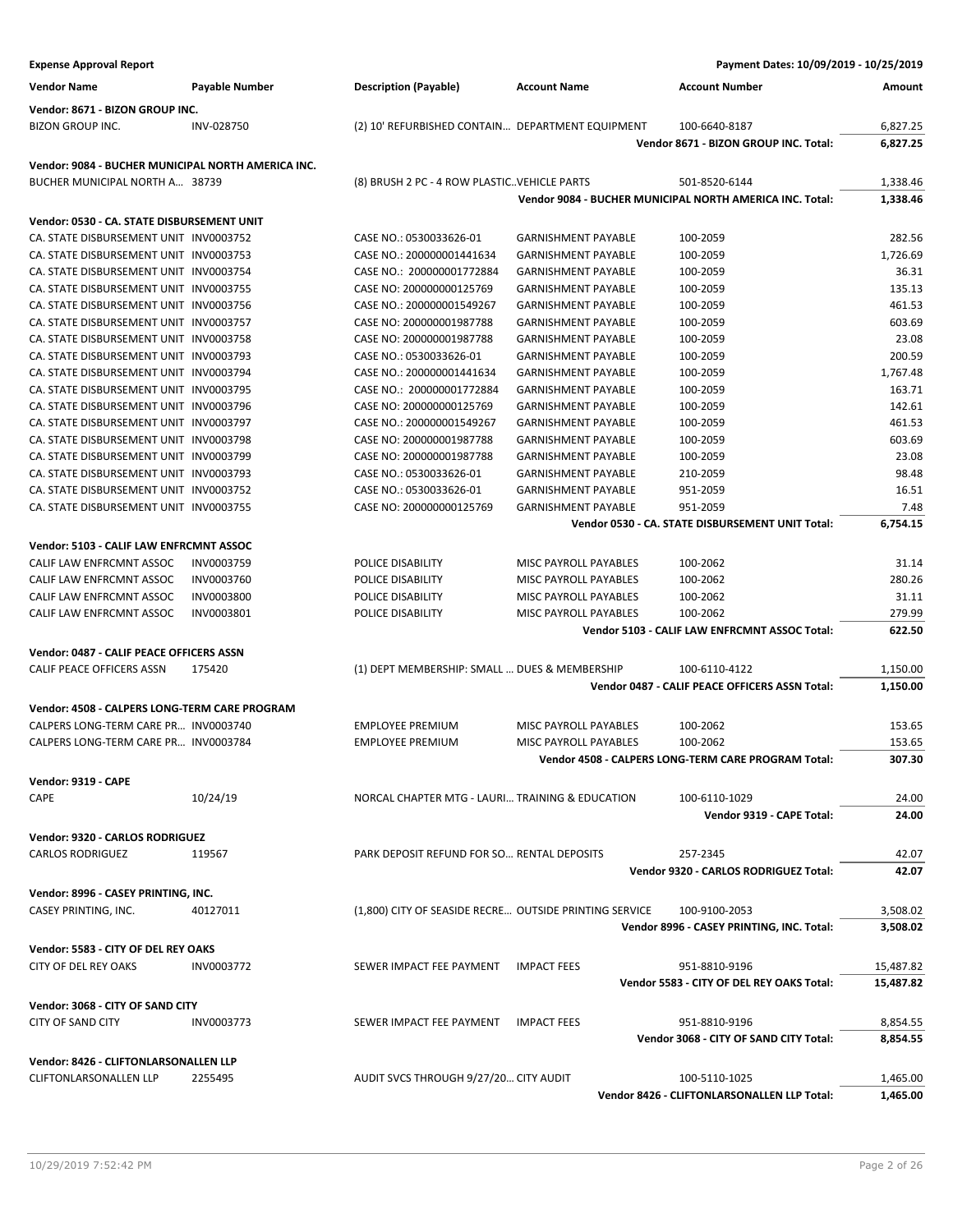| <b>Expense Approval Report</b>                                                        |                |                                                        |                            | Payment Dates: 10/09/2019 - 10/25/2019                   |           |
|---------------------------------------------------------------------------------------|----------------|--------------------------------------------------------|----------------------------|----------------------------------------------------------|-----------|
| <b>Vendor Name</b>                                                                    | Payable Number | <b>Description (Payable)</b>                           | <b>Account Name</b>        | <b>Account Number</b>                                    | Amount    |
| Vendor: 8671 - BIZON GROUP INC.                                                       |                |                                                        |                            |                                                          |           |
| <b>BIZON GROUP INC.</b>                                                               | INV-028750     | (2) 10' REFURBISHED CONTAIN DEPARTMENT EQUIPMENT       |                            | 100-6640-8187                                            | 6,827.25  |
|                                                                                       |                |                                                        |                            | Vendor 8671 - BIZON GROUP INC. Total:                    | 6,827.25  |
| Vendor: 9084 - BUCHER MUNICIPAL NORTH AMERICA INC.                                    |                |                                                        |                            |                                                          |           |
| BUCHER MUNICIPAL NORTH A 38739                                                        |                | (8) BRUSH 2 PC - 4 ROW PLASTIC. VEHICLE PARTS          |                            | 501-8520-6144                                            | 1,338.46  |
|                                                                                       |                |                                                        |                            | Vendor 9084 - BUCHER MUNICIPAL NORTH AMERICA INC. Total: | 1,338.46  |
| Vendor: 0530 - CA. STATE DISBURSEMENT UNIT                                            |                |                                                        |                            |                                                          |           |
| CA. STATE DISBURSEMENT UNIT INV0003752                                                |                | CASE NO.: 0530033626-01                                | <b>GARNISHMENT PAYABLE</b> | 100-2059                                                 | 282.56    |
| CA. STATE DISBURSEMENT UNIT INV0003753                                                |                | CASE NO.: 200000001441634                              | <b>GARNISHMENT PAYABLE</b> | 100-2059                                                 | 1,726.69  |
| CA. STATE DISBURSEMENT UNIT INV0003754                                                |                | CASE NO.: 200000001772884                              | <b>GARNISHMENT PAYABLE</b> | 100-2059                                                 | 36.31     |
| CA. STATE DISBURSEMENT UNIT INV0003755                                                |                | CASE NO: 200000000125769                               | <b>GARNISHMENT PAYABLE</b> | 100-2059                                                 | 135.13    |
| CA. STATE DISBURSEMENT UNIT INV0003756                                                |                | CASE NO.: 200000001549267                              | <b>GARNISHMENT PAYABLE</b> | 100-2059                                                 | 461.53    |
| CA. STATE DISBURSEMENT UNIT INV0003757                                                |                | CASE NO: 200000001987788                               | <b>GARNISHMENT PAYABLE</b> | 100-2059                                                 | 603.69    |
| CA. STATE DISBURSEMENT UNIT INV0003758                                                |                | CASE NO: 200000001987788                               | <b>GARNISHMENT PAYABLE</b> | 100-2059                                                 | 23.08     |
| CA. STATE DISBURSEMENT UNIT INV0003793                                                |                | CASE NO.: 0530033626-01                                | <b>GARNISHMENT PAYABLE</b> | 100-2059                                                 | 200.59    |
| CA. STATE DISBURSEMENT UNIT INV0003794                                                |                | CASE NO.: 200000001441634                              | <b>GARNISHMENT PAYABLE</b> | 100-2059                                                 | 1,767.48  |
| CA. STATE DISBURSEMENT UNIT INV0003795                                                |                | CASE NO.: 200000001772884                              | <b>GARNISHMENT PAYABLE</b> | 100-2059                                                 | 163.71    |
| CA. STATE DISBURSEMENT UNIT INV0003796                                                |                | CASE NO: 200000000125769                               | <b>GARNISHMENT PAYABLE</b> | 100-2059                                                 | 142.61    |
| CA. STATE DISBURSEMENT UNIT INV0003797                                                |                | CASE NO.: 200000001549267                              | <b>GARNISHMENT PAYABLE</b> | 100-2059                                                 | 461.53    |
| CA. STATE DISBURSEMENT UNIT INV0003798                                                |                | CASE NO: 200000001987788                               | <b>GARNISHMENT PAYABLE</b> | 100-2059                                                 | 603.69    |
| CA. STATE DISBURSEMENT UNIT INV0003799                                                |                | CASE NO: 200000001987788                               | <b>GARNISHMENT PAYABLE</b> | 100-2059                                                 | 23.08     |
| CA. STATE DISBURSEMENT UNIT INV0003793                                                |                | CASE NO.: 0530033626-01                                | <b>GARNISHMENT PAYABLE</b> | 210-2059                                                 | 98.48     |
| CA. STATE DISBURSEMENT UNIT INV0003752                                                |                | CASE NO.: 0530033626-01                                | <b>GARNISHMENT PAYABLE</b> | 951-2059                                                 | 16.51     |
| CA. STATE DISBURSEMENT UNIT INV0003755                                                |                | CASE NO: 200000000125769                               | <b>GARNISHMENT PAYABLE</b> | 951-2059                                                 | 7.48      |
|                                                                                       |                |                                                        |                            | Vendor 0530 - CA. STATE DISBURSEMENT UNIT Total:         | 6,754.15  |
| Vendor: 5103 - CALIF LAW ENFRCMNT ASSOC                                               |                |                                                        |                            |                                                          |           |
| CALIF LAW ENFRCMNT ASSOC                                                              | INV0003759     | POLICE DISABILITY                                      | MISC PAYROLL PAYABLES      | 100-2062                                                 | 31.14     |
| CALIF LAW ENFRCMNT ASSOC                                                              | INV0003760     | POLICE DISABILITY                                      | MISC PAYROLL PAYABLES      | 100-2062                                                 | 280.26    |
| CALIF LAW ENFRCMNT ASSOC                                                              | INV0003800     | POLICE DISABILITY                                      | MISC PAYROLL PAYABLES      | 100-2062                                                 | 31.11     |
| CALIF LAW ENFRCMNT ASSOC                                                              | INV0003801     | POLICE DISABILITY                                      | MISC PAYROLL PAYABLES      | 100-2062                                                 | 279.99    |
|                                                                                       |                |                                                        |                            | Vendor 5103 - CALIF LAW ENFRCMNT ASSOC Total:            | 622.50    |
| Vendor: 0487 - CALIF PEACE OFFICERS ASSN                                              |                |                                                        |                            |                                                          |           |
| CALIF PEACE OFFICERS ASSN                                                             | 175420         | (1) DEPT MEMBERSHIP: SMALL  DUES & MEMBERSHIP          |                            | 100-6110-4122                                            | 1,150.00  |
|                                                                                       |                |                                                        |                            | Vendor 0487 - CALIF PEACE OFFICERS ASSN Total:           | 1,150.00  |
|                                                                                       |                |                                                        |                            |                                                          |           |
| Vendor: 4508 - CALPERS LONG-TERM CARE PROGRAM<br>CALPERS LONG-TERM CARE PR INV0003740 |                | <b>EMPLOYEE PREMIUM</b>                                |                            |                                                          |           |
|                                                                                       |                |                                                        | MISC PAYROLL PAYABLES      | 100-2062                                                 | 153.65    |
| CALPERS LONG-TERM CARE PR INV0003784                                                  |                | <b>EMPLOYEE PREMIUM</b>                                | MISC PAYROLL PAYABLES      | 100-2062                                                 | 153.65    |
|                                                                                       |                |                                                        |                            | Vendor 4508 - CALPERS LONG-TERM CARE PROGRAM Total:      | 307.30    |
| Vendor: 9319 - CAPE                                                                   |                |                                                        |                            |                                                          |           |
| CAPE                                                                                  | 10/24/19       | NORCAL CHAPTER MTG - LAURI TRAINING & EDUCATION        |                            | 100-6110-1029                                            | 24.00     |
|                                                                                       |                |                                                        |                            | Vendor 9319 - CAPE Total:                                | 24.00     |
| Vendor: 9320 - CARLOS RODRIGUEZ                                                       |                |                                                        |                            |                                                          |           |
| <b>CARLOS RODRIGUEZ</b>                                                               | 119567         | PARK DEPOSIT REFUND FOR SO RENTAL DEPOSITS             |                            | 257-2345                                                 | 42.07     |
|                                                                                       |                |                                                        |                            | Vendor 9320 - CARLOS RODRIGUEZ Total:                    | 42.07     |
| Vendor: 8996 - CASEY PRINTING, INC.                                                   |                |                                                        |                            |                                                          |           |
| CASEY PRINTING, INC.                                                                  | 40127011       | (1,800) CITY OF SEASIDE RECRE OUTSIDE PRINTING SERVICE |                            | 100-9100-2053                                            | 3,508.02  |
|                                                                                       |                |                                                        |                            | Vendor 8996 - CASEY PRINTING, INC. Total:                | 3,508.02  |
| Vendor: 5583 - CITY OF DEL REY OAKS                                                   |                |                                                        |                            |                                                          |           |
| CITY OF DEL REY OAKS                                                                  | INV0003772     | SEWER IMPACT FEE PAYMENT                               | <b>IMPACT FEES</b>         | 951-8810-9196                                            | 15,487.82 |
|                                                                                       |                |                                                        |                            | Vendor 5583 - CITY OF DEL REY OAKS Total:                | 15,487.82 |
|                                                                                       |                |                                                        |                            |                                                          |           |
| Vendor: 3068 - CITY OF SAND CITY                                                      |                |                                                        |                            |                                                          |           |
| <b>CITY OF SAND CITY</b>                                                              | INV0003773     | SEWER IMPACT FEE PAYMENT                               | <b>IMPACT FEES</b>         | 951-8810-9196                                            | 8,854.55  |
|                                                                                       |                |                                                        |                            | Vendor 3068 - CITY OF SAND CITY Total:                   | 8,854.55  |
| Vendor: 8426 - CLIFTONLARSONALLEN LLP                                                 |                |                                                        |                            |                                                          |           |
| <b>CLIFTONLARSONALLEN LLP</b>                                                         | 2255495        | AUDIT SVCS THROUGH 9/27/20 CITY AUDIT                  |                            | 100-5110-1025                                            | 1,465.00  |
|                                                                                       |                |                                                        |                            | Vendor 8426 - CLIFTONLARSONALLEN LLP Total:              | 1,465.00  |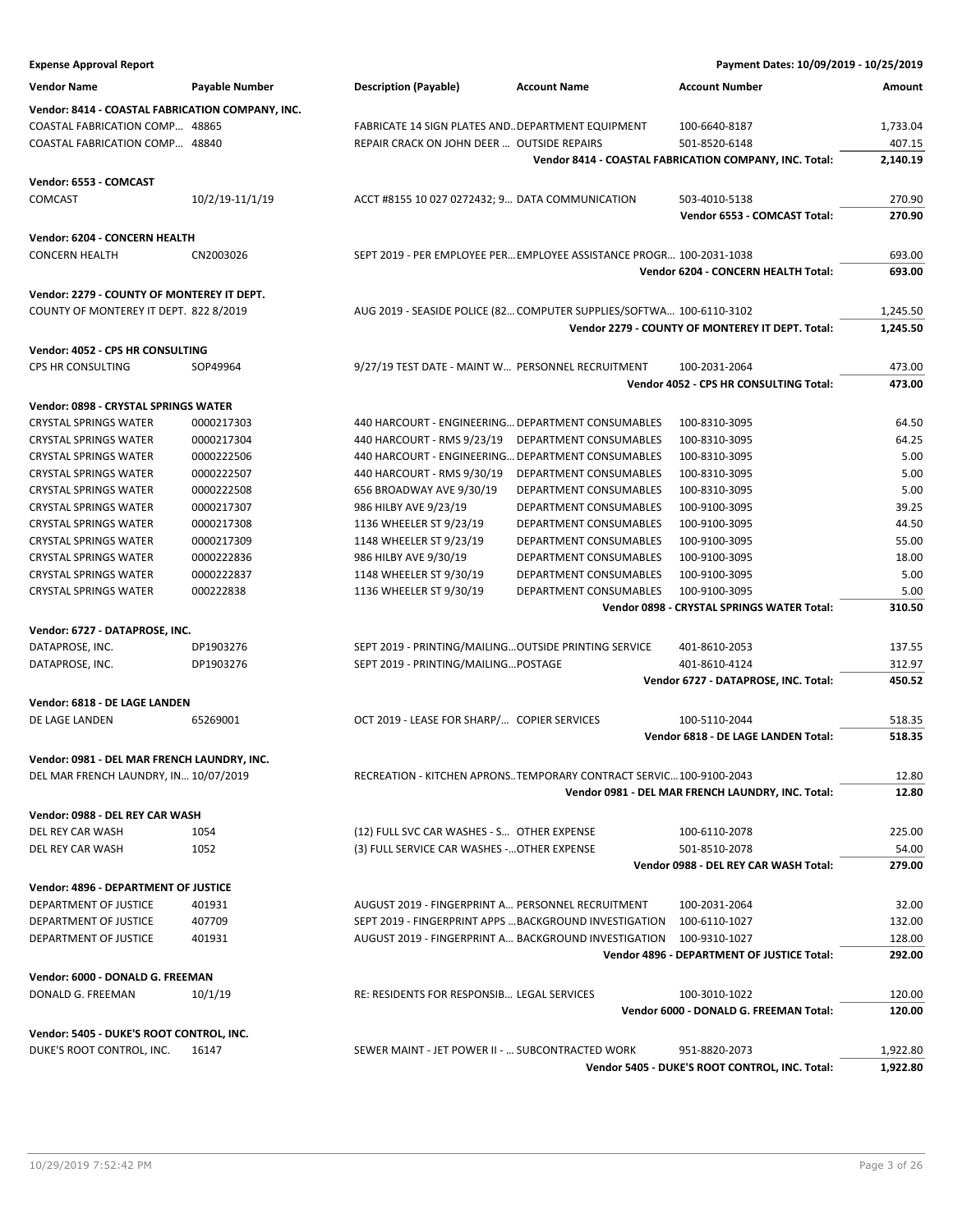| <b>Expense Approval Report</b>                   |                       |                                                       |                                                                      | Payment Dates: 10/09/2019 - 10/25/2019                 |          |
|--------------------------------------------------|-----------------------|-------------------------------------------------------|----------------------------------------------------------------------|--------------------------------------------------------|----------|
| <b>Vendor Name</b>                               | <b>Payable Number</b> | <b>Description (Payable)</b>                          | <b>Account Name</b>                                                  | <b>Account Number</b>                                  | Amount   |
| Vendor: 8414 - COASTAL FABRICATION COMPANY, INC. |                       |                                                       |                                                                      |                                                        |          |
| COASTAL FABRICATION COMP 48865                   |                       | FABRICATE 14 SIGN PLATES AND. DEPARTMENT EQUIPMENT    |                                                                      | 100-6640-8187                                          | 1,733.04 |
| COASTAL FABRICATION COMP 48840                   |                       | REPAIR CRACK ON JOHN DEER  OUTSIDE REPAIRS            |                                                                      | 501-8520-6148                                          | 407.15   |
|                                                  |                       |                                                       |                                                                      | Vendor 8414 - COASTAL FABRICATION COMPANY, INC. Total: | 2,140.19 |
| Vendor: 6553 - COMCAST                           |                       |                                                       |                                                                      |                                                        |          |
| COMCAST                                          | 10/2/19-11/1/19       | ACCT #8155 10 027 0272432; 9 DATA COMMUNICATION       |                                                                      | 503-4010-5138                                          | 270.90   |
|                                                  |                       |                                                       |                                                                      | Vendor 6553 - COMCAST Total:                           | 270.90   |
| Vendor: 6204 - CONCERN HEALTH                    |                       |                                                       |                                                                      |                                                        |          |
| <b>CONCERN HEALTH</b>                            | CN2003026             |                                                       | SEPT 2019 - PER EMPLOYEE PER EMPLOYEE ASSISTANCE PROGR 100-2031-1038 |                                                        | 693.00   |
|                                                  |                       |                                                       |                                                                      | Vendor 6204 - CONCERN HEALTH Total:                    | 693.00   |
| Vendor: 2279 - COUNTY OF MONTEREY IT DEPT.       |                       |                                                       |                                                                      |                                                        |          |
| COUNTY OF MONTEREY IT DEPT. 822 8/2019           |                       |                                                       | AUG 2019 - SEASIDE POLICE (82 COMPUTER SUPPLIES/SOFTWA 100-6110-3102 |                                                        | 1,245.50 |
|                                                  |                       |                                                       |                                                                      | Vendor 2279 - COUNTY OF MONTEREY IT DEPT. Total:       | 1,245.50 |
|                                                  |                       |                                                       |                                                                      |                                                        |          |
| Vendor: 4052 - CPS HR CONSULTING                 |                       |                                                       |                                                                      |                                                        |          |
| CPS HR CONSULTING                                | SOP49964              | 9/27/19 TEST DATE - MAINT W PERSONNEL RECRUITMENT     |                                                                      | 100-2031-2064                                          | 473.00   |
|                                                  |                       |                                                       |                                                                      | Vendor 4052 - CPS HR CONSULTING Total:                 | 473.00   |
| Vendor: 0898 - CRYSTAL SPRINGS WATER             |                       |                                                       |                                                                      |                                                        |          |
| <b>CRYSTAL SPRINGS WATER</b>                     | 0000217303            | 440 HARCOURT - ENGINEERING DEPARTMENT CONSUMABLES     |                                                                      | 100-8310-3095                                          | 64.50    |
| <b>CRYSTAL SPRINGS WATER</b>                     | 0000217304            | 440 HARCOURT - RMS 9/23/19                            | DEPARTMENT CONSUMABLES                                               | 100-8310-3095                                          | 64.25    |
| <b>CRYSTAL SPRINGS WATER</b>                     | 0000222506            | 440 HARCOURT - ENGINEERING DEPARTMENT CONSUMABLES     |                                                                      | 100-8310-3095                                          | 5.00     |
| <b>CRYSTAL SPRINGS WATER</b>                     | 0000222507            | 440 HARCOURT - RMS 9/30/19                            | DEPARTMENT CONSUMABLES                                               | 100-8310-3095                                          | 5.00     |
| <b>CRYSTAL SPRINGS WATER</b>                     | 0000222508            | 656 BROADWAY AVE 9/30/19                              | DEPARTMENT CONSUMABLES                                               | 100-8310-3095                                          | 5.00     |
| <b>CRYSTAL SPRINGS WATER</b>                     | 0000217307            | 986 HILBY AVE 9/23/19                                 | DEPARTMENT CONSUMABLES                                               | 100-9100-3095                                          | 39.25    |
| <b>CRYSTAL SPRINGS WATER</b>                     | 0000217308            | 1136 WHEELER ST 9/23/19                               | DEPARTMENT CONSUMABLES                                               | 100-9100-3095                                          | 44.50    |
| <b>CRYSTAL SPRINGS WATER</b>                     | 0000217309            | 1148 WHEELER ST 9/23/19                               | DEPARTMENT CONSUMABLES                                               | 100-9100-3095                                          | 55.00    |
| <b>CRYSTAL SPRINGS WATER</b>                     | 0000222836            | 986 HILBY AVE 9/30/19                                 | DEPARTMENT CONSUMABLES                                               | 100-9100-3095                                          | 18.00    |
| <b>CRYSTAL SPRINGS WATER</b>                     | 0000222837            | 1148 WHEELER ST 9/30/19                               | DEPARTMENT CONSUMABLES                                               | 100-9100-3095                                          | 5.00     |
| <b>CRYSTAL SPRINGS WATER</b>                     | 000222838             | 1136 WHEELER ST 9/30/19                               | DEPARTMENT CONSUMABLES                                               | 100-9100-3095                                          | 5.00     |
|                                                  |                       |                                                       |                                                                      | Vendor 0898 - CRYSTAL SPRINGS WATER Total:             | 310.50   |
| Vendor: 6727 - DATAPROSE, INC.                   |                       |                                                       |                                                                      |                                                        |          |
| DATAPROSE, INC.                                  | DP1903276             | SEPT 2019 - PRINTING/MAILING OUTSIDE PRINTING SERVICE |                                                                      | 401-8610-2053                                          | 137.55   |
| DATAPROSE, INC.                                  | DP1903276             | SEPT 2019 - PRINTING/MAILING POSTAGE                  |                                                                      | 401-8610-4124                                          | 312.97   |
|                                                  |                       |                                                       |                                                                      | Vendor 6727 - DATAPROSE, INC. Total:                   | 450.52   |
| Vendor: 6818 - DE LAGE LANDEN                    |                       |                                                       |                                                                      |                                                        |          |
| DE LAGE LANDEN                                   | 65269001              | OCT 2019 - LEASE FOR SHARP/ COPIER SERVICES           |                                                                      | 100-5110-2044                                          | 518.35   |
|                                                  |                       |                                                       |                                                                      | Vendor 6818 - DE LAGE LANDEN Total:                    | 518.35   |
| Vendor: 0981 - DEL MAR FRENCH LAUNDRY, INC.      |                       |                                                       |                                                                      |                                                        |          |
| DEL MAR FRENCH LAUNDRY, IN 10/07/2019            |                       |                                                       | RECREATION - KITCHEN APRONSTEMPORARY CONTRACT SERVIC100-9100-2043    |                                                        | 12.80    |
|                                                  |                       |                                                       |                                                                      | Vendor 0981 - DEL MAR FRENCH LAUNDRY, INC. Total:      | 12.80    |
| Vendor: 0988 - DEL REY CAR WASH                  |                       |                                                       |                                                                      |                                                        |          |
| DEL REY CAR WASH                                 | 1054                  | (12) FULL SVC CAR WASHES - S OTHER EXPENSE            |                                                                      | 100-6110-2078                                          | 225.00   |
| DEL REY CAR WASH                                 | 1052                  | (3) FULL SERVICE CAR WASHES - OTHER EXPENSE           |                                                                      | 501-8510-2078                                          | 54.00    |
|                                                  |                       |                                                       |                                                                      | Vendor 0988 - DEL REY CAR WASH Total:                  | 279.00   |
|                                                  |                       |                                                       |                                                                      |                                                        |          |
| Vendor: 4896 - DEPARTMENT OF JUSTICE             |                       |                                                       |                                                                      |                                                        |          |
| DEPARTMENT OF JUSTICE                            | 401931                | AUGUST 2019 - FINGERPRINT A PERSONNEL RECRUITMENT     |                                                                      | 100-2031-2064                                          | 32.00    |
| DEPARTMENT OF JUSTICE                            | 407709                |                                                       | SEPT 2019 - FINGERPRINT APPS  BACKGROUND INVESTIGATION               | 100-6110-1027                                          | 132.00   |
| DEPARTMENT OF JUSTICE                            | 401931                |                                                       | AUGUST 2019 - FINGERPRINT A BACKGROUND INVESTIGATION                 | 100-9310-1027                                          | 128.00   |
|                                                  |                       |                                                       |                                                                      | Vendor 4896 - DEPARTMENT OF JUSTICE Total:             | 292.00   |
| Vendor: 6000 - DONALD G. FREEMAN                 |                       |                                                       |                                                                      |                                                        |          |
| DONALD G. FREEMAN                                | 10/1/19               | RE: RESIDENTS FOR RESPONSIB LEGAL SERVICES            |                                                                      | 100-3010-1022                                          | 120.00   |
|                                                  |                       |                                                       |                                                                      | Vendor 6000 - DONALD G. FREEMAN Total:                 | 120.00   |
| Vendor: 5405 - DUKE'S ROOT CONTROL, INC.         |                       |                                                       |                                                                      |                                                        |          |
| DUKE'S ROOT CONTROL, INC.                        | 16147                 | SEWER MAINT - JET POWER II -  SUBCONTRACTED WORK      |                                                                      | 951-8820-2073                                          | 1,922.80 |
|                                                  |                       |                                                       |                                                                      | Vendor 5405 - DUKE'S ROOT CONTROL, INC. Total:         | 1,922.80 |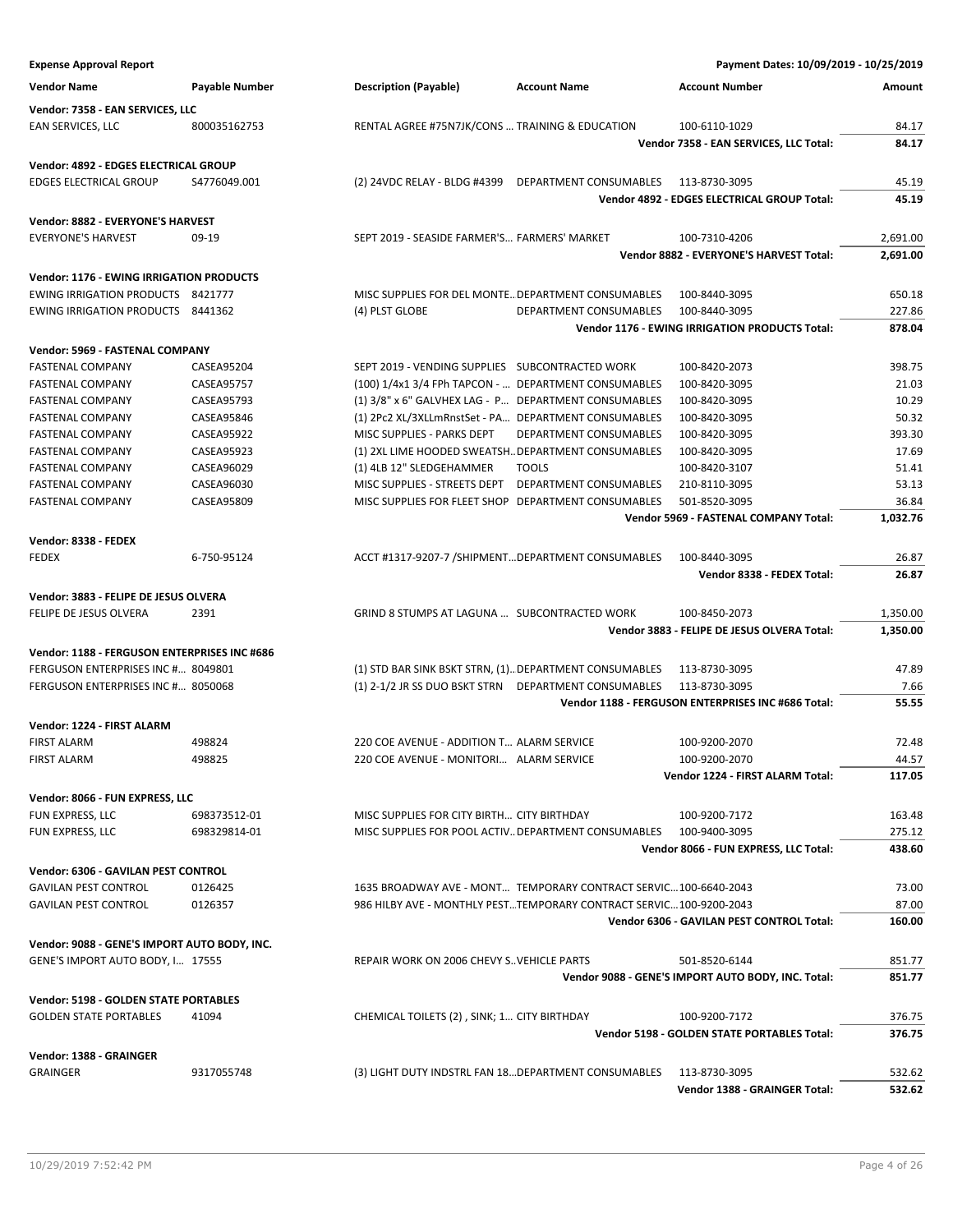| <b>Expense Approval Report</b>                  |                       |                                                                    |                               | Payment Dates: 10/09/2019 - 10/25/2019             |                  |
|-------------------------------------------------|-----------------------|--------------------------------------------------------------------|-------------------------------|----------------------------------------------------|------------------|
| <b>Vendor Name</b>                              | <b>Payable Number</b> | <b>Description (Payable)</b>                                       | <b>Account Name</b>           | <b>Account Number</b>                              | Amount           |
| Vendor: 7358 - EAN SERVICES, LLC                |                       |                                                                    |                               |                                                    |                  |
| EAN SERVICES, LLC                               | 800035162753          | RENTAL AGREE #75N7JK/CONS  TRAINING & EDUCATION                    |                               | 100-6110-1029                                      | 84.17            |
|                                                 |                       |                                                                    |                               | Vendor 7358 - EAN SERVICES, LLC Total:             | 84.17            |
| Vendor: 4892 - EDGES ELECTRICAL GROUP           |                       |                                                                    |                               |                                                    |                  |
| <b>EDGES ELECTRICAL GROUP</b>                   | S4776049.001          | (2) 24VDC RELAY - BLDG #4399 DEPARTMENT CONSUMABLES                |                               | 113-8730-3095                                      | 45.19            |
|                                                 |                       |                                                                    |                               | Vendor 4892 - EDGES ELECTRICAL GROUP Total:        | 45.19            |
| Vendor: 8882 - EVERYONE'S HARVEST               |                       |                                                                    |                               |                                                    |                  |
| <b>EVERYONE'S HARVEST</b>                       | $09-19$               | SEPT 2019 - SEASIDE FARMER'S FARMERS' MARKET                       |                               | 100-7310-4206                                      | 2,691.00         |
|                                                 |                       |                                                                    |                               | Vendor 8882 - EVERYONE'S HARVEST Total:            | 2,691.00         |
| <b>Vendor: 1176 - EWING IRRIGATION PRODUCTS</b> |                       |                                                                    |                               |                                                    |                  |
| <b>EWING IRRIGATION PRODUCTS 8421777</b>        |                       | MISC SUPPLIES FOR DEL MONTE DEPARTMENT CONSUMABLES                 |                               | 100-8440-3095                                      | 650.18           |
| EWING IRRIGATION PRODUCTS 8441362               |                       | (4) PLST GLOBE                                                     | DEPARTMENT CONSUMABLES        | 100-8440-3095                                      | 227.86           |
|                                                 |                       |                                                                    |                               | Vendor 1176 - EWING IRRIGATION PRODUCTS Total:     | 878.04           |
| Vendor: 5969 - FASTENAL COMPANY                 |                       |                                                                    |                               |                                                    |                  |
| <b>FASTENAL COMPANY</b>                         | CASEA95204            | SEPT 2019 - VENDING SUPPLIES SUBCONTRACTED WORK                    |                               | 100-8420-2073                                      | 398.75           |
| <b>FASTENAL COMPANY</b>                         | CASEA95757            | (100) 1/4x1 3/4 FPh TAPCON -  DEPARTMENT CONSUMABLES               |                               | 100-8420-3095                                      | 21.03            |
| <b>FASTENAL COMPANY</b>                         | CASEA95793            | (1) 3/8" x 6" GALVHEX LAG - P DEPARTMENT CONSUMABLES               |                               | 100-8420-3095                                      | 10.29            |
| <b>FASTENAL COMPANY</b>                         | CASEA95846            | (1) 2Pc2 XL/3XLLmRnstSet - PA DEPARTMENT CONSUMABLES               |                               | 100-8420-3095                                      | 50.32            |
| <b>FASTENAL COMPANY</b>                         | CASEA95922            | MISC SUPPLIES - PARKS DEPT                                         | DEPARTMENT CONSUMABLES        | 100-8420-3095                                      | 393.30           |
| <b>FASTENAL COMPANY</b>                         | <b>CASEA95923</b>     | (1) 2XL LIME HOODED SWEATSH DEPARTMENT CONSUMABLES                 |                               | 100-8420-3095                                      | 17.69            |
| <b>FASTENAL COMPANY</b>                         | CASEA96029            | (1) 4LB 12" SLEDGEHAMMER                                           | <b>TOOLS</b>                  | 100-8420-3107                                      | 51.41            |
| <b>FASTENAL COMPANY</b>                         | CASEA96030            | MISC SUPPLIES - STREETS DEPT                                       | <b>DEPARTMENT CONSUMABLES</b> | 210-8110-3095                                      | 53.13            |
| <b>FASTENAL COMPANY</b>                         | CASEA95809            | MISC SUPPLIES FOR FLEET SHOP DEPARTMENT CONSUMABLES                |                               | 501-8520-3095                                      | 36.84            |
|                                                 |                       |                                                                    |                               | Vendor 5969 - FASTENAL COMPANY Total:              | 1,032.76         |
| Vendor: 8338 - FEDEX                            |                       |                                                                    |                               |                                                    |                  |
| <b>FEDEX</b>                                    | 6-750-95124           | ACCT #1317-9207-7 /SHIPMENT DEPARTMENT CONSUMABLES                 |                               | 100-8440-3095                                      | 26.87            |
|                                                 |                       |                                                                    |                               | Vendor 8338 - FEDEX Total:                         | 26.87            |
| Vendor: 3883 - FELIPE DE JESUS OLVERA           |                       |                                                                    |                               |                                                    |                  |
| FELIPE DE JESUS OLVERA                          | 2391                  | GRIND 8 STUMPS AT LAGUNA  SUBCONTRACTED WORK                       |                               | 100-8450-2073                                      | 1,350.00         |
|                                                 |                       |                                                                    |                               | Vendor 3883 - FELIPE DE JESUS OLVERA Total:        | 1,350.00         |
| Vendor: 1188 - FERGUSON ENTERPRISES INC #686    |                       |                                                                    |                               |                                                    |                  |
| FERGUSON ENTERPRISES INC # 8049801              |                       | (1) STD BAR SINK BSKT STRN, (1) DEPARTMENT CONSUMABLES             |                               | 113-8730-3095                                      | 47.89            |
| FERGUSON ENTERPRISES INC # 8050068              |                       | (1) 2-1/2 JR SS DUO BSKT STRN DEPARTMENT CONSUMABLES               |                               | 113-8730-3095                                      | 7.66             |
|                                                 |                       |                                                                    |                               | Vendor 1188 - FERGUSON ENTERPRISES INC #686 Total: | 55.55            |
| Vendor: 1224 - FIRST ALARM                      |                       |                                                                    |                               |                                                    |                  |
| <b>FIRST ALARM</b>                              | 498824                | 220 COE AVENUE - ADDITION T ALARM SERVICE                          |                               | 100-9200-2070                                      | 72.48            |
| <b>FIRST ALARM</b>                              | 498825                | 220 COE AVENUE - MONITORI  ALARM SERVICE                           |                               | 100-9200-2070                                      | 44.57            |
|                                                 |                       |                                                                    |                               | Vendor 1224 - FIRST ALARM Total:                   | 117.05           |
|                                                 |                       |                                                                    |                               |                                                    |                  |
| Vendor: 8066 - FUN EXPRESS, LLC                 |                       | MISC SUPPLIES FOR CITY BIRTH CITY BIRTHDAY                         |                               |                                                    |                  |
| FUN EXPRESS, LLC<br>FUN EXPRESS, LLC            | 698373512-01          | MISC SUPPLIES FOR POOL ACTIV DEPARTMENT CONSUMABLES                |                               | 100-9200-7172<br>100-9400-3095                     | 163.48<br>275.12 |
|                                                 | 698329814-01          |                                                                    |                               | Vendor 8066 - FUN EXPRESS, LLC Total:              | 438.60           |
|                                                 |                       |                                                                    |                               |                                                    |                  |
| Vendor: 6306 - GAVILAN PEST CONTROL             |                       |                                                                    |                               |                                                    |                  |
| <b>GAVILAN PEST CONTROL</b>                     | 0126425               | 1635 BROADWAY AVE - MONT TEMPORARY CONTRACT SERVIC100-6640-2043    |                               |                                                    | 73.00            |
| <b>GAVILAN PEST CONTROL</b>                     | 0126357               | 986 HILBY AVE - MONTHLY PESTTEMPORARY CONTRACT SERVIC100-9200-2043 |                               | Vendor 6306 - GAVILAN PEST CONTROL Total:          | 87.00            |
|                                                 |                       |                                                                    |                               |                                                    | 160.00           |
| Vendor: 9088 - GENE'S IMPORT AUTO BODY, INC.    |                       |                                                                    |                               |                                                    |                  |
| GENE'S IMPORT AUTO BODY, I 17555                |                       | REPAIR WORK ON 2006 CHEVY S. VEHICLE PARTS                         |                               | 501-8520-6144                                      | 851.77           |
|                                                 |                       |                                                                    |                               | Vendor 9088 - GENE'S IMPORT AUTO BODY, INC. Total: | 851.77           |
| Vendor: 5198 - GOLDEN STATE PORTABLES           |                       |                                                                    |                               |                                                    |                  |
| <b>GOLDEN STATE PORTABLES</b>                   | 41094                 | CHEMICAL TOILETS (2), SINK; 1 CITY BIRTHDAY                        |                               | 100-9200-7172                                      | 376.75           |
|                                                 |                       |                                                                    |                               | Vendor 5198 - GOLDEN STATE PORTABLES Total:        | 376.75           |
| Vendor: 1388 - GRAINGER                         |                       |                                                                    |                               |                                                    |                  |
| <b>GRAINGER</b>                                 | 9317055748            | (3) LIGHT DUTY INDSTRL FAN 18 DEPARTMENT CONSUMABLES               |                               | 113-8730-3095                                      | 532.62           |
|                                                 |                       |                                                                    |                               | Vendor 1388 - GRAINGER Total:                      | 532.62           |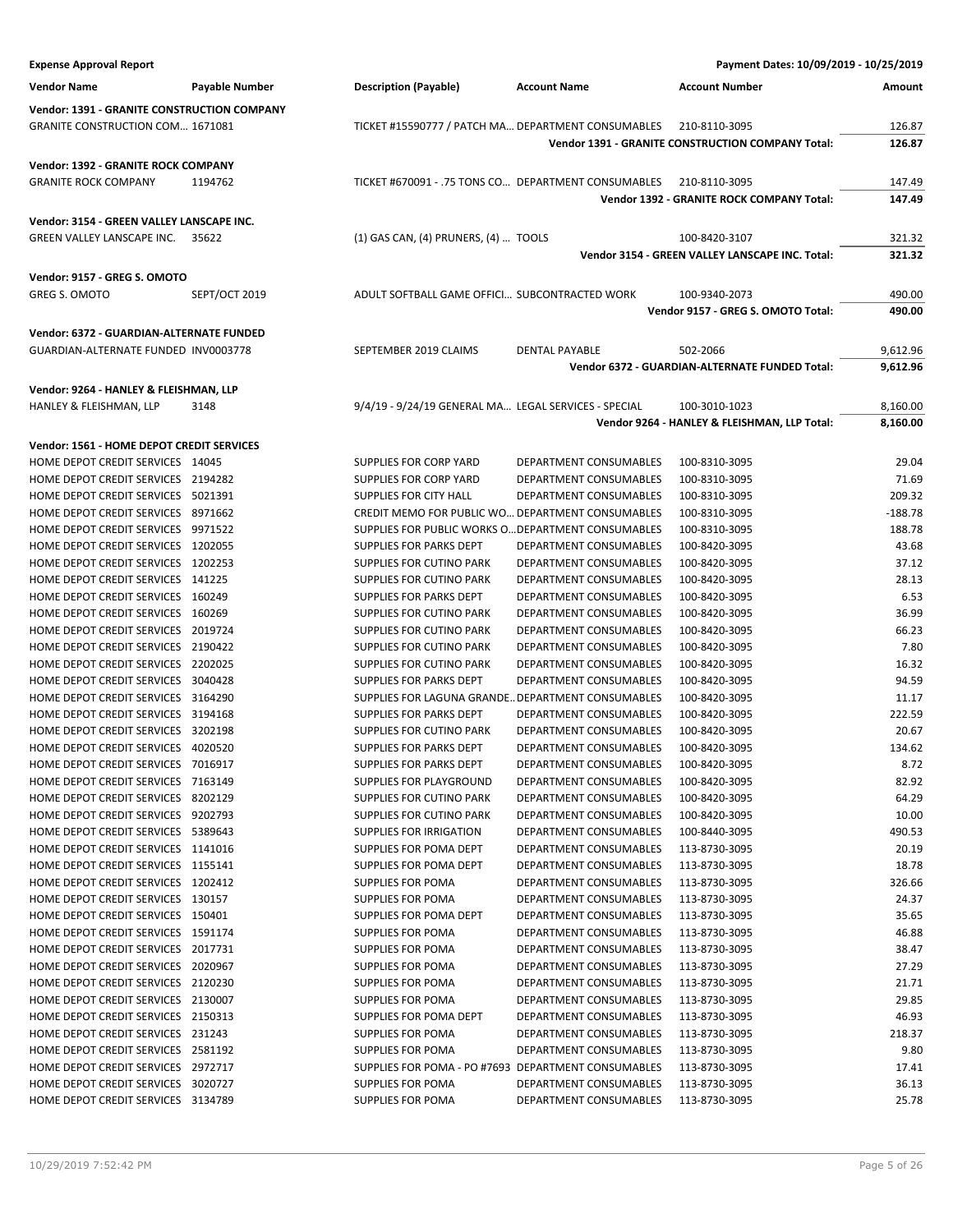| <b>Expense Approval Report</b>                                                 |                |                                                      |                                                  | Payment Dates: 10/09/2019 - 10/25/2019                   |                |
|--------------------------------------------------------------------------------|----------------|------------------------------------------------------|--------------------------------------------------|----------------------------------------------------------|----------------|
| <b>Vendor Name</b>                                                             | Payable Number | <b>Description (Payable)</b>                         | <b>Account Name</b>                              | <b>Account Number</b>                                    | Amount         |
| <b>Vendor: 1391 - GRANITE CONSTRUCTION COMPANY</b>                             |                |                                                      |                                                  |                                                          |                |
| <b>GRANITE CONSTRUCTION COM 1671081</b>                                        |                | TICKET #15590777 / PATCH MA DEPARTMENT CONSUMABLES   |                                                  | 210-8110-3095                                            | 126.87         |
|                                                                                |                |                                                      |                                                  | <b>Vendor 1391 - GRANITE CONSTRUCTION COMPANY Total:</b> | 126.87         |
| Vendor: 1392 - GRANITE ROCK COMPANY                                            |                |                                                      |                                                  |                                                          |                |
| <b>GRANITE ROCK COMPANY</b>                                                    | 1194762        | TICKET #670091 - .75 TONS CO DEPARTMENT CONSUMABLES  |                                                  | 210-8110-3095                                            | 147.49         |
|                                                                                |                |                                                      |                                                  | Vendor 1392 - GRANITE ROCK COMPANY Total:                | 147.49         |
|                                                                                |                |                                                      |                                                  |                                                          |                |
| Vendor: 3154 - GREEN VALLEY LANSCAPE INC.<br><b>GREEN VALLEY LANSCAPE INC.</b> | 35622          | (1) GAS CAN, (4) PRUNERS, (4)  TOOLS                 |                                                  | 100-8420-3107                                            | 321.32         |
|                                                                                |                |                                                      |                                                  | Vendor 3154 - GREEN VALLEY LANSCAPE INC. Total:          | 321.32         |
|                                                                                |                |                                                      |                                                  |                                                          |                |
| Vendor: 9157 - GREG S. OMOTO                                                   |                |                                                      |                                                  |                                                          |                |
| <b>GREG S. OMOTO</b>                                                           | SEPT/OCT 2019  | ADULT SOFTBALL GAME OFFICI SUBCONTRACTED WORK        |                                                  | 100-9340-2073                                            | 490.00         |
|                                                                                |                |                                                      |                                                  | Vendor 9157 - GREG S. OMOTO Total:                       | 490.00         |
| Vendor: 6372 - GUARDIAN-ALTERNATE FUNDED                                       |                |                                                      |                                                  |                                                          |                |
| GUARDIAN-ALTERNATE FUNDED INV0003778                                           |                | SEPTEMBER 2019 CLAIMS                                | DENTAL PAYABLE                                   | 502-2066                                                 | 9,612.96       |
|                                                                                |                |                                                      |                                                  | Vendor 6372 - GUARDIAN-ALTERNATE FUNDED Total:           | 9,612.96       |
| Vendor: 9264 - HANLEY & FLEISHMAN, LLP                                         |                |                                                      |                                                  |                                                          |                |
| HANLEY & FLEISHMAN, LLP                                                        | 3148           | 9/4/19 - 9/24/19 GENERAL MA LEGAL SERVICES - SPECIAL |                                                  | 100-3010-1023                                            | 8,160.00       |
|                                                                                |                |                                                      |                                                  | Vendor 9264 - HANLEY & FLEISHMAN, LLP Total:             | 8,160.00       |
| Vendor: 1561 - HOME DEPOT CREDIT SERVICES                                      |                |                                                      |                                                  |                                                          |                |
| HOME DEPOT CREDIT SERVICES 14045                                               |                | SUPPLIES FOR CORP YARD                               | DEPARTMENT CONSUMABLES                           | 100-8310-3095                                            | 29.04          |
| HOME DEPOT CREDIT SERVICES 2194282                                             |                | SUPPLIES FOR CORP YARD                               | DEPARTMENT CONSUMABLES                           | 100-8310-3095                                            | 71.69          |
| HOME DEPOT CREDIT SERVICES 5021391                                             |                | <b>SUPPLIES FOR CITY HALL</b>                        | DEPARTMENT CONSUMABLES                           | 100-8310-3095                                            | 209.32         |
| HOME DEPOT CREDIT SERVICES 8971662                                             |                | CREDIT MEMO FOR PUBLIC WO DEPARTMENT CONSUMABLES     |                                                  | 100-8310-3095                                            | $-188.78$      |
| HOME DEPOT CREDIT SERVICES 9971522                                             |                | SUPPLIES FOR PUBLIC WORKS O DEPARTMENT CONSUMABLES   |                                                  | 100-8310-3095                                            | 188.78         |
| HOME DEPOT CREDIT SERVICES 1202055                                             |                | SUPPLIES FOR PARKS DEPT                              | DEPARTMENT CONSUMABLES                           | 100-8420-3095                                            | 43.68          |
| HOME DEPOT CREDIT SERVICES 1202253                                             |                | SUPPLIES FOR CUTINO PARK                             | DEPARTMENT CONSUMABLES                           | 100-8420-3095                                            | 37.12          |
| HOME DEPOT CREDIT SERVICES 141225                                              |                | SUPPLIES FOR CUTINO PARK                             | DEPARTMENT CONSUMABLES                           | 100-8420-3095                                            | 28.13          |
| HOME DEPOT CREDIT SERVICES 160249                                              |                | SUPPLIES FOR PARKS DEPT                              | DEPARTMENT CONSUMABLES                           | 100-8420-3095                                            | 6.53           |
| HOME DEPOT CREDIT SERVICES 160269                                              |                | SUPPLIES FOR CUTINO PARK                             | DEPARTMENT CONSUMABLES                           | 100-8420-3095                                            | 36.99          |
| HOME DEPOT CREDIT SERVICES 2019724                                             |                | SUPPLIES FOR CUTINO PARK                             | DEPARTMENT CONSUMABLES                           | 100-8420-3095                                            | 66.23          |
| HOME DEPOT CREDIT SERVICES 2190422                                             |                | SUPPLIES FOR CUTINO PARK                             | DEPARTMENT CONSUMABLES                           | 100-8420-3095                                            | 7.80           |
| HOME DEPOT CREDIT SERVICES 2202025                                             |                | SUPPLIES FOR CUTINO PARK                             | DEPARTMENT CONSUMABLES                           | 100-8420-3095                                            | 16.32          |
| HOME DEPOT CREDIT SERVICES 3040428                                             |                | SUPPLIES FOR PARKS DEPT                              | DEPARTMENT CONSUMABLES                           | 100-8420-3095                                            | 94.59          |
| HOME DEPOT CREDIT SERVICES 3164290                                             |                | SUPPLIES FOR LAGUNA GRANDE DEPARTMENT CONSUMABLES    |                                                  | 100-8420-3095                                            | 11.17          |
| HOME DEPOT CREDIT SERVICES 3194168                                             |                | SUPPLIES FOR PARKS DEPT                              | DEPARTMENT CONSUMABLES                           | 100-8420-3095                                            | 222.59         |
| HOME DEPOT CREDIT SERVICES 3202198                                             |                | <b>SUPPLIES FOR CUTINO PARK</b>                      | DEPARTMENT CONSUMABLES                           | 100-8420-3095                                            | 20.67          |
| HOME DEPOT CREDIT SERVICES 4020520                                             |                | SUPPLIES FOR PARKS DEPT                              | DEPARTMENT CONSUMABLES                           | 100-8420-3095                                            | 134.62         |
| HOME DEPOT CREDIT SERVICES 7016917                                             |                | SUPPLIES FOR PARKS DEPT                              | DEPARTMENT CONSUMABLES                           | 100-8420-3095                                            | 8.72           |
| HOME DEPOT CREDIT SERVICES 7163149                                             |                | SUPPLIES FOR PLAYGROUND                              | DEPARTMENT CONSUMABLES                           | 100-8420-3095                                            | 82.92          |
| HOME DEPOT CREDIT SERVICES 8202129                                             |                | SUPPLIES FOR CUTINO PARK                             | DEPARTMENT CONSUMABLES                           | 100-8420-3095                                            | 64.29          |
| HOME DEPOT CREDIT SERVICES 9202793                                             |                | SUPPLIES FOR CUTINO PARK                             | DEPARTMENT CONSUMABLES                           | 100-8420-3095                                            | 10.00          |
| HOME DEPOT CREDIT SERVICES 5389643                                             |                | SUPPLIES FOR IRRIGATION                              | DEPARTMENT CONSUMABLES                           | 100-8440-3095                                            | 490.53         |
| HOME DEPOT CREDIT SERVICES 1141016<br>HOME DEPOT CREDIT SERVICES 1155141       |                | SUPPLIES FOR POMA DEPT                               | DEPARTMENT CONSUMABLES                           | 113-8730-3095                                            | 20.19<br>18.78 |
| HOME DEPOT CREDIT SERVICES 1202412                                             |                | SUPPLIES FOR POMA DEPT<br>SUPPLIES FOR POMA          | DEPARTMENT CONSUMABLES<br>DEPARTMENT CONSUMABLES | 113-8730-3095<br>113-8730-3095                           | 326.66         |
| HOME DEPOT CREDIT SERVICES 130157                                              |                | SUPPLIES FOR POMA                                    | DEPARTMENT CONSUMABLES                           | 113-8730-3095                                            | 24.37          |
| HOME DEPOT CREDIT SERVICES 150401                                              |                | SUPPLIES FOR POMA DEPT                               | DEPARTMENT CONSUMABLES                           | 113-8730-3095                                            | 35.65          |
| HOME DEPOT CREDIT SERVICES 1591174                                             |                | <b>SUPPLIES FOR POMA</b>                             | DEPARTMENT CONSUMABLES                           | 113-8730-3095                                            | 46.88          |
| HOME DEPOT CREDIT SERVICES 2017731                                             |                | <b>SUPPLIES FOR POMA</b>                             | DEPARTMENT CONSUMABLES                           | 113-8730-3095                                            | 38.47          |
| HOME DEPOT CREDIT SERVICES 2020967                                             |                | SUPPLIES FOR POMA                                    | DEPARTMENT CONSUMABLES                           | 113-8730-3095                                            | 27.29          |
| HOME DEPOT CREDIT SERVICES 2120230                                             |                | <b>SUPPLIES FOR POMA</b>                             | DEPARTMENT CONSUMABLES                           | 113-8730-3095                                            | 21.71          |
| HOME DEPOT CREDIT SERVICES 2130007                                             |                | <b>SUPPLIES FOR POMA</b>                             | DEPARTMENT CONSUMABLES                           | 113-8730-3095                                            | 29.85          |
| HOME DEPOT CREDIT SERVICES 2150313                                             |                | SUPPLIES FOR POMA DEPT                               | DEPARTMENT CONSUMABLES                           | 113-8730-3095                                            | 46.93          |
| HOME DEPOT CREDIT SERVICES 231243                                              |                | SUPPLIES FOR POMA                                    | DEPARTMENT CONSUMABLES                           | 113-8730-3095                                            | 218.37         |
| HOME DEPOT CREDIT SERVICES 2581192                                             |                | SUPPLIES FOR POMA                                    | DEPARTMENT CONSUMABLES                           | 113-8730-3095                                            | 9.80           |
| HOME DEPOT CREDIT SERVICES 2972717                                             |                | SUPPLIES FOR POMA - PO #7693 DEPARTMENT CONSUMABLES  |                                                  | 113-8730-3095                                            | 17.41          |
| HOME DEPOT CREDIT SERVICES 3020727                                             |                | SUPPLIES FOR POMA                                    | DEPARTMENT CONSUMABLES                           | 113-8730-3095                                            | 36.13          |
| HOME DEPOT CREDIT SERVICES 3134789                                             |                | SUPPLIES FOR POMA                                    | DEPARTMENT CONSUMABLES                           | 113-8730-3095                                            | 25.78          |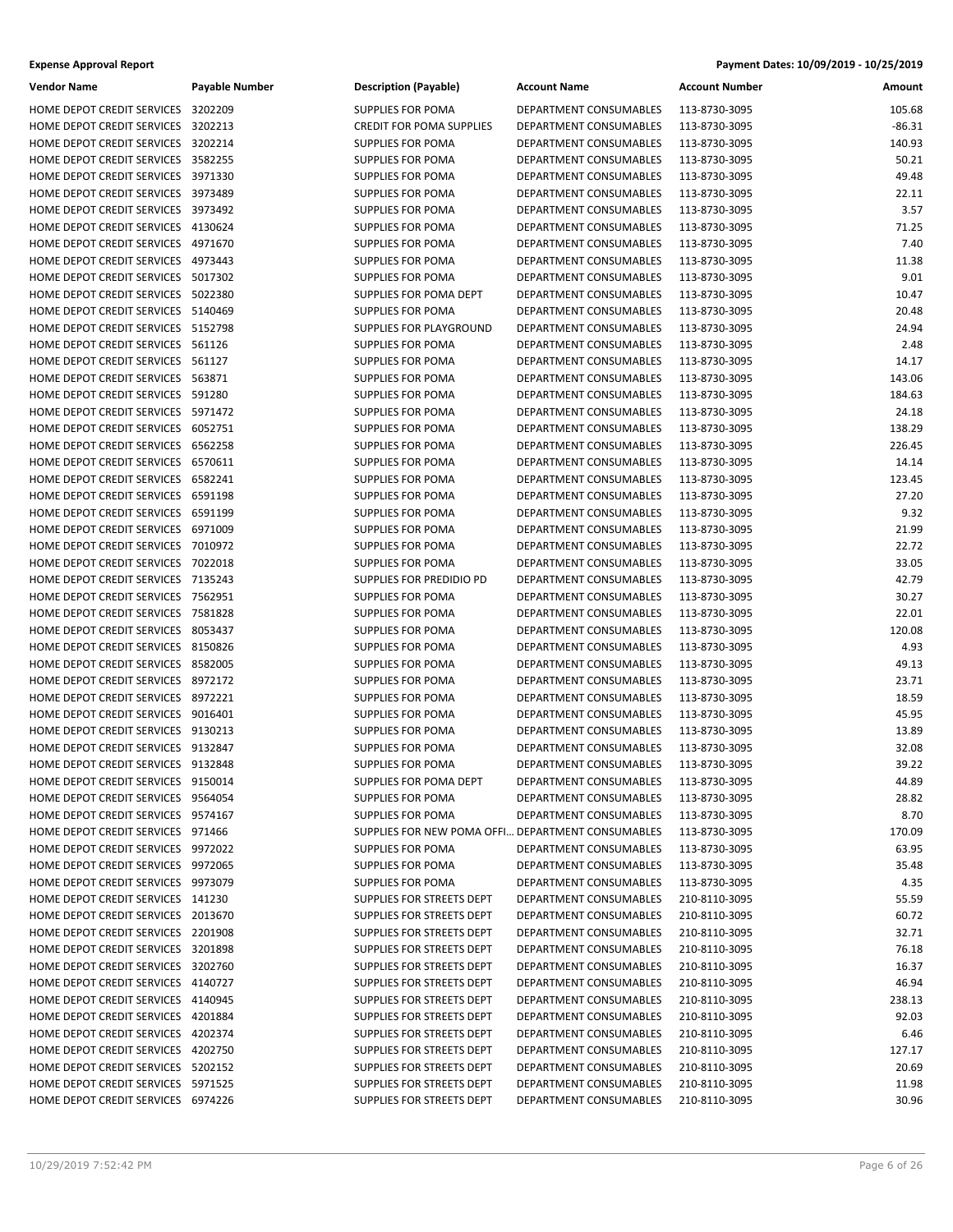| Vendor Name                                              | Payable Nu |
|----------------------------------------------------------|------------|
| <b>HOME DEPOT CREDIT SERVICES</b>                        | 3202209    |
| HOME DEPOT CREDIT SERVICES                               | 3202213    |
| HOME DEPOT CREDIT SERVICES                               | 3202214    |
| HOME DEPOT CREDIT SERVICES                               | 3582255    |
| HOME DEPOT CREDIT SERVICES                               | 3971330    |
| HOME DEPOT CREDIT SERVICES                               | 3973489    |
| HOME DEPOT CREDIT SERVICES                               | 3973492    |
| HOME DEPOT CREDIT SERVICES                               | 4130624    |
| HOME DEPOT CREDIT SERVICES                               | 4971670    |
| HOME DEPOT CREDIT SERVICES                               | 4973443    |
| HOME DEPOT CREDIT SERVICES                               | 5017302    |
| HOME DEPOT CREDIT SERVICES                               | 5022380    |
| HOME DEPOT CREDIT SERVICES                               | 5140469    |
| HOME DEPOT CREDIT SERVICES                               | 5152798    |
| HOME DEPOT CREDIT SERVICES                               | 561126     |
| HOME DEPOT CREDIT SERVICES                               | 561127     |
| HOME DEPOT CREDIT SERVICES                               | 563871     |
| HOME DEPOT CREDIT SERVICES                               | 591280     |
| HOME DEPOT CREDIT SERVICES                               | 5971472    |
| HOME DEPOT CREDIT SERVICES                               | 6052751    |
|                                                          |            |
| HOME DEPOT CREDIT SERVICES<br>HOME DEPOT CREDIT SERVICES | 6562258    |
|                                                          | 6570611    |
| HOME DEPOT CREDIT SERVICES                               | 6582241    |
| HOME DEPOT CREDIT SERVICES                               | 6591198    |
| HOME DEPOT CREDIT SERVICES                               | 6591199    |
| HOME DEPOT CREDIT SERVICES                               | 6971009    |
| HOME DEPOT CREDIT SERVICES                               | 7010972    |
| HOME DEPOT CREDIT SERVICES                               | 7022018    |
| HOME DEPOT CREDIT SERVICES                               | 7135243    |
| HOME DEPOT CREDIT SERVICES                               | 7562951    |
| HOME DEPOT CREDIT SERVICES                               | 7581828    |
| HOME DEPOT CREDIT SERVICES                               | 8053437    |
| HOME DEPOT CREDIT SERVICES                               | 8150826    |
| HOME DEPOT CREDIT SERVICES                               | 8582005    |
| HOME DEPOT CREDIT SERVICES                               | 8972172    |
| HOME DEPOT CREDIT SERVICES                               | 8972221    |
| HOME DEPOT CREDIT SERVICES                               | 9016401    |
| HOME DEPOT CREDIT SERVICES                               | 9130213    |
| HOME DEPOT CREDIT SERVICES                               | 9132847    |
| HOME DEPOT CREDIT SERVICES                               | 9132848    |
| HOME DEPOT CREDIT SERVICES                               | 9150014    |
| HOME DEPOT CREDIT SERVICES                               | 9564054    |
| HOME DEPOT CREDIT SERVICES                               | 9574167    |
| HOME DEPOT CREDIT SERVICES                               | 971466     |
| HOME DEPOT CREDIT SERVICES                               | 9972022    |
| HOME DEPOT CREDIT SERVICES                               | 9972065    |
| HOME DEPOT CREDIT SERVICES                               | 9973079    |
| HOME DEPOT CREDIT SERVICES                               | 141230     |
| HOME DEPOT CREDIT SERVICES                               | 2013670    |
| HOME DEPOT CREDIT SERVICES                               | 2201908    |
| HOME DEPOT CREDIT SERVICES                               | 3201898    |
| HOME DEPOT CREDIT SERVICES                               | 3202760    |
| HOME DEPOT CREDIT SERVICES                               | 4140727    |
| HOME DEPOT CREDIT SERVICES                               | 4140945    |
| HOME DEPOT CREDIT SERVICES                               | 4201884    |
| HOME DEPOT CREDIT SERVICES                               | 4202374    |
| HOME DEPOT CREDIT SERVICES                               | 4202750    |
| HOME DEPOT CREDIT SERVICES                               | 5202152    |
| HOME DEPOT CREDIT SERVICES                               | 5971525    |
| HOME DEPOT CREDIT SERVICES                               | 6974226    |

| Vendor Name                        | Payable Number | <b>Description (Payable)</b>                      | <b>Account Name</b>           | <b>Account Number</b>          | Amount   |
|------------------------------------|----------------|---------------------------------------------------|-------------------------------|--------------------------------|----------|
| HOME DEPOT CREDIT SERVICES 3202209 |                | <b>SUPPLIES FOR POMA</b>                          | DEPARTMENT CONSUMABLES        | 113-8730-3095                  | 105.68   |
| HOME DEPOT CREDIT SERVICES         | 3202213        | <b>CREDIT FOR POMA SUPPLIES</b>                   | DEPARTMENT CONSUMABLES        | 113-8730-3095                  | $-86.31$ |
| HOME DEPOT CREDIT SERVICES 3202214 |                | <b>SUPPLIES FOR POMA</b>                          | DEPARTMENT CONSUMABLES        | 113-8730-3095                  | 140.93   |
| HOME DEPOT CREDIT SERVICES 3582255 |                | <b>SUPPLIES FOR POMA</b>                          | DEPARTMENT CONSUMABLES        | 113-8730-3095                  | 50.21    |
| HOME DEPOT CREDIT SERVICES 3971330 |                | <b>SUPPLIES FOR POMA</b>                          | <b>DEPARTMENT CONSUMABLES</b> | 113-8730-3095                  | 49.48    |
| HOME DEPOT CREDIT SERVICES 3973489 |                | <b>SUPPLIES FOR POMA</b>                          | DEPARTMENT CONSUMABLES        | 113-8730-3095                  | 22.11    |
| HOME DEPOT CREDIT SERVICES 3973492 |                | SUPPLIES FOR POMA                                 | DEPARTMENT CONSUMABLES        | 113-8730-3095                  | 3.57     |
| HOME DEPOT CREDIT SERVICES 4130624 |                | <b>SUPPLIES FOR POMA</b>                          | DEPARTMENT CONSUMABLES        | 113-8730-3095                  | 71.25    |
| HOME DEPOT CREDIT SERVICES 4971670 |                | <b>SUPPLIES FOR POMA</b>                          | DEPARTMENT CONSUMABLES        | 113-8730-3095                  | 7.40     |
| HOME DEPOT CREDIT SERVICES 4973443 |                | <b>SUPPLIES FOR POMA</b>                          | DEPARTMENT CONSUMABLES        | 113-8730-3095                  | 11.38    |
| HOME DEPOT CREDIT SERVICES 5017302 |                | <b>SUPPLIES FOR POMA</b>                          | DEPARTMENT CONSUMABLES        | 113-8730-3095                  | 9.01     |
| HOME DEPOT CREDIT SERVICES 5022380 |                | SUPPLIES FOR POMA DEPT                            | DEPARTMENT CONSUMABLES        | 113-8730-3095                  | 10.47    |
| HOME DEPOT CREDIT SERVICES 5140469 |                | <b>SUPPLIES FOR POMA</b>                          | DEPARTMENT CONSUMABLES        | 113-8730-3095                  | 20.48    |
| HOME DEPOT CREDIT SERVICES 5152798 |                | SUPPLIES FOR PLAYGROUND                           | DEPARTMENT CONSUMABLES        | 113-8730-3095                  | 24.94    |
| HOME DEPOT CREDIT SERVICES 561126  |                | <b>SUPPLIES FOR POMA</b>                          | DEPARTMENT CONSUMABLES        | 113-8730-3095                  | 2.48     |
| HOME DEPOT CREDIT SERVICES 561127  |                | <b>SUPPLIES FOR POMA</b>                          | DEPARTMENT CONSUMABLES        | 113-8730-3095                  | 14.17    |
| HOME DEPOT CREDIT SERVICES 563871  |                | SUPPLIES FOR POMA                                 | DEPARTMENT CONSUMABLES        | 113-8730-3095                  | 143.06   |
| HOME DEPOT CREDIT SERVICES 591280  |                | <b>SUPPLIES FOR POMA</b>                          | DEPARTMENT CONSUMABLES        | 113-8730-3095                  | 184.63   |
| HOME DEPOT CREDIT SERVICES 5971472 |                | <b>SUPPLIES FOR POMA</b>                          | DEPARTMENT CONSUMABLES        | 113-8730-3095                  | 24.18    |
| HOME DEPOT CREDIT SERVICES 6052751 |                | <b>SUPPLIES FOR POMA</b>                          | <b>DEPARTMENT CONSUMABLES</b> | 113-8730-3095                  | 138.29   |
| HOME DEPOT CREDIT SERVICES 6562258 |                | <b>SUPPLIES FOR POMA</b>                          | DEPARTMENT CONSUMABLES        | 113-8730-3095                  | 226.45   |
| HOME DEPOT CREDIT SERVICES 6570611 |                | SUPPLIES FOR POMA                                 | DEPARTMENT CONSUMABLES        | 113-8730-3095                  | 14.14    |
| HOME DEPOT CREDIT SERVICES 6582241 |                | <b>SUPPLIES FOR POMA</b>                          | DEPARTMENT CONSUMABLES        | 113-8730-3095                  | 123.45   |
| HOME DEPOT CREDIT SERVICES 6591198 |                | <b>SUPPLIES FOR POMA</b>                          | DEPARTMENT CONSUMABLES        | 113-8730-3095                  | 27.20    |
| HOME DEPOT CREDIT SERVICES 6591199 |                | <b>SUPPLIES FOR POMA</b>                          | DEPARTMENT CONSUMABLES        |                                | 9.32     |
| HOME DEPOT CREDIT SERVICES 6971009 |                | <b>SUPPLIES FOR POMA</b>                          | DEPARTMENT CONSUMABLES        | 113-8730-3095<br>113-8730-3095 | 21.99    |
| HOME DEPOT CREDIT SERVICES 7010972 |                |                                                   |                               |                                | 22.72    |
|                                    |                | SUPPLIES FOR POMA                                 | DEPARTMENT CONSUMABLES        | 113-8730-3095                  |          |
| HOME DEPOT CREDIT SERVICES 7022018 |                | <b>SUPPLIES FOR POMA</b>                          | DEPARTMENT CONSUMABLES        | 113-8730-3095                  | 33.05    |
| HOME DEPOT CREDIT SERVICES 7135243 |                | SUPPLIES FOR PREDIDIO PD                          | DEPARTMENT CONSUMABLES        | 113-8730-3095                  | 42.79    |
| HOME DEPOT CREDIT SERVICES 7562951 |                | <b>SUPPLIES FOR POMA</b>                          | DEPARTMENT CONSUMABLES        | 113-8730-3095                  | 30.27    |
| HOME DEPOT CREDIT SERVICES 7581828 |                | <b>SUPPLIES FOR POMA</b>                          | DEPARTMENT CONSUMABLES        | 113-8730-3095                  | 22.01    |
| HOME DEPOT CREDIT SERVICES 8053437 |                | SUPPLIES FOR POMA                                 | DEPARTMENT CONSUMABLES        | 113-8730-3095                  | 120.08   |
| HOME DEPOT CREDIT SERVICES 8150826 |                | <b>SUPPLIES FOR POMA</b>                          | DEPARTMENT CONSUMABLES        | 113-8730-3095                  | 4.93     |
| HOME DEPOT CREDIT SERVICES 8582005 |                | <b>SUPPLIES FOR POMA</b>                          | DEPARTMENT CONSUMABLES        | 113-8730-3095                  | 49.13    |
| HOME DEPOT CREDIT SERVICES 8972172 |                | <b>SUPPLIES FOR POMA</b>                          | DEPARTMENT CONSUMABLES        | 113-8730-3095                  | 23.71    |
| HOME DEPOT CREDIT SERVICES 8972221 |                | SUPPLIES FOR POMA                                 | DEPARTMENT CONSUMABLES        | 113-8730-3095                  | 18.59    |
| HOME DEPOT CREDIT SERVICES 9016401 |                | <b>SUPPLIES FOR POMA</b>                          | DEPARTMENT CONSUMABLES        | 113-8730-3095                  | 45.95    |
| HOME DEPOT CREDIT SERVICES 9130213 |                | <b>SUPPLIES FOR POMA</b>                          | <b>DEPARTMENT CONSUMABLES</b> | 113-8730-3095                  | 13.89    |
| HOME DEPOT CREDIT SERVICES 9132847 |                | <b>SUPPLIES FOR POMA</b>                          | DEPARTMENT CONSUMABLES        | 113-8730-3095                  | 32.08    |
| HOME DEPOT CREDIT SERVICES 9132848 |                | SUPPLIES FOR POMA                                 | DEPARTMENT CONSUMABLES        | 113-8730-3095                  | 39.22    |
| HOME DEPOT CREDIT SERVICES 9150014 |                | SUPPLIES FOR POMA DEPT                            | DEPARTMENT CONSUMABLES        | 113-8730-3095                  | 44.89    |
| HOME DEPOT CREDIT SERVICES 9564054 |                | SUPPLIES FOR POMA                                 | DEPARTMENT CONSUMABLES        | 113-8730-3095                  | 28.82    |
| HOME DEPOT CREDIT SERVICES 9574167 |                | SUPPLIES FOR POMA                                 | DEPARTMENT CONSUMABLES        | 113-8730-3095                  | 8.70     |
| HOME DEPOT CREDIT SERVICES 971466  |                | SUPPLIES FOR NEW POMA OFFI DEPARTMENT CONSUMABLES |                               | 113-8730-3095                  | 170.09   |
| HOME DEPOT CREDIT SERVICES 9972022 |                | SUPPLIES FOR POMA                                 | DEPARTMENT CONSUMABLES        | 113-8730-3095                  | 63.95    |
| HOME DEPOT CREDIT SERVICES 9972065 |                | SUPPLIES FOR POMA                                 | DEPARTMENT CONSUMABLES        | 113-8730-3095                  | 35.48    |
| HOME DEPOT CREDIT SERVICES 9973079 |                | <b>SUPPLIES FOR POMA</b>                          | DEPARTMENT CONSUMABLES        | 113-8730-3095                  | 4.35     |
| HOME DEPOT CREDIT SERVICES 141230  |                | SUPPLIES FOR STREETS DEPT                         | DEPARTMENT CONSUMABLES        | 210-8110-3095                  | 55.59    |
| HOME DEPOT CREDIT SERVICES 2013670 |                | SUPPLIES FOR STREETS DEPT                         | DEPARTMENT CONSUMABLES        | 210-8110-3095                  | 60.72    |
| HOME DEPOT CREDIT SERVICES 2201908 |                | SUPPLIES FOR STREETS DEPT                         | DEPARTMENT CONSUMABLES        | 210-8110-3095                  | 32.71    |
| HOME DEPOT CREDIT SERVICES 3201898 |                | SUPPLIES FOR STREETS DEPT                         | DEPARTMENT CONSUMABLES        | 210-8110-3095                  | 76.18    |
| HOME DEPOT CREDIT SERVICES 3202760 |                | SUPPLIES FOR STREETS DEPT                         | DEPARTMENT CONSUMABLES        | 210-8110-3095                  | 16.37    |
| HOME DEPOT CREDIT SERVICES 4140727 |                | SUPPLIES FOR STREETS DEPT                         | DEPARTMENT CONSUMABLES        | 210-8110-3095                  | 46.94    |
| HOME DEPOT CREDIT SERVICES 4140945 |                | SUPPLIES FOR STREETS DEPT                         | DEPARTMENT CONSUMABLES        | 210-8110-3095                  | 238.13   |
| HOME DEPOT CREDIT SERVICES 4201884 |                | SUPPLIES FOR STREETS DEPT                         | DEPARTMENT CONSUMABLES        | 210-8110-3095                  | 92.03    |
| HOME DEPOT CREDIT SERVICES 4202374 |                | SUPPLIES FOR STREETS DEPT                         | DEPARTMENT CONSUMABLES        | 210-8110-3095                  | 6.46     |
| HOME DEPOT CREDIT SERVICES 4202750 |                | SUPPLIES FOR STREETS DEPT                         | DEPARTMENT CONSUMABLES        | 210-8110-3095                  | 127.17   |
| HOME DEPOT CREDIT SERVICES 5202152 |                | SUPPLIES FOR STREETS DEPT                         | DEPARTMENT CONSUMABLES        | 210-8110-3095                  | 20.69    |
| HOME DEPOT CREDIT SERVICES 5971525 |                | SUPPLIES FOR STREETS DEPT                         | DEPARTMENT CONSUMABLES        | 210-8110-3095                  | 11.98    |
| HOME DEPOT CREDIT SERVICES 6974226 |                | SUPPLIES FOR STREETS DEPT                         | DEPARTMENT CONSUMABLES        | 210-8110-3095                  | 30.96    |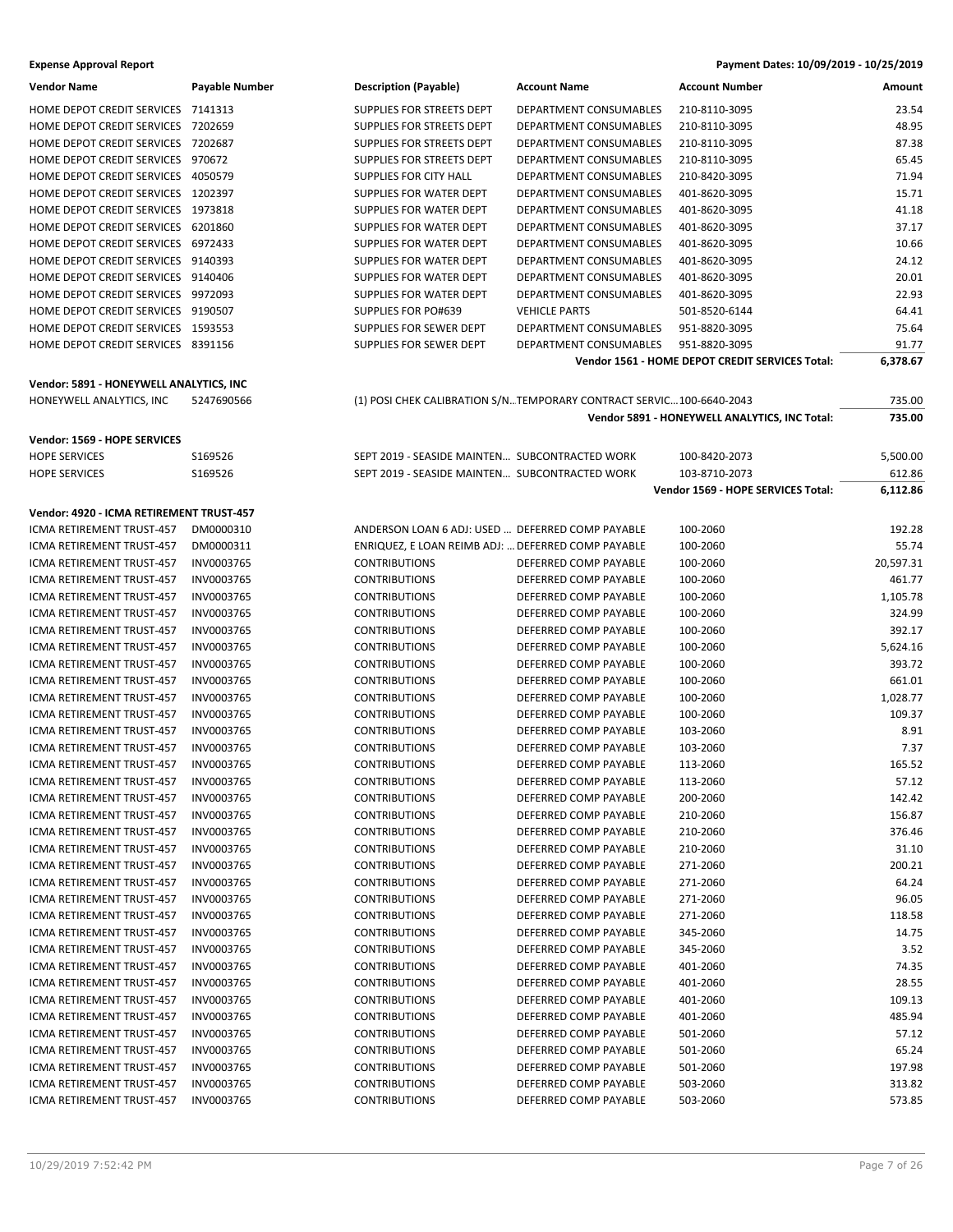| <b>Vendor Name</b>                 | <b>Payable Number</b> | <b>Description (Payable)</b>  | <b>Account Name</b>    | <b>Account Number</b> | Amount |
|------------------------------------|-----------------------|-------------------------------|------------------------|-----------------------|--------|
| <b>HOME DEPOT CREDIT SERVICES</b>  | 7141313               | SUPPLIES FOR STREETS DEPT     | DEPARTMENT CONSUMABLES | 210-8110-3095         | 23.54  |
| <b>HOME DEPOT CREDIT SERVICES</b>  | 7202659               | SUPPLIES FOR STREETS DEPT     | DEPARTMENT CONSUMABLES | 210-8110-3095         | 48.95  |
| HOME DEPOT CREDIT SERVICES         | 7202687               | SUPPLIES FOR STREETS DEPT     | DEPARTMENT CONSUMABLES | 210-8110-3095         | 87.38  |
| <b>HOME DEPOT CREDIT SERVICES</b>  | 970672                | SUPPLIES FOR STREETS DEPT     | DEPARTMENT CONSUMABLES | 210-8110-3095         | 65.45  |
| HOME DEPOT CREDIT SERVICES         | 4050579               | <b>SUPPLIES FOR CITY HALL</b> | DEPARTMENT CONSUMABLES | 210-8420-3095         | 71.94  |
| <b>HOME DEPOT CREDIT SERVICES</b>  | 1202397               | SUPPLIES FOR WATER DEPT       | DEPARTMENT CONSUMABLES | 401-8620-3095         | 15.71  |
| <b>HOME DEPOT CREDIT SERVICES</b>  | 1973818               | SUPPLIES FOR WATER DEPT       | DEPARTMENT CONSUMABLES | 401-8620-3095         | 41.18  |
| <b>HOME DEPOT CREDIT SERVICES</b>  | 6201860               | SUPPLIES FOR WATER DEPT       | DEPARTMENT CONSUMABLES | 401-8620-3095         | 37.17  |
| HOME DEPOT CREDIT SERVICES         | 6972433               | SUPPLIES FOR WATER DEPT       | DEPARTMENT CONSUMABLES | 401-8620-3095         | 10.66  |
| HOME DEPOT CREDIT SERVICES 9140393 |                       | SUPPLIES FOR WATER DEPT       | DEPARTMENT CONSUMABLES | 401-8620-3095         | 24.12  |
| HOME DEPOT CREDIT SERVICES 9140406 |                       | SUPPLIES FOR WATER DEPT       | DEPARTMENT CONSUMABLES | 401-8620-3095         | 20.01  |
| <b>HOME DEPOT CREDIT SERVICES</b>  | 9972093               | SUPPLIES FOR WATER DEPT       | DEPARTMENT CONSUMABLES | 401-8620-3095         | 22.93  |
| HOME DEPOT CREDIT SERVICES         | 9190507               | SUPPLIES FOR PO#639           | <b>VEHICLE PARTS</b>   | 501-8520-6144         | 64.41  |
| <b>HOME DEPOT CREDIT SERVICES</b>  | 1593553               | SUPPLIES FOR SEWER DEPT       | DEPARTMENT CONSUMABLES | 951-8820-3095         | 75.64  |
| HOME DEPOT CREDIT SERVICES         | 8391156               | SUPPLIES FOR SEWER DEPT       | DEPARTMENT CONSUMABLES | 951-8820-3095         | 91.77  |
|                                    |                       |                               |                        |                       |        |

#### **Vendor: 5891 - HONEYWELL ANALYTICS, INC**

| HONEYWELL ANALYTICS, INC | 5247690566 |
|--------------------------|------------|
|--------------------------|------------|

#### **Vendor: 1569 - HOPE SERVICES**

|  | $\sim$ $\mu$ |                |
|--|--------------|----------------|
|  | NUR'         | 0 <sup>c</sup> |

| ,,,,,,,,,,,,,,,,,,,,,,           | ,,,,,,,,,,,, |
|----------------------------------|--------------|
| <b>ICMA RETIREMENT TRUST-457</b> | DM0000311    |
| ICMA RETIREMENT TRUST-457        | INV0003765   |
| <b>ICMA RETIREMENT TRUST-457</b> | INV0003765   |
| <b>ICMA RETIREMENT TRUST-457</b> | INV0003765   |
| <b>ICMA RETIREMENT TRUST-457</b> | INV0003765   |
| ICMA RETIREMENT TRUST-457        | INV0003765   |
| <b>ICMA RETIREMENT TRUST-457</b> | INV0003765   |
| <b>ICMA RETIREMENT TRUST-457</b> | INV0003765   |
| ICMA RETIREMENT TRUST-457        | INV0003765   |
| ICMA RETIREMENT TRUST-457        | INV0003765   |
| ICMA RETIREMENT TRUST-457        | INV0003765   |
| ICMA RETIREMENT TRUST-457        | INV0003765   |
| ICMA RETIREMENT TRUST-457        | INV0003765   |
| <b>ICMA RETIREMENT TRUST-457</b> | INV0003765   |
| ICMA RETIREMENT TRUST-457        | INV0003765   |
| ICMA RETIREMENT TRUST-457        | INV0003765   |
| ICMA RETIREMENT TRUST-457        | INV0003765   |
| <b>ICMA RETIREMENT TRUST-457</b> | INV0003765   |
| ICMA RETIREMENT TRUST-457        | INV0003765   |
| ICMA RETIREMENT TRUST-457        | INV0003765   |
| <b>ICMA RETIREMENT TRUST-457</b> | INV0003765   |
| ICMA RETIREMENT TRUST-457        | INV0003765   |
| ICMA RETIREMENT TRUST-457        | INV0003765   |
| <b>ICMA RETIREMENT TRUST-457</b> | INV0003765   |
| <b>ICMA RETIREMENT TRUST-457</b> | INV0003765   |
| ICMA RETIREMENT TRUST-457        | INV0003765   |
| ICMA RETIREMENT TRUST-457        | INV0003765   |
| ICMA RETIREMENT TRUST-457        | INV0003765   |
| ICMA RETIREMENT TRUST-457        | INV0003765   |
| <b>ICMA RETIREMENT TRUST-457</b> | INV0003765   |
| ICMA RETIREMENT TRUST-457        | INV0003765   |
| ICMA RETIREMENT TRUST-457        | INV0003765   |
| ICMA RETIREMENT TRUST-457        | INV0003765   |
| <b>ICMA RETIREMENT TRUST-457</b> | INV0003765   |

|                           |                        | Vendor 1561 - HOME DEPOT CREDIT SERVICES Total: | 6.378.67 |
|---------------------------|------------------------|-------------------------------------------------|----------|
| SUPPLIES FOR SEWER DEPT   | DEPARTMENT CONSUMABLES | 951-8820-3095                                   | 91.77    |
| SUPPLIES FOR SEWER DEPT   | DEPARTMENT CONSUMABLES | 951-8820-3095                                   | 75.64    |
| SUPPLIES FOR PO#639       | <b>VEHICLE PARTS</b>   | 501-8520-6144                                   | 64.41    |
| SUPPLIES FOR WATER DEPT   | DEPARTMENT CONSUMABLES | 401-8620-3095                                   | 22.93    |
| SUPPLIES FOR WATER DEPT   | DEPARTMENT CONSUMABLES | 401-8620-3095                                   | 20.01    |
| SUPPLIES FOR WATER DEPT   | DEPARTMENT CONSUMABLES | 401-8620-3095                                   | 24.12    |
| SUPPLIES FOR WATER DEPT   | DEPARTMENT CONSUMABLES | 401-8620-3095                                   | 10.66    |
| SUPPLIES FOR WATER DEPT   | DEPARTMENT CONSUMABLES | 401-8620-3095                                   | 37.17    |
| SUPPLIES FOR WATER DEPT   | DEPARTMENT CONSUMABLES | 401-8620-3095                                   | 41.18    |
| SUPPLIES FOR WATER DEPT   | DEPARTMENT CONSUMABLES | 401-8620-3095                                   | 15.71    |
| SUPPLIES FOR CITY HALL    | DEPARTMENT CONSUMABLES | 210-8420-3095                                   | 71.94    |
| SUPPLIES FOR STREETS DEPT | DEPARTMENT CONSUMABLES | 210-8110-3095                                   | 65.45    |
| SUPPLIES FOR STREETS DEPT | DEPARTMENT CONSUMABLES | 210-8110-3095                                   | 87.38    |
| SUPPLIES FOR STREETS DEPT | DEPARTMENT CONSUMABLES | 210-8110-3095                                   | 48.95    |
| SUPPLIES FOR STREETS DEPT | DEPARTMENT CONSUMABLES | 210-8110-3095                                   | 23.54    |

**Vendor 5891 - HONEYWELL ANALYTICS, INC Total: 735.00**

(1) POSI CHEK CALIBRATION S/N...TEMPORARY CONTRACT SERVIC... 100-6640-2043 735.00

| <b>Vendor: 1569 - HOPE SERVICES</b>      |            |                                                    |                       |                                    |           |
|------------------------------------------|------------|----------------------------------------------------|-----------------------|------------------------------------|-----------|
| <b>HOPE SERVICES</b>                     | S169526    | SEPT 2019 - SEASIDE MAINTEN SUBCONTRACTED WORK     |                       | 100-8420-2073                      | 5,500.00  |
| <b>HOPE SERVICES</b>                     | S169526    | SEPT 2019 - SEASIDE MAINTEN SUBCONTRACTED WORK     |                       | 103-8710-2073                      | 612.86    |
|                                          |            |                                                    |                       | Vendor 1569 - HOPE SERVICES Total: | 6,112.86  |
| Vendor: 4920 - ICMA RETIREMENT TRUST-457 |            |                                                    |                       |                                    |           |
| ICMA RETIREMENT TRUST-457                | DM0000310  | ANDERSON LOAN 6 ADJ: USED  DEFERRED COMP PAYABLE   |                       | 100-2060                           | 192.28    |
| ICMA RETIREMENT TRUST-457                | DM0000311  | ENRIQUEZ, E LOAN REIMB ADJ:  DEFERRED COMP PAYABLE |                       | 100-2060                           | 55.74     |
| ICMA RETIREMENT TRUST-457                | INV0003765 | <b>CONTRIBUTIONS</b>                               | DEFERRED COMP PAYABLE | 100-2060                           | 20,597.31 |
| ICMA RETIREMENT TRUST-457                | INV0003765 | <b>CONTRIBUTIONS</b>                               | DEFERRED COMP PAYABLE | 100-2060                           | 461.77    |
| ICMA RETIREMENT TRUST-457                | INV0003765 | <b>CONTRIBUTIONS</b>                               | DEFERRED COMP PAYABLE | 100-2060                           | 1,105.78  |
| ICMA RETIREMENT TRUST-457                | INV0003765 | <b>CONTRIBUTIONS</b>                               | DEFERRED COMP PAYABLE | 100-2060                           | 324.99    |
| <b>ICMA RETIREMENT TRUST-457</b>         | INV0003765 | <b>CONTRIBUTIONS</b>                               | DEFERRED COMP PAYABLE | 100-2060                           | 392.17    |
| ICMA RETIREMENT TRUST-457                | INV0003765 | <b>CONTRIBUTIONS</b>                               | DEFERRED COMP PAYABLE | 100-2060                           | 5,624.16  |
| ICMA RETIREMENT TRUST-457                | INV0003765 | <b>CONTRIBUTIONS</b>                               | DEFERRED COMP PAYABLE | 100-2060                           | 393.72    |
| ICMA RETIREMENT TRUST-457                | INV0003765 | <b>CONTRIBUTIONS</b>                               | DEFERRED COMP PAYABLE | 100-2060                           | 661.01    |
| ICMA RETIREMENT TRUST-457                | INV0003765 | <b>CONTRIBUTIONS</b>                               | DEFERRED COMP PAYABLE | 100-2060                           | 1,028.77  |
| ICMA RETIREMENT TRUST-457                | INV0003765 | <b>CONTRIBUTIONS</b>                               | DEFERRED COMP PAYABLE | 100-2060                           | 109.37    |
| ICMA RETIREMENT TRUST-457                | INV0003765 | <b>CONTRIBUTIONS</b>                               | DEFERRED COMP PAYABLE | 103-2060                           | 8.91      |
| ICMA RETIREMENT TRUST-457                | INV0003765 | <b>CONTRIBUTIONS</b>                               | DEFERRED COMP PAYABLE | 103-2060                           | 7.37      |
| ICMA RETIREMENT TRUST-457                | INV0003765 | <b>CONTRIBUTIONS</b>                               | DEFERRED COMP PAYABLE | 113-2060                           | 165.52    |
| ICMA RETIREMENT TRUST-457                | INV0003765 | <b>CONTRIBUTIONS</b>                               | DEFERRED COMP PAYABLE | 113-2060                           | 57.12     |
| ICMA RETIREMENT TRUST-457                | INV0003765 | <b>CONTRIBUTIONS</b>                               | DEFERRED COMP PAYABLE | 200-2060                           | 142.42    |
| ICMA RETIREMENT TRUST-457                | INV0003765 | <b>CONTRIBUTIONS</b>                               | DEFERRED COMP PAYABLE | 210-2060                           | 156.87    |
| ICMA RETIREMENT TRUST-457                | INV0003765 | <b>CONTRIBUTIONS</b>                               | DEFERRED COMP PAYABLE | 210-2060                           | 376.46    |
| <b>ICMA RETIREMENT TRUST-457</b>         | INV0003765 | <b>CONTRIBUTIONS</b>                               | DEFERRED COMP PAYABLE | 210-2060                           | 31.10     |
| ICMA RETIREMENT TRUST-457                | INV0003765 | <b>CONTRIBUTIONS</b>                               | DEFERRED COMP PAYABLE | 271-2060                           | 200.21    |
| ICMA RETIREMENT TRUST-457                | INV0003765 | <b>CONTRIBUTIONS</b>                               | DEFERRED COMP PAYABLE | 271-2060                           | 64.24     |
| ICMA RETIREMENT TRUST-457                | INV0003765 | <b>CONTRIBUTIONS</b>                               | DEFERRED COMP PAYABLE | 271-2060                           | 96.05     |
| ICMA RETIREMENT TRUST-457                | INV0003765 | <b>CONTRIBUTIONS</b>                               | DEFERRED COMP PAYABLE | 271-2060                           | 118.58    |
| ICMA RETIREMENT TRUST-457                | INV0003765 | <b>CONTRIBUTIONS</b>                               | DEFERRED COMP PAYABLE | 345-2060                           | 14.75     |
| ICMA RETIREMENT TRUST-457                | INV0003765 | <b>CONTRIBUTIONS</b>                               | DEFERRED COMP PAYABLE | 345-2060                           | 3.52      |
| ICMA RETIREMENT TRUST-457                | INV0003765 | <b>CONTRIBUTIONS</b>                               | DEFERRED COMP PAYABLE | 401-2060                           | 74.35     |
| ICMA RETIREMENT TRUST-457                | INV0003765 | <b>CONTRIBUTIONS</b>                               | DEFERRED COMP PAYABLE | 401-2060                           | 28.55     |
| ICMA RETIREMENT TRUST-457                | INV0003765 | <b>CONTRIBUTIONS</b>                               | DEFERRED COMP PAYABLE | 401-2060                           | 109.13    |
| ICMA RETIREMENT TRUST-457                | INV0003765 | <b>CONTRIBUTIONS</b>                               | DEFERRED COMP PAYABLE | 401-2060                           | 485.94    |
| ICMA RETIREMENT TRUST-457                | INV0003765 | <b>CONTRIBUTIONS</b>                               | DEFERRED COMP PAYABLE | 501-2060                           | 57.12     |
| ICMA RETIREMENT TRUST-457                | INV0003765 | <b>CONTRIBUTIONS</b>                               | DEFERRED COMP PAYABLE | 501-2060                           | 65.24     |
| ICMA RETIREMENT TRUST-457                | INV0003765 | <b>CONTRIBUTIONS</b>                               | DEFERRED COMP PAYABLE | 501-2060                           | 197.98    |
| ICMA RETIREMENT TRUST-457                | INV0003765 | <b>CONTRIBUTIONS</b>                               | DEFERRED COMP PAYABLE | 503-2060                           | 313.82    |
| ICMA RETIREMENT TRUST-457                | INV0003765 | <b>CONTRIBUTIONS</b>                               | DEFERRED COMP PAYABLE | 503-2060                           | 573.85    |
|                                          |            |                                                    |                       |                                    |           |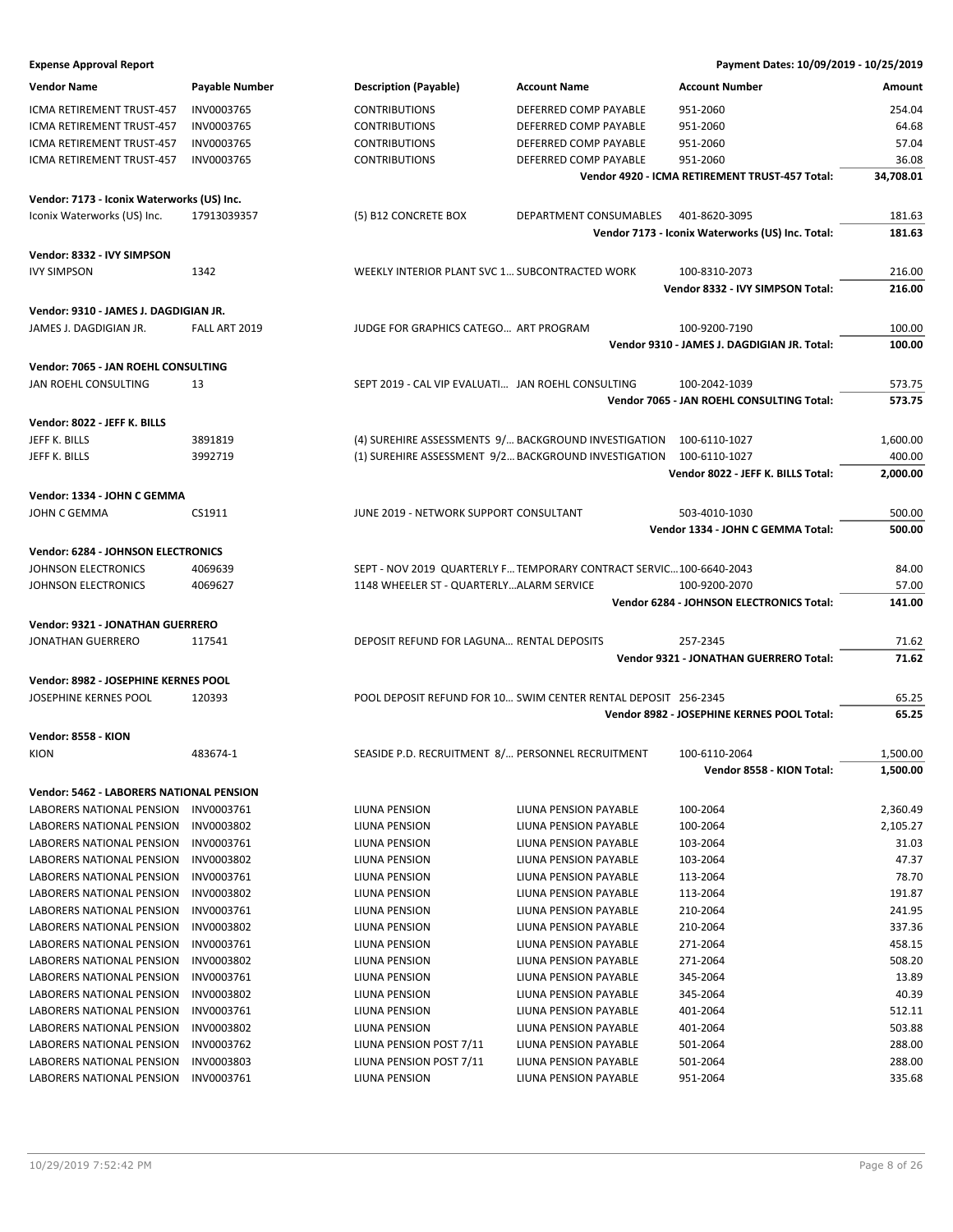| <b>Vendor Name</b>                                     | Payable Number           | <b>Description (Payable)</b>                                   | <b>Account Name</b>                                                 | <b>Account Number</b>                            | Amount           |
|--------------------------------------------------------|--------------------------|----------------------------------------------------------------|---------------------------------------------------------------------|--------------------------------------------------|------------------|
| ICMA RETIREMENT TRUST-457                              | INV0003765               | <b>CONTRIBUTIONS</b>                                           | DEFERRED COMP PAYABLE                                               | 951-2060                                         | 254.04           |
| ICMA RETIREMENT TRUST-457                              | INV0003765               | <b>CONTRIBUTIONS</b>                                           | DEFERRED COMP PAYABLE                                               | 951-2060                                         | 64.68            |
| ICMA RETIREMENT TRUST-457                              | INV0003765               | <b>CONTRIBUTIONS</b>                                           | DEFERRED COMP PAYABLE                                               | 951-2060                                         | 57.04            |
| ICMA RETIREMENT TRUST-457                              | INV0003765               | <b>CONTRIBUTIONS</b>                                           | DEFERRED COMP PAYABLE                                               | 951-2060                                         | 36.08            |
|                                                        |                          |                                                                |                                                                     | Vendor 4920 - ICMA RETIREMENT TRUST-457 Total:   | 34,708.01        |
| Vendor: 7173 - Iconix Waterworks (US) Inc.             |                          |                                                                |                                                                     |                                                  |                  |
| Iconix Waterworks (US) Inc.                            | 17913039357              | (5) B12 CONCRETE BOX                                           | DEPARTMENT CONSUMABLES                                              | 401-8620-3095                                    | 181.63           |
|                                                        |                          |                                                                |                                                                     | Vendor 7173 - Iconix Waterworks (US) Inc. Total: | 181.63           |
|                                                        |                          |                                                                |                                                                     |                                                  |                  |
| Vendor: 8332 - IVY SIMPSON                             |                          |                                                                |                                                                     |                                                  |                  |
| <b>IVY SIMPSON</b>                                     | 1342                     | WEEKLY INTERIOR PLANT SVC 1 SUBCONTRACTED WORK                 |                                                                     | 100-8310-2073                                    | 216.00           |
|                                                        |                          |                                                                |                                                                     | Vendor 8332 - IVY SIMPSON Total:                 | 216.00           |
| Vendor: 9310 - JAMES J. DAGDIGIAN JR.                  |                          |                                                                |                                                                     |                                                  |                  |
| JAMES J. DAGDIGIAN JR.                                 | FALL ART 2019            | JUDGE FOR GRAPHICS CATEGO ART PROGRAM                          |                                                                     | 100-9200-7190                                    | 100.00           |
|                                                        |                          |                                                                |                                                                     | Vendor 9310 - JAMES J. DAGDIGIAN JR. Total:      | 100.00           |
| Vendor: 7065 - JAN ROEHL CONSULTING                    |                          |                                                                |                                                                     |                                                  |                  |
| JAN ROEHL CONSULTING                                   | 13                       | SEPT 2019 - CAL VIP EVALUATI JAN ROEHL CONSULTING              |                                                                     | 100-2042-1039                                    | 573.75           |
|                                                        |                          |                                                                |                                                                     | Vendor 7065 - JAN ROEHL CONSULTING Total:        | 573.75           |
| Vendor: 8022 - JEFF K. BILLS                           |                          |                                                                |                                                                     |                                                  |                  |
| JEFF K. BILLS                                          | 3891819                  |                                                                | (4) SUREHIRE ASSESSMENTS 9/ BACKGROUND INVESTIGATION                | 100-6110-1027                                    | 1,600.00         |
| JEFF K. BILLS                                          | 3992719                  | (1) SUREHIRE ASSESSMENT 9/2 BACKGROUND INVESTIGATION           |                                                                     | 100-6110-1027                                    | 400.00           |
|                                                        |                          |                                                                |                                                                     | Vendor 8022 - JEFF K. BILLS Total:               | 2,000.00         |
| Vendor: 1334 - JOHN C GEMMA                            |                          |                                                                |                                                                     |                                                  |                  |
| JOHN C GEMMA                                           | CS1911                   | JUNE 2019 - NETWORK SUPPORT CONSULTANT                         |                                                                     | 503-4010-1030                                    | 500.00           |
|                                                        |                          |                                                                |                                                                     | Vendor 1334 - JOHN C GEMMA Total:                | 500.00           |
|                                                        |                          |                                                                |                                                                     |                                                  |                  |
| Vendor: 6284 - JOHNSON ELECTRONICS                     |                          |                                                                |                                                                     |                                                  |                  |
| <b>JOHNSON ELECTRONICS</b>                             | 4069639                  |                                                                | SEPT - NOV 2019 QUARTERLY F TEMPORARY CONTRACT SERVIC 100-6640-2043 |                                                  | 84.00            |
| <b>JOHNSON ELECTRONICS</b>                             | 4069627                  | 1148 WHEELER ST - QUARTERLYALARM SERVICE                       |                                                                     | 100-9200-2070                                    | 57.00            |
|                                                        |                          |                                                                |                                                                     | Vendor 6284 - JOHNSON ELECTRONICS Total:         | 141.00           |
| Vendor: 9321 - JONATHAN GUERRERO                       |                          |                                                                |                                                                     |                                                  |                  |
| <b>JONATHAN GUERRERO</b>                               | 117541                   | DEPOSIT REFUND FOR LAGUNA RENTAL DEPOSITS                      |                                                                     | 257-2345                                         | 71.62            |
|                                                        |                          |                                                                |                                                                     | <b>Vendor 9321 - JONATHAN GUERRERO Total:</b>    | 71.62            |
| Vendor: 8982 - JOSEPHINE KERNES POOL                   |                          |                                                                |                                                                     |                                                  |                  |
| <b>JOSEPHINE KERNES POOL</b>                           |                          | POOL DEPOSIT REFUND FOR 10 SWIM CENTER RENTAL DEPOSIT 256-2345 |                                                                     |                                                  |                  |
|                                                        | 120393                   |                                                                |                                                                     |                                                  | 65.25            |
|                                                        |                          |                                                                |                                                                     | Vendor 8982 - JOSEPHINE KERNES POOL Total:       | 65.25            |
|                                                        |                          |                                                                |                                                                     |                                                  |                  |
| Vendor: 8558 - KION<br><b>KION</b>                     | 483674-1                 | SEASIDE P.D. RECRUITMENT 8/ PERSONNEL RECRUITMENT              |                                                                     | 100-6110-2064                                    | 1,500.00         |
|                                                        |                          |                                                                |                                                                     | Vendor 8558 - KION Total:                        | 1,500.00         |
|                                                        |                          |                                                                |                                                                     |                                                  |                  |
| Vendor: 5462 - LABORERS NATIONAL PENSION               |                          |                                                                |                                                                     |                                                  |                  |
| LABORERS NATIONAL PENSION                              | INV0003761               | LIUNA PENSION                                                  | LIUNA PENSION PAYABLE                                               | 100-2064                                         | 2,360.49         |
| LABORERS NATIONAL PENSION                              | INV0003802               | LIUNA PENSION                                                  | LIUNA PENSION PAYABLE                                               | 100-2064                                         | 2,105.27         |
| LABORERS NATIONAL PENSION                              | INV0003761               | LIUNA PENSION                                                  | LIUNA PENSION PAYABLE                                               | 103-2064                                         | 31.03            |
| LABORERS NATIONAL PENSION                              | INV0003802               | LIUNA PENSION                                                  | LIUNA PENSION PAYABLE                                               | 103-2064                                         | 47.37            |
| LABORERS NATIONAL PENSION                              | INV0003761               | LIUNA PENSION                                                  | LIUNA PENSION PAYABLE                                               | 113-2064                                         | 78.70            |
| LABORERS NATIONAL PENSION                              | INV0003802               | LIUNA PENSION                                                  | LIUNA PENSION PAYABLE                                               | 113-2064                                         | 191.87           |
| <b>LABORERS NATIONAL PENSION</b>                       | INV0003761               | LIUNA PENSION                                                  | LIUNA PENSION PAYABLE                                               | 210-2064                                         | 241.95           |
| LABORERS NATIONAL PENSION                              | INV0003802               | LIUNA PENSION                                                  | LIUNA PENSION PAYABLE                                               | 210-2064                                         | 337.36           |
| LABORERS NATIONAL PENSION                              | INV0003761               | LIUNA PENSION                                                  | LIUNA PENSION PAYABLE                                               | 271-2064                                         | 458.15           |
| LABORERS NATIONAL PENSION                              | INV0003802               | LIUNA PENSION                                                  | LIUNA PENSION PAYABLE                                               | 271-2064                                         | 508.20           |
| LABORERS NATIONAL PENSION                              | INV0003761               | LIUNA PENSION                                                  | LIUNA PENSION PAYABLE                                               | 345-2064                                         | 13.89            |
| LABORERS NATIONAL PENSION                              | INV0003802               | LIUNA PENSION                                                  | LIUNA PENSION PAYABLE                                               | 345-2064                                         | 40.39            |
| LABORERS NATIONAL PENSION                              | INV0003761               | LIUNA PENSION                                                  | LIUNA PENSION PAYABLE                                               | 401-2064                                         | 512.11           |
| LABORERS NATIONAL PENSION                              | INV0003802               | LIUNA PENSION                                                  | LIUNA PENSION PAYABLE                                               | 401-2064                                         | 503.88           |
| LABORERS NATIONAL PENSION                              | INV0003762               | LIUNA PENSION POST 7/11                                        | LIUNA PENSION PAYABLE                                               | 501-2064                                         | 288.00           |
| LABORERS NATIONAL PENSION<br>LABORERS NATIONAL PENSION | INV0003803<br>INV0003761 | LIUNA PENSION POST 7/11<br>LIUNA PENSION                       | LIUNA PENSION PAYABLE<br>LIUNA PENSION PAYABLE                      | 501-2064<br>951-2064                             | 288.00<br>335.68 |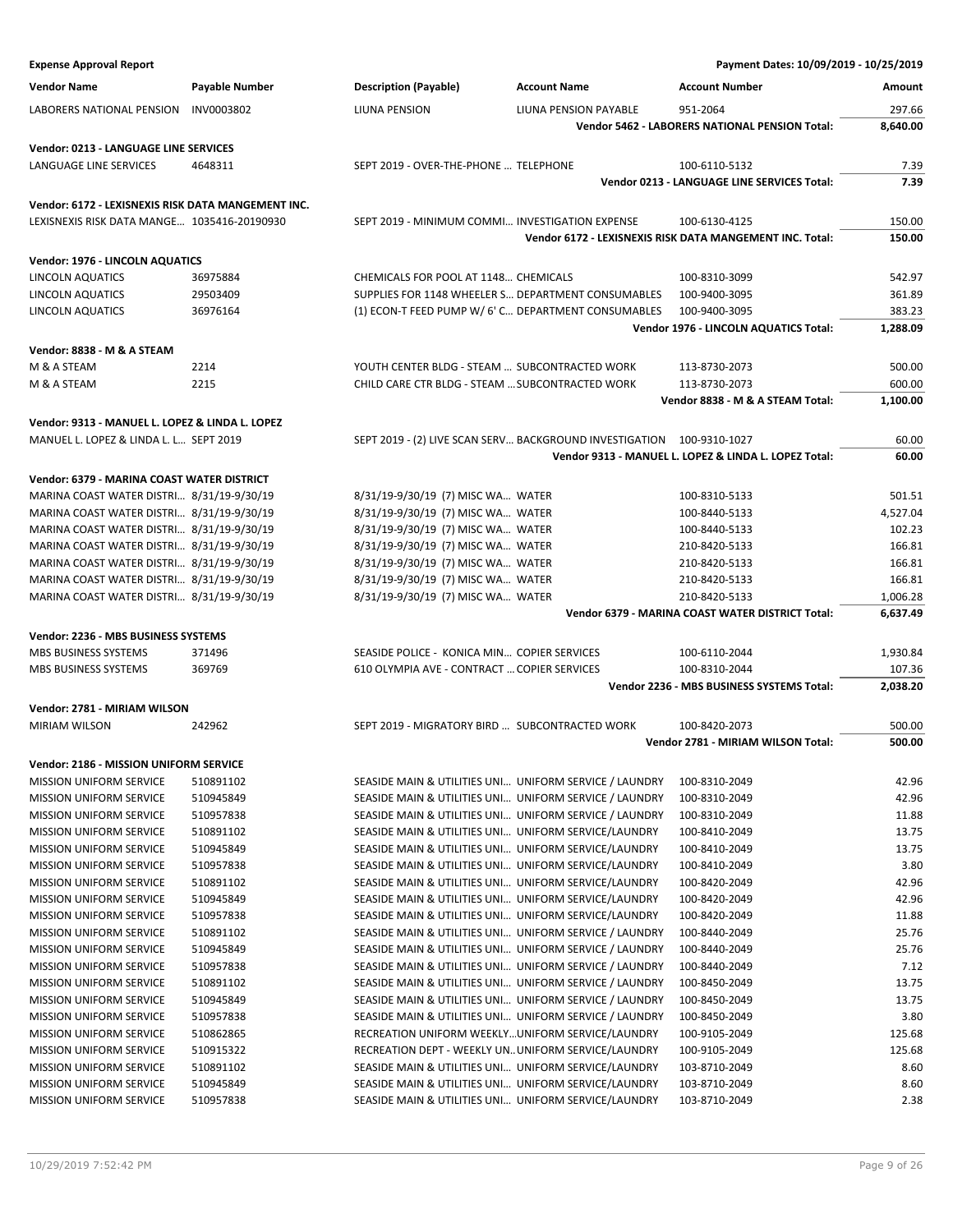| <b>Expense Approval Report</b>                                   |                |                                                        |                                                                       | Payment Dates: 10/09/2019 - 10/25/2019                       |              |
|------------------------------------------------------------------|----------------|--------------------------------------------------------|-----------------------------------------------------------------------|--------------------------------------------------------------|--------------|
| <b>Vendor Name</b>                                               | Payable Number | <b>Description (Payable)</b>                           | <b>Account Name</b>                                                   | <b>Account Number</b>                                        | Amount       |
| <b>LABORERS NATIONAL PENSION</b>                                 | INV0003802     | LIUNA PENSION                                          | LIUNA PENSION PAYABLE                                                 | 951-2064                                                     | 297.66       |
|                                                                  |                |                                                        |                                                                       | Vendor 5462 - LABORERS NATIONAL PENSION Total:               | 8,640.00     |
|                                                                  |                |                                                        |                                                                       |                                                              |              |
| Vendor: 0213 - LANGUAGE LINE SERVICES                            |                | SEPT 2019 - OVER-THE-PHONE  TELEPHONE                  |                                                                       |                                                              |              |
| LANGUAGE LINE SERVICES                                           | 4648311        |                                                        |                                                                       | 100-6110-5132<br>Vendor 0213 - LANGUAGE LINE SERVICES Total: | 7.39<br>7.39 |
|                                                                  |                |                                                        |                                                                       |                                                              |              |
| Vendor: 6172 - LEXISNEXIS RISK DATA MANGEMENT INC.               |                |                                                        |                                                                       |                                                              |              |
| LEXISNEXIS RISK DATA MANGE 1035416-20190930                      |                | SEPT 2019 - MINIMUM COMMI INVESTIGATION EXPENSE        |                                                                       | 100-6130-4125                                                | 150.00       |
|                                                                  |                |                                                        |                                                                       | Vendor 6172 - LEXISNEXIS RISK DATA MANGEMENT INC. Total:     | 150.00       |
| <b>Vendor: 1976 - LINCOLN AQUATICS</b>                           |                |                                                        |                                                                       |                                                              |              |
| LINCOLN AQUATICS                                                 | 36975884       | CHEMICALS FOR POOL AT 1148 CHEMICALS                   |                                                                       | 100-8310-3099                                                | 542.97       |
| LINCOLN AQUATICS                                                 | 29503409       | SUPPLIES FOR 1148 WHEELER S DEPARTMENT CONSUMABLES     |                                                                       | 100-9400-3095                                                | 361.89       |
| LINCOLN AQUATICS                                                 | 36976164       | (1) ECON-T FEED PUMP W/ 6' C DEPARTMENT CONSUMABLES    |                                                                       | 100-9400-3095                                                | 383.23       |
|                                                                  |                |                                                        |                                                                       | Vendor 1976 - LINCOLN AQUATICS Total:                        | 1,288.09     |
| Vendor: 8838 - M & A STEAM                                       |                |                                                        |                                                                       |                                                              |              |
| M & A STEAM                                                      | 2214           | YOUTH CENTER BLDG - STEAM  SUBCONTRACTED WORK          |                                                                       | 113-8730-2073                                                | 500.00       |
| M & A STEAM                                                      | 2215           | CHILD CARE CTR BLDG - STEAM  SUBCONTRACTED WORK        |                                                                       | 113-8730-2073                                                | 600.00       |
|                                                                  |                |                                                        |                                                                       | Vendor 8838 - M & A STEAM Total:                             | 1,100.00     |
| Vendor: 9313 - MANUEL L. LOPEZ & LINDA L. LOPEZ                  |                |                                                        |                                                                       |                                                              |              |
| MANUEL L. LOPEZ & LINDA L. L SEPT 2019                           |                |                                                        | SEPT 2019 - (2) LIVE SCAN SERV BACKGROUND INVESTIGATION 100-9310-1027 |                                                              | 60.00        |
|                                                                  |                |                                                        |                                                                       | Vendor 9313 - MANUEL L. LOPEZ & LINDA L. LOPEZ Total:        | 60.00        |
|                                                                  |                |                                                        |                                                                       |                                                              |              |
| Vendor: 6379 - MARINA COAST WATER DISTRICT                       |                |                                                        |                                                                       |                                                              |              |
| MARINA COAST WATER DISTRI 8/31/19-9/30/19                        |                | 8/31/19-9/30/19 (7) MISC WA WATER                      |                                                                       | 100-8310-5133                                                | 501.51       |
| MARINA COAST WATER DISTRI 8/31/19-9/30/19                        |                | 8/31/19-9/30/19 (7) MISC WA WATER                      |                                                                       | 100-8440-5133                                                | 4,527.04     |
| MARINA COAST WATER DISTRI 8/31/19-9/30/19                        |                | 8/31/19-9/30/19 (7) MISC WA WATER                      |                                                                       | 100-8440-5133                                                | 102.23       |
| MARINA COAST WATER DISTRI 8/31/19-9/30/19                        |                | 8/31/19-9/30/19 (7) MISC WA WATER                      |                                                                       | 210-8420-5133                                                | 166.81       |
| MARINA COAST WATER DISTRI 8/31/19-9/30/19                        |                | 8/31/19-9/30/19 (7) MISC WA WATER                      |                                                                       | 210-8420-5133                                                | 166.81       |
| MARINA COAST WATER DISTRI 8/31/19-9/30/19                        |                | 8/31/19-9/30/19 (7) MISC WA WATER                      |                                                                       | 210-8420-5133                                                | 166.81       |
| MARINA COAST WATER DISTRI 8/31/19-9/30/19                        |                | 8/31/19-9/30/19 (7) MISC WA WATER                      |                                                                       | 210-8420-5133                                                | 1,006.28     |
|                                                                  |                |                                                        |                                                                       | Vendor 6379 - MARINA COAST WATER DISTRICT Total:             | 6,637.49     |
| Vendor: 2236 - MBS BUSINESS SYSTEMS                              |                |                                                        |                                                                       |                                                              |              |
| MBS BUSINESS SYSTEMS                                             | 371496         | SEASIDE POLICE - KONICA MIN COPIER SERVICES            |                                                                       | 100-6110-2044                                                | 1,930.84     |
| MBS BUSINESS SYSTEMS                                             | 369769         | 610 OLYMPIA AVE - CONTRACT  COPIER SERVICES            |                                                                       | 100-8310-2044                                                | 107.36       |
|                                                                  |                |                                                        |                                                                       | Vendor 2236 - MBS BUSINESS SYSTEMS Total:                    | 2,038.20     |
| Vendor: 2781 - MIRIAM WILSON                                     |                |                                                        |                                                                       |                                                              |              |
| <b>MIRIAM WILSON</b>                                             | 242962         | SEPT 2019 - MIGRATORY BIRD  SUBCONTRACTED WORK         |                                                                       | 100-8420-2073                                                | 500.00       |
|                                                                  |                |                                                        |                                                                       | Vendor 2781 - MIRIAM WILSON Total:                           | 500.00       |
|                                                                  |                |                                                        |                                                                       |                                                              |              |
| Vendor: 2186 - MISSION UNIFORM SERVICE                           | 510891102      | SEASIDE MAIN & UTILITIES UNI UNIFORM SERVICE / LAUNDRY |                                                                       |                                                              | 42.96        |
| <b>MISSION UNIFORM SERVICE</b><br><b>MISSION UNIFORM SERVICE</b> | 510945849      | SEASIDE MAIN & UTILITIES UNI UNIFORM SERVICE / LAUNDRY |                                                                       | 100-8310-2049<br>100-8310-2049                               | 42.96        |
| MISSION UNIFORM SERVICE                                          | 510957838      | SEASIDE MAIN & UTILITIES UNI UNIFORM SERVICE / LAUNDRY |                                                                       | 100-8310-2049                                                | 11.88        |
| MISSION UNIFORM SERVICE                                          | 510891102      | SEASIDE MAIN & UTILITIES UNI UNIFORM SERVICE/LAUNDRY   |                                                                       | 100-8410-2049                                                | 13.75        |
| <b>MISSION UNIFORM SERVICE</b>                                   | 510945849      | SEASIDE MAIN & UTILITIES UNI UNIFORM SERVICE/LAUNDRY   |                                                                       | 100-8410-2049                                                | 13.75        |
| <b>MISSION UNIFORM SERVICE</b>                                   | 510957838      | SEASIDE MAIN & UTILITIES UNI UNIFORM SERVICE/LAUNDRY   |                                                                       | 100-8410-2049                                                | 3.80         |
| <b>MISSION UNIFORM SERVICE</b>                                   | 510891102      | SEASIDE MAIN & UTILITIES UNI UNIFORM SERVICE/LAUNDRY   |                                                                       | 100-8420-2049                                                | 42.96        |
| MISSION UNIFORM SERVICE                                          | 510945849      | SEASIDE MAIN & UTILITIES UNI UNIFORM SERVICE/LAUNDRY   |                                                                       | 100-8420-2049                                                | 42.96        |
| MISSION UNIFORM SERVICE                                          | 510957838      | SEASIDE MAIN & UTILITIES UNI UNIFORM SERVICE/LAUNDRY   |                                                                       | 100-8420-2049                                                | 11.88        |
| <b>MISSION UNIFORM SERVICE</b>                                   | 510891102      | SEASIDE MAIN & UTILITIES UNI UNIFORM SERVICE / LAUNDRY |                                                                       | 100-8440-2049                                                | 25.76        |
| <b>MISSION UNIFORM SERVICE</b>                                   | 510945849      | SEASIDE MAIN & UTILITIES UNI UNIFORM SERVICE / LAUNDRY |                                                                       | 100-8440-2049                                                | 25.76        |
| <b>MISSION UNIFORM SERVICE</b>                                   | 510957838      | SEASIDE MAIN & UTILITIES UNI UNIFORM SERVICE / LAUNDRY |                                                                       | 100-8440-2049                                                | 7.12         |
| MISSION UNIFORM SERVICE                                          | 510891102      | SEASIDE MAIN & UTILITIES UNI UNIFORM SERVICE / LAUNDRY |                                                                       | 100-8450-2049                                                | 13.75        |
| MISSION UNIFORM SERVICE                                          | 510945849      | SEASIDE MAIN & UTILITIES UNI UNIFORM SERVICE / LAUNDRY |                                                                       | 100-8450-2049                                                | 13.75        |
| <b>MISSION UNIFORM SERVICE</b>                                   | 510957838      | SEASIDE MAIN & UTILITIES UNI UNIFORM SERVICE / LAUNDRY |                                                                       | 100-8450-2049                                                | 3.80         |
| <b>MISSION UNIFORM SERVICE</b>                                   | 510862865      | RECREATION UNIFORM WEEKLY UNIFORM SERVICE/LAUNDRY      |                                                                       | 100-9105-2049                                                | 125.68       |
| <b>MISSION UNIFORM SERVICE</b>                                   | 510915322      | RECREATION DEPT - WEEKLY UNUNIFORM SERVICE/LAUNDRY     |                                                                       | 100-9105-2049                                                | 125.68       |
| <b>MISSION UNIFORM SERVICE</b>                                   | 510891102      | SEASIDE MAIN & UTILITIES UNI UNIFORM SERVICE/LAUNDRY   |                                                                       | 103-8710-2049                                                | 8.60         |
| MISSION UNIFORM SERVICE                                          | 510945849      | SEASIDE MAIN & UTILITIES UNI UNIFORM SERVICE/LAUNDRY   |                                                                       | 103-8710-2049                                                | 8.60         |
| MISSION UNIFORM SERVICE                                          | 510957838      | SEASIDE MAIN & UTILITIES UNI UNIFORM SERVICE/LAUNDRY   |                                                                       | 103-8710-2049                                                | 2.38         |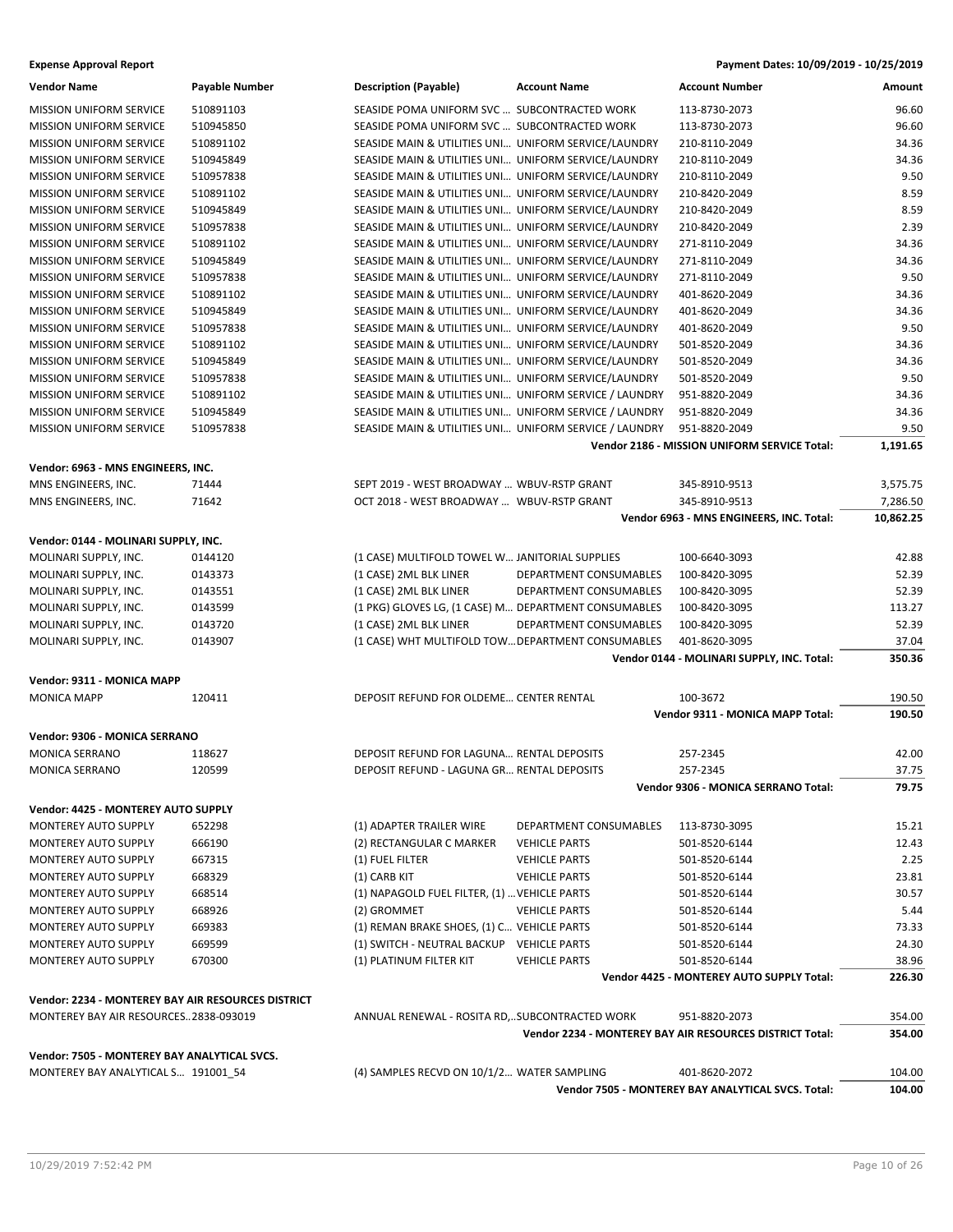| <b>Vendor Name</b>                                 | <b>Payable Number</b> | <b>Description (Payable)</b>                           | <b>Account Name</b>    | <b>Account Number</b>                                    | Amount    |
|----------------------------------------------------|-----------------------|--------------------------------------------------------|------------------------|----------------------------------------------------------|-----------|
| <b>MISSION UNIFORM SERVICE</b>                     | 510891103             | SEASIDE POMA UNIFORM SVC  SUBCONTRACTED WORK           |                        | 113-8730-2073                                            | 96.60     |
| <b>MISSION UNIFORM SERVICE</b>                     | 510945850             | SEASIDE POMA UNIFORM SVC  SUBCONTRACTED WORK           |                        | 113-8730-2073                                            | 96.60     |
| MISSION UNIFORM SERVICE                            | 510891102             | SEASIDE MAIN & UTILITIES UNI UNIFORM SERVICE/LAUNDRY   |                        | 210-8110-2049                                            | 34.36     |
| <b>MISSION UNIFORM SERVICE</b>                     | 510945849             | SEASIDE MAIN & UTILITIES UNI UNIFORM SERVICE/LAUNDRY   |                        | 210-8110-2049                                            | 34.36     |
| <b>MISSION UNIFORM SERVICE</b>                     | 510957838             | SEASIDE MAIN & UTILITIES UNI UNIFORM SERVICE/LAUNDRY   |                        | 210-8110-2049                                            | 9.50      |
| <b>MISSION UNIFORM SERVICE</b>                     | 510891102             | SEASIDE MAIN & UTILITIES UNI UNIFORM SERVICE/LAUNDRY   |                        | 210-8420-2049                                            | 8.59      |
| <b>MISSION UNIFORM SERVICE</b>                     | 510945849             | SEASIDE MAIN & UTILITIES UNI UNIFORM SERVICE/LAUNDRY   |                        | 210-8420-2049                                            | 8.59      |
| MISSION UNIFORM SERVICE                            | 510957838             | SEASIDE MAIN & UTILITIES UNI UNIFORM SERVICE/LAUNDRY   |                        | 210-8420-2049                                            | 2.39      |
| <b>MISSION UNIFORM SERVICE</b>                     | 510891102             | SEASIDE MAIN & UTILITIES UNI UNIFORM SERVICE/LAUNDRY   |                        | 271-8110-2049                                            | 34.36     |
| <b>MISSION UNIFORM SERVICE</b>                     | 510945849             | SEASIDE MAIN & UTILITIES UNI UNIFORM SERVICE/LAUNDRY   |                        | 271-8110-2049                                            | 34.36     |
| <b>MISSION UNIFORM SERVICE</b>                     | 510957838             | SEASIDE MAIN & UTILITIES UNI UNIFORM SERVICE/LAUNDRY   |                        | 271-8110-2049                                            | 9.50      |
| <b>MISSION UNIFORM SERVICE</b>                     | 510891102             | SEASIDE MAIN & UTILITIES UNI UNIFORM SERVICE/LAUNDRY   |                        | 401-8620-2049                                            | 34.36     |
| <b>MISSION UNIFORM SERVICE</b>                     | 510945849             | SEASIDE MAIN & UTILITIES UNI UNIFORM SERVICE/LAUNDRY   |                        | 401-8620-2049                                            | 34.36     |
| <b>MISSION UNIFORM SERVICE</b>                     | 510957838             | SEASIDE MAIN & UTILITIES UNI UNIFORM SERVICE/LAUNDRY   |                        | 401-8620-2049                                            | 9.50      |
| <b>MISSION UNIFORM SERVICE</b>                     | 510891102             | SEASIDE MAIN & UTILITIES UNI UNIFORM SERVICE/LAUNDRY   |                        | 501-8520-2049                                            | 34.36     |
| <b>MISSION UNIFORM SERVICE</b>                     | 510945849             | SEASIDE MAIN & UTILITIES UNI UNIFORM SERVICE/LAUNDRY   |                        | 501-8520-2049                                            | 34.36     |
| <b>MISSION UNIFORM SERVICE</b>                     | 510957838             | SEASIDE MAIN & UTILITIES UNI UNIFORM SERVICE/LAUNDRY   |                        | 501-8520-2049                                            | 9.50      |
| <b>MISSION UNIFORM SERVICE</b>                     | 510891102             | SEASIDE MAIN & UTILITIES UNI UNIFORM SERVICE / LAUNDRY |                        | 951-8820-2049                                            | 34.36     |
| <b>MISSION UNIFORM SERVICE</b>                     | 510945849             | SEASIDE MAIN & UTILITIES UNI UNIFORM SERVICE / LAUNDRY |                        | 951-8820-2049                                            | 34.36     |
| <b>MISSION UNIFORM SERVICE</b>                     | 510957838             | SEASIDE MAIN & UTILITIES UNI UNIFORM SERVICE / LAUNDRY |                        | 951-8820-2049                                            | 9.50      |
|                                                    |                       |                                                        |                        | <b>Vendor 2186 - MISSION UNIFORM SERVICE Total:</b>      | 1,191.65  |
| Vendor: 6963 - MNS ENGINEERS, INC.                 |                       |                                                        |                        |                                                          |           |
| MNS ENGINEERS, INC.                                | 71444                 | SEPT 2019 - WEST BROADWAY  WBUV-RSTP GRANT             |                        | 345-8910-9513                                            | 3,575.75  |
| MNS ENGINEERS, INC.                                | 71642                 | OCT 2018 - WEST BROADWAY  WBUV-RSTP GRANT              |                        | 345-8910-9513                                            | 7,286.50  |
|                                                    |                       |                                                        |                        | Vendor 6963 - MNS ENGINEERS, INC. Total:                 | 10,862.25 |
| Vendor: 0144 - MOLINARI SUPPLY, INC.               |                       |                                                        |                        |                                                          |           |
| MOLINARI SUPPLY, INC.                              | 0144120               | (1 CASE) MULTIFOLD TOWEL W JANITORIAL SUPPLIES         |                        | 100-6640-3093                                            | 42.88     |
| MOLINARI SUPPLY, INC.                              | 0143373               | (1 CASE) 2ML BLK LINER                                 | DEPARTMENT CONSUMABLES | 100-8420-3095                                            | 52.39     |
| MOLINARI SUPPLY, INC.                              | 0143551               | (1 CASE) 2ML BLK LINER                                 | DEPARTMENT CONSUMABLES | 100-8420-3095                                            | 52.39     |
| MOLINARI SUPPLY, INC.                              | 0143599               | (1 PKG) GLOVES LG, (1 CASE) M DEPARTMENT CONSUMABLES   |                        | 100-8420-3095                                            | 113.27    |
| MOLINARI SUPPLY, INC.                              | 0143720               | (1 CASE) 2ML BLK LINER                                 | DEPARTMENT CONSUMABLES | 100-8420-3095                                            | 52.39     |
| MOLINARI SUPPLY, INC.                              | 0143907               | (1 CASE) WHT MULTIFOLD TOW DEPARTMENT CONSUMABLES      |                        | 401-8620-3095                                            | 37.04     |
|                                                    |                       |                                                        |                        | Vendor 0144 - MOLINARI SUPPLY, INC. Total:               | 350.36    |
| Vendor: 9311 - MONICA MAPP                         |                       |                                                        |                        |                                                          |           |
| <b>MONICA MAPP</b>                                 | 120411                | DEPOSIT REFUND FOR OLDEME CENTER RENTAL                |                        | 100-3672                                                 | 190.50    |
|                                                    |                       |                                                        |                        | Vendor 9311 - MONICA MAPP Total:                         | 190.50    |
| Vendor: 9306 - MONICA SERRANO                      |                       |                                                        |                        |                                                          |           |
| <b>MONICA SERRANO</b>                              | 118627                | DEPOSIT REFUND FOR LAGUNA RENTAL DEPOSITS              |                        | 257-2345                                                 | 42.00     |
| MONICA SERRANO                                     | 120599                | DEPOSIT REFUND - LAGUNA GR RENTAL DEPOSITS             |                        | 257-2345                                                 | 37.75     |
|                                                    |                       |                                                        |                        | Vendor 9306 - MONICA SERRANO Total:                      | 79.75     |
| Vendor: 4425 - MONTEREY AUTO SUPPLY                |                       |                                                        |                        |                                                          |           |
| MONTEREY AUTO SUPPLY                               | 652298                | (1) ADAPTER TRAILER WIRE                               | DEPARTMENT CONSUMABLES | 113-8730-3095                                            | 15.21     |
| MONTEREY AUTO SUPPLY                               | 666190                | (2) RECTANGULAR C MARKER                               | <b>VEHICLE PARTS</b>   | 501-8520-6144                                            | 12.43     |
| MONTEREY AUTO SUPPLY                               | 667315                | (1) FUEL FILTER                                        | <b>VEHICLE PARTS</b>   | 501-8520-6144                                            | 2.25      |
| MONTEREY AUTO SUPPLY                               | 668329                | (1) CARB KIT                                           | <b>VEHICLE PARTS</b>   | 501-8520-6144                                            | 23.81     |
| MONTEREY AUTO SUPPLY                               | 668514                | (1) NAPAGOLD FUEL FILTER, (1)  VEHICLE PARTS           |                        | 501-8520-6144                                            | 30.57     |
| MONTEREY AUTO SUPPLY                               | 668926                | (2) GROMMET                                            | <b>VEHICLE PARTS</b>   | 501-8520-6144                                            | 5.44      |
| MONTEREY AUTO SUPPLY                               | 669383                | (1) REMAN BRAKE SHOES, (1) C VEHICLE PARTS             |                        | 501-8520-6144                                            | 73.33     |
| MONTEREY AUTO SUPPLY                               | 669599                | (1) SWITCH - NEUTRAL BACKUP VEHICLE PARTS              |                        | 501-8520-6144                                            | 24.30     |
| MONTEREY AUTO SUPPLY                               | 670300                | (1) PLATINUM FILTER KIT                                | <b>VEHICLE PARTS</b>   | 501-8520-6144                                            | 38.96     |
|                                                    |                       |                                                        |                        | Vendor 4425 - MONTEREY AUTO SUPPLY Total:                | 226.30    |
| Vendor: 2234 - MONTEREY BAY AIR RESOURCES DISTRICT |                       |                                                        |                        |                                                          |           |
| MONTEREY BAY AIR RESOURCES2838-093019              |                       | ANNUAL RENEWAL - ROSITA RD,SUBCONTRACTED WORK          |                        | 951-8820-2073                                            | 354.00    |
|                                                    |                       |                                                        |                        | Vendor 2234 - MONTEREY BAY AIR RESOURCES DISTRICT Total: | 354.00    |
| Vendor: 7505 - MONTEREY BAY ANALYTICAL SVCS.       |                       |                                                        |                        |                                                          |           |
| MONTEREY BAY ANALYTICAL S 191001_54                |                       | (4) SAMPLES RECVD ON 10/1/2 WATER SAMPLING             |                        | 401-8620-2072                                            | 104.00    |
|                                                    |                       |                                                        |                        | Vendor 7505 - MONTEREY BAY ANALYTICAL SVCS. Total:       | 104.00    |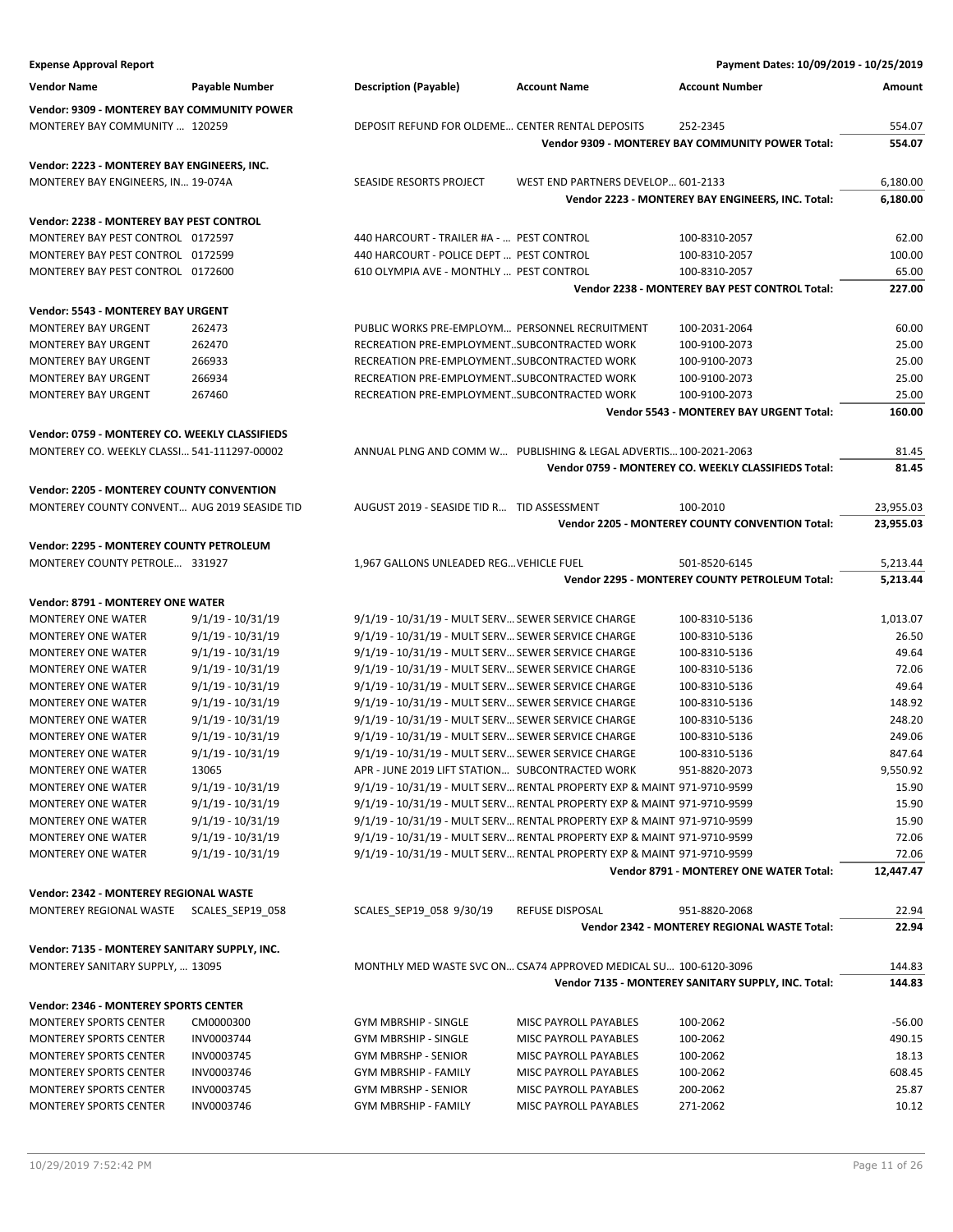| <b>Expense Approval Report</b>                         |                                          |                                                                                                          |                                    | Payment Dates: 10/09/2019 - 10/25/2019                   |                  |
|--------------------------------------------------------|------------------------------------------|----------------------------------------------------------------------------------------------------------|------------------------------------|----------------------------------------------------------|------------------|
| <b>Vendor Name</b>                                     | Payable Number                           | <b>Description (Payable)</b>                                                                             | <b>Account Name</b>                | <b>Account Number</b>                                    | Amount           |
| <b>Vendor: 9309 - MONTEREY BAY COMMUNITY POWER</b>     |                                          |                                                                                                          |                                    |                                                          |                  |
| MONTEREY BAY COMMUNITY  120259                         |                                          | DEPOSIT REFUND FOR OLDEME CENTER RENTAL DEPOSITS                                                         |                                    | 252-2345                                                 | 554.07           |
|                                                        |                                          |                                                                                                          |                                    | <b>Vendor 9309 - MONTEREY BAY COMMUNITY POWER Total:</b> | 554.07           |
| Vendor: 2223 - MONTEREY BAY ENGINEERS, INC.            |                                          |                                                                                                          |                                    |                                                          |                  |
| MONTEREY BAY ENGINEERS, IN 19-074A                     |                                          | SEASIDE RESORTS PROJECT                                                                                  | WEST END PARTNERS DEVELOP 601-2133 |                                                          | 6,180.00         |
|                                                        |                                          |                                                                                                          |                                    | Vendor 2223 - MONTEREY BAY ENGINEERS, INC. Total:        | 6,180.00         |
| Vendor: 2238 - MONTEREY BAY PEST CONTROL               |                                          |                                                                                                          |                                    |                                                          |                  |
| MONTEREY BAY PEST CONTROL 0172597                      |                                          | 440 HARCOURT - TRAILER #A -  PEST CONTROL                                                                |                                    | 100-8310-2057                                            | 62.00            |
| MONTEREY BAY PEST CONTROL 0172599                      |                                          | 440 HARCOURT - POLICE DEPT  PEST CONTROL                                                                 |                                    | 100-8310-2057                                            | 100.00           |
| MONTEREY BAY PEST CONTROL 0172600                      |                                          | 610 OLYMPIA AVE - MONTHLY  PEST CONTROL                                                                  |                                    | 100-8310-2057                                            | 65.00            |
|                                                        |                                          |                                                                                                          |                                    | Vendor 2238 - MONTEREY BAY PEST CONTROL Total:           | 227.00           |
| Vendor: 5543 - MONTEREY BAY URGENT                     |                                          |                                                                                                          |                                    |                                                          |                  |
| <b>MONTEREY BAY URGENT</b>                             | 262473                                   | PUBLIC WORKS PRE-EMPLOYM PERSONNEL RECRUITMENT                                                           |                                    | 100-2031-2064                                            | 60.00            |
| <b>MONTEREY BAY URGENT</b>                             | 262470                                   | RECREATION PRE-EMPLOYMENTSUBCONTRACTED WORK                                                              |                                    | 100-9100-2073                                            | 25.00            |
| <b>MONTEREY BAY URGENT</b>                             | 266933                                   | RECREATION PRE-EMPLOYMENTSUBCONTRACTED WORK                                                              |                                    | 100-9100-2073                                            | 25.00            |
| <b>MONTEREY BAY URGENT</b>                             | 266934                                   | RECREATION PRE-EMPLOYMENTSUBCONTRACTED WORK                                                              |                                    | 100-9100-2073                                            | 25.00            |
| <b>MONTEREY BAY URGENT</b>                             | 267460                                   | RECREATION PRE-EMPLOYMENTSUBCONTRACTED WORK                                                              |                                    | 100-9100-2073                                            | 25.00            |
|                                                        |                                          |                                                                                                          |                                    | Vendor 5543 - MONTEREY BAY URGENT Total:                 | 160.00           |
| Vendor: 0759 - MONTEREY CO. WEEKLY CLASSIFIEDS         |                                          |                                                                                                          |                                    |                                                          |                  |
| MONTEREY CO. WEEKLY CLASSI 541-111297-00002            |                                          | ANNUAL PLNG AND COMM W PUBLISHING & LEGAL ADVERTIS 100-2021-2063                                         |                                    |                                                          | 81.45            |
|                                                        |                                          |                                                                                                          |                                    | Vendor 0759 - MONTEREY CO. WEEKLY CLASSIFIEDS Total:     | 81.45            |
| Vendor: 2205 - MONTEREY COUNTY CONVENTION              |                                          |                                                                                                          |                                    |                                                          |                  |
| MONTEREY COUNTY CONVENT AUG 2019 SEASIDE TID           |                                          | AUGUST 2019 - SEASIDE TID R TID ASSESSMENT                                                               |                                    | 100-2010                                                 | 23,955.03        |
|                                                        |                                          |                                                                                                          |                                    | <b>Vendor 2205 - MONTEREY COUNTY CONVENTION Total:</b>   | 23,955.03        |
| Vendor: 2295 - MONTEREY COUNTY PETROLEUM               |                                          |                                                                                                          |                                    |                                                          |                  |
| MONTEREY COUNTY PETROLE 331927                         |                                          | 1,967 GALLONS UNLEADED REG VEHICLE FUEL                                                                  |                                    | 501-8520-6145                                            | 5,213.44         |
|                                                        |                                          |                                                                                                          |                                    | Vendor 2295 - MONTEREY COUNTY PETROLEUM Total:           | 5,213.44         |
| <b>Vendor: 8791 - MONTEREY ONE WATER</b>               |                                          |                                                                                                          |                                    |                                                          |                  |
| <b>MONTEREY ONE WATER</b>                              | $9/1/19 - 10/31/19$                      | 9/1/19 - 10/31/19 - MULT SERV SEWER SERVICE CHARGE                                                       |                                    | 100-8310-5136                                            | 1,013.07         |
| <b>MONTEREY ONE WATER</b>                              | $9/1/19 - 10/31/19$                      | 9/1/19 - 10/31/19 - MULT SERV SEWER SERVICE CHARGE                                                       |                                    | 100-8310-5136                                            | 26.50            |
| <b>MONTEREY ONE WATER</b>                              | $9/1/19 - 10/31/19$                      | 9/1/19 - 10/31/19 - MULT SERV SEWER SERVICE CHARGE                                                       |                                    | 100-8310-5136                                            | 49.64            |
| <b>MONTEREY ONE WATER</b>                              | $9/1/19 - 10/31/19$                      | 9/1/19 - 10/31/19 - MULT SERV SEWER SERVICE CHARGE                                                       |                                    | 100-8310-5136                                            | 72.06            |
| MONTEREY ONE WATER                                     | $9/1/19 - 10/31/19$                      | 9/1/19 - 10/31/19 - MULT SERV SEWER SERVICE CHARGE                                                       |                                    | 100-8310-5136                                            | 49.64            |
| <b>MONTEREY ONE WATER</b><br><b>MONTEREY ONE WATER</b> | $9/1/19 - 10/31/19$<br>9/1/19 - 10/31/19 | 9/1/19 - 10/31/19 - MULT SERV SEWER SERVICE CHARGE<br>9/1/19 - 10/31/19 - MULT SERV SEWER SERVICE CHARGE |                                    | 100-8310-5136<br>100-8310-5136                           | 148.92           |
| <b>MONTEREY ONE WATER</b>                              | $9/1/19 - 10/31/19$                      | 9/1/19 - 10/31/19 - MULT SERV SEWER SERVICE CHARGE                                                       |                                    | 100-8310-5136                                            | 248.20<br>249.06 |
| <b>MONTEREY ONE WATER</b>                              | $9/1/19 - 10/31/19$                      | 9/1/19 - 10/31/19 - MULT SERV SEWER SERVICE CHARGE                                                       |                                    | 100-8310-5136                                            | 847.64           |
| <b>MONTEREY ONE WATER</b>                              | 13065                                    | APR - JUNE 2019 LIFT STATION SUBCONTRACTED WORK                                                          |                                    | 951-8820-2073                                            | 9,550.92         |
| MONTEREY ONE WATER                                     | 9/1/19 - 10/31/19                        | 9/1/19 - 10/31/19 - MULT SERV RENTAL PROPERTY EXP & MAINT 971-9710-9599                                  |                                    |                                                          | 15.90            |
| <b>MONTEREY ONE WATER</b>                              | 9/1/19 - 10/31/19                        | 9/1/19 - 10/31/19 - MULT SERV RENTAL PROPERTY EXP & MAINT 971-9710-9599                                  |                                    |                                                          | 15.90            |
| <b>MONTEREY ONE WATER</b>                              | $9/1/19 - 10/31/19$                      | 9/1/19 - 10/31/19 - MULT SERV RENTAL PROPERTY EXP & MAINT 971-9710-9599                                  |                                    |                                                          | 15.90            |
| <b>MONTEREY ONE WATER</b>                              | 9/1/19 - 10/31/19                        | 9/1/19 - 10/31/19 - MULT SERV RENTAL PROPERTY EXP & MAINT 971-9710-9599                                  |                                    |                                                          | 72.06            |
| MONTEREY ONE WATER                                     | $9/1/19 - 10/31/19$                      | 9/1/19 - 10/31/19 - MULT SERV RENTAL PROPERTY EXP & MAINT 971-9710-9599                                  |                                    |                                                          | 72.06            |
|                                                        |                                          |                                                                                                          |                                    | Vendor 8791 - MONTEREY ONE WATER Total:                  | 12,447.47        |
| <b>Vendor: 2342 - MONTEREY REGIONAL WASTE</b>          |                                          |                                                                                                          |                                    |                                                          |                  |
| MONTEREY REGIONAL WASTE SCALES SEP19 058               |                                          | SCALES_SEP19_058 9/30/19                                                                                 | <b>REFUSE DISPOSAL</b>             | 951-8820-2068                                            | 22.94            |
|                                                        |                                          |                                                                                                          |                                    | Vendor 2342 - MONTEREY REGIONAL WASTE Total:             | 22.94            |
| Vendor: 7135 - MONTEREY SANITARY SUPPLY, INC.          |                                          |                                                                                                          |                                    |                                                          |                  |
| MONTEREY SANITARY SUPPLY,  13095                       |                                          | MONTHLY MED WASTE SVC ON CSA74 APPROVED MEDICAL SU 100-6120-3096                                         |                                    |                                                          | 144.83           |
|                                                        |                                          |                                                                                                          |                                    | Vendor 7135 - MONTEREY SANITARY SUPPLY, INC. Total:      | 144.83           |
| Vendor: 2346 - MONTEREY SPORTS CENTER                  |                                          |                                                                                                          |                                    |                                                          |                  |
| <b>MONTEREY SPORTS CENTER</b>                          | CM0000300                                | GYM MBRSHIP - SINGLE                                                                                     | MISC PAYROLL PAYABLES              | 100-2062                                                 | $-56.00$         |
| MONTEREY SPORTS CENTER                                 | INV0003744                               | GYM MBRSHIP - SINGLE                                                                                     | MISC PAYROLL PAYABLES              | 100-2062                                                 | 490.15           |
| <b>MONTEREY SPORTS CENTER</b>                          | INV0003745                               | GYM MBRSHP - SENIOR                                                                                      | MISC PAYROLL PAYABLES              | 100-2062                                                 | 18.13            |
| <b>MONTEREY SPORTS CENTER</b>                          | INV0003746                               | GYM MBRSHIP - FAMILY                                                                                     | MISC PAYROLL PAYABLES              | 100-2062                                                 | 608.45           |
| <b>MONTEREY SPORTS CENTER</b>                          | INV0003745                               | GYM MBRSHP - SENIOR                                                                                      | MISC PAYROLL PAYABLES              | 200-2062                                                 | 25.87            |
| <b>MONTEREY SPORTS CENTER</b>                          | INV0003746                               | GYM MBRSHIP - FAMILY                                                                                     | MISC PAYROLL PAYABLES              | 271-2062                                                 | 10.12            |
|                                                        |                                          |                                                                                                          |                                    |                                                          |                  |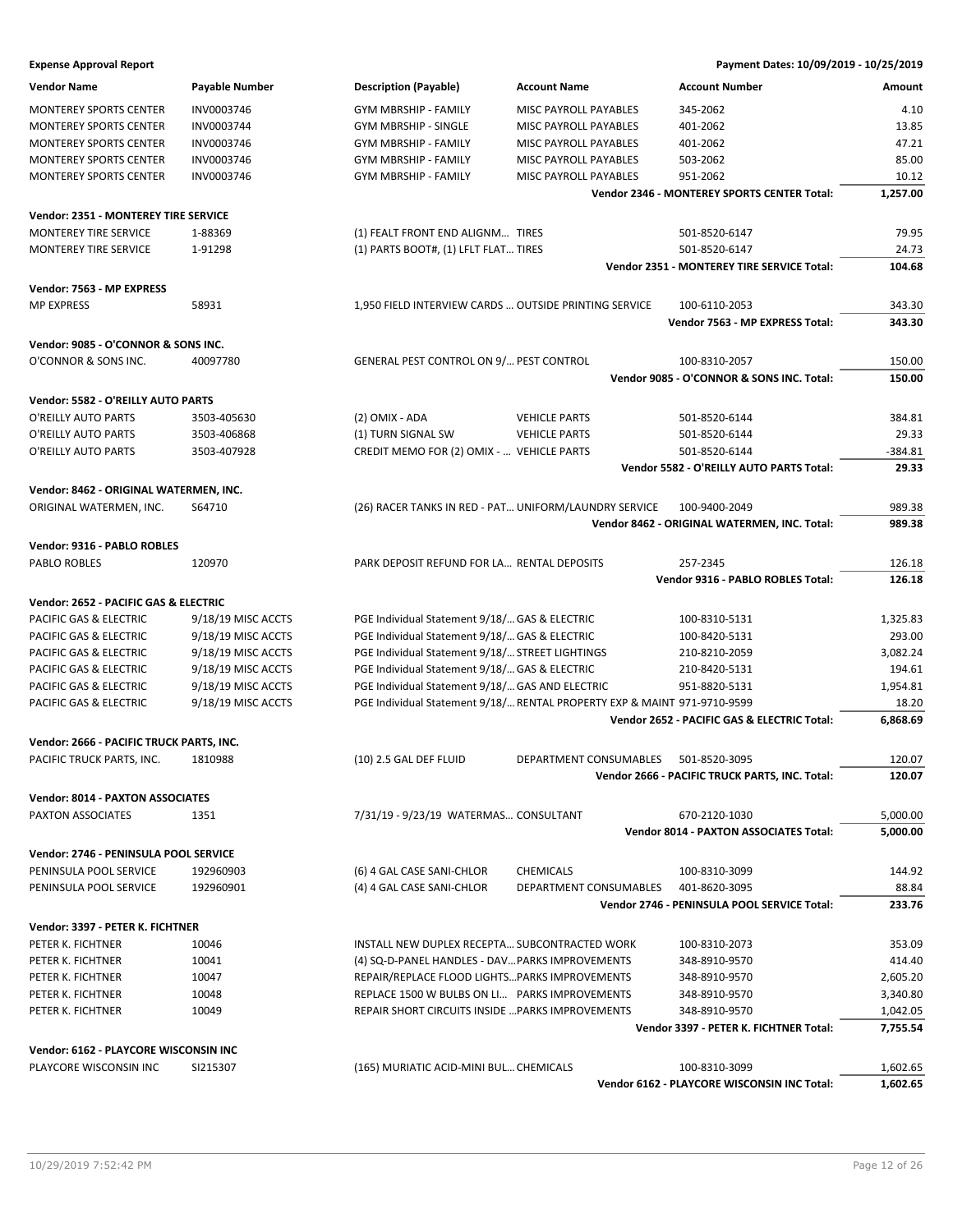| <b>Vendor Name</b>                       | Payable Number     | <b>Description (Payable)</b>                          | <b>Account Name</b>                                                      | <b>Account Number</b>                          | Amount    |
|------------------------------------------|--------------------|-------------------------------------------------------|--------------------------------------------------------------------------|------------------------------------------------|-----------|
| <b>MONTEREY SPORTS CENTER</b>            | INV0003746         | <b>GYM MBRSHIP - FAMILY</b>                           | MISC PAYROLL PAYABLES                                                    | 345-2062                                       | 4.10      |
| <b>MONTEREY SPORTS CENTER</b>            | INV0003744         | <b>GYM MBRSHIP - SINGLE</b>                           | MISC PAYROLL PAYABLES                                                    | 401-2062                                       | 13.85     |
| <b>MONTEREY SPORTS CENTER</b>            | INV0003746         | GYM MBRSHIP - FAMILY                                  | MISC PAYROLL PAYABLES                                                    | 401-2062                                       | 47.21     |
| <b>MONTEREY SPORTS CENTER</b>            | INV0003746         | GYM MBRSHIP - FAMILY                                  | MISC PAYROLL PAYABLES                                                    | 503-2062                                       | 85.00     |
| <b>MONTEREY SPORTS CENTER</b>            | INV0003746         | <b>GYM MBRSHIP - FAMILY</b>                           | MISC PAYROLL PAYABLES                                                    | 951-2062                                       | 10.12     |
|                                          |                    |                                                       |                                                                          | Vendor 2346 - MONTEREY SPORTS CENTER Total:    | 1,257.00  |
|                                          |                    |                                                       |                                                                          |                                                |           |
| Vendor: 2351 - MONTEREY TIRE SERVICE     |                    |                                                       |                                                                          |                                                |           |
| <b>MONTEREY TIRE SERVICE</b>             | 1-88369            | (1) FEALT FRONT END ALIGNM TIRES                      |                                                                          | 501-8520-6147                                  | 79.95     |
| MONTEREY TIRE SERVICE                    | 1-91298            | (1) PARTS BOOT#, (1) LFLT FLAT TIRES                  |                                                                          | 501-8520-6147                                  | 24.73     |
|                                          |                    |                                                       |                                                                          | Vendor 2351 - MONTEREY TIRE SERVICE Total:     | 104.68    |
| Vendor: 7563 - MP EXPRESS                |                    |                                                       |                                                                          |                                                |           |
| <b>MP EXPRESS</b>                        | 58931              | 1,950 FIELD INTERVIEW CARDS  OUTSIDE PRINTING SERVICE |                                                                          | 100-6110-2053                                  | 343.30    |
|                                          |                    |                                                       |                                                                          | Vendor 7563 - MP EXPRESS Total:                | 343.30    |
| Vendor: 9085 - O'CONNOR & SONS INC.      |                    |                                                       |                                                                          |                                                |           |
| O'CONNOR & SONS INC.                     | 40097780           | GENERAL PEST CONTROL ON 9/ PEST CONTROL               |                                                                          | 100-8310-2057                                  | 150.00    |
|                                          |                    |                                                       |                                                                          | Vendor 9085 - O'CONNOR & SONS INC. Total:      | 150.00    |
|                                          |                    |                                                       |                                                                          |                                                |           |
| Vendor: 5582 - O'REILLY AUTO PARTS       |                    |                                                       |                                                                          |                                                |           |
| O'REILLY AUTO PARTS                      | 3503-405630        | (2) OMIX - ADA                                        | <b>VEHICLE PARTS</b>                                                     | 501-8520-6144                                  | 384.81    |
| O'REILLY AUTO PARTS                      | 3503-406868        | (1) TURN SIGNAL SW                                    | <b>VEHICLE PARTS</b>                                                     | 501-8520-6144                                  | 29.33     |
| O'REILLY AUTO PARTS                      | 3503-407928        | CREDIT MEMO FOR (2) OMIX -  VEHICLE PARTS             |                                                                          | 501-8520-6144                                  | $-384.81$ |
|                                          |                    |                                                       |                                                                          | Vendor 5582 - O'REILLY AUTO PARTS Total:       | 29.33     |
| Vendor: 8462 - ORIGINAL WATERMEN, INC.   |                    |                                                       |                                                                          |                                                |           |
| ORIGINAL WATERMEN, INC.                  | S64710             | (26) RACER TANKS IN RED - PAT UNIFORM/LAUNDRY SERVICE |                                                                          | 100-9400-2049                                  | 989.38    |
|                                          |                    |                                                       |                                                                          | Vendor 8462 - ORIGINAL WATERMEN, INC. Total:   | 989.38    |
| Vendor: 9316 - PABLO ROBLES              |                    |                                                       |                                                                          |                                                |           |
| PABLO ROBLES                             | 120970             | PARK DEPOSIT REFUND FOR LA RENTAL DEPOSITS            |                                                                          | 257-2345                                       | 126.18    |
|                                          |                    |                                                       |                                                                          | Vendor 9316 - PABLO ROBLES Total:              | 126.18    |
|                                          |                    |                                                       |                                                                          |                                                |           |
| Vendor: 2652 - PACIFIC GAS & ELECTRIC    |                    |                                                       |                                                                          |                                                |           |
| PACIFIC GAS & ELECTRIC                   | 9/18/19 MISC ACCTS | PGE Individual Statement 9/18/ GAS & ELECTRIC         |                                                                          | 100-8310-5131                                  | 1,325.83  |
| PACIFIC GAS & ELECTRIC                   | 9/18/19 MISC ACCTS | PGE Individual Statement 9/18/ GAS & ELECTRIC         |                                                                          | 100-8420-5131                                  | 293.00    |
| PACIFIC GAS & ELECTRIC                   | 9/18/19 MISC ACCTS | PGE Individual Statement 9/18/ STREET LIGHTINGS       |                                                                          | 210-8210-2059                                  | 3,082.24  |
| PACIFIC GAS & ELECTRIC                   | 9/18/19 MISC ACCTS | PGE Individual Statement 9/18/ GAS & ELECTRIC         |                                                                          | 210-8420-5131                                  | 194.61    |
| PACIFIC GAS & ELECTRIC                   | 9/18/19 MISC ACCTS | PGE Individual Statement 9/18/ GAS AND ELECTRIC       |                                                                          | 951-8820-5131                                  | 1,954.81  |
| PACIFIC GAS & ELECTRIC                   | 9/18/19 MISC ACCTS |                                                       | PGE Individual Statement 9/18/ RENTAL PROPERTY EXP & MAINT 971-9710-9599 |                                                | 18.20     |
|                                          |                    |                                                       |                                                                          | Vendor 2652 - PACIFIC GAS & ELECTRIC Total:    | 6,868.69  |
| Vendor: 2666 - PACIFIC TRUCK PARTS, INC. |                    |                                                       |                                                                          |                                                |           |
| PACIFIC TRUCK PARTS, INC.                | 1810988            | $(10)$ 2.5 GAL DEF FLUID                              | DEPARTMENT CONSUMABLES 501-8520-3095                                     |                                                | 120.07    |
|                                          |                    |                                                       |                                                                          | Vendor 2666 - PACIFIC TRUCK PARTS, INC. Total: | 120.07    |
| <b>Vendor: 8014 - PAXTON ASSOCIATES</b>  |                    |                                                       |                                                                          |                                                |           |
| PAXTON ASSOCIATES                        | 1351               | 7/31/19 - 9/23/19 WATERMAS CONSULTANT                 |                                                                          | 670-2120-1030                                  | 5,000.00  |
|                                          |                    |                                                       |                                                                          | <b>Vendor 8014 - PAXTON ASSOCIATES Total:</b>  | 5,000.00  |
|                                          |                    |                                                       |                                                                          |                                                |           |
| Vendor: 2746 - PENINSULA POOL SERVICE    |                    |                                                       |                                                                          |                                                |           |
| PENINSULA POOL SERVICE                   | 192960903          | (6) 4 GAL CASE SANI-CHLOR                             | <b>CHEMICALS</b>                                                         | 100-8310-3099                                  | 144.92    |
| PENINSULA POOL SERVICE                   | 192960901          | (4) 4 GAL CASE SANI-CHLOR                             | DEPARTMENT CONSUMABLES                                                   | 401-8620-3095                                  | 88.84     |
|                                          |                    |                                                       |                                                                          | Vendor 2746 - PENINSULA POOL SERVICE Total:    | 233.76    |
| Vendor: 3397 - PETER K. FICHTNER         |                    |                                                       |                                                                          |                                                |           |
| PETER K. FICHTNER                        | 10046              | INSTALL NEW DUPLEX RECEPTA SUBCONTRACTED WORK         |                                                                          | 100-8310-2073                                  | 353.09    |
| PETER K. FICHTNER                        | 10041              | (4) SQ-D-PANEL HANDLES - DAV PARKS IMPROVEMENTS       |                                                                          | 348-8910-9570                                  | 414.40    |
| PETER K. FICHTNER                        | 10047              | REPAIR/REPLACE FLOOD LIGHTS PARKS IMPROVEMENTS        |                                                                          | 348-8910-9570                                  | 2,605.20  |
| PETER K. FICHTNER                        | 10048              | REPLACE 1500 W BULBS ON LI PARKS IMPROVEMENTS         |                                                                          | 348-8910-9570                                  | 3,340.80  |
| PETER K. FICHTNER                        | 10049              | REPAIR SHORT CIRCUITS INSIDE  PARKS IMPROVEMENTS      |                                                                          | 348-8910-9570                                  | 1,042.05  |
|                                          |                    |                                                       |                                                                          | Vendor 3397 - PETER K. FICHTNER Total:         | 7,755.54  |
| Vendor: 6162 - PLAYCORE WISCONSIN INC    |                    |                                                       |                                                                          |                                                |           |
| PLAYCORE WISCONSIN INC                   | SI215307           |                                                       |                                                                          |                                                |           |
|                                          |                    | (165) MURIATIC ACID-MINI BUL CHEMICALS                |                                                                          | 100-8310-3099                                  | 1,602.65  |
|                                          |                    |                                                       |                                                                          | Vendor 6162 - PLAYCORE WISCONSIN INC Total:    | 1,602.65  |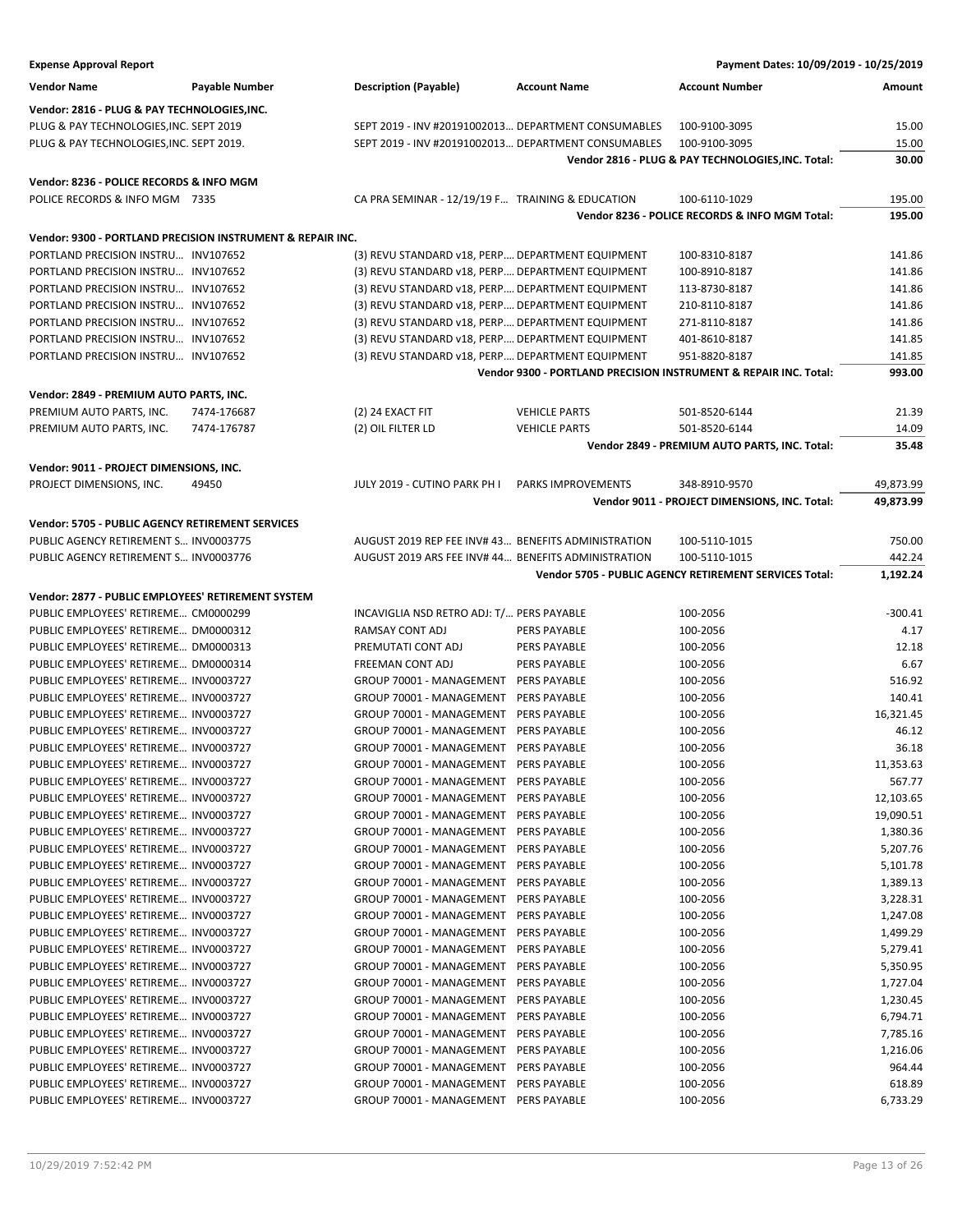| <b>Expense Approval Report</b>                     |                                                            |                                                     |                      | Payment Dates: 10/09/2019 - 10/25/2019                           |           |
|----------------------------------------------------|------------------------------------------------------------|-----------------------------------------------------|----------------------|------------------------------------------------------------------|-----------|
| <b>Vendor Name</b>                                 | Payable Number                                             | <b>Description (Payable)</b>                        | <b>Account Name</b>  | <b>Account Number</b>                                            | Amount    |
| Vendor: 2816 - PLUG & PAY TECHNOLOGIES, INC.       |                                                            |                                                     |                      |                                                                  |           |
|                                                    |                                                            |                                                     |                      |                                                                  |           |
| PLUG & PAY TECHNOLOGIES, INC. SEPT 2019            |                                                            | SEPT 2019 - INV #20191002013 DEPARTMENT CONSUMABLES |                      | 100-9100-3095                                                    | 15.00     |
| PLUG & PAY TECHNOLOGIES, INC. SEPT 2019.           |                                                            | SEPT 2019 - INV #20191002013 DEPARTMENT CONSUMABLES |                      | 100-9100-3095                                                    | 15.00     |
|                                                    |                                                            |                                                     |                      | Vendor 2816 - PLUG & PAY TECHNOLOGIES, INC. Total:               | 30.00     |
| Vendor: 8236 - POLICE RECORDS & INFO MGM           |                                                            |                                                     |                      |                                                                  |           |
| POLICE RECORDS & INFO MGM 7335                     |                                                            | CA PRA SEMINAR - 12/19/19 F TRAINING & EDUCATION    |                      | 100-6110-1029                                                    | 195.00    |
|                                                    |                                                            |                                                     |                      | Vendor 8236 - POLICE RECORDS & INFO MGM Total:                   | 195.00    |
|                                                    | Vendor: 9300 - PORTLAND PRECISION INSTRUMENT & REPAIR INC. |                                                     |                      |                                                                  |           |
| PORTLAND PRECISION INSTRU INV107652                |                                                            | (3) REVU STANDARD v18, PERP DEPARTMENT EQUIPMENT    |                      | 100-8310-8187                                                    | 141.86    |
| PORTLAND PRECISION INSTRU INV107652                |                                                            |                                                     |                      | 100-8910-8187                                                    | 141.86    |
|                                                    |                                                            | (3) REVU STANDARD v18, PERP DEPARTMENT EQUIPMENT    |                      |                                                                  | 141.86    |
| PORTLAND PRECISION INSTRU INV107652                |                                                            | (3) REVU STANDARD v18, PERP DEPARTMENT EQUIPMENT    |                      | 113-8730-8187                                                    |           |
| PORTLAND PRECISION INSTRU INV107652                |                                                            | (3) REVU STANDARD v18, PERP DEPARTMENT EQUIPMENT    |                      | 210-8110-8187                                                    | 141.86    |
| PORTLAND PRECISION INSTRU INV107652                |                                                            | (3) REVU STANDARD v18, PERP DEPARTMENT EQUIPMENT    |                      | 271-8110-8187                                                    | 141.86    |
| PORTLAND PRECISION INSTRU INV107652                |                                                            | (3) REVU STANDARD v18, PERP DEPARTMENT EQUIPMENT    |                      | 401-8610-8187                                                    | 141.85    |
| PORTLAND PRECISION INSTRU INV107652                |                                                            | (3) REVU STANDARD v18, PERP DEPARTMENT EQUIPMENT    |                      | 951-8820-8187                                                    | 141.85    |
|                                                    |                                                            |                                                     |                      | Vendor 9300 - PORTLAND PRECISION INSTRUMENT & REPAIR INC. Total: | 993.00    |
| Vendor: 2849 - PREMIUM AUTO PARTS, INC.            |                                                            |                                                     |                      |                                                                  |           |
| PREMIUM AUTO PARTS, INC.                           | 7474-176687                                                | (2) 24 EXACT FIT                                    | <b>VEHICLE PARTS</b> | 501-8520-6144                                                    | 21.39     |
| PREMIUM AUTO PARTS, INC.                           | 7474-176787                                                | (2) OIL FILTER LD                                   | <b>VEHICLE PARTS</b> | 501-8520-6144                                                    | 14.09     |
|                                                    |                                                            |                                                     |                      | Vendor 2849 - PREMIUM AUTO PARTS, INC. Total:                    | 35.48     |
| Vendor: 9011 - PROJECT DIMENSIONS, INC.            |                                                            |                                                     |                      |                                                                  |           |
|                                                    |                                                            | JULY 2019 - CUTINO PARK PH I                        |                      |                                                                  |           |
| PROJECT DIMENSIONS, INC.                           | 49450                                                      |                                                     | PARKS IMPROVEMENTS   | 348-8910-9570                                                    | 49,873.99 |
|                                                    |                                                            |                                                     |                      | Vendor 9011 - PROJECT DIMENSIONS, INC. Total:                    | 49,873.99 |
| Vendor: 5705 - PUBLIC AGENCY RETIREMENT SERVICES   |                                                            |                                                     |                      |                                                                  |           |
| PUBLIC AGENCY RETIREMENT S INV0003775              |                                                            | AUGUST 2019 REP FEE INV# 43 BENEFITS ADMINISTRATION |                      | 100-5110-1015                                                    | 750.00    |
| PUBLIC AGENCY RETIREMENT S INV0003776              |                                                            | AUGUST 2019 ARS FEE INV# 44 BENEFITS ADMINISTRATION |                      | 100-5110-1015                                                    | 442.24    |
|                                                    |                                                            |                                                     |                      | Vendor 5705 - PUBLIC AGENCY RETIREMENT SERVICES Total:           | 1,192.24  |
| Vendor: 2877 - PUBLIC EMPLOYEES' RETIREMENT SYSTEM |                                                            |                                                     |                      |                                                                  |           |
| PUBLIC EMPLOYEES' RETIREME CM0000299               |                                                            | INCAVIGLIA NSD RETRO ADJ: T/ PERS PAYABLE           |                      | 100-2056                                                         | $-300.41$ |
| PUBLIC EMPLOYEES' RETIREME DM0000312               |                                                            | RAMSAY CONT ADJ                                     | <b>PERS PAYABLE</b>  | 100-2056                                                         | 4.17      |
| PUBLIC EMPLOYEES' RETIREME DM0000313               |                                                            | PREMUTATI CONT ADJ                                  | <b>PERS PAYABLE</b>  | 100-2056                                                         | 12.18     |
| PUBLIC EMPLOYEES' RETIREME DM0000314               |                                                            | FREEMAN CONT ADJ                                    | <b>PERS PAYABLE</b>  | 100-2056                                                         | 6.67      |
| PUBLIC EMPLOYEES' RETIREME INV0003727              |                                                            | GROUP 70001 - MANAGEMENT PERS PAYABLE               |                      | 100-2056                                                         | 516.92    |
| PUBLIC EMPLOYEES' RETIREME INV0003727              |                                                            | GROUP 70001 - MANAGEMENT PERS PAYABLE               |                      | 100-2056                                                         | 140.41    |
| PUBLIC EMPLOYEES' RETIREME INV0003727              |                                                            | GROUP 70001 - MANAGEMENT                            | PERS PAYABLE         | 100-2056                                                         | 16,321.45 |
| PUBLIC EMPLOYEES' RETIREME INV0003727              |                                                            | GROUP 70001 - MANAGEMENT                            | <b>PERS PAYABLE</b>  | 100-2056                                                         | 46.12     |
|                                                    |                                                            |                                                     |                      |                                                                  |           |
| PUBLIC EMPLOYEES' RETIREME INV0003727              |                                                            | GROUP 70001 - MANAGEMENT PERS PAYABLE               |                      | 100-2056                                                         | 36.18     |
| PUBLIC EMPLOYEES' RETIREME INV0003727              |                                                            | GROUP 70001 - MANAGEMENT PERS PAYABLE               |                      | 100-2056                                                         | 11,353.63 |
| PUBLIC EMPLOYEES' RETIREME INV0003727              |                                                            | GROUP 70001 - MANAGEMENT PERS PAYABLE               |                      | 100-2056                                                         | 567.77    |
| PUBLIC EMPLOYEES' RETIREME INV0003727              |                                                            | GROUP 70001 - MANAGEMENT                            | PERS PAYABLE         | 100-2056                                                         | 12,103.65 |
| PUBLIC EMPLOYEES' RETIREME INV0003727              |                                                            | GROUP 70001 - MANAGEMENT PERS PAYABLE               |                      | 100-2056                                                         | 19,090.51 |
| PUBLIC EMPLOYEES' RETIREME INV0003727              |                                                            | GROUP 70001 - MANAGEMENT PERS PAYABLE               |                      | 100-2056                                                         | 1,380.36  |
| PUBLIC EMPLOYEES' RETIREME INV0003727              |                                                            | GROUP 70001 - MANAGEMENT                            | PERS PAYABLE         | 100-2056                                                         | 5,207.76  |
| PUBLIC EMPLOYEES' RETIREME INV0003727              |                                                            | GROUP 70001 - MANAGEMENT                            | PERS PAYABLE         | 100-2056                                                         | 5,101.78  |
| PUBLIC EMPLOYEES' RETIREME INV0003727              |                                                            | GROUP 70001 - MANAGEMENT                            | PERS PAYABLE         | 100-2056                                                         | 1,389.13  |
| PUBLIC EMPLOYEES' RETIREME INV0003727              |                                                            | GROUP 70001 - MANAGEMENT                            | PERS PAYABLE         | 100-2056                                                         | 3,228.31  |
| PUBLIC EMPLOYEES' RETIREME INV0003727              |                                                            | GROUP 70001 - MANAGEMENT                            | PERS PAYABLE         | 100-2056                                                         | 1,247.08  |
| PUBLIC EMPLOYEES' RETIREME INV0003727              |                                                            | GROUP 70001 - MANAGEMENT                            | PERS PAYABLE         | 100-2056                                                         | 1,499.29  |
| PUBLIC EMPLOYEES' RETIREME INV0003727              |                                                            | GROUP 70001 - MANAGEMENT                            | PERS PAYABLE         | 100-2056                                                         | 5,279.41  |
| PUBLIC EMPLOYEES' RETIREME INV0003727              |                                                            | GROUP 70001 - MANAGEMENT                            | PERS PAYABLE         | 100-2056                                                         | 5,350.95  |
| PUBLIC EMPLOYEES' RETIREME INV0003727              |                                                            | GROUP 70001 - MANAGEMENT                            | PERS PAYABLE         | 100-2056                                                         | 1,727.04  |
| PUBLIC EMPLOYEES' RETIREME INV0003727              |                                                            | GROUP 70001 - MANAGEMENT PERS PAYABLE               |                      | 100-2056                                                         | 1,230.45  |
| PUBLIC EMPLOYEES' RETIREME INV0003727              |                                                            | GROUP 70001 - MANAGEMENT                            | PERS PAYABLE         | 100-2056                                                         | 6,794.71  |
| PUBLIC EMPLOYEES' RETIREME INV0003727              |                                                            | GROUP 70001 - MANAGEMENT                            | PERS PAYABLE         | 100-2056                                                         | 7,785.16  |
| PUBLIC EMPLOYEES' RETIREME INV0003727              |                                                            | GROUP 70001 - MANAGEMENT                            | PERS PAYABLE         | 100-2056                                                         | 1,216.06  |
| PUBLIC EMPLOYEES' RETIREME INV0003727              |                                                            | GROUP 70001 - MANAGEMENT                            | PERS PAYABLE         | 100-2056                                                         | 964.44    |
| PUBLIC EMPLOYEES' RETIREME INV0003727              |                                                            | GROUP 70001 - MANAGEMENT PERS PAYABLE               |                      | 100-2056                                                         | 618.89    |
| PUBLIC EMPLOYEES' RETIREME INV0003727              |                                                            | GROUP 70001 - MANAGEMENT PERS PAYABLE               |                      | 100-2056                                                         | 6,733.29  |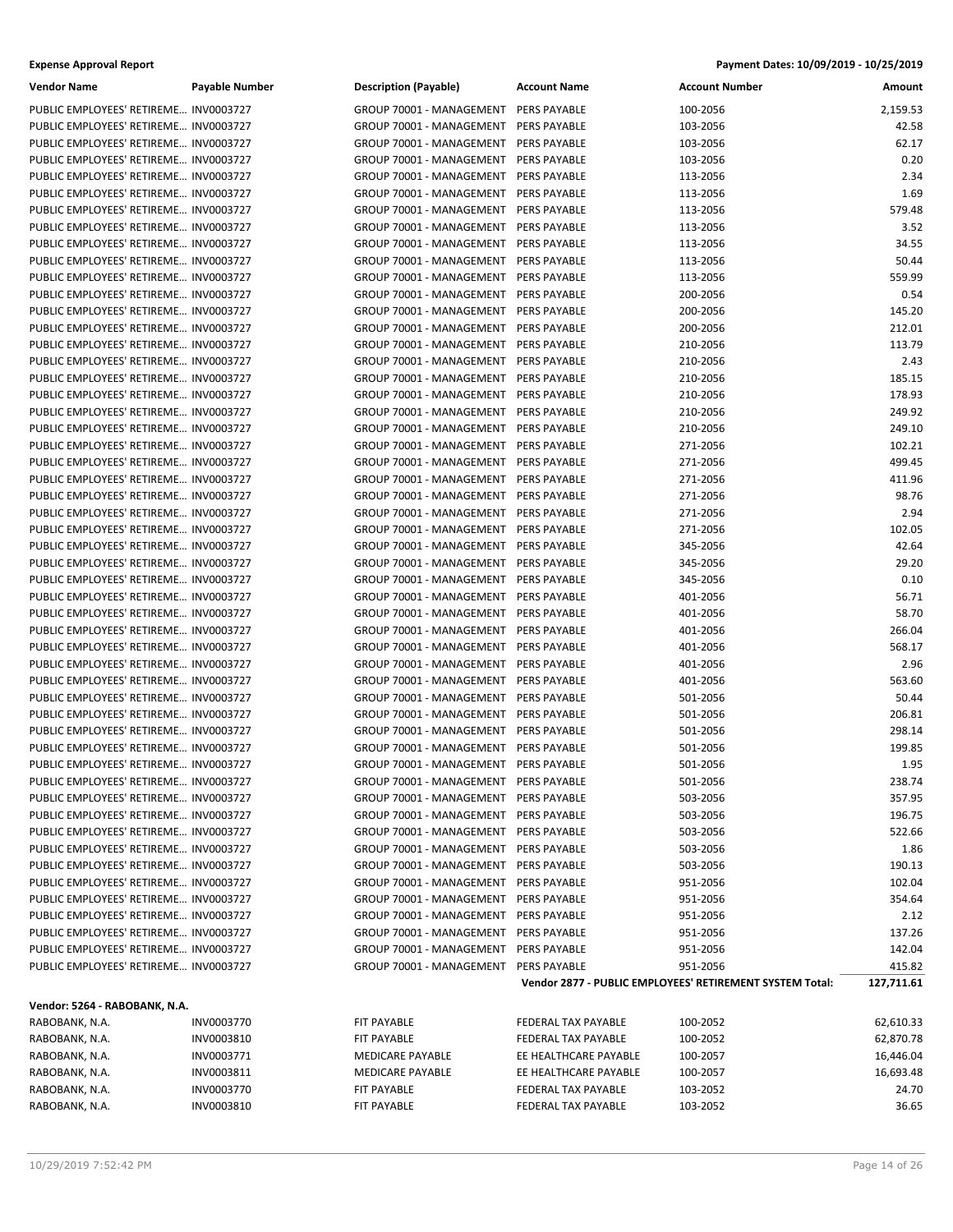| <b>Vendor Name</b>                                                             | <b>Payable Number</b>    | <b>Description (Payable)</b>                         | <b>Account Name</b>                          | <b>Account Number</b>                                    | Amount                 |
|--------------------------------------------------------------------------------|--------------------------|------------------------------------------------------|----------------------------------------------|----------------------------------------------------------|------------------------|
| PUBLIC EMPLOYEES' RETIREME INV0003727                                          |                          | GROUP 70001 - MANAGEMENT                             | <b>PERS PAYABLE</b>                          | 100-2056                                                 | 2,159.53               |
| PUBLIC EMPLOYEES' RETIREME INV0003727                                          |                          | GROUP 70001 - MANAGEMENT                             | PERS PAYABLE                                 | 103-2056                                                 | 42.58                  |
| PUBLIC EMPLOYEES' RETIREME INV0003727                                          |                          | GROUP 70001 - MANAGEMENT                             | PERS PAYABLE                                 | 103-2056                                                 | 62.17                  |
| PUBLIC EMPLOYEES' RETIREME INV0003727                                          |                          | GROUP 70001 - MANAGEMENT                             | PERS PAYABLE                                 | 103-2056                                                 | 0.20                   |
| PUBLIC EMPLOYEES' RETIREME INV0003727                                          |                          | GROUP 70001 - MANAGEMENT                             | PERS PAYABLE                                 | 113-2056                                                 | 2.34                   |
| PUBLIC EMPLOYEES' RETIREME INV0003727                                          |                          | GROUP 70001 - MANAGEMENT                             | PERS PAYABLE                                 | 113-2056                                                 | 1.69                   |
| PUBLIC EMPLOYEES' RETIREME INV0003727                                          |                          | GROUP 70001 - MANAGEMENT                             | PERS PAYABLE                                 | 113-2056                                                 | 579.48                 |
| PUBLIC EMPLOYEES' RETIREME INV0003727                                          |                          | GROUP 70001 - MANAGEMENT                             | <b>PERS PAYABLE</b>                          | 113-2056                                                 | 3.52                   |
| PUBLIC EMPLOYEES' RETIREME INV0003727                                          |                          | GROUP 70001 - MANAGEMENT                             | PERS PAYABLE                                 | 113-2056                                                 | 34.55                  |
| PUBLIC EMPLOYEES' RETIREME INV0003727                                          |                          | GROUP 70001 - MANAGEMENT                             | PERS PAYABLE                                 | 113-2056                                                 | 50.44                  |
| PUBLIC EMPLOYEES' RETIREME INV0003727                                          |                          | GROUP 70001 - MANAGEMENT                             | PERS PAYABLE                                 | 113-2056                                                 | 559.99                 |
| PUBLIC EMPLOYEES' RETIREME INV0003727                                          |                          | GROUP 70001 - MANAGEMENT                             | PERS PAYABLE                                 | 200-2056                                                 | 0.54                   |
| PUBLIC EMPLOYEES' RETIREME INV0003727                                          |                          | GROUP 70001 - MANAGEMENT                             | <b>PERS PAYABLE</b>                          | 200-2056                                                 | 145.20                 |
| PUBLIC EMPLOYEES' RETIREME INV0003727                                          |                          | GROUP 70001 - MANAGEMENT                             | PERS PAYABLE                                 | 200-2056                                                 | 212.01                 |
| PUBLIC EMPLOYEES' RETIREME INV0003727                                          |                          | GROUP 70001 - MANAGEMENT                             | PERS PAYABLE                                 | 210-2056                                                 | 113.79                 |
| PUBLIC EMPLOYEES' RETIREME INV0003727                                          |                          | GROUP 70001 - MANAGEMENT                             | PERS PAYABLE                                 | 210-2056                                                 | 2.43                   |
| PUBLIC EMPLOYEES' RETIREME INV0003727                                          |                          | GROUP 70001 - MANAGEMENT                             | PERS PAYABLE                                 | 210-2056                                                 | 185.15                 |
| PUBLIC EMPLOYEES' RETIREME INV0003727                                          |                          | GROUP 70001 - MANAGEMENT                             | <b>PERS PAYABLE</b>                          | 210-2056                                                 | 178.93                 |
| PUBLIC EMPLOYEES' RETIREME INV0003727                                          |                          | GROUP 70001 - MANAGEMENT                             | <b>PERS PAYABLE</b>                          | 210-2056                                                 | 249.92                 |
| PUBLIC EMPLOYEES' RETIREME INV0003727                                          |                          | GROUP 70001 - MANAGEMENT                             | PERS PAYABLE                                 | 210-2056                                                 | 249.10                 |
| PUBLIC EMPLOYEES' RETIREME INV0003727                                          |                          | GROUP 70001 - MANAGEMENT                             | PERS PAYABLE                                 | 271-2056                                                 | 102.21                 |
| PUBLIC EMPLOYEES' RETIREME INV0003727                                          |                          | GROUP 70001 - MANAGEMENT                             | PERS PAYABLE                                 | 271-2056                                                 | 499.45                 |
| PUBLIC EMPLOYEES' RETIREME INV0003727                                          |                          | GROUP 70001 - MANAGEMENT                             | PERS PAYABLE                                 | 271-2056                                                 | 411.96                 |
| PUBLIC EMPLOYEES' RETIREME INV0003727                                          |                          | GROUP 70001 - MANAGEMENT                             | <b>PERS PAYABLE</b>                          | 271-2056                                                 | 98.76                  |
| PUBLIC EMPLOYEES' RETIREME INV0003727                                          |                          | GROUP 70001 - MANAGEMENT                             | PERS PAYABLE                                 | 271-2056                                                 | 2.94                   |
| PUBLIC EMPLOYEES' RETIREME INV0003727                                          |                          | GROUP 70001 - MANAGEMENT                             | PERS PAYABLE                                 | 271-2056                                                 | 102.05                 |
| PUBLIC EMPLOYEES' RETIREME INV0003727                                          |                          | GROUP 70001 - MANAGEMENT                             | PERS PAYABLE                                 | 345-2056                                                 | 42.64                  |
| PUBLIC EMPLOYEES' RETIREME INV0003727                                          |                          | GROUP 70001 - MANAGEMENT                             | <b>PERS PAYABLE</b>                          | 345-2056                                                 | 29.20                  |
| PUBLIC EMPLOYEES' RETIREME INV0003727                                          |                          | GROUP 70001 - MANAGEMENT                             | <b>PERS PAYABLE</b>                          | 345-2056                                                 | 0.10                   |
| PUBLIC EMPLOYEES' RETIREME INV0003727                                          |                          | GROUP 70001 - MANAGEMENT                             | PERS PAYABLE                                 | 401-2056                                                 | 56.71                  |
| PUBLIC EMPLOYEES' RETIREME INV0003727                                          |                          | GROUP 70001 - MANAGEMENT                             | PERS PAYABLE                                 | 401-2056                                                 | 58.70                  |
| PUBLIC EMPLOYEES' RETIREME INV0003727                                          |                          | GROUP 70001 - MANAGEMENT                             | PERS PAYABLE                                 | 401-2056                                                 | 266.04                 |
| PUBLIC EMPLOYEES' RETIREME INV0003727                                          |                          | GROUP 70001 - MANAGEMENT                             | <b>PERS PAYABLE</b>                          | 401-2056                                                 | 568.17                 |
| PUBLIC EMPLOYEES' RETIREME INV0003727                                          |                          | GROUP 70001 - MANAGEMENT                             | PERS PAYABLE                                 | 401-2056                                                 | 2.96                   |
| PUBLIC EMPLOYEES' RETIREME INV0003727                                          |                          | GROUP 70001 - MANAGEMENT                             | PERS PAYABLE                                 | 401-2056                                                 | 563.60                 |
| PUBLIC EMPLOYEES' RETIREME INV0003727                                          |                          | GROUP 70001 - MANAGEMENT                             | PERS PAYABLE                                 | 501-2056                                                 | 50.44                  |
| PUBLIC EMPLOYEES' RETIREME INV0003727                                          |                          | GROUP 70001 - MANAGEMENT                             | PERS PAYABLE                                 | 501-2056                                                 | 206.81                 |
| PUBLIC EMPLOYEES' RETIREME INV0003727                                          |                          | GROUP 70001 - MANAGEMENT                             | <b>PERS PAYABLE</b>                          | 501-2056                                                 | 298.14                 |
| PUBLIC EMPLOYEES' RETIREME INV0003727                                          |                          | GROUP 70001 - MANAGEMENT                             | PERS PAYABLE                                 | 501-2056                                                 | 199.85                 |
| PUBLIC EMPLOYEES' RETIREME INV0003727                                          |                          | GROUP 70001 - MANAGEMENT PERS PAYABLE                |                                              | 501-2056                                                 | 1.95                   |
| PUBLIC EMPLOYEES' RETIREME INV0003727                                          |                          | GROUP 70001 - MANAGEMENT                             | PERS PAYABLE                                 | 501-2056                                                 | 238.74                 |
| PUBLIC EMPLOYEES' RETIREME INV0003727                                          |                          | GROUP 70001 - MANAGEMENT                             | PERS PAYABLE                                 | 503-2056                                                 | 357.95                 |
| PUBLIC EMPLOYEES' RETIREME INV0003727                                          |                          | GROUP 70001 - MANAGEMENT                             | PERS PAYABLE                                 | 503-2056                                                 | 196.75                 |
| PUBLIC EMPLOYEES' RETIREME INV0003727                                          |                          | GROUP 70001 - MANAGEMENT                             | PERS PAYABLE                                 | 503-2056                                                 | 522.66                 |
| PUBLIC EMPLOYEES' RETIREME INV0003727                                          |                          | GROUP 70001 - MANAGEMENT                             | PERS PAYABLE                                 | 503-2056                                                 | 1.86                   |
| PUBLIC EMPLOYEES' RETIREME INV0003727                                          |                          | GROUP 70001 - MANAGEMENT<br>GROUP 70001 - MANAGEMENT | PERS PAYABLE<br>PERS PAYABLE                 | 503-2056                                                 | 190.13                 |
| PUBLIC EMPLOYEES' RETIREME INV0003727                                          |                          |                                                      | PERS PAYABLE                                 | 951-2056                                                 | 102.04                 |
| PUBLIC EMPLOYEES' RETIREME INV0003727<br>PUBLIC EMPLOYEES' RETIREME INV0003727 |                          | GROUP 70001 - MANAGEMENT                             |                                              | 951-2056                                                 | 354.64<br>2.12         |
| PUBLIC EMPLOYEES' RETIREME INV0003727                                          |                          | GROUP 70001 - MANAGEMENT<br>GROUP 70001 - MANAGEMENT | PERS PAYABLE<br>PERS PAYABLE                 | 951-2056<br>951-2056                                     | 137.26                 |
| PUBLIC EMPLOYEES' RETIREME INV0003727                                          |                          | GROUP 70001 - MANAGEMENT                             | PERS PAYABLE                                 | 951-2056                                                 | 142.04                 |
| PUBLIC EMPLOYEES' RETIREME INV0003727                                          |                          | GROUP 70001 - MANAGEMENT                             | PERS PAYABLE                                 | 951-2056                                                 | 415.82                 |
|                                                                                |                          |                                                      |                                              | Vendor 2877 - PUBLIC EMPLOYEES' RETIREMENT SYSTEM Total: | 127,711.61             |
|                                                                                |                          |                                                      |                                              |                                                          |                        |
| Vendor: 5264 - RABOBANK, N.A.                                                  |                          |                                                      |                                              |                                                          |                        |
| RABOBANK, N.A.                                                                 | INV0003770               | FIT PAYABLE                                          | FEDERAL TAX PAYABLE                          | 100-2052                                                 | 62,610.33              |
| RABOBANK, N.A.                                                                 | INV0003810               | FIT PAYABLE                                          | FEDERAL TAX PAYABLE                          | 100-2052                                                 | 62,870.78              |
| RABOBANK, N.A.                                                                 | INV0003771               | MEDICARE PAYABLE<br><b>MEDICARE PAYABLE</b>          | EE HEALTHCARE PAYABLE                        | 100-2057                                                 | 16,446.04<br>16,693.48 |
| RABOBANK, N.A.<br>RABOBANK, N.A.                                               | INV0003811<br>INV0003770 | FIT PAYABLE                                          | EE HEALTHCARE PAYABLE<br>FEDERAL TAX PAYABLE | 100-2057<br>103-2052                                     | 24.70                  |
| RABOBANK, N.A.                                                                 | INV0003810               | FIT PAYABLE                                          | FEDERAL TAX PAYABLE                          | 103-2052                                                 | 36.65                  |
|                                                                                |                          |                                                      |                                              |                                                          |                        |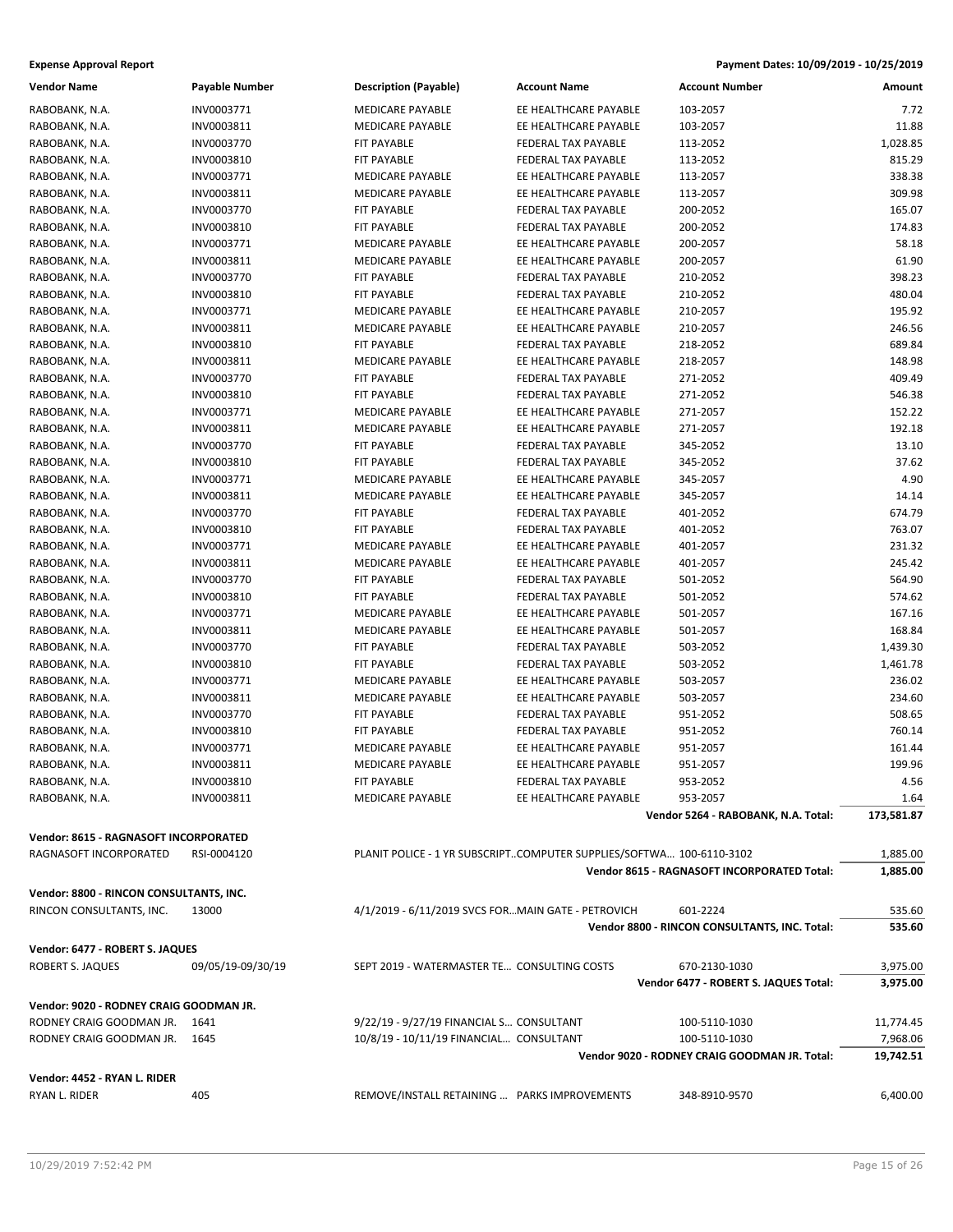| <b>Vendor Name</b>                      | Payable Number    | <b>Description (Payable)</b>                                         | <b>Account Name</b>                          | <b>Account Number</b>                         | Amount     |
|-----------------------------------------|-------------------|----------------------------------------------------------------------|----------------------------------------------|-----------------------------------------------|------------|
| RABOBANK, N.A.                          | INV0003771        | <b>MEDICARE PAYABLE</b>                                              | EE HEALTHCARE PAYABLE                        | 103-2057                                      | 7.72       |
| RABOBANK, N.A.                          | INV0003811        | <b>MEDICARE PAYABLE</b>                                              | EE HEALTHCARE PAYABLE                        | 103-2057                                      | 11.88      |
| RABOBANK, N.A.                          | INV0003770        | FIT PAYABLE                                                          | FEDERAL TAX PAYABLE                          | 113-2052                                      | 1,028.85   |
| RABOBANK, N.A.                          | INV0003810        | FIT PAYABLE                                                          | FEDERAL TAX PAYABLE                          | 113-2052                                      | 815.29     |
| RABOBANK, N.A.                          | INV0003771        | <b>MEDICARE PAYABLE</b>                                              | EE HEALTHCARE PAYABLE                        | 113-2057                                      | 338.38     |
| RABOBANK, N.A.                          | INV0003811        | <b>MEDICARE PAYABLE</b>                                              | EE HEALTHCARE PAYABLE                        | 113-2057                                      | 309.98     |
| RABOBANK, N.A.                          | INV0003770        | <b>FIT PAYABLE</b>                                                   | FEDERAL TAX PAYABLE                          | 200-2052                                      | 165.07     |
| RABOBANK, N.A.                          | INV0003810        | FIT PAYABLE                                                          | FEDERAL TAX PAYABLE                          | 200-2052                                      | 174.83     |
| RABOBANK, N.A.                          | INV0003771        | MEDICARE PAYABLE                                                     | EE HEALTHCARE PAYABLE                        | 200-2057                                      | 58.18      |
| RABOBANK, N.A.                          | INV0003811        | <b>MEDICARE PAYABLE</b>                                              | EE HEALTHCARE PAYABLE                        | 200-2057                                      | 61.90      |
| RABOBANK, N.A.                          | INV0003770        | <b>FIT PAYABLE</b>                                                   | FEDERAL TAX PAYABLE                          | 210-2052                                      | 398.23     |
| RABOBANK, N.A.                          | INV0003810        | FIT PAYABLE                                                          | FEDERAL TAX PAYABLE                          | 210-2052                                      | 480.04     |
| RABOBANK, N.A.                          | INV0003771        | MEDICARE PAYABLE                                                     | EE HEALTHCARE PAYABLE                        | 210-2057                                      | 195.92     |
| RABOBANK, N.A.                          | INV0003811        | <b>MEDICARE PAYABLE</b>                                              | EE HEALTHCARE PAYABLE                        | 210-2057                                      | 246.56     |
| RABOBANK, N.A.                          | INV0003810        | FIT PAYABLE                                                          | FEDERAL TAX PAYABLE                          | 218-2052                                      | 689.84     |
| RABOBANK, N.A.                          | INV0003811        | MEDICARE PAYABLE                                                     | EE HEALTHCARE PAYABLE                        | 218-2057                                      | 148.98     |
| RABOBANK, N.A.                          | INV0003770        | <b>FIT PAYABLE</b>                                                   | FEDERAL TAX PAYABLE                          | 271-2052                                      | 409.49     |
| RABOBANK, N.A.                          | INV0003810        | FIT PAYABLE                                                          | FEDERAL TAX PAYABLE                          | 271-2052                                      | 546.38     |
| RABOBANK, N.A.                          | INV0003771        | MEDICARE PAYABLE                                                     | EE HEALTHCARE PAYABLE                        | 271-2057                                      | 152.22     |
| RABOBANK, N.A.                          | INV0003811        | <b>MEDICARE PAYABLE</b>                                              | EE HEALTHCARE PAYABLE                        | 271-2057                                      | 192.18     |
| RABOBANK, N.A.                          | INV0003770        | <b>FIT PAYABLE</b>                                                   | FEDERAL TAX PAYABLE                          | 345-2052                                      | 13.10      |
| RABOBANK, N.A.                          | INV0003810        | FIT PAYABLE                                                          | FEDERAL TAX PAYABLE                          | 345-2052                                      | 37.62      |
| RABOBANK, N.A.                          | INV0003771        | MEDICARE PAYABLE                                                     | EE HEALTHCARE PAYABLE                        | 345-2057                                      | 4.90       |
| RABOBANK, N.A.                          | INV0003811        | MEDICARE PAYABLE                                                     | EE HEALTHCARE PAYABLE                        | 345-2057                                      | 14.14      |
| RABOBANK, N.A.                          | INV0003770        | FIT PAYABLE                                                          | FEDERAL TAX PAYABLE                          | 401-2052                                      | 674.79     |
| RABOBANK, N.A.                          | INV0003810        | FIT PAYABLE                                                          | FEDERAL TAX PAYABLE                          | 401-2052                                      | 763.07     |
| RABOBANK, N.A.                          | INV0003771        | <b>MEDICARE PAYABLE</b>                                              | EE HEALTHCARE PAYABLE                        | 401-2057                                      | 231.32     |
| RABOBANK, N.A.                          | INV0003811        | <b>MEDICARE PAYABLE</b>                                              | EE HEALTHCARE PAYABLE                        | 401-2057                                      | 245.42     |
| RABOBANK, N.A.                          | INV0003770        | FIT PAYABLE                                                          | FEDERAL TAX PAYABLE                          | 501-2052                                      | 564.90     |
| RABOBANK, N.A.                          | INV0003810        | FIT PAYABLE                                                          | FEDERAL TAX PAYABLE                          | 501-2052                                      | 574.62     |
|                                         | INV0003771        | <b>MEDICARE PAYABLE</b>                                              | EE HEALTHCARE PAYABLE                        | 501-2057                                      | 167.16     |
| RABOBANK, N.A.                          | INV0003811        | MEDICARE PAYABLE                                                     | EE HEALTHCARE PAYABLE                        | 501-2057                                      | 168.84     |
| RABOBANK, N.A.<br>RABOBANK, N.A.        | INV0003770        | FIT PAYABLE                                                          | FEDERAL TAX PAYABLE                          | 503-2052                                      | 1,439.30   |
| RABOBANK, N.A.                          | INV0003810        | <b>FIT PAYABLE</b>                                                   | FEDERAL TAX PAYABLE                          | 503-2052                                      | 1,461.78   |
|                                         | INV0003771        | <b>MEDICARE PAYABLE</b>                                              | EE HEALTHCARE PAYABLE                        |                                               | 236.02     |
| RABOBANK, N.A.<br>RABOBANK, N.A.        | INV0003811        | MEDICARE PAYABLE                                                     | EE HEALTHCARE PAYABLE                        | 503-2057<br>503-2057                          | 234.60     |
|                                         | INV0003770        |                                                                      |                                              |                                               |            |
| RABOBANK, N.A.                          | INV0003810        | FIT PAYABLE                                                          | FEDERAL TAX PAYABLE                          | 951-2052                                      | 508.65     |
| RABOBANK, N.A.                          | INV0003771        | FIT PAYABLE<br><b>MEDICARE PAYABLE</b>                               | FEDERAL TAX PAYABLE                          | 951-2052                                      | 760.14     |
| RABOBANK, N.A.                          |                   | <b>MEDICARE PAYABLE</b>                                              | EE HEALTHCARE PAYABLE                        | 951-2057                                      | 161.44     |
| RABOBANK, N.A.                          | INV0003811        |                                                                      | EE HEALTHCARE PAYABLE<br>FEDERAL TAX PAYABLE | 951-2057                                      | 199.96     |
| RABOBANK, N.A.                          | INV0003810        | FIT PAYABLE                                                          |                                              | 953-2052                                      | 4.56       |
| RABOBANK, N.A.                          | INV0003811        | MEDICARE PAYABLE                                                     | EE HEALTHCARE PAYABLE                        | 953-2057                                      | 1.64       |
|                                         |                   |                                                                      |                                              | Vendor 5264 - RABOBANK, N.A. Total:           | 173,581.87 |
| Vendor: 8615 - RAGNASOFT INCORPORATED   |                   |                                                                      |                                              |                                               |            |
| RAGNASOFT INCORPORATED                  | RSI-0004120       | PLANIT POLICE - 1 YR SUBSCRIPTCOMPUTER SUPPLIES/SOFTWA 100-6110-3102 |                                              |                                               | 1,885.00   |
|                                         |                   |                                                                      |                                              | Vendor 8615 - RAGNASOFT INCORPORATED Total:   | 1,885.00   |
| Vendor: 8800 - RINCON CONSULTANTS, INC. |                   |                                                                      |                                              |                                               |            |
| RINCON CONSULTANTS, INC.                | 13000             | 4/1/2019 - 6/11/2019 SVCS FORMAIN GATE - PETROVICH                   |                                              | 601-2224                                      | 535.60     |
|                                         |                   |                                                                      |                                              | Vendor 8800 - RINCON CONSULTANTS, INC. Total: | 535.60     |
|                                         |                   |                                                                      |                                              |                                               |            |
| Vendor: 6477 - ROBERT S. JAQUES         |                   |                                                                      |                                              |                                               |            |
| ROBERT S. JAQUES                        | 09/05/19-09/30/19 | SEPT 2019 - WATERMASTER TE CONSULTING COSTS                          |                                              | 670-2130-1030                                 | 3,975.00   |
|                                         |                   |                                                                      |                                              | Vendor 6477 - ROBERT S. JAQUES Total:         | 3,975.00   |
| Vendor: 9020 - RODNEY CRAIG GOODMAN JR. |                   |                                                                      |                                              |                                               |            |
| RODNEY CRAIG GOODMAN JR. 1641           |                   | 9/22/19 - 9/27/19 FINANCIAL S CONSULTANT                             |                                              | 100-5110-1030                                 | 11,774.45  |
| RODNEY CRAIG GOODMAN JR. 1645           |                   | 10/8/19 - 10/11/19 FINANCIAL CONSULTANT                              |                                              | 100-5110-1030                                 | 7,968.06   |
|                                         |                   |                                                                      |                                              | Vendor 9020 - RODNEY CRAIG GOODMAN JR. Total: | 19,742.51  |
| Vendor: 4452 - RYAN L. RIDER            |                   |                                                                      |                                              |                                               |            |
| RYAN L. RIDER                           | 405               | REMOVE/INSTALL RETAINING  PARKS IMPROVEMENTS                         |                                              | 348-8910-9570                                 | 6,400.00   |
|                                         |                   |                                                                      |                                              |                                               |            |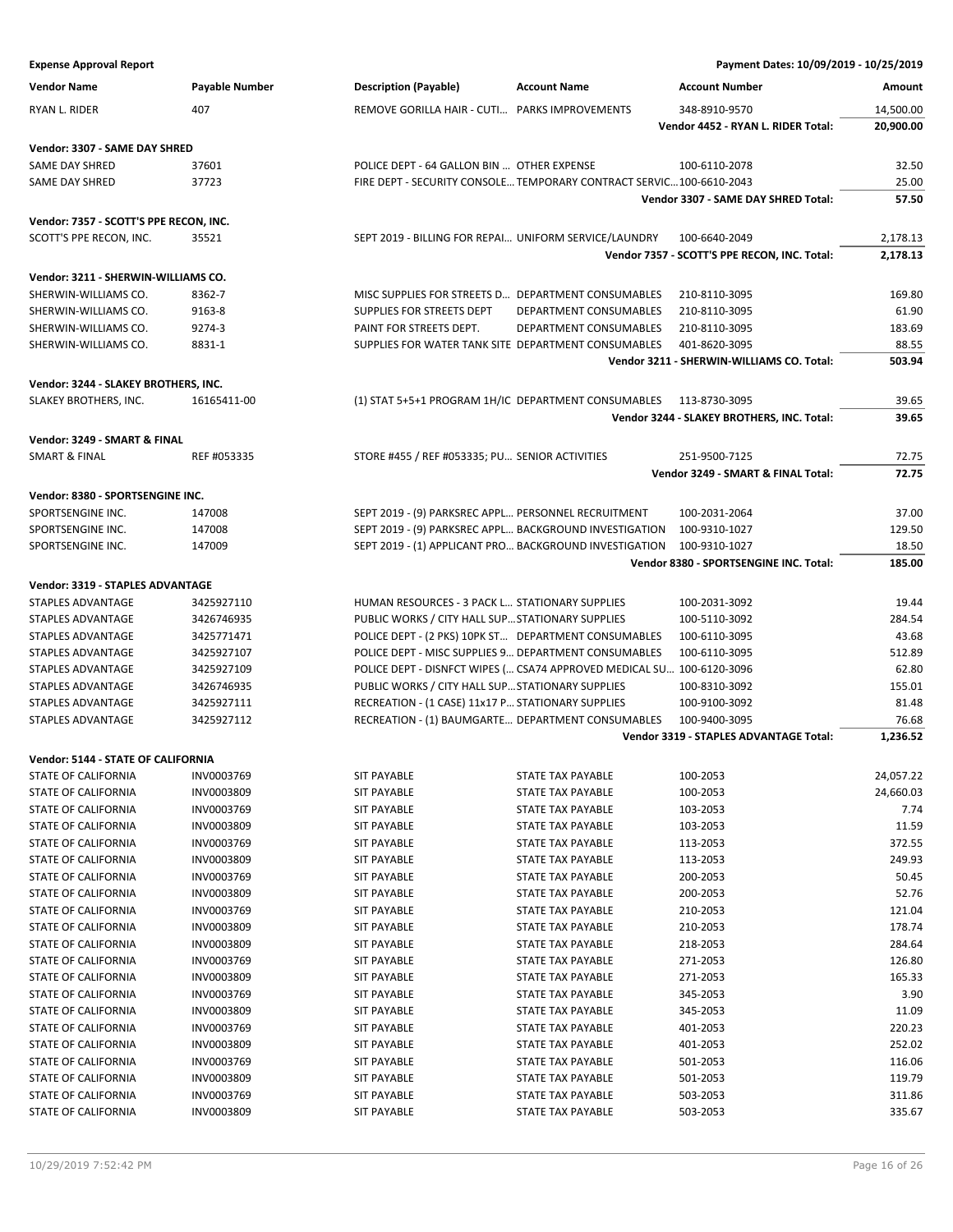| <b>Vendor Name</b> | <b>Pavable Number</b> | <b>Description (Payable)</b>                  | <b>Account Name</b> | Account Number                     | Amount    |
|--------------------|-----------------------|-----------------------------------------------|---------------------|------------------------------------|-----------|
| RYAN L. RIDER      | 407                   | REMOVE GORILLA HAIR - CUTI PARKS IMPROVEMENTS |                     | 348-8910-9570                      | 14,500.00 |
|                    |                       |                                               |                     | Vendor 4452 - RYAN L. RIDER Total: | 20,900,00 |

# **Vendor: 3307 - SAME DAY SHRED**

| <b>SAME DAY SHRED</b> | 37601 | OTHER EXPENSE<br>POLICE DEPT - 64 GALLON BIN<br>100-6110-2078                         | חם רכ |
|-----------------------|-------|---------------------------------------------------------------------------------------|-------|
| <b>SAME DAY SHRED</b> |       | TEMPORARY CONTRACT SERVIC<br>$.100 - 6610 - 2043$<br>FIRE DEPT<br>- SECURITY CONSOLE. | חח זר |
|                       |       |                                                                                       |       |

**Vendor: 7357 - SCOTT'S PPE RECON, INC.**

SCOTT'S PPE RECON, INC. 35521 35521 SEPT 2019 - BILLING FOR REPAI... UNIFORM SERVICE/LAUNDRY 100-6640-2049 2,178.13

### **Vendor: 3211 - SHERWIN-WILLIAMS CO.**

| SHERWIN-WILLIAMS CO. | 8362-7 |
|----------------------|--------|
| SHERWIN-WILLIAMS CO. | 9163-8 |
| SHERWIN-WILLIAMS CO. | 9274-3 |
| SHERWIN-WILLIAMS CO. | 8831-1 |

### **Vendor: 3244 - SLAKEY BROTHERS, INC.**

|                       |                   |                                                 |               | the contract of the contract of the contract of |
|-----------------------|-------------------|-------------------------------------------------|---------------|-------------------------------------------------|
| SLAKEY BROTHERS. INC. | 411-00<br>1616541 | DEPARTMENT CONSUMABLES<br>T 5+5+1 PROGRAM 1H/IC | 113-8730-3095 | 200C                                            |

#### **Vendor: 3249 - SMART & FINAL**

|                |                                                                                   | SMART &<br><b>FINAL</b><br>3249<br>Vendor<br>Total: | 77.75    |
|----------------|-----------------------------------------------------------------------------------|-----------------------------------------------------|----------|
| SMART<br>FINAL | TORE #455,<br>' REF<br>$\sim$ #053335: PU<br><b>JITIES</b><br>SENIOR A<br>1 I V 1 | -4500                                               | <u>.</u> |

#### **Vendor: 8380 - SPORTSENGINE INC.**

|                   |        | Vendor 8380 - SPORTSENGINE INC. Total:                               | 185.00 |
|-------------------|--------|----------------------------------------------------------------------|--------|
| SPORTSENGINE INC. | 147009 | SEPT 2019 - (1) APPLICANT PRO BACKGROUND INVESTIGATION 100-9310-1027 | 18.50  |
| SPORTSENGINE INC. | 147008 | SEPT 2019 - (9) PARKSREC APPL BACKGROUND INVESTIGATION 100-9310-1027 | 129.50 |
| SPORTSENGINE INC. | 147008 | SEPT 2019 - (9) PARKSREC APPL PERSONNEL RECRUITMENT<br>100-2031-2064 | 37.00  |
|                   |        |                                                                      |        |

#### **Vendor: 3319 - STAPLES ADVANTAGE**

|                   |            |                                                                       | Vendor 3319 - STAPLES ADVANTAGE Total: | 1,236.52 |
|-------------------|------------|-----------------------------------------------------------------------|----------------------------------------|----------|
| STAPLES ADVANTAGE | 3425927112 | RECREATION - (1) BAUMGARTE DEPARTMENT CONSUMABLES                     | 100-9400-3095                          | 76.68    |
| STAPLES ADVANTAGE | 3425927111 | RECREATION - (1 CASE) 11x17 P STATIONARY SUPPLIES                     | 100-9100-3092                          | 81.48    |
| STAPLES ADVANTAGE | 3426746935 | PUBLIC WORKS / CITY HALL SUP STATIONARY SUPPLIES                      | 100-8310-3092                          | 155.01   |
| STAPLES ADVANTAGE | 3425927109 | POLICE DEPT - DISNFCT WIPES ( CSA74 APPROVED MEDICAL SU 100-6120-3096 |                                        | 62.80    |
| STAPLES ADVANTAGE | 3425927107 | POLICE DEPT - MISC SUPPLIES 9 DEPARTMENT CONSUMABLES                  | 100-6110-3095                          | 512.89   |
| STAPLES ADVANTAGE | 3425771471 | POLICE DEPT - (2 PKS) 10PK ST DEPARTMENT CONSUMABLES                  | 100-6110-3095                          | 43.68    |
| STAPLES ADVANTAGE | 3426746935 | PUBLIC WORKS / CITY HALL SUP STATIONARY SUPPLIES                      | 100-5110-3092                          | 284.54   |
| STAPLES ADVANTAGE | 3425927110 | <b>HUMAN RESOURCES - 3 PACK L STATIONARY SUPPLIES</b>                 | 100-2031-3092                          | 19.44    |
|                   |            |                                                                       |                                        |          |

#### **Vendor: 5144 - STATE OF CALIFORNIA**

| STATE OF CALIFORNIA        | INV0003769 | <b>SIT PAYABLE</b> | <b>STATE TAX PAYABLE</b> | 100-2053 | 24,057.22 |
|----------------------------|------------|--------------------|--------------------------|----------|-----------|
| <b>STATE OF CALIFORNIA</b> | INV0003809 | <b>SIT PAYABLE</b> | <b>STATE TAX PAYABLE</b> | 100-2053 | 24,660.03 |
| <b>STATE OF CALIFORNIA</b> | INV0003769 | <b>SIT PAYABLE</b> | <b>STATE TAX PAYABLE</b> | 103-2053 | 7.74      |
| STATE OF CALIFORNIA        | INV0003809 | <b>SIT PAYABLE</b> | <b>STATE TAX PAYABLE</b> | 103-2053 | 11.59     |
| <b>STATE OF CALIFORNIA</b> | INV0003769 | <b>SIT PAYABLE</b> | <b>STATE TAX PAYABLE</b> | 113-2053 | 372.55    |
| <b>STATE OF CALIFORNIA</b> | INV0003809 | <b>SIT PAYABLE</b> | <b>STATE TAX PAYABLE</b> | 113-2053 | 249.93    |
| <b>STATE OF CALIFORNIA</b> | INV0003769 | <b>SIT PAYABLE</b> | <b>STATE TAX PAYABLE</b> | 200-2053 | 50.45     |
| <b>STATE OF CALIFORNIA</b> | INV0003809 | <b>SIT PAYABLE</b> | <b>STATE TAX PAYABLE</b> | 200-2053 | 52.76     |
| <b>STATE OF CALIFORNIA</b> | INV0003769 | <b>SIT PAYABLE</b> | <b>STATE TAX PAYABLE</b> | 210-2053 | 121.04    |
| <b>STATE OF CALIFORNIA</b> | INV0003809 | <b>SIT PAYABLE</b> | <b>STATE TAX PAYABLE</b> | 210-2053 | 178.74    |
| <b>STATE OF CALIFORNIA</b> | INV0003809 | <b>SIT PAYABLE</b> | <b>STATE TAX PAYABLE</b> | 218-2053 | 284.64    |
| <b>STATE OF CALIFORNIA</b> | INV0003769 | <b>SIT PAYABLE</b> | <b>STATE TAX PAYABLE</b> | 271-2053 | 126.80    |
| STATE OF CALIFORNIA        | INV0003809 | <b>SIT PAYABLE</b> | STATE TAX PAYABLE        | 271-2053 | 165.33    |
| <b>STATE OF CALIFORNIA</b> | INV0003769 | <b>SIT PAYABLE</b> | <b>STATE TAX PAYABLE</b> | 345-2053 | 3.90      |
| <b>STATE OF CALIFORNIA</b> | INV0003809 | <b>SIT PAYABLE</b> | <b>STATE TAX PAYABLE</b> | 345-2053 | 11.09     |
| <b>STATE OF CALIFORNIA</b> | INV0003769 | <b>SIT PAYABLE</b> | <b>STATE TAX PAYABLE</b> | 401-2053 | 220.23    |
| <b>STATE OF CALIFORNIA</b> | INV0003809 | <b>SIT PAYABLE</b> | <b>STATE TAX PAYABLE</b> | 401-2053 | 252.02    |
| <b>STATE OF CALIFORNIA</b> | INV0003769 | <b>SIT PAYABLE</b> | <b>STATE TAX PAYABLE</b> | 501-2053 | 116.06    |
| <b>STATE OF CALIFORNIA</b> | INV0003809 | <b>SIT PAYABLE</b> | <b>STATE TAX PAYABLE</b> | 501-2053 | 119.79    |
| <b>STATE OF CALIFORNIA</b> | INV0003769 | <b>SIT PAYABLE</b> | <b>STATE TAX PAYABLE</b> | 503-2053 | 311.86    |
| <b>STATE OF CALIFORNIA</b> | INV0003809 | <b>SIT PAYABLE</b> | <b>STATE TAX PAYABLE</b> | 503-2053 | 335.67    |
|                            |            |                    |                          |          |           |

#### **Expense Approval Report Payment Dates: 10/09/2019 - 10/25/2019**

**Vendor 3307 - SAME DAY SHRED Total: 57.50**

**Vendor 7357 - SCOTT'S PPE RECON, INC. Total: 2,178.13**

**Vendor 3211 - SHERWIN-WILLIAMS CO. Total: 503.94**

**Vendor 3244 - SLAKEY BROTHERS, INC. Total: 39.65**

MISC SUPPLIES FOR STREETS D... DEPARTMENT CONSUMABLES 210-8110-3095 169.80 SUPPLIES FOR STREETS DEPT DEPARTMENT CONSUMABLES 210-8110-3095 61.90 PAINT FOR STREETS DEPT. DEPARTMENT CONSUMABLES 210-8110-3095 183.69 SUPPLIES FOR WATER TANK SITE DEPARTMENT CONSUMABLES 401-8620-3095 88.55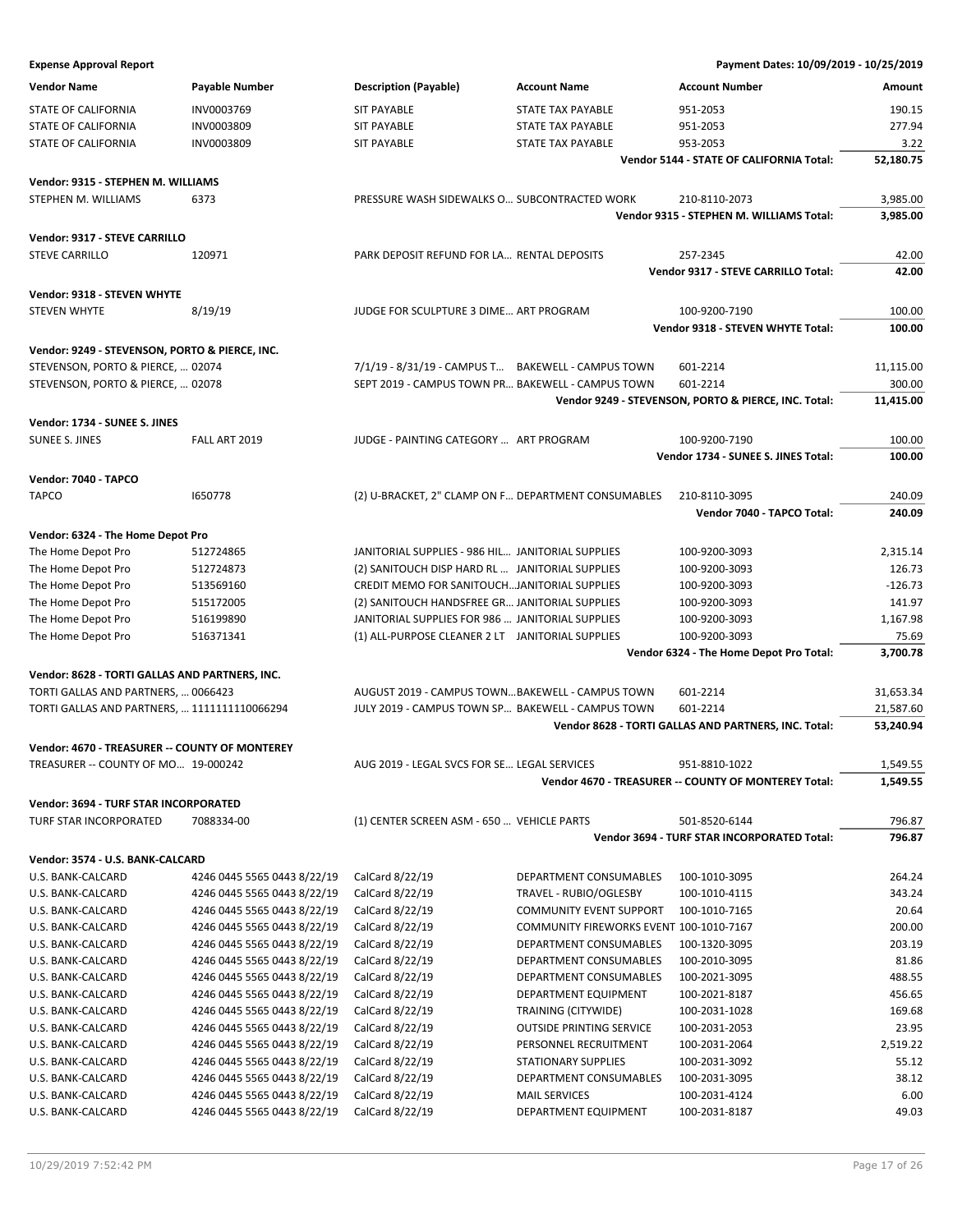| <b>Vendor Name</b>                             | <b>Payable Number</b>       | <b>Description (Payable)</b>                        | <b>Account Name</b>                     | <b>Account Number</b>                                        | Amount    |
|------------------------------------------------|-----------------------------|-----------------------------------------------------|-----------------------------------------|--------------------------------------------------------------|-----------|
| STATE OF CALIFORNIA                            | INV0003769                  | <b>SIT PAYABLE</b>                                  | STATE TAX PAYABLE                       | 951-2053                                                     | 190.15    |
| STATE OF CALIFORNIA                            | INV0003809                  | <b>SIT PAYABLE</b>                                  | <b>STATE TAX PAYABLE</b>                | 951-2053                                                     | 277.94    |
| <b>STATE OF CALIFORNIA</b>                     | INV0003809                  | <b>SIT PAYABLE</b>                                  | STATE TAX PAYABLE                       | 953-2053                                                     | 3.22      |
|                                                |                             |                                                     |                                         | Vendor 5144 - STATE OF CALIFORNIA Total:                     | 52,180.75 |
|                                                |                             |                                                     |                                         |                                                              |           |
| Vendor: 9315 - STEPHEN M. WILLIAMS             |                             |                                                     |                                         |                                                              |           |
| STEPHEN M. WILLIAMS                            | 6373                        | PRESSURE WASH SIDEWALKS O SUBCONTRACTED WORK        |                                         | 210-8110-2073                                                | 3,985.00  |
|                                                |                             |                                                     |                                         | Vendor 9315 - STEPHEN M. WILLIAMS Total:                     | 3,985.00  |
| Vendor: 9317 - STEVE CARRILLO                  |                             |                                                     |                                         |                                                              |           |
| <b>STEVE CARRILLO</b>                          | 120971                      | PARK DEPOSIT REFUND FOR LA RENTAL DEPOSITS          |                                         | 257-2345                                                     | 42.00     |
|                                                |                             |                                                     |                                         | Vendor 9317 - STEVE CARRILLO Total:                          | 42.00     |
| Vendor: 9318 - STEVEN WHYTE                    |                             |                                                     |                                         |                                                              |           |
| <b>STEVEN WHYTE</b>                            | 8/19/19                     | JUDGE FOR SCULPTURE 3 DIME ART PROGRAM              |                                         | 100-9200-7190                                                | 100.00    |
|                                                |                             |                                                     |                                         | Vendor 9318 - STEVEN WHYTE Total:                            | 100.00    |
|                                                |                             |                                                     |                                         |                                                              |           |
| Vendor: 9249 - STEVENSON, PORTO & PIERCE, INC. |                             |                                                     |                                         |                                                              |           |
| STEVENSON, PORTO & PIERCE,  02074              |                             | 7/1/19 - 8/31/19 - CAMPUS T BAKEWELL - CAMPUS TOWN  |                                         | 601-2214                                                     | 11,115.00 |
| STEVENSON, PORTO & PIERCE,  02078              |                             | SEPT 2019 - CAMPUS TOWN PR BAKEWELL - CAMPUS TOWN   |                                         | 601-2214                                                     | 300.00    |
|                                                |                             |                                                     |                                         | Vendor 9249 - STEVENSON, PORTO & PIERCE, INC. Total:         | 11,415.00 |
| Vendor: 1734 - SUNEE S. JINES                  |                             |                                                     |                                         |                                                              |           |
| <b>SUNEE S. JINES</b>                          | FALL ART 2019               | JUDGE - PAINTING CATEGORY  ART PROGRAM              |                                         | 100-9200-7190                                                | 100.00    |
|                                                |                             |                                                     |                                         | Vendor 1734 - SUNEE S. JINES Total:                          | 100.00    |
|                                                |                             |                                                     |                                         |                                                              |           |
| Vendor: 7040 - TAPCO                           |                             |                                                     |                                         |                                                              |           |
| <b>TAPCO</b>                                   | 1650778                     | (2) U-BRACKET, 2" CLAMP ON F DEPARTMENT CONSUMABLES |                                         | 210-8110-3095                                                | 240.09    |
|                                                |                             |                                                     |                                         | Vendor 7040 - TAPCO Total:                                   | 240.09    |
| Vendor: 6324 - The Home Depot Pro              |                             |                                                     |                                         |                                                              |           |
| The Home Depot Pro                             | 512724865                   | JANITORIAL SUPPLIES - 986 HIL JANITORIAL SUPPLIES   |                                         | 100-9200-3093                                                | 2,315.14  |
| The Home Depot Pro                             | 512724873                   | (2) SANITOUCH DISP HARD RL  JANITORIAL SUPPLIES     |                                         | 100-9200-3093                                                | 126.73    |
| The Home Depot Pro                             | 513569160                   | CREDIT MEMO FOR SANITOUCHJANITORIAL SUPPLIES        |                                         | 100-9200-3093                                                | $-126.73$ |
| The Home Depot Pro                             | 515172005                   | (2) SANITOUCH HANDSFREE GR JANITORIAL SUPPLIES      |                                         | 100-9200-3093                                                | 141.97    |
| The Home Depot Pro                             | 516199890                   | JANITORIAL SUPPLIES FOR 986  JANITORIAL SUPPLIES    |                                         | 100-9200-3093                                                | 1,167.98  |
| The Home Depot Pro                             | 516371341                   | (1) ALL-PURPOSE CLEANER 2 LT JANITORIAL SUPPLIES    |                                         | 100-9200-3093                                                | 75.69     |
|                                                |                             |                                                     |                                         | Vendor 6324 - The Home Depot Pro Total:                      | 3,700.78  |
|                                                |                             |                                                     |                                         |                                                              |           |
| Vendor: 8628 - TORTI GALLAS AND PARTNERS, INC. |                             |                                                     |                                         |                                                              |           |
| TORTI GALLAS AND PARTNERS,  0066423            |                             | AUGUST 2019 - CAMPUS TOWNBAKEWELL - CAMPUS TOWN     |                                         | 601-2214                                                     | 31,653.34 |
| TORTI GALLAS AND PARTNERS,  1111111110066294   |                             | JULY 2019 - CAMPUS TOWN SP BAKEWELL - CAMPUS TOWN   |                                         | 601-2214                                                     | 21,587.60 |
|                                                |                             |                                                     |                                         | Vendor 8628 - TORTI GALLAS AND PARTNERS, INC. Total:         | 53,240.94 |
| Vendor: 4670 - TREASURER -- COUNTY OF MONTEREY |                             |                                                     |                                         |                                                              |           |
| TREASURER -- COUNTY OF MO 19-000242            |                             | AUG 2019 - LEGAL SVCS FOR SE LEGAL SERVICES         |                                         | 951-8810-1022                                                | 1,549.55  |
|                                                |                             |                                                     |                                         | Vendor 4670 - TREASURER -- COUNTY OF MONTEREY Total:         | 1,549.55  |
| <b>Vendor: 3694 - TURF STAR INCORPORATED</b>   |                             |                                                     |                                         |                                                              |           |
|                                                |                             |                                                     |                                         |                                                              |           |
| TURF STAR INCORPORATED                         | 7088334-00                  | (1) CENTER SCREEN ASM - 650  VEHICLE PARTS          |                                         | 501-8520-6144<br>Vendor 3694 - TURF STAR INCORPORATED Total: | 796.87    |
|                                                |                             |                                                     |                                         |                                                              | 796.87    |
| Vendor: 3574 - U.S. BANK-CALCARD               |                             |                                                     |                                         |                                                              |           |
| U.S. BANK-CALCARD                              | 4246 0445 5565 0443 8/22/19 | CalCard 8/22/19                                     | DEPARTMENT CONSUMABLES                  | 100-1010-3095                                                | 264.24    |
| U.S. BANK-CALCARD                              | 4246 0445 5565 0443 8/22/19 | CalCard 8/22/19                                     | TRAVEL - RUBIO/OGLESBY                  | 100-1010-4115                                                | 343.24    |
| U.S. BANK-CALCARD                              | 4246 0445 5565 0443 8/22/19 | CalCard 8/22/19                                     | <b>COMMUNITY EVENT SUPPORT</b>          | 100-1010-7165                                                | 20.64     |
| U.S. BANK-CALCARD                              | 4246 0445 5565 0443 8/22/19 | CalCard 8/22/19                                     | COMMUNITY FIREWORKS EVENT 100-1010-7167 |                                                              | 200.00    |
| U.S. BANK-CALCARD                              | 4246 0445 5565 0443 8/22/19 | CalCard 8/22/19                                     | DEPARTMENT CONSUMABLES                  | 100-1320-3095                                                | 203.19    |
| U.S. BANK-CALCARD                              | 4246 0445 5565 0443 8/22/19 | CalCard 8/22/19                                     | DEPARTMENT CONSUMABLES                  | 100-2010-3095                                                | 81.86     |
| U.S. BANK-CALCARD                              | 4246 0445 5565 0443 8/22/19 | CalCard 8/22/19                                     | DEPARTMENT CONSUMABLES                  | 100-2021-3095                                                | 488.55    |
| U.S. BANK-CALCARD                              | 4246 0445 5565 0443 8/22/19 | CalCard 8/22/19                                     | DEPARTMENT EQUIPMENT                    | 100-2021-8187                                                | 456.65    |
| U.S. BANK-CALCARD                              | 4246 0445 5565 0443 8/22/19 | CalCard 8/22/19                                     | TRAINING (CITYWIDE)                     | 100-2031-1028                                                | 169.68    |
| U.S. BANK-CALCARD                              | 4246 0445 5565 0443 8/22/19 | CalCard 8/22/19                                     | <b>OUTSIDE PRINTING SERVICE</b>         | 100-2031-2053                                                | 23.95     |
| U.S. BANK-CALCARD                              | 4246 0445 5565 0443 8/22/19 | CalCard 8/22/19                                     | PERSONNEL RECRUITMENT                   | 100-2031-2064                                                | 2,519.22  |
| U.S. BANK-CALCARD                              | 4246 0445 5565 0443 8/22/19 | CalCard 8/22/19                                     | <b>STATIONARY SUPPLIES</b>              | 100-2031-3092                                                | 55.12     |
| U.S. BANK-CALCARD                              | 4246 0445 5565 0443 8/22/19 | CalCard 8/22/19                                     | DEPARTMENT CONSUMABLES                  | 100-2031-3095                                                | 38.12     |
| U.S. BANK-CALCARD                              | 4246 0445 5565 0443 8/22/19 | CalCard 8/22/19                                     | <b>MAIL SERVICES</b>                    | 100-2031-4124                                                | 6.00      |
| U.S. BANK-CALCARD                              | 4246 0445 5565 0443 8/22/19 | CalCard 8/22/19                                     | DEPARTMENT EQUIPMENT                    | 100-2031-8187                                                | 49.03     |
|                                                |                             |                                                     |                                         |                                                              |           |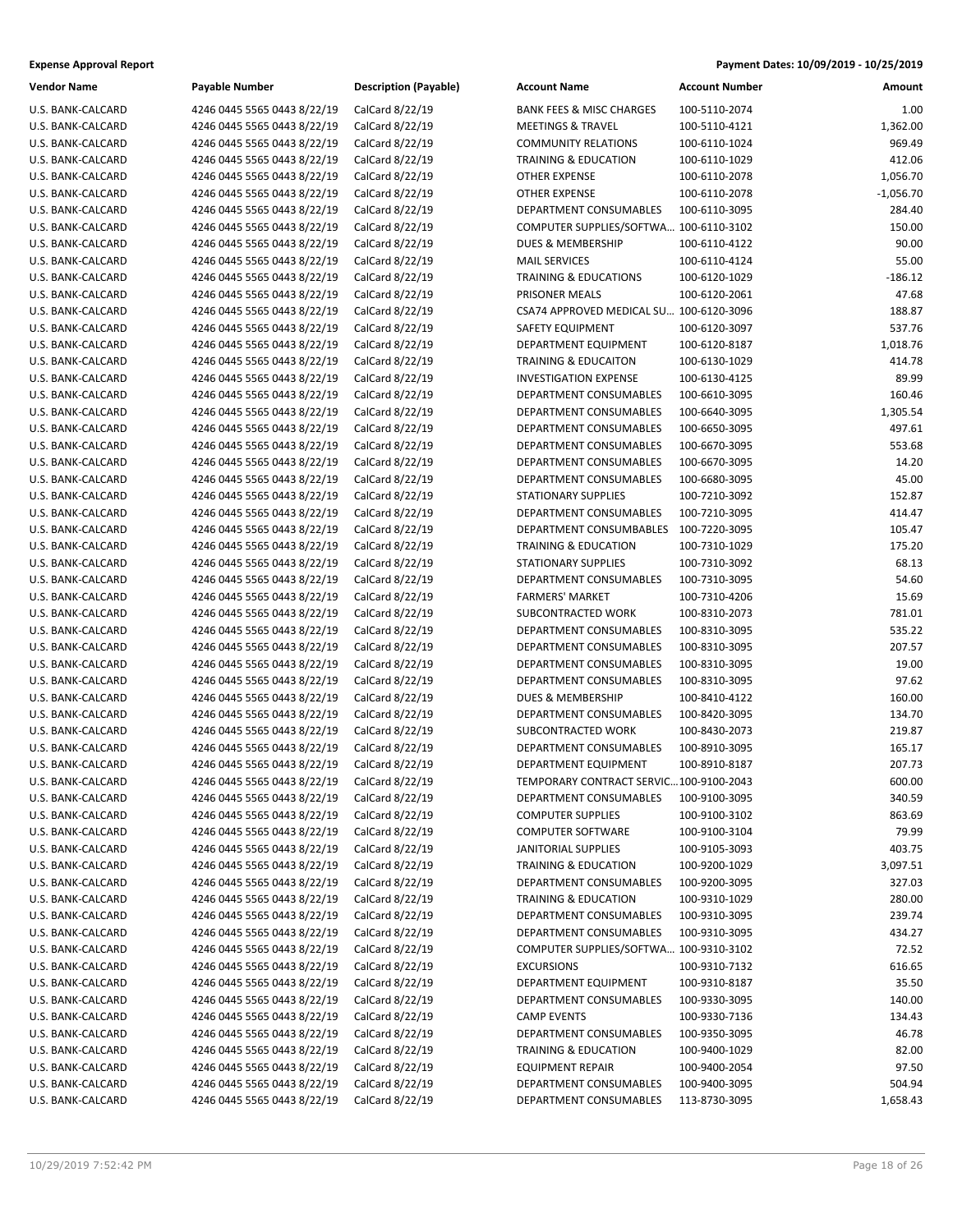| Vendor Name       | <b>Payable Number</b>                                      |  |  |
|-------------------|------------------------------------------------------------|--|--|
| U.S. BANK-CALCARD | 4246 0445 5565 0443 8/22/19                                |  |  |
| U.S. BANK-CALCARD | 4246 0445 5565 0443 8/22/19                                |  |  |
| U.S. BANK-CALCARD | 4246 0445 5565 0443 8/22/19                                |  |  |
| U.S. BANK-CALCARD | 4246 0445 5565 0443 8/22/19                                |  |  |
| U.S. BANK-CALCARD | 4246 0445 5565 0443 8/22/19                                |  |  |
| U.S. BANK-CALCARD | 4246 0445 5565 0443 8/22/19                                |  |  |
| U.S. BANK-CALCARD | 4246 0445 5565 0443 8/22/19                                |  |  |
| U.S. BANK-CALCARD | 4246 0445 5565 0443 8/22/19                                |  |  |
| U.S. BANK-CALCARD | 4246 0445 5565 0443 8/22/19                                |  |  |
| U.S. BANK-CALCARD | 4246 0445 5565 0443 8/22/19                                |  |  |
| U.S. BANK-CALCARD | 4246 0445 5565 0443 8/22/19                                |  |  |
| U.S. BANK-CALCARD |                                                            |  |  |
| U.S. BANK-CALCARD | 4246 0445 5565 0443 8/22/19<br>4246 0445 5565 0443 8/22/19 |  |  |
|                   |                                                            |  |  |
| U.S. BANK-CALCARD | 4246 0445 5565 0443 8/22/19                                |  |  |
| U.S. BANK-CALCARD | 4246 0445 5565 0443 8/22/19                                |  |  |
| U.S. BANK-CALCARD | 4246 0445 5565 0443 8/22/19                                |  |  |
| U.S. BANK-CALCARD | 4246 0445 5565 0443 8/22/19                                |  |  |
| U.S. BANK-CALCARD | 4246 0445 5565 0443 8/22/19                                |  |  |
| U.S. BANK-CALCARD | 4246 0445 5565 0443 8/22/19                                |  |  |
| U.S. BANK-CALCARD | 4246 0445 5565 0443 8/22/19                                |  |  |
| U.S. BANK-CALCARD | 4246 0445 5565 0443 8/22/19                                |  |  |
| U.S. BANK-CALCARD | 4246 0445 5565 0443 8/22/19                                |  |  |
| U.S. BANK-CALCARD | 4246 0445 5565 0443 8/22/19                                |  |  |
| U.S. BANK-CALCARD | 4246 0445 5565 0443 8/22/19                                |  |  |
| U.S. BANK-CALCARD | 4246 0445 5565 0443 8/22/19                                |  |  |
| U.S. BANK-CALCARD | 4246 0445 5565 0443 8/22/19                                |  |  |
| U.S. BANK-CALCARD | 4246 0445 5565 0443 8/22/19                                |  |  |
| U.S. BANK-CALCARD | 4246 0445 5565 0443 8/22/19                                |  |  |
| U.S. BANK-CALCARD | 4246 0445 5565 0443 8/22/19                                |  |  |
| U.S. BANK-CALCARD | 4246 0445 5565 0443 8/22/19                                |  |  |
| U.S. BANK-CALCARD | 4246 0445 5565 0443 8/22/19                                |  |  |
| U.S. BANK-CALCARD | 4246 0445 5565 0443 8/22/19                                |  |  |
| U.S. BANK-CALCARD | 4246 0445 5565 0443 8/22/19                                |  |  |
| U.S. BANK-CALCARD | 4246 0445 5565 0443 8/22/19                                |  |  |
| U.S. BANK-CALCARD | 4246 0445 5565 0443 8/22/19                                |  |  |
| U.S. BANK-CALCARD | 4246 0445 5565 0443 8/22/19                                |  |  |
| U.S. BANK-CALCARD | 4246 0445 5565 0443 8/22/19                                |  |  |
| U.S. BANK-CALCARD | 4246 0445 5565 0443 8/22/19                                |  |  |
| U.S. BANK-CALCARD | 4246 0445 5565 0443 8/22/19                                |  |  |
| U.S. BANK-CALCARD | 4246 0445 5565 0443 8/22/19                                |  |  |
| U.S. BANK-CALCARD | 4246 0445 5565 0443 8/22/19                                |  |  |
| U.S. BANK-CALCARD | 4246 0445 5565 0443 8/22/19                                |  |  |
| U.S. BANK-CALCARD | 4246 0445 5565 0443 8/22/19                                |  |  |
| U.S. BANK-CALCARD | 4246 0445 5565 0443 8/22/19                                |  |  |
| U.S. BANK-CALCARD | 4246 0445 5565 0443 8/22/19                                |  |  |
| U.S. BANK-CALCARD | 4246 0445 5565 0443 8/22/19                                |  |  |
| U.S. BANK-CALCARD | 4246 0445 5565 0443 8/22/19                                |  |  |
| U.S. BANK-CALCARD | 4246 0445 5565 0443 8/22/19                                |  |  |
| U.S. BANK-CALCARD | 4246 0445 5565 0443 8/22/19                                |  |  |
| U.S. BANK-CALCARD | 4246 0445 5565 0443 8/22/19                                |  |  |
| U.S. BANK-CALCARD | 4246 0445 5565 0443 8/22/19                                |  |  |
| U.S. BANK-CALCARD | 4246 0445 5565 0443 8/22/19                                |  |  |
| U.S. BANK-CALCARD | 4246 0445 5565 0443 8/22/19                                |  |  |
| U.S. BANK-CALCARD | 4246 0445 5565 0443 8/22/19                                |  |  |
| U.S. BANK-CALCARD | 4246 0445 5565 0443 8/22/19                                |  |  |
| U.S. BANK-CALCARD | 4246 0445 5565 0443 8/22/19                                |  |  |
| U.S. BANK-CALCARD | 4246 0445 5565 0443 8/22/19                                |  |  |
| U.S. BANK-CALCARD | 4246 0445 5565 0443 8/22/19                                |  |  |
| U.S. BANK-CALCARD | 4246 0445 5565 0443 8/22/19                                |  |  |
| U.S. BANK-CALCARD | 4246 0445 5565 0443 8/22/19                                |  |  |

**Description (Payable)** 

| Vendor Name       | Payable Number              | <b>Description (Payable)</b> | <b>Account Name</b>                     | <b>Account Number</b> | Amount      |
|-------------------|-----------------------------|------------------------------|-----------------------------------------|-----------------------|-------------|
| U.S. BANK-CALCARD | 4246 0445 5565 0443 8/22/19 | CalCard 8/22/19              | <b>BANK FEES &amp; MISC CHARGES</b>     | 100-5110-2074         | 1.00        |
| U.S. BANK-CALCARD | 4246 0445 5565 0443 8/22/19 | CalCard 8/22/19              | <b>MEETINGS &amp; TRAVEL</b>            | 100-5110-4121         | 1,362.00    |
| U.S. BANK-CALCARD | 4246 0445 5565 0443 8/22/19 | CalCard 8/22/19              | <b>COMMUNITY RELATIONS</b>              | 100-6110-1024         | 969.49      |
| U.S. BANK-CALCARD | 4246 0445 5565 0443 8/22/19 | CalCard 8/22/19              | <b>TRAINING &amp; EDUCATION</b>         | 100-6110-1029         | 412.06      |
| U.S. BANK-CALCARD | 4246 0445 5565 0443 8/22/19 | CalCard 8/22/19              | <b>OTHER EXPENSE</b>                    | 100-6110-2078         | 1,056.70    |
| U.S. BANK-CALCARD | 4246 0445 5565 0443 8/22/19 | CalCard 8/22/19              | <b>OTHER EXPENSE</b>                    | 100-6110-2078         | $-1,056.70$ |
| U.S. BANK-CALCARD | 4246 0445 5565 0443 8/22/19 | CalCard 8/22/19              | DEPARTMENT CONSUMABLES                  | 100-6110-3095         | 284.40      |
| U.S. BANK-CALCARD | 4246 0445 5565 0443 8/22/19 | CalCard 8/22/19              | COMPUTER SUPPLIES/SOFTWA 100-6110-3102  |                       | 150.00      |
| U.S. BANK-CALCARD | 4246 0445 5565 0443 8/22/19 | CalCard 8/22/19              | <b>DUES &amp; MEMBERSHIP</b>            | 100-6110-4122         | 90.00       |
| U.S. BANK-CALCARD | 4246 0445 5565 0443 8/22/19 | CalCard 8/22/19              | <b>MAIL SERVICES</b>                    | 100-6110-4124         | 55.00       |
| U.S. BANK-CALCARD | 4246 0445 5565 0443 8/22/19 | CalCard 8/22/19              | <b>TRAINING &amp; EDUCATIONS</b>        | 100-6120-1029         | $-186.12$   |
| U.S. BANK-CALCARD | 4246 0445 5565 0443 8/22/19 | CalCard 8/22/19              | PRISONER MEALS                          | 100-6120-2061         | 47.68       |
| U.S. BANK-CALCARD | 4246 0445 5565 0443 8/22/19 | CalCard 8/22/19              | CSA74 APPROVED MEDICAL SU 100-6120-3096 |                       | 188.87      |
| U.S. BANK-CALCARD | 4246 0445 5565 0443 8/22/19 | CalCard 8/22/19              | SAFETY EQUIPMENT                        | 100-6120-3097         | 537.76      |
| U.S. BANK-CALCARD | 4246 0445 5565 0443 8/22/19 | CalCard 8/22/19              | DEPARTMENT EQUIPMENT                    | 100-6120-8187         | 1,018.76    |
| U.S. BANK-CALCARD | 4246 0445 5565 0443 8/22/19 | CalCard 8/22/19              | <b>TRAINING &amp; EDUCAITON</b>         | 100-6130-1029         | 414.78      |
| U.S. BANK-CALCARD | 4246 0445 5565 0443 8/22/19 | CalCard 8/22/19              | <b>INVESTIGATION EXPENSE</b>            | 100-6130-4125         | 89.99       |
| U.S. BANK-CALCARD | 4246 0445 5565 0443 8/22/19 | CalCard 8/22/19              | <b>DEPARTMENT CONSUMABLES</b>           | 100-6610-3095         | 160.46      |
| U.S. BANK-CALCARD | 4246 0445 5565 0443 8/22/19 | CalCard 8/22/19              | DEPARTMENT CONSUMABLES                  | 100-6640-3095         | 1,305.54    |
| U.S. BANK-CALCARD | 4246 0445 5565 0443 8/22/19 | CalCard 8/22/19              | <b>DEPARTMENT CONSUMABLES</b>           | 100-6650-3095         | 497.61      |
| U.S. BANK-CALCARD | 4246 0445 5565 0443 8/22/19 | CalCard 8/22/19              | DEPARTMENT CONSUMABLES                  | 100-6670-3095         | 553.68      |
| U.S. BANK-CALCARD | 4246 0445 5565 0443 8/22/19 | CalCard 8/22/19              | DEPARTMENT CONSUMABLES                  | 100-6670-3095         | 14.20       |
| U.S. BANK-CALCARD | 4246 0445 5565 0443 8/22/19 | CalCard 8/22/19              | DEPARTMENT CONSUMABLES                  | 100-6680-3095         | 45.00       |
| U.S. BANK-CALCARD | 4246 0445 5565 0443 8/22/19 | CalCard 8/22/19              | <b>STATIONARY SUPPLIES</b>              | 100-7210-3092         | 152.87      |
| U.S. BANK-CALCARD | 4246 0445 5565 0443 8/22/19 | CalCard 8/22/19              | DEPARTMENT CONSUMABLES                  | 100-7210-3095         | 414.47      |
| U.S. BANK-CALCARD | 4246 0445 5565 0443 8/22/19 | CalCard 8/22/19              | DEPARTMENT CONSUMBABLES                 | 100-7220-3095         | 105.47      |
| U.S. BANK-CALCARD | 4246 0445 5565 0443 8/22/19 | CalCard 8/22/19              | TRAINING & EDUCATION                    | 100-7310-1029         | 175.20      |
| U.S. BANK-CALCARD | 4246 0445 5565 0443 8/22/19 | CalCard 8/22/19              | <b>STATIONARY SUPPLIES</b>              | 100-7310-3092         | 68.13       |
| U.S. BANK-CALCARD | 4246 0445 5565 0443 8/22/19 | CalCard 8/22/19              | DEPARTMENT CONSUMABLES                  | 100-7310-3095         | 54.60       |
| U.S. BANK-CALCARD | 4246 0445 5565 0443 8/22/19 | CalCard 8/22/19              | <b>FARMERS' MARKET</b>                  | 100-7310-4206         | 15.69       |
| U.S. BANK-CALCARD | 4246 0445 5565 0443 8/22/19 | CalCard 8/22/19              | SUBCONTRACTED WORK                      | 100-8310-2073         | 781.01      |
| U.S. BANK-CALCARD | 4246 0445 5565 0443 8/22/19 | CalCard 8/22/19              | DEPARTMENT CONSUMABLES                  | 100-8310-3095         | 535.22      |
| U.S. BANK-CALCARD | 4246 0445 5565 0443 8/22/19 | CalCard 8/22/19              | DEPARTMENT CONSUMABLES                  | 100-8310-3095         | 207.57      |
| U.S. BANK-CALCARD | 4246 0445 5565 0443 8/22/19 | CalCard 8/22/19              | DEPARTMENT CONSUMABLES                  | 100-8310-3095         | 19.00       |
| U.S. BANK-CALCARD | 4246 0445 5565 0443 8/22/19 | CalCard 8/22/19              | DEPARTMENT CONSUMABLES                  | 100-8310-3095         | 97.62       |
| U.S. BANK-CALCARD | 4246 0445 5565 0443 8/22/19 | CalCard 8/22/19              | <b>DUES &amp; MEMBERSHIP</b>            | 100-8410-4122         | 160.00      |
| U.S. BANK-CALCARD | 4246 0445 5565 0443 8/22/19 | CalCard 8/22/19              | DEPARTMENT CONSUMABLES                  | 100-8420-3095         | 134.70      |
| U.S. BANK-CALCARD | 4246 0445 5565 0443 8/22/19 | CalCard 8/22/19              | SUBCONTRACTED WORK                      | 100-8430-2073         | 219.87      |
| U.S. BANK-CALCARD | 4246 0445 5565 0443 8/22/19 | CalCard 8/22/19              | <b>DEPARTMENT CONSUMABLES</b>           | 100-8910-3095         | 165.17      |
| U.S. BANK-CALCARD | 4246 0445 5565 0443 8/22/19 | CalCard 8/22/19              | DEPARTMENT EQUIPMENT                    | 100-8910-8187         | 207.73      |
| U.S. BANK-CALCARD | 4246 0445 5565 0443 8/22/19 | CalCard 8/22/19              | TEMPORARY CONTRACT SERVIC100-9100-2043  |                       | 600.00      |
| U.S. BANK-CALCARD | 4246 0445 5565 0443 8/22/19 | CalCard 8/22/19              | DEPARTMENT CONSUMABLES                  | 100-9100-3095         | 340.59      |
| U.S. BANK-CALCARD | 4246 0445 5565 0443 8/22/19 | CalCard 8/22/19              | <b>COMPUTER SUPPLIES</b>                | 100-9100-3102         | 863.69      |
| U.S. BANK-CALCARD | 4246 0445 5565 0443 8/22/19 | CalCard 8/22/19              | <b>COMPUTER SOFTWARE</b>                | 100-9100-3104         | 79.99       |
| U.S. BANK-CALCARD | 4246 0445 5565 0443 8/22/19 | CalCard 8/22/19              | <b>JANITORIAL SUPPLIES</b>              | 100-9105-3093         | 403.75      |
| U.S. BANK-CALCARD | 4246 0445 5565 0443 8/22/19 | CalCard 8/22/19              | <b>TRAINING &amp; EDUCATION</b>         | 100-9200-1029         | 3,097.51    |
| U.S. BANK-CALCARD | 4246 0445 5565 0443 8/22/19 | CalCard 8/22/19              | DEPARTMENT CONSUMABLES                  | 100-9200-3095         | 327.03      |
| U.S. BANK-CALCARD | 4246 0445 5565 0443 8/22/19 | CalCard 8/22/19              | TRAINING & EDUCATION                    | 100-9310-1029         | 280.00      |
| U.S. BANK-CALCARD | 4246 0445 5565 0443 8/22/19 | CalCard 8/22/19              | DEPARTMENT CONSUMABLES                  | 100-9310-3095         | 239.74      |
| U.S. BANK-CALCARD | 4246 0445 5565 0443 8/22/19 | CalCard 8/22/19              | DEPARTMENT CONSUMABLES                  | 100-9310-3095         | 434.27      |
| U.S. BANK-CALCARD | 4246 0445 5565 0443 8/22/19 | CalCard 8/22/19              | COMPUTER SUPPLIES/SOFTWA 100-9310-3102  |                       | 72.52       |
| U.S. BANK-CALCARD | 4246 0445 5565 0443 8/22/19 | CalCard 8/22/19              | <b>EXCURSIONS</b>                       | 100-9310-7132         | 616.65      |
| U.S. BANK-CALCARD | 4246 0445 5565 0443 8/22/19 | CalCard 8/22/19              | DEPARTMENT EQUIPMENT                    | 100-9310-8187         | 35.50       |
| U.S. BANK-CALCARD | 4246 0445 5565 0443 8/22/19 | CalCard 8/22/19              | DEPARTMENT CONSUMABLES                  | 100-9330-3095         | 140.00      |
| U.S. BANK-CALCARD | 4246 0445 5565 0443 8/22/19 | CalCard 8/22/19              | <b>CAMP EVENTS</b>                      | 100-9330-7136         | 134.43      |
| U.S. BANK-CALCARD | 4246 0445 5565 0443 8/22/19 | CalCard 8/22/19              | DEPARTMENT CONSUMABLES                  | 100-9350-3095         | 46.78       |
| U.S. BANK-CALCARD | 4246 0445 5565 0443 8/22/19 | CalCard 8/22/19              | TRAINING & EDUCATION                    | 100-9400-1029         | 82.00       |
| U.S. BANK-CALCARD | 4246 0445 5565 0443 8/22/19 | CalCard 8/22/19              | <b>EQUIPMENT REPAIR</b>                 | 100-9400-2054         | 97.50       |
| U.S. BANK-CALCARD | 4246 0445 5565 0443 8/22/19 | CalCard 8/22/19              | DEPARTMENT CONSUMABLES                  | 100-9400-3095         | 504.94      |
| U.S. BANK-CALCARD | 4246 0445 5565 0443 8/22/19 | CalCard 8/22/19              | DEPARTMENT CONSUMABLES                  | 113-8730-3095         | 1,658.43    |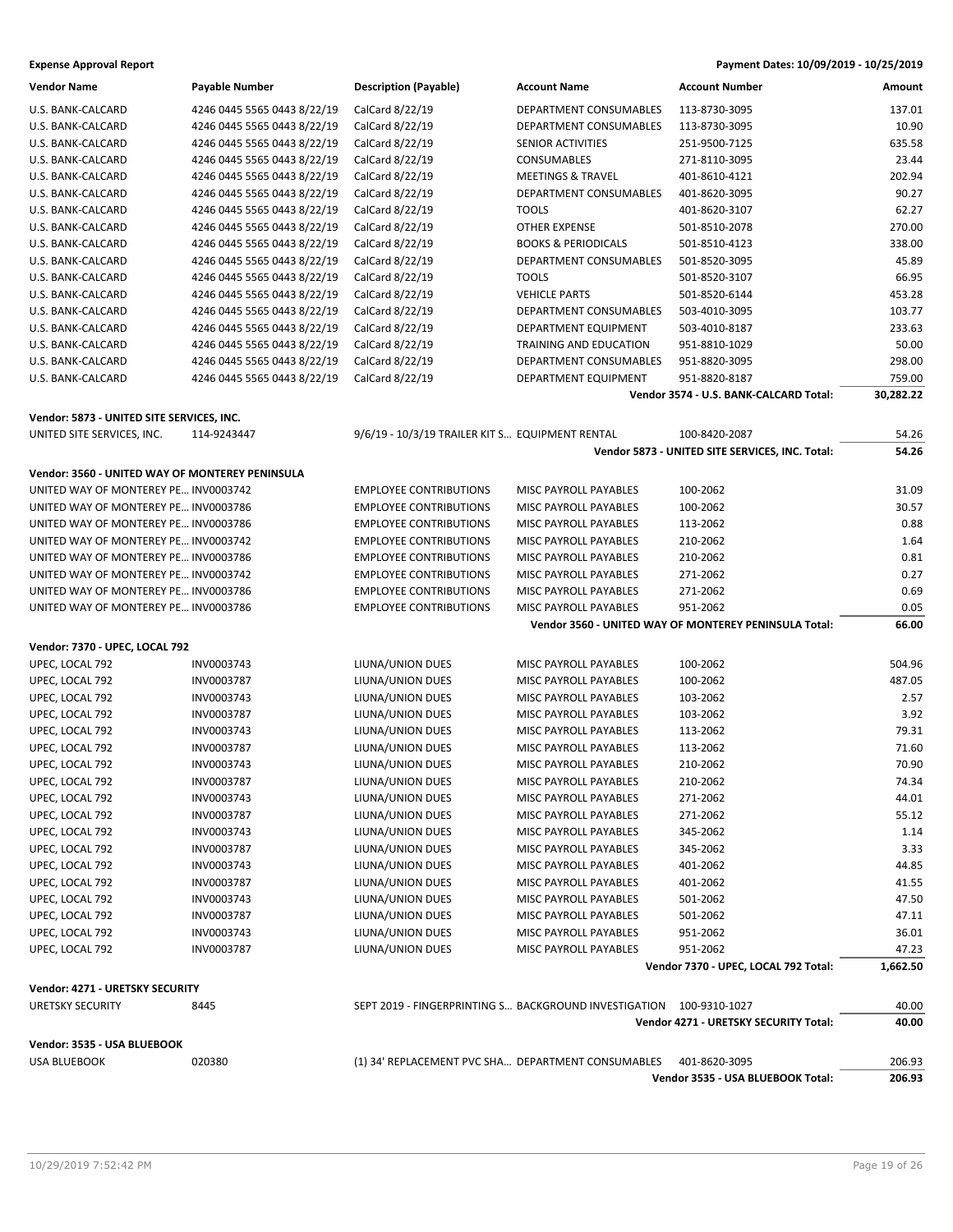| <b>Vendor Name</b>                              | Payable Number              | <b>Description (Payable)</b>                       | <b>Account Name</b>                                   | <b>Account Number</b>                                 | Amount    |
|-------------------------------------------------|-----------------------------|----------------------------------------------------|-------------------------------------------------------|-------------------------------------------------------|-----------|
| U.S. BANK-CALCARD                               | 4246 0445 5565 0443 8/22/19 | CalCard 8/22/19                                    | DEPARTMENT CONSUMABLES                                | 113-8730-3095                                         | 137.01    |
| U.S. BANK-CALCARD                               | 4246 0445 5565 0443 8/22/19 | CalCard 8/22/19                                    | DEPARTMENT CONSUMABLES                                | 113-8730-3095                                         | 10.90     |
| U.S. BANK-CALCARD                               | 4246 0445 5565 0443 8/22/19 | CalCard 8/22/19                                    | SENIOR ACTIVITIES                                     | 251-9500-7125                                         | 635.58    |
| U.S. BANK-CALCARD                               | 4246 0445 5565 0443 8/22/19 | CalCard 8/22/19                                    | <b>CONSUMABLES</b>                                    | 271-8110-3095                                         | 23.44     |
| U.S. BANK-CALCARD                               | 4246 0445 5565 0443 8/22/19 | CalCard 8/22/19                                    | <b>MEETINGS &amp; TRAVEL</b>                          | 401-8610-4121                                         | 202.94    |
| U.S. BANK-CALCARD                               | 4246 0445 5565 0443 8/22/19 | CalCard 8/22/19                                    | DEPARTMENT CONSUMABLES                                | 401-8620-3095                                         | 90.27     |
| U.S. BANK-CALCARD                               | 4246 0445 5565 0443 8/22/19 | CalCard 8/22/19                                    | <b>TOOLS</b>                                          | 401-8620-3107                                         | 62.27     |
| U.S. BANK-CALCARD                               | 4246 0445 5565 0443 8/22/19 | CalCard 8/22/19                                    | <b>OTHER EXPENSE</b>                                  | 501-8510-2078                                         | 270.00    |
| U.S. BANK-CALCARD                               | 4246 0445 5565 0443 8/22/19 | CalCard 8/22/19                                    | <b>BOOKS &amp; PERIODICALS</b>                        | 501-8510-4123                                         | 338.00    |
| U.S. BANK-CALCARD                               | 4246 0445 5565 0443 8/22/19 | CalCard 8/22/19                                    | DEPARTMENT CONSUMABLES                                | 501-8520-3095                                         | 45.89     |
| U.S. BANK-CALCARD                               | 4246 0445 5565 0443 8/22/19 | CalCard 8/22/19                                    | <b>TOOLS</b>                                          | 501-8520-3107                                         | 66.95     |
| U.S. BANK-CALCARD                               | 4246 0445 5565 0443 8/22/19 | CalCard 8/22/19                                    | <b>VEHICLE PARTS</b>                                  | 501-8520-6144                                         | 453.28    |
| U.S. BANK-CALCARD                               | 4246 0445 5565 0443 8/22/19 | CalCard 8/22/19                                    | DEPARTMENT CONSUMABLES                                | 503-4010-3095                                         | 103.77    |
| U.S. BANK-CALCARD                               | 4246 0445 5565 0443 8/22/19 | CalCard 8/22/19                                    | DEPARTMENT EQUIPMENT                                  | 503-4010-8187                                         | 233.63    |
| U.S. BANK-CALCARD                               | 4246 0445 5565 0443 8/22/19 | CalCard 8/22/19                                    | TRAINING AND EDUCATION                                | 951-8810-1029                                         | 50.00     |
| U.S. BANK-CALCARD                               | 4246 0445 5565 0443 8/22/19 | CalCard 8/22/19                                    | DEPARTMENT CONSUMABLES                                | 951-8820-3095                                         | 298.00    |
| U.S. BANK-CALCARD                               | 4246 0445 5565 0443 8/22/19 | CalCard 8/22/19                                    | DEPARTMENT EQUIPMENT                                  | 951-8820-8187                                         | 759.00    |
|                                                 |                             |                                                    |                                                       | Vendor 3574 - U.S. BANK-CALCARD Total:                | 30,282.22 |
| Vendor: 5873 - UNITED SITE SERVICES, INC.       |                             |                                                    |                                                       |                                                       |           |
| UNITED SITE SERVICES, INC.                      | 114-9243447                 | 9/6/19 - 10/3/19 TRAILER KIT S EQUIPMENT RENTAL    |                                                       | 100-8420-2087                                         | 54.26     |
|                                                 |                             |                                                    |                                                       | Vendor 5873 - UNITED SITE SERVICES, INC. Total:       | 54.26     |
| Vendor: 3560 - UNITED WAY OF MONTEREY PENINSULA |                             |                                                    |                                                       |                                                       |           |
|                                                 |                             |                                                    |                                                       |                                                       |           |
| UNITED WAY OF MONTEREY PE INV0003742            |                             | <b>EMPLOYEE CONTRIBUTIONS</b>                      | MISC PAYROLL PAYABLES                                 | 100-2062                                              | 31.09     |
| UNITED WAY OF MONTEREY PE INV0003786            |                             | <b>EMPLOYEE CONTRIBUTIONS</b>                      | MISC PAYROLL PAYABLES                                 | 100-2062                                              | 30.57     |
| UNITED WAY OF MONTEREY PE INV0003786            |                             | <b>EMPLOYEE CONTRIBUTIONS</b>                      | MISC PAYROLL PAYABLES                                 | 113-2062                                              | 0.88      |
| UNITED WAY OF MONTEREY PE INV0003742            |                             | <b>EMPLOYEE CONTRIBUTIONS</b>                      | MISC PAYROLL PAYABLES                                 | 210-2062                                              | 1.64      |
| UNITED WAY OF MONTEREY PE INV0003786            |                             | <b>EMPLOYEE CONTRIBUTIONS</b>                      | MISC PAYROLL PAYABLES                                 | 210-2062                                              | 0.81      |
| UNITED WAY OF MONTEREY PE INV0003742            |                             | <b>EMPLOYEE CONTRIBUTIONS</b>                      | MISC PAYROLL PAYABLES                                 | 271-2062                                              | 0.27      |
| UNITED WAY OF MONTEREY PE INV0003786            |                             | <b>EMPLOYEE CONTRIBUTIONS</b>                      | MISC PAYROLL PAYABLES                                 | 271-2062                                              | 0.69      |
| UNITED WAY OF MONTEREY PE INV0003786            |                             | <b>EMPLOYEE CONTRIBUTIONS</b>                      | MISC PAYROLL PAYABLES                                 | 951-2062                                              | 0.05      |
|                                                 |                             |                                                    |                                                       | Vendor 3560 - UNITED WAY OF MONTEREY PENINSULA Total: | 66.00     |
| Vendor: 7370 - UPEC, LOCAL 792                  |                             |                                                    |                                                       |                                                       |           |
| UPEC, LOCAL 792                                 | INV0003743                  | LIUNA/UNION DUES                                   | MISC PAYROLL PAYABLES                                 | 100-2062                                              | 504.96    |
| UPEC, LOCAL 792                                 | INV0003787                  | LIUNA/UNION DUES                                   | MISC PAYROLL PAYABLES                                 | 100-2062                                              | 487.05    |
| UPEC, LOCAL 792                                 | INV0003743                  | LIUNA/UNION DUES                                   | MISC PAYROLL PAYABLES                                 | 103-2062                                              | 2.57      |
| UPEC, LOCAL 792                                 | INV0003787                  | LIUNA/UNION DUES                                   | MISC PAYROLL PAYABLES                                 | 103-2062                                              | 3.92      |
| UPEC, LOCAL 792                                 | INV0003743                  | LIUNA/UNION DUES                                   | MISC PAYROLL PAYABLES                                 | 113-2062                                              | 79.31     |
| UPEC, LOCAL 792                                 | INV0003787                  | LIUNA/UNION DUES                                   | MISC PAYROLL PAYABLES                                 | 113-2062                                              | 71.60     |
| UPEC, LOCAL 792                                 | INV0003743                  | LIUNA/UNION DUES                                   | MISC PAYROLL PAYABLES                                 | 210-2062                                              | 70.90     |
| UPEC, LOCAL 792                                 | INV0003787                  | LIUNA/UNION DUES                                   | MISC PAYROLL PAYABLES                                 | 210-2062                                              | 74.34     |
| UPEC, LOCAL 792                                 | INV0003743                  | LIUNA/UNION DUES                                   | MISC PAYROLL PAYABLES                                 | 271-2062                                              | 44.01     |
| UPEC, LOCAL 792                                 | INV0003787                  | LIUNA/UNION DUES                                   | MISC PAYROLL PAYABLES                                 | 271-2062                                              | 55.12     |
| UPEC, LOCAL 792                                 | INV0003743                  | LIUNA/UNION DUES                                   | MISC PAYROLL PAYABLES                                 | 345-2062                                              | 1.14      |
| UPEC, LOCAL 792                                 | INV0003787                  | LIUNA/UNION DUES                                   | MISC PAYROLL PAYABLES                                 | 345-2062                                              | 3.33      |
| UPEC, LOCAL 792                                 | INV0003743                  | LIUNA/UNION DUES                                   | MISC PAYROLL PAYABLES                                 | 401-2062                                              | 44.85     |
| UPEC, LOCAL 792                                 | INV0003787                  | LIUNA/UNION DUES                                   | MISC PAYROLL PAYABLES                                 | 401-2062                                              | 41.55     |
| UPEC, LOCAL 792                                 | INV0003743                  | LIUNA/UNION DUES                                   | MISC PAYROLL PAYABLES                                 | 501-2062                                              | 47.50     |
| UPEC, LOCAL 792                                 | INV0003787                  | LIUNA/UNION DUES                                   | MISC PAYROLL PAYABLES                                 | 501-2062                                              | 47.11     |
| UPEC, LOCAL 792                                 | INV0003743                  | LIUNA/UNION DUES                                   | MISC PAYROLL PAYABLES                                 | 951-2062                                              | 36.01     |
| UPEC, LOCAL 792                                 | INV0003787                  | LIUNA/UNION DUES                                   | MISC PAYROLL PAYABLES                                 | 951-2062                                              | 47.23     |
|                                                 |                             |                                                    |                                                       | Vendor 7370 - UPEC, LOCAL 792 Total:                  | 1,662.50  |
| Vendor: 4271 - URETSKY SECURITY                 |                             |                                                    |                                                       |                                                       |           |
| <b>URETSKY SECURITY</b>                         | 8445                        |                                                    | SEPT 2019 - FINGERPRINTING S BACKGROUND INVESTIGATION | 100-9310-1027                                         | 40.00     |
|                                                 |                             |                                                    |                                                       | Vendor 4271 - URETSKY SECURITY Total:                 | 40.00     |
| Vendor: 3535 - USA BLUEBOOK                     |                             |                                                    |                                                       |                                                       |           |
| USA BLUEBOOK                                    | 020380                      | (1) 34' REPLACEMENT PVC SHA DEPARTMENT CONSUMABLES |                                                       | 401-8620-3095                                         | 206.93    |
|                                                 |                             |                                                    |                                                       | Vendor 3535 - USA BLUEBOOK Total:                     | 206.93    |
|                                                 |                             |                                                    |                                                       |                                                       |           |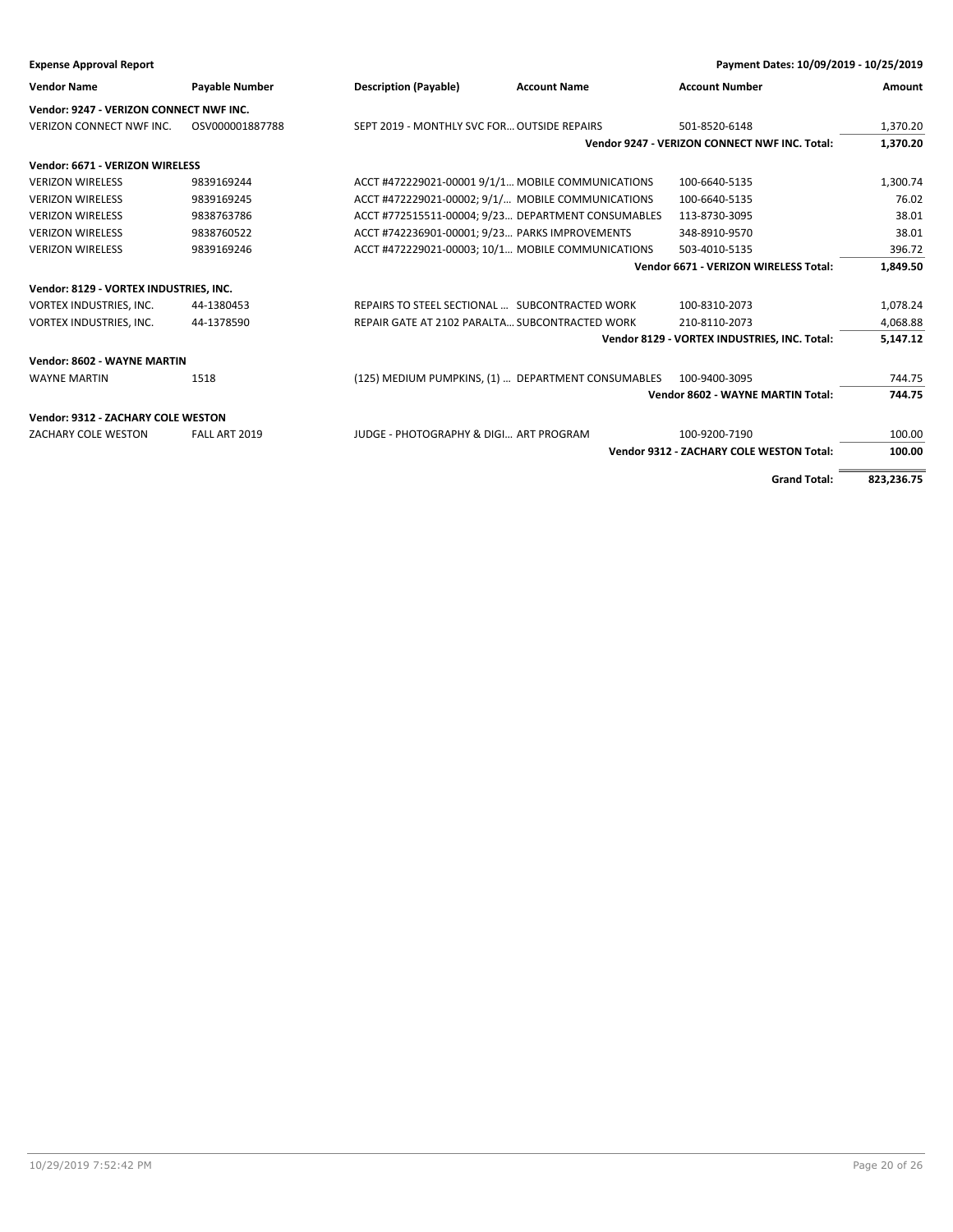| Payment Dates: 10/09/2019 - 10/25/2019<br><b>Expense Approval Report</b> |                       |                                                    |                     |                                                 |            |
|--------------------------------------------------------------------------|-----------------------|----------------------------------------------------|---------------------|-------------------------------------------------|------------|
| <b>Vendor Name</b>                                                       | <b>Payable Number</b> | <b>Description (Payable)</b>                       | <b>Account Name</b> | <b>Account Number</b>                           | Amount     |
| Vendor: 9247 - VERIZON CONNECT NWF INC.                                  |                       |                                                    |                     |                                                 |            |
| <b>VERIZON CONNECT NWF INC.</b>                                          | OSV000001887788       | SEPT 2019 - MONTHLY SVC FOR OUTSIDE REPAIRS        |                     | 501-8520-6148                                   | 1,370.20   |
|                                                                          |                       |                                                    |                     | Vendor 9247 - VERIZON CONNECT NWF INC. Total:   | 1,370.20   |
| Vendor: 6671 - VERIZON WIRELESS                                          |                       |                                                    |                     |                                                 |            |
| <b>VERIZON WIRELESS</b>                                                  | 9839169244            | ACCT #472229021-00001 9/1/1 MOBILE COMMUNICATIONS  |                     | 100-6640-5135                                   | 1,300.74   |
| <b>VERIZON WIRELESS</b>                                                  | 9839169245            | ACCT #472229021-00002; 9/1/ MOBILE COMMUNICATIONS  |                     | 100-6640-5135                                   | 76.02      |
| <b>VERIZON WIRELESS</b>                                                  | 9838763786            | ACCT #772515511-00004; 9/23 DEPARTMENT CONSUMABLES |                     | 113-8730-3095                                   | 38.01      |
| <b>VERIZON WIRELESS</b>                                                  | 9838760522            | ACCT #742236901-00001; 9/23 PARKS IMPROVEMENTS     |                     | 348-8910-9570                                   | 38.01      |
| <b>VERIZON WIRELESS</b>                                                  | 9839169246            | ACCT #472229021-00003; 10/1 MOBILE COMMUNICATIONS  |                     | 503-4010-5135                                   | 396.72     |
|                                                                          |                       |                                                    |                     | Vendor 6671 - VERIZON WIRELESS Total:           | 1,849.50   |
| Vendor: 8129 - VORTEX INDUSTRIES, INC.                                   |                       |                                                    |                     |                                                 |            |
| VORTEX INDUSTRIES, INC.                                                  | 44-1380453            | REPAIRS TO STEEL SECTIONAL  SUBCONTRACTED WORK     |                     | 100-8310-2073                                   | 1,078.24   |
| VORTEX INDUSTRIES, INC.                                                  | 44-1378590            | REPAIR GATE AT 2102 PARALTA SUBCONTRACTED WORK     |                     | 210-8110-2073                                   | 4,068.88   |
|                                                                          |                       |                                                    |                     | Vendor 8129 - VORTEX INDUSTRIES, INC. Total:    | 5,147.12   |
| Vendor: 8602 - WAYNE MARTIN                                              |                       |                                                    |                     |                                                 |            |
| <b>WAYNE MARTIN</b>                                                      | 1518                  | (125) MEDIUM PUMPKINS, (1)  DEPARTMENT CONSUMABLES |                     | 100-9400-3095                                   | 744.75     |
|                                                                          |                       |                                                    |                     | Vendor 8602 - WAYNE MARTIN Total:               | 744.75     |
| Vendor: 9312 - ZACHARY COLE WESTON                                       |                       |                                                    |                     |                                                 |            |
| ZACHARY COLE WESTON                                                      | FALL ART 2019         | JUDGE - PHOTOGRAPHY & DIGI ART PROGRAM             |                     | 100-9200-7190                                   | 100.00     |
|                                                                          |                       |                                                    |                     | <b>Vendor 9312 - ZACHARY COLE WESTON Total:</b> | 100.00     |
|                                                                          |                       |                                                    |                     |                                                 |            |
|                                                                          |                       |                                                    |                     | <b>Grand Total:</b>                             | 823,236.75 |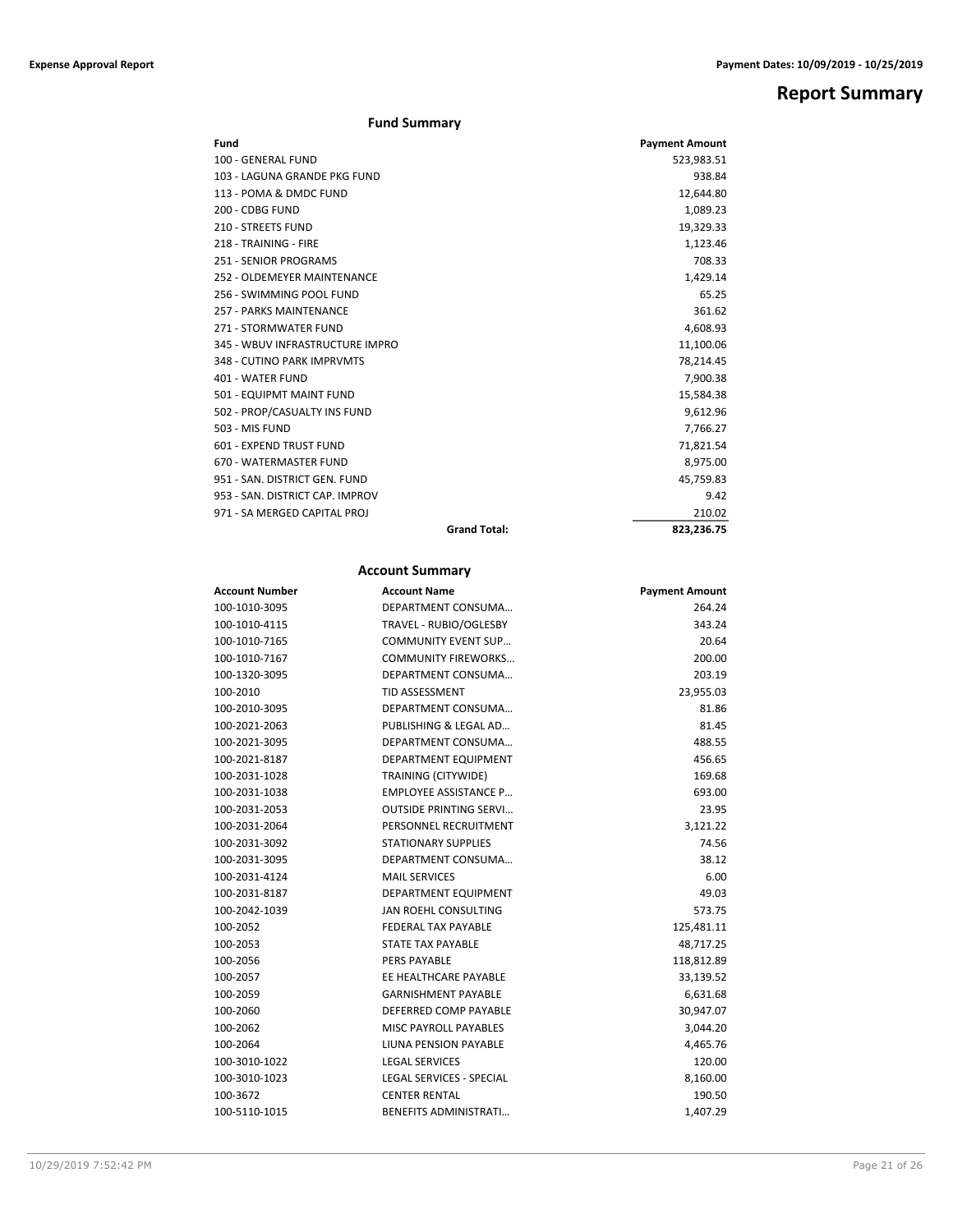# **Report Summary**

# **Fund Summary**

| Fund                            |                     | <b>Payment Amount</b> |
|---------------------------------|---------------------|-----------------------|
| 100 - GENERAL FUND              |                     | 523,983.51            |
| 103 - LAGUNA GRANDE PKG FUND    |                     | 938.84                |
| 113 - POMA & DMDC FUND          |                     | 12,644.80             |
| 200 - CDBG FUND                 |                     | 1,089.23              |
| 210 - STREETS FUND              |                     | 19,329.33             |
| 218 - TRAINING - FIRE           |                     | 1,123.46              |
| 251 - SENIOR PROGRAMS           |                     | 708.33                |
| 252 - OLDEMEYER MAINTENANCE     |                     | 1,429.14              |
| 256 - SWIMMING POOL FUND        |                     | 65.25                 |
| <b>257 - PARKS MAINTENANCE</b>  |                     | 361.62                |
| 271 - STORMWATER FUND           |                     | 4.608.93              |
| 345 - WBUV INFRASTRUCTURE IMPRO |                     | 11,100.06             |
| 348 - CUTINO PARK IMPRVMTS      |                     | 78,214.45             |
| 401 - WATER FUND                |                     | 7,900.38              |
| 501 - EQUIPMT MAINT FUND        |                     | 15,584.38             |
| 502 - PROP/CASUALTY INS FUND    |                     | 9,612.96              |
| 503 - MIS FUND                  |                     | 7,766.27              |
| 601 - EXPEND TRUST FUND         |                     | 71,821.54             |
| 670 - WATERMASTER FUND          |                     | 8,975.00              |
| 951 - SAN, DISTRICT GEN, FUND   |                     | 45,759.83             |
| 953 - SAN, DISTRICT CAP, IMPROV |                     | 9.42                  |
| 971 - SA MERGED CAPITAL PROJ    |                     | 210.02                |
|                                 | <b>Grand Total:</b> | 823,236.75            |

# **Account Summary**

| <b>Account Number</b> | <b>Account Name</b>             | <b>Payment Amount</b> |
|-----------------------|---------------------------------|-----------------------|
| 100-1010-3095         | DEPARTMENT CONSUMA              | 264.24                |
| 100-1010-4115         | TRAVEL - RUBIO/OGLESBY          | 343.24                |
| 100-1010-7165         | <b>COMMUNITY EVENT SUP</b>      | 20.64                 |
| 100-1010-7167         | <b>COMMUNITY FIREWORKS</b>      | 200.00                |
| 100-1320-3095         | DEPARTMENT CONSUMA              | 203.19                |
| 100-2010              | <b>TID ASSESSMENT</b>           | 23,955.03             |
| 100-2010-3095         | DEPARTMENT CONSUMA              | 81.86                 |
| 100-2021-2063         | PUBLISHING & LEGAL AD           | 81.45                 |
| 100-2021-3095         | DEPARTMENT CONSUMA              | 488.55                |
| 100-2021-8187         | DEPARTMENT EQUIPMENT            | 456.65                |
| 100-2031-1028         | <b>TRAINING (CITYWIDE)</b>      | 169.68                |
| 100-2031-1038         | <b>EMPLOYEE ASSISTANCE P</b>    | 693.00                |
| 100-2031-2053         | <b>OUTSIDE PRINTING SERVI</b>   | 23.95                 |
| 100-2031-2064         | PERSONNEL RECRUITMENT           | 3,121.22              |
| 100-2031-3092         | <b>STATIONARY SUPPLIES</b>      | 74.56                 |
| 100-2031-3095         | DEPARTMENT CONSUMA              | 38.12                 |
| 100-2031-4124         | <b>MAIL SERVICES</b>            | 6.00                  |
| 100-2031-8187         | DEPARTMENT EQUIPMENT            | 49.03                 |
| 100-2042-1039         | JAN ROEHL CONSULTING            | 573.75                |
| 100-2052              | <b>FEDERAL TAX PAYABLE</b>      | 125,481.11            |
| 100-2053              | STATE TAX PAYABLE               | 48,717.25             |
| 100-2056              | <b>PERS PAYABLE</b>             | 118,812.89            |
| 100-2057              | EE HEALTHCARE PAYABLE           | 33,139.52             |
| 100-2059              | <b>GARNISHMENT PAYABLE</b>      | 6,631.68              |
| 100-2060              | DEFERRED COMP PAYABLE           | 30,947.07             |
| 100-2062              | <b>MISC PAYROLL PAYABLES</b>    | 3,044.20              |
| 100-2064              | LIUNA PENSION PAYABLE           | 4,465.76              |
| 100-3010-1022         | <b>LEGAL SERVICES</b>           | 120.00                |
| 100-3010-1023         | <b>LEGAL SERVICES - SPECIAL</b> | 8,160.00              |
| 100-3672              | <b>CENTER RENTAL</b>            | 190.50                |
| 100-5110-1015         | <b>BENEFITS ADMINISTRATI</b>    | 1,407.29              |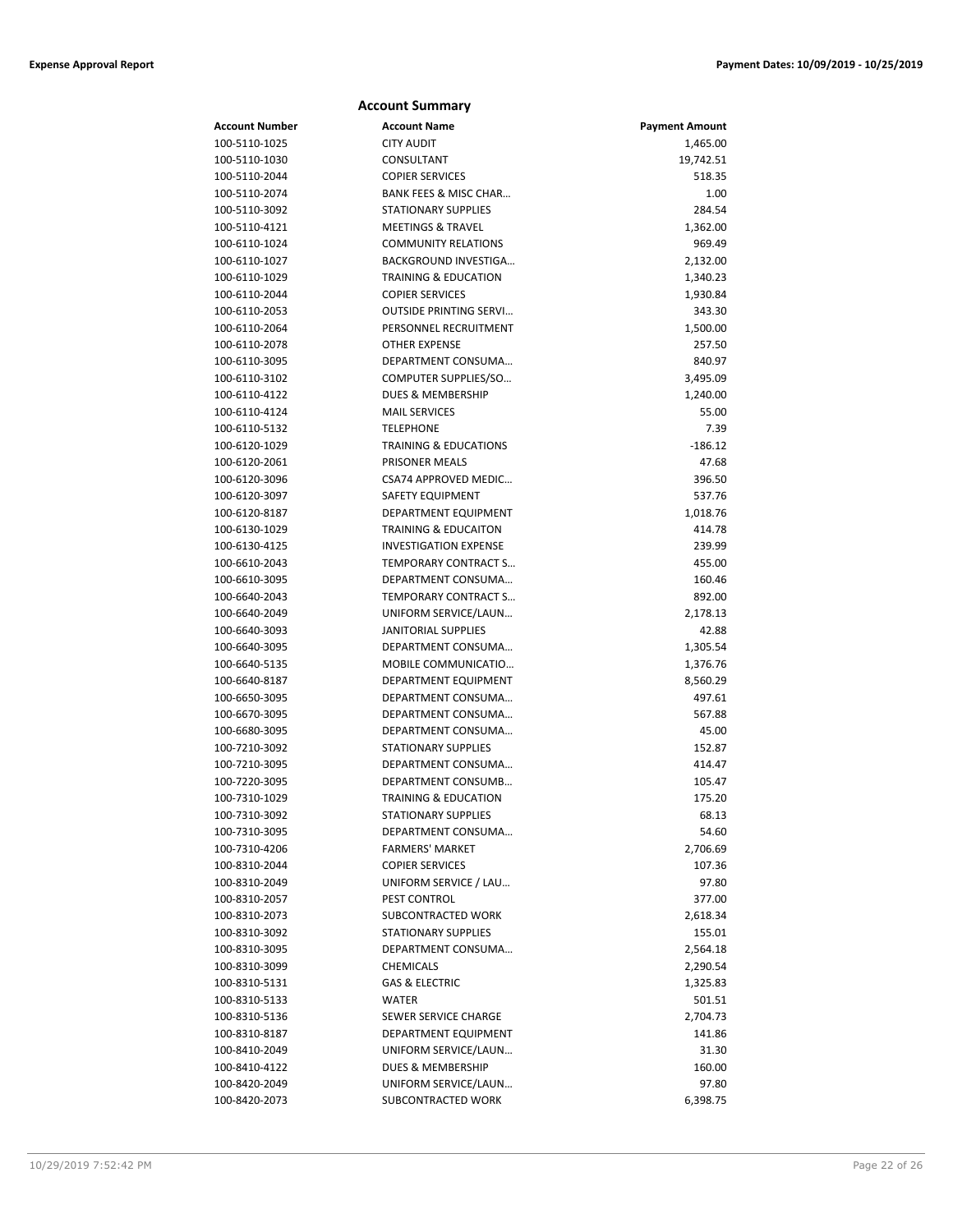|                | <b>Account Summary</b>           |                       |
|----------------|----------------------------------|-----------------------|
| Account Number | <b>Account Name</b>              | <b>Payment Amount</b> |
| 100-5110-1025  | <b>CITY AUDIT</b>                | 1,465.00              |
| 100-5110-1030  | CONSULTANT                       | 19,742.51             |
| 100-5110-2044  | <b>COPIER SERVICES</b>           | 518.35                |
| 100-5110-2074  | BANK FEES & MISC CHAR            | 1.00                  |
| 100-5110-3092  | <b>STATIONARY SUPPLIES</b>       | 284.54                |
| 100-5110-4121  | <b>MEETINGS &amp; TRAVEL</b>     | 1,362.00              |
| 100-6110-1024  | <b>COMMUNITY RELATIONS</b>       | 969.49                |
| 100-6110-1027  | <b>BACKGROUND INVESTIGA</b>      | 2,132.00              |
| 100-6110-1029  | <b>TRAINING &amp; EDUCATION</b>  | 1,340.23              |
| 100-6110-2044  | <b>COPIER SERVICES</b>           | 1,930.84              |
| 100-6110-2053  | <b>OUTSIDE PRINTING SERVI</b>    | 343.30                |
| 100-6110-2064  | PERSONNEL RECRUITMENT            | 1,500.00              |
| 100-6110-2078  | <b>OTHER EXPENSE</b>             | 257.50                |
| 100-6110-3095  | DEPARTMENT CONSUMA               | 840.97                |
| 100-6110-3102  | COMPUTER SUPPLIES/SO             | 3,495.09              |
| 100-6110-4122  | <b>DUES &amp; MEMBERSHIP</b>     | 1,240.00              |
| 100-6110-4124  | <b>MAIL SERVICES</b>             | 55.00                 |
| 100-6110-5132  | <b>TELEPHONE</b>                 | 7.39                  |
| 100-6120-1029  | <b>TRAINING &amp; EDUCATIONS</b> | $-186.12$             |
| 100-6120-2061  | PRISONER MEALS                   | 47.68                 |
| 100-6120-3096  | CSA74 APPROVED MEDIC             | 396.50                |
| 100-6120-3097  | <b>SAFETY EQUIPMENT</b>          | 537.76                |
| 100-6120-8187  | DEPARTMENT EQUIPMENT             | 1,018.76              |
| 100-6130-1029  | <b>TRAINING &amp; EDUCAITON</b>  | 414.78                |
| 100-6130-4125  | <b>INVESTIGATION EXPENSE</b>     | 239.99                |
| 100-6610-2043  | TEMPORARY CONTRACT S             | 455.00                |
| 100-6610-3095  | DEPARTMENT CONSUMA               | 160.46                |
| 100-6640-2043  | <b>TEMPORARY CONTRACT S</b>      | 892.00                |
| 100-6640-2049  | UNIFORM SERVICE/LAUN             | 2,178.13              |
| 100-6640-3093  | <b>JANITORIAL SUPPLIES</b>       | 42.88                 |
| 100-6640-3095  | DEPARTMENT CONSUMA               | 1,305.54              |
| 100-6640-5135  | MOBILE COMMUNICATIO              | 1,376.76              |
| 100-6640-8187  | DEPARTMENT EQUIPMENT             | 8,560.29              |
| 100-6650-3095  | DEPARTMENT CONSUMA               | 497.61                |
| 100-6670-3095  | DEPARTMENT CONSUMA               | 567.88                |
| 100-6680-3095  | DEPARTMENT CONSUMA               | 45.00                 |
| 100-7210-3092  | <b>STATIONARY SUPPLIES</b>       | 152.87                |
| 100-7210-3095  | DEPARTMENT CONSUMA               | 414.47                |
| 100-7220-3095  | DEPARTMENT CONSUMB               | 105.47                |
| 100-7310-1029  | TRAINING & EDUCATION             | 175.20                |
| 100-7310-3092  | STATIONARY SUPPLIES              | 68.13                 |
| 100-7310-3095  | DEPARTMENT CONSUMA               | 54.60                 |
| 100-7310-4206  | <b>FARMERS' MARKET</b>           | 2,706.69              |
| 100-8310-2044  | <b>COPIER SERVICES</b>           | 107.36                |
| 100-8310-2049  | UNIFORM SERVICE / LAU            | 97.80                 |
| 100-8310-2057  | PEST CONTROL                     | 377.00                |
| 100-8310-2073  | SUBCONTRACTED WORK               | 2,618.34              |
| 100-8310-3092  | <b>STATIONARY SUPPLIES</b>       | 155.01                |
| 100-8310-3095  | DEPARTMENT CONSUMA               | 2,564.18              |
| 100-8310-3099  | <b>CHEMICALS</b>                 | 2,290.54              |
| 100-8310-5131  | <b>GAS &amp; ELECTRIC</b>        | 1,325.83              |
| 100-8310-5133  | WATER                            | 501.51                |
| 100-8310-5136  | SEWER SERVICE CHARGE             | 2,704.73              |
| 100-8310-8187  | DEPARTMENT EQUIPMENT             | 141.86                |
| 100-8410-2049  | UNIFORM SERVICE/LAUN             | 31.30                 |
| 100-8410-4122  | DUES & MEMBERSHIP                | 160.00                |
| 100-8420-2049  | UNIFORM SERVICE/LAUN             | 97.80                 |
| 100-8420-2073  | SUBCONTRACTED WORK               | 6,398.75              |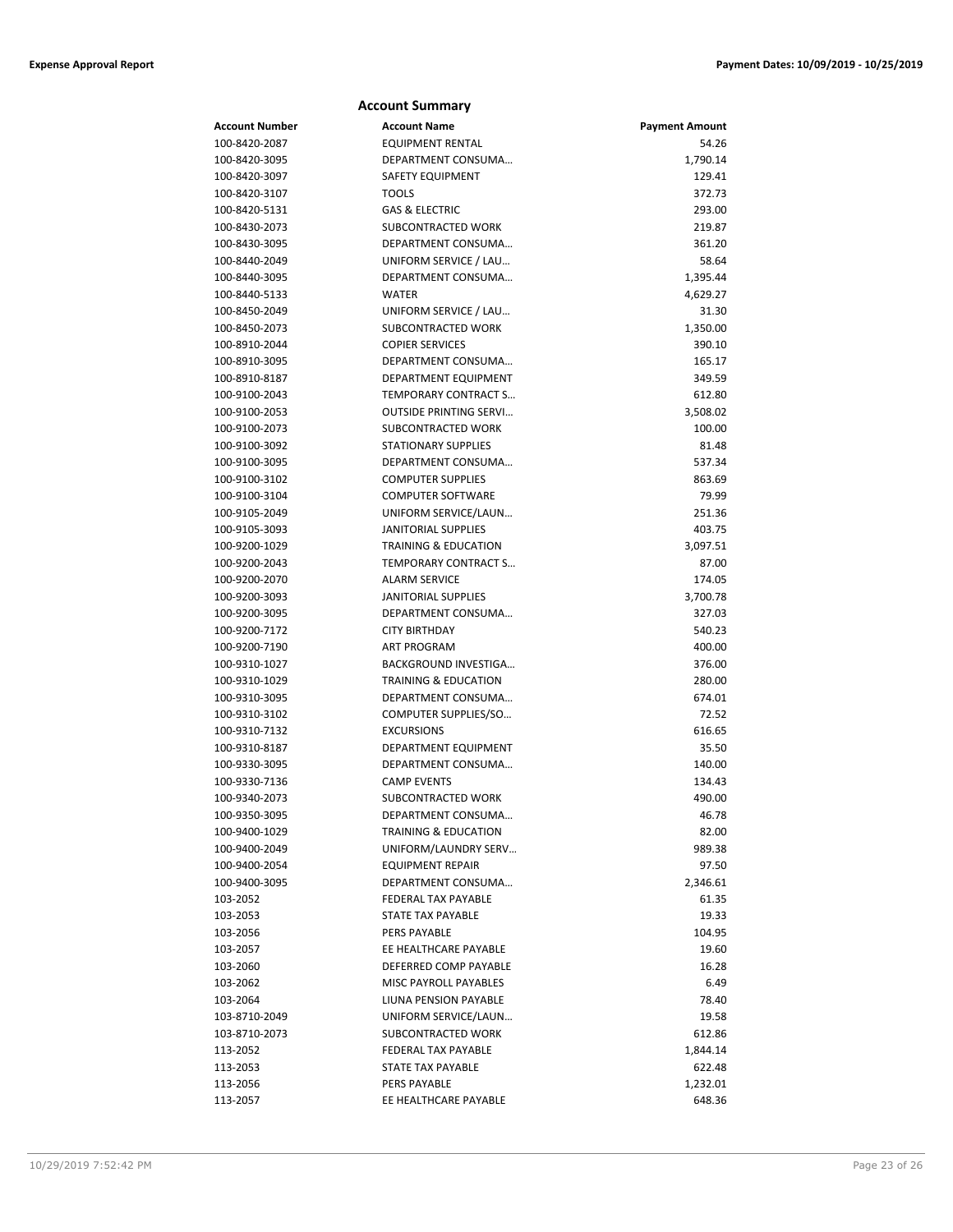| <b>Account Number</b> | <b>Account Name</b>             | <b>Payment Amount</b> |
|-----------------------|---------------------------------|-----------------------|
| 100-8420-2087         | <b>EQUIPMENT RENTAL</b>         | 54.26                 |
| 100-8420-3095         | DEPARTMENT CONSUMA              | 1,790.14              |
| 100-8420-3097         | SAFETY EQUIPMENT                | 129.41                |
| 100-8420-3107         | TOOLS                           | 372.73                |
| 100-8420-5131         | <b>GAS &amp; ELECTRIC</b>       | 293.00                |
| 100-8430-2073         | SUBCONTRACTED WORK              | 219.87                |
| 100-8430-3095         | DEPARTMENT CONSUMA              | 361.20                |
| 100-8440-2049         | UNIFORM SERVICE / LAU           | 58.64                 |
| 100-8440-3095         | DEPARTMENT CONSUMA              | 1,395.44              |
| 100-8440-5133         | <b>WATER</b>                    | 4,629.27              |
| 100-8450-2049         | UNIFORM SERVICE / LAU           | 31.30                 |
| 100-8450-2073         | SUBCONTRACTED WORK              | 1,350.00              |
| 100-8910-2044         | <b>COPIER SERVICES</b>          | 390.10                |
| 100-8910-3095         | DEPARTMENT CONSUMA              | 165.17                |
| 100-8910-8187         | DEPARTMENT EQUIPMENT            | 349.59                |
| 100-9100-2043         | TEMPORARY CONTRACT S            | 612.80                |
| 100-9100-2053         | <b>OUTSIDE PRINTING SERVI</b>   | 3,508.02              |
| 100-9100-2073         | <b>SUBCONTRACTED WORK</b>       | 100.00                |
| 100-9100-3092         | <b>STATIONARY SUPPLIES</b>      | 81.48                 |
| 100-9100-3095         | DEPARTMENT CONSUMA              | 537.34                |
| 100-9100-3102         | <b>COMPUTER SUPPLIES</b>        | 863.69                |
| 100-9100-3104         | <b>COMPUTER SOFTWARE</b>        | 79.99                 |
| 100-9105-2049         | UNIFORM SERVICE/LAUN            | 251.36                |
| 100-9105-3093         | JANITORIAL SUPPLIES             | 403.75                |
| 100-9200-1029         | <b>TRAINING &amp; EDUCATION</b> | 3,097.51              |
| 100-9200-2043         | TEMPORARY CONTRACT S            | 87.00                 |
| 100-9200-2070         | <b>ALARM SERVICE</b>            | 174.05                |
| 100-9200-3093         | <b>JANITORIAL SUPPLIES</b>      | 3,700.78              |
| 100-9200-3095         | DEPARTMENT CONSUMA              | 327.03                |
| 100-9200-7172         | <b>CITY BIRTHDAY</b>            | 540.23                |
| 100-9200-7190         | <b>ART PROGRAM</b>              | 400.00                |
| 100-9310-1027         | BACKGROUND INVESTIGA            | 376.00                |
| 100-9310-1029         | <b>TRAINING &amp; EDUCATION</b> | 280.00                |
| 100-9310-3095         | DEPARTMENT CONSUMA              | 674.01                |
| 100-9310-3102         | COMPUTER SUPPLIES/SO            | 72.52                 |
| 100-9310-7132         | <b>EXCURSIONS</b>               | 616.65                |
| 100-9310-8187         | DEPARTMENT EQUIPMENT            | 35.50                 |
| 100-9330-3095         | DEPARTMENT CONSUMA              | 140.00                |
| 100-9330-7136         | <b>CAMP EVENTS</b>              | 134.43                |
| 100-9340-2073         | SUBCONTRACTED WORK              | 490.00                |
| 100-9350-3095         | DEPARTMENT CONSUMA              | 46.78                 |
| 100-9400-1029         | TRAINING & EDUCATION            | 82.00                 |
| 100-9400-2049         | UNIFORM/LAUNDRY SERV            | 989.38                |
| 100-9400-2054         | <b>EQUIPMENT REPAIR</b>         | 97.50                 |
| 100-9400-3095         | DEPARTMENT CONSUMA              | 2,346.61              |
| 103-2052              | FEDERAL TAX PAYABLE             | 61.35                 |
| 103-2053              | STATE TAX PAYABLE               | 19.33                 |
| 103-2056              | PERS PAYABLE                    | 104.95                |
| 103-2057              | EE HEALTHCARE PAYABLE           | 19.60                 |
| 103-2060              | DEFERRED COMP PAYABLE           | 16.28                 |
| 103-2062              | MISC PAYROLL PAYABLES           | 6.49                  |
| 103-2064              | LIUNA PENSION PAYABLE           | 78.40                 |
| 103-8710-2049         | UNIFORM SERVICE/LAUN            | 19.58                 |
| 103-8710-2073         | SUBCONTRACTED WORK              | 612.86                |
| 113-2052              | FEDERAL TAX PAYABLE             | 1,844.14              |
| 113-2053              | STATE TAX PAYABLE               | 622.48                |
| 113-2056              | PERS PAYABLE                    | 1,232.01              |

113-2057 EE HEALTHCARE PAYABLE 648.36

**Account Summary**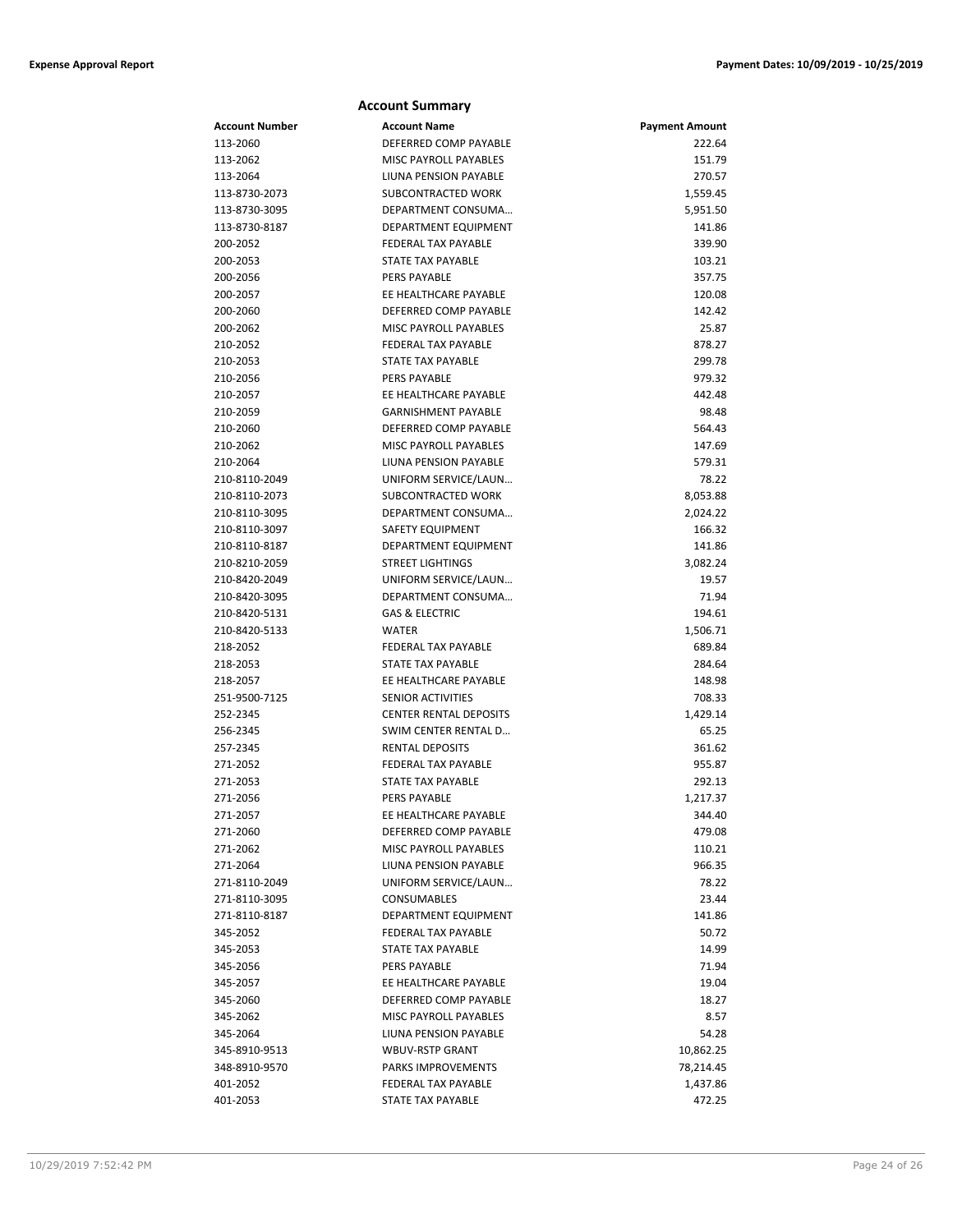|                | <b>Account Summary</b>        |                       |
|----------------|-------------------------------|-----------------------|
| Account Number | <b>Account Name</b>           | <b>Payment Amount</b> |
| 113-2060       | DEFERRED COMP PAYABLE         | 222.64                |
| 113-2062       | MISC PAYROLL PAYABLES         | 151.79                |
| 113-2064       | LIUNA PENSION PAYABLE         | 270.57                |
| 113-8730-2073  | SUBCONTRACTED WORK            | 1,559.45              |
| 113-8730-3095  | DEPARTMENT CONSUMA            | 5,951.50              |
| 113-8730-8187  | DEPARTMENT EQUIPMENT          | 141.86                |
| 200-2052       | <b>FEDERAL TAX PAYABLE</b>    | 339.90                |
| 200-2053       | <b>STATE TAX PAYABLE</b>      | 103.21                |
| 200-2056       | PERS PAYABLE                  | 357.75                |
| 200-2057       | EE HEALTHCARE PAYABLE         | 120.08                |
| 200-2060       | DEFERRED COMP PAYABLE         | 142.42                |
| 200-2062       | <b>MISC PAYROLL PAYABLES</b>  | 25.87                 |
| 210-2052       | <b>FEDERAL TAX PAYABLE</b>    | 878.27                |
| 210-2053       | <b>STATE TAX PAYABLE</b>      | 299.78                |
| 210-2056       | PERS PAYABLE                  | 979.32                |
| 210-2057       | EE HEALTHCARE PAYABLE         | 442.48                |
| 210-2059       | <b>GARNISHMENT PAYABLE</b>    | 98.48                 |
| 210-2060       | DEFERRED COMP PAYABLE         | 564.43                |
| 210-2062       | MISC PAYROLL PAYABLES         | 147.69                |
| 210-2064       | LIUNA PENSION PAYABLE         | 579.31                |
| 210-8110-2049  | UNIFORM SERVICE/LAUN          | 78.22                 |
| 210-8110-2073  | SUBCONTRACTED WORK            | 8,053.88              |
| 210-8110-3095  | DEPARTMENT CONSUMA            | 2,024.22              |
| 210-8110-3097  | <b>SAFETY EQUIPMENT</b>       | 166.32                |
| 210-8110-8187  | <b>DEPARTMENT EQUIPMENT</b>   | 141.86                |
| 210-8210-2059  | <b>STREET LIGHTINGS</b>       | 3,082.24              |
| 210-8420-2049  | UNIFORM SERVICE/LAUN          | 19.57                 |
| 210-8420-3095  | DEPARTMENT CONSUMA            | 71.94                 |
| 210-8420-5131  | <b>GAS &amp; ELECTRIC</b>     | 194.61                |
| 210-8420-5133  | <b>WATER</b>                  | 1,506.71              |
| 218-2052       | <b>FEDERAL TAX PAYABLE</b>    | 689.84                |
| 218-2053       | <b>STATE TAX PAYABLE</b>      | 284.64                |
| 218-2057       | EE HEALTHCARE PAYABLE         | 148.98                |
| 251-9500-7125  | SENIOR ACTIVITIES             | 708.33                |
| 252-2345       | <b>CENTER RENTAL DEPOSITS</b> | 1,429.14              |
| 256-2345       | SWIM CENTER RENTAL D          | 65.25                 |
| 257-2345       | <b>RENTAL DEPOSITS</b>        | 361.62                |
| 271-2052       | <b>FEDERAL TAX PAYABLE</b>    | 955.87                |
| 271-2053       | <b>STATE TAX PAYABLE</b>      | 292.13                |
| 271-2056       | PERS PAYABLE                  | 1,217.37              |
| 271-2057       | EE HEALTHCARE PAYABLE         | 344.40                |
| 271-2060       | DEFERRED COMP PAYABLE         | 479.08                |
| 271-2062       | MISC PAYROLL PAYABLES         | 110.21                |
| 271-2064       | LIUNA PENSION PAYABLE         | 966.35                |
| 271-8110-2049  | UNIFORM SERVICE/LAUN          | 78.22                 |
| 271-8110-3095  | CONSUMABLES                   | 23.44                 |
| 271-8110-8187  | DEPARTMENT EQUIPMENT          | 141.86                |
| 345-2052       | FEDERAL TAX PAYABLE           | 50.72                 |
| 345-2053       | STATE TAX PAYABLE             | 14.99                 |
| 345-2056       | PERS PAYABLE                  | 71.94                 |
| 345-2057       | EE HEALTHCARE PAYABLE         | 19.04                 |
| 345-2060       | DEFERRED COMP PAYABLE         | 18.27                 |
| 345-2062       | MISC PAYROLL PAYABLES         | 8.57                  |
| 345-2064       | LIUNA PENSION PAYABLE         | 54.28                 |
| 345-8910-9513  | <b>WBUV-RSTP GRANT</b>        | 10,862.25             |
| 348-8910-9570  | PARKS IMPROVEMENTS            | 78,214.45             |
| 401-2052       | FEDERAL TAX PAYABLE           | 1,437.86              |
| 401-2053       | <b>STATE TAX PAYABLE</b>      | 472.25                |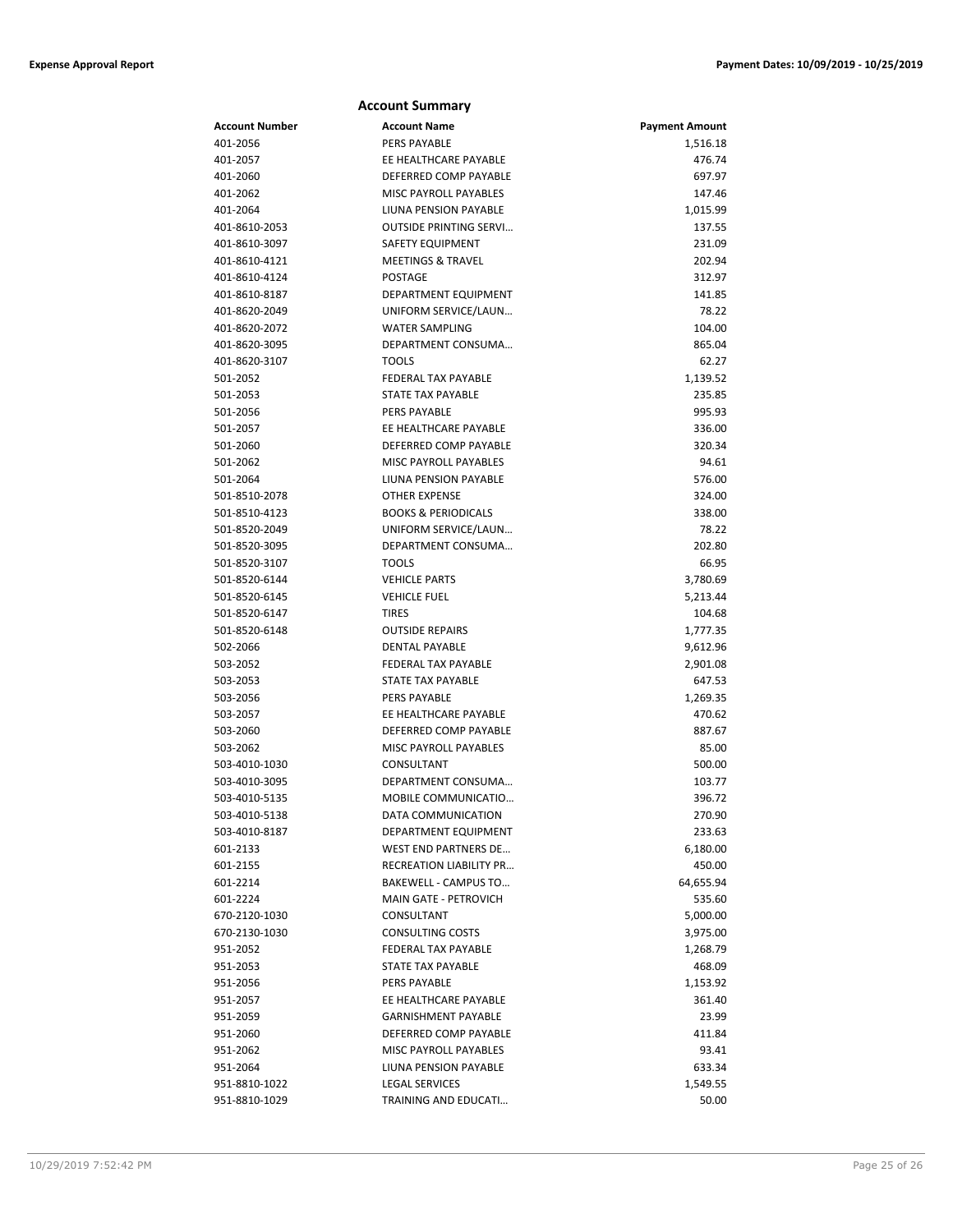|                       | <b>Account Summary</b>         |                       |
|-----------------------|--------------------------------|-----------------------|
| <b>Account Number</b> | <b>Account Name</b>            | <b>Payment Amount</b> |
| 401-2056              | <b>PERS PAYABLE</b>            | 1,516.18              |
| 401-2057              | EE HEALTHCARE PAYABLE          | 476.74                |
| 401-2060              | DEFERRED COMP PAYABLE          | 697.97                |
| 401-2062              | <b>MISC PAYROLL PAYABLES</b>   | 147.46                |
| 401-2064              | LIUNA PENSION PAYABLE          | 1,015.99              |
| 401-8610-2053         | <b>OUTSIDE PRINTING SERVI</b>  | 137.55                |
| 401-8610-3097         | <b>SAFETY EQUIPMENT</b>        | 231.09                |
| 401-8610-4121         | <b>MEETINGS &amp; TRAVEL</b>   | 202.94                |
| 401-8610-4124         | <b>POSTAGE</b>                 | 312.97                |
| 401-8610-8187         | DEPARTMENT EQUIPMENT           | 141.85                |
| 401-8620-2049         | UNIFORM SERVICE/LAUN           | 78.22                 |
| 401-8620-2072         | <b>WATER SAMPLING</b>          | 104.00                |
| 401-8620-3095         | DEPARTMENT CONSUMA             | 865.04                |
| 401-8620-3107         | <b>TOOLS</b>                   | 62.27                 |
| 501-2052              | <b>FEDERAL TAX PAYABLE</b>     | 1,139.52              |
| 501-2053              | <b>STATE TAX PAYABLE</b>       | 235.85                |
| 501-2056              | <b>PERS PAYABLE</b>            | 995.93                |
| 501-2057              | EE HEALTHCARE PAYABLE          | 336.00                |
| 501-2060              | DEFERRED COMP PAYABLE          | 320.34                |
| 501-2062              | <b>MISC PAYROLL PAYABLES</b>   | 94.61                 |
| 501-2064              | LIUNA PENSION PAYABLE          | 576.00                |
| 501-8510-2078         | <b>OTHER EXPENSE</b>           | 324.00                |
| 501-8510-4123         | <b>BOOKS &amp; PERIODICALS</b> | 338.00                |
| 501-8520-2049         | UNIFORM SERVICE/LAUN           | 78.22                 |
| 501-8520-3095         | DEPARTMENT CONSUMA             | 202.80                |
| 501-8520-3107         | <b>TOOLS</b>                   | 66.95                 |
| 501-8520-6144         | <b>VEHICLE PARTS</b>           | 3,780.69              |
| 501-8520-6145         | <b>VEHICLE FUEL</b>            | 5,213.44              |
| 501-8520-6147         | <b>TIRES</b>                   | 104.68                |
| 501-8520-6148         | <b>OUTSIDE REPAIRS</b>         | 1,777.35              |
| 502-2066              | <b>DENTAL PAYABLE</b>          | 9,612.96              |
| 503-2052              | <b>FEDERAL TAX PAYABLE</b>     | 2,901.08              |
| 503-2053              | <b>STATE TAX PAYABLE</b>       | 647.53                |
| 503-2056              | <b>PERS PAYABLE</b>            | 1,269.35              |
| 503-2057              | EE HEALTHCARE PAYABLE          | 470.62                |
| 503-2060              | DEFERRED COMP PAYABLE          | 887.67                |
| 503-2062              | MISC PAYROLL PAYABLES          | 85.00                 |
| 503-4010-1030         | CONSULTANT                     | 500.00                |
| 503-4010-3095         | DEPARTMENT CONSUMA             | 103.77                |
| 503-4010-5135         | MOBILE COMMUNICATIO            | 396.72                |
| 503-4010-5138         | DATA COMMUNICATION             | 270.90                |
| 503-4010-8187         | DEPARTMENT EQUIPMENT           | 233.63                |
| 601-2133              | <b>WEST END PARTNERS DE</b>    | 6,180.00              |
| 601-2155              | <b>RECREATION LIABILITY PR</b> | 450.00                |
| 601-2214              | BAKEWELL - CAMPUS TO           | 64,655.94             |
| 601-2224              | MAIN GATE - PETROVICH          | 535.60                |
| 670-2120-1030         | CONSULTANT                     | 5,000.00              |
| 670-2130-1030         | <b>CONSULTING COSTS</b>        | 3,975.00              |
| 951-2052              | <b>FEDERAL TAX PAYABLE</b>     | 1,268.79              |
| 951-2053              | STATE TAX PAYABLE              | 468.09                |
| 951-2056              | PERS PAYABLE                   | 1,153.92              |
| 951-2057              | EE HEALTHCARE PAYABLE          | 361.40                |
| 951-2059              | <b>GARNISHMENT PAYABLE</b>     | 23.99                 |
| 951-2060              | DEFERRED COMP PAYABLE          | 411.84                |
| 951-2062              | MISC PAYROLL PAYABLES          | 93.41                 |
| 951-2064              | LIUNA PENSION PAYABLE          | 633.34                |
| 951-8810-1022         | <b>LEGAL SERVICES</b>          | 1,549.55              |
| 951-8810-1029         | TRAINING AND EDUCATI           | 50.00                 |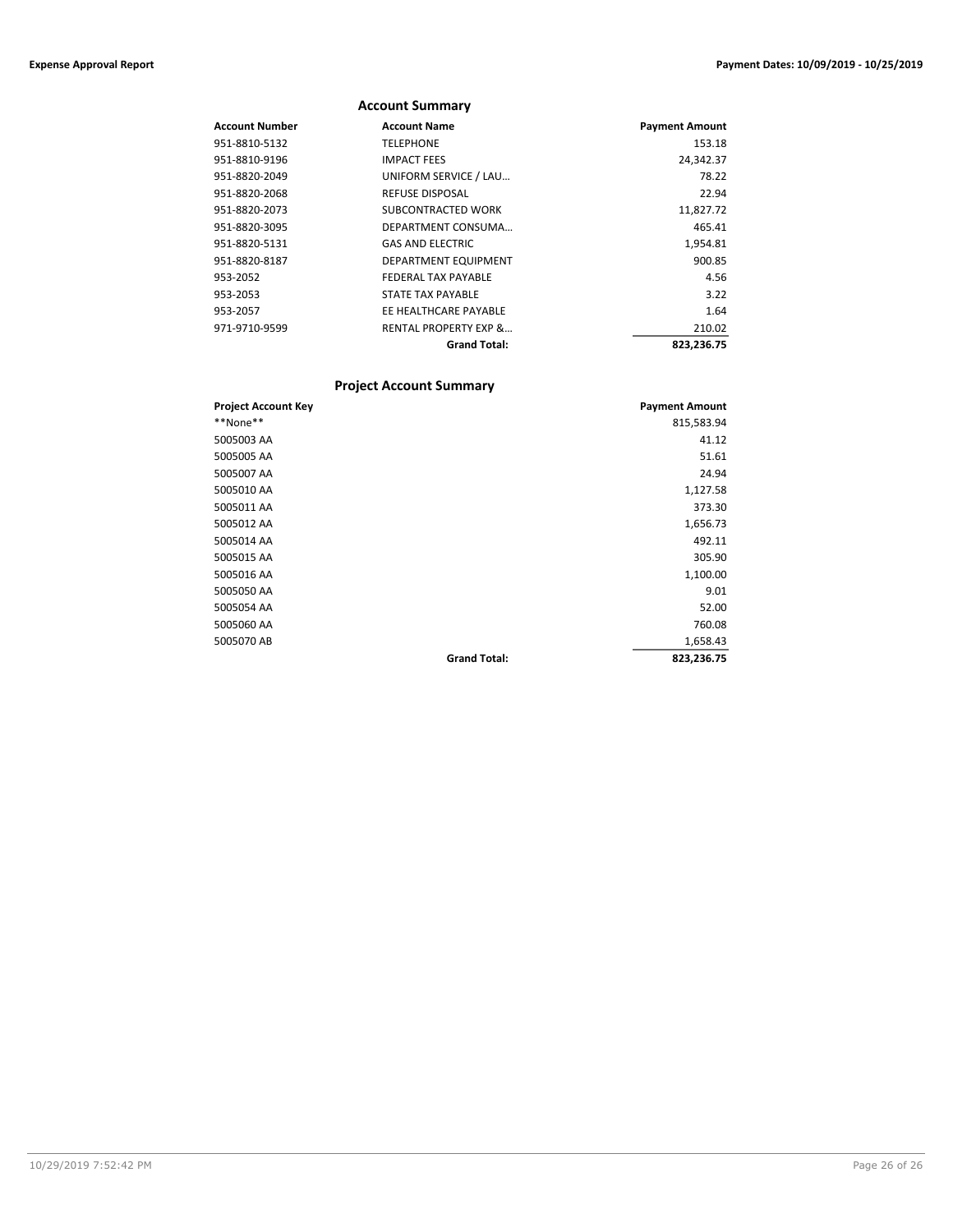|                | <b>Account Summary</b>           |                       |
|----------------|----------------------------------|-----------------------|
| Account Number | <b>Account Name</b>              | <b>Payment Amount</b> |
| 951-8810-5132  | <b>TELEPHONE</b>                 | 153.18                |
| 951-8810-9196  | <b>IMPACT FEES</b>               | 24,342.37             |
| 951-8820-2049  | UNIFORM SERVICE / LAU            | 78.22                 |
| 951-8820-2068  | <b>REFUSE DISPOSAL</b>           | 22.94                 |
| 951-8820-2073  | SUBCONTRACTED WORK               | 11,827.72             |
| 951-8820-3095  | DEPARTMENT CONSUMA               | 465.41                |
| 951-8820-5131  | <b>GAS AND ELECTRIC</b>          | 1,954.81              |
| 951-8820-8187  | DEPARTMENT EQUIPMENT             | 900.85                |
| 953-2052       | <b>FEDERAL TAX PAYABLE</b>       | 4.56                  |
| 953-2053       | STATE TAX PAYABLE                | 3.22                  |
| 953-2057       | EE HEALTHCARE PAYABLE            | 1.64                  |
| 971-9710-9599  | <b>RENTAL PROPERTY EXP &amp;</b> | 210.02                |
|                | <b>Grand Total:</b>              | 823,236.75            |

# **Project Account Summary**

| <b>Project Account Key</b> |                     | <b>Payment Amount</b> |
|----------------------------|---------------------|-----------------------|
| **None**                   |                     | 815,583.94            |
| 5005003 AA                 |                     | 41.12                 |
| 5005005 AA                 |                     | 51.61                 |
| 5005007 AA                 |                     | 24.94                 |
| 5005010 AA                 |                     | 1,127.58              |
| 5005011 AA                 |                     | 373.30                |
| 5005012 AA                 |                     | 1,656.73              |
| 5005014 AA                 |                     | 492.11                |
| 5005015 AA                 |                     | 305.90                |
| 5005016 AA                 |                     | 1,100.00              |
| 5005050 AA                 |                     | 9.01                  |
| 5005054 AA                 |                     | 52.00                 |
| 5005060 AA                 |                     | 760.08                |
| 5005070 AB                 |                     | 1,658.43              |
|                            | <b>Grand Total:</b> | 823,236.75            |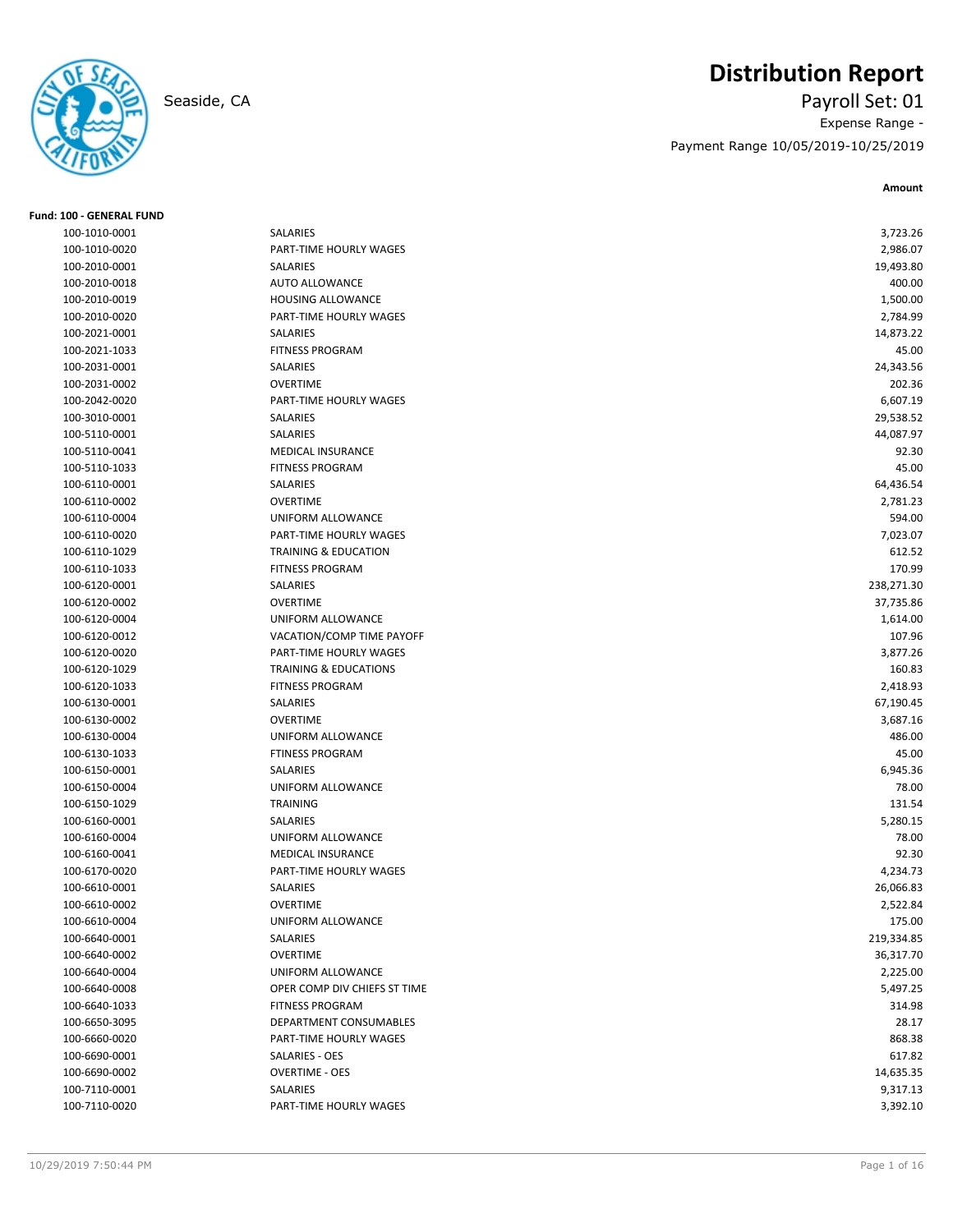

# **Distribution Report**

Seaside, CA Payroll Set: 01 Expense Range - Payment Range 10/05/2019-10/25/2019

**Amount**

| <b>Fund: 100 - GENERAL FUND</b> |                                                    |            |
|---------------------------------|----------------------------------------------------|------------|
| 100-1010-0001                   | SALARIES                                           | 3,723.26   |
| 100-1010-0020                   | PART-TIME HOURLY WAGES                             | 2,986.07   |
| 100-2010-0001                   | SALARIES                                           | 19,493.80  |
| 100-2010-0018                   | <b>AUTO ALLOWANCE</b>                              | 400.00     |
| 100-2010-0019                   | <b>HOUSING ALLOWANCE</b>                           | 1,500.00   |
| 100-2010-0020                   | PART-TIME HOURLY WAGES                             | 2,784.99   |
| 100-2021-0001                   | SALARIES                                           | 14,873.22  |
| 100-2021-1033                   | <b>FITNESS PROGRAM</b>                             | 45.00      |
| 100-2031-0001                   | SALARIES                                           | 24,343.56  |
| 100-2031-0002                   | <b>OVERTIME</b>                                    | 202.36     |
| 100-2042-0020                   | PART-TIME HOURLY WAGES                             | 6,607.19   |
| 100-3010-0001                   | SALARIES                                           | 29,538.52  |
| 100-5110-0001                   | SALARIES                                           | 44,087.97  |
| 100-5110-0041                   | <b>MEDICAL INSURANCE</b>                           | 92.30      |
| 100-5110-1033                   | <b>FITNESS PROGRAM</b>                             | 45.00      |
| 100-6110-0001                   | SALARIES                                           | 64,436.54  |
| 100-6110-0002                   | <b>OVERTIME</b>                                    | 2,781.23   |
| 100-6110-0004                   | UNIFORM ALLOWANCE                                  | 594.00     |
| 100-6110-0020                   | PART-TIME HOURLY WAGES                             | 7,023.07   |
| 100-6110-1029                   | <b>TRAINING &amp; EDUCATION</b>                    | 612.52     |
| 100-6110-1033                   | <b>FITNESS PROGRAM</b>                             | 170.99     |
| 100-6120-0001                   | SALARIES                                           | 238,271.30 |
| 100-6120-0002                   | <b>OVERTIME</b>                                    | 37,735.86  |
| 100-6120-0004                   | UNIFORM ALLOWANCE                                  | 1,614.00   |
| 100-6120-0012                   | VACATION/COMP TIME PAYOFF                          | 107.96     |
| 100-6120-0020                   | PART-TIME HOURLY WAGES                             | 3,877.26   |
| 100-6120-1029                   | <b>TRAINING &amp; EDUCATIONS</b>                   | 160.83     |
| 100-6120-1033                   | <b>FITNESS PROGRAM</b>                             | 2,418.93   |
| 100-6130-0001                   | SALARIES                                           | 67,190.45  |
| 100-6130-0002                   | <b>OVERTIME</b>                                    | 3,687.16   |
| 100-6130-0004                   | UNIFORM ALLOWANCE                                  | 486.00     |
| 100-6130-1033                   | <b>FTINESS PROGRAM</b>                             | 45.00      |
| 100-6150-0001                   | SALARIES                                           | 6,945.36   |
|                                 | UNIFORM ALLOWANCE                                  | 78.00      |
| 100-6150-0004<br>100-6150-1029  | <b>TRAINING</b>                                    |            |
|                                 |                                                    | 131.54     |
| 100-6160-0001                   | SALARIES                                           | 5,280.15   |
| 100-6160-0004                   | UNIFORM ALLOWANCE                                  | 78.00      |
| 100-6160-0041                   | <b>MEDICAL INSURANCE</b><br>PART-TIME HOURLY WAGES | 92.30      |
| 100-6170-0020                   |                                                    | 4,234.73   |
| 100-6610-0001                   | SALARIES<br><b>OVERTIME</b>                        | 26,066.83  |
| 100-6610-0002                   |                                                    | 2,522.84   |
| 100-6610-0004                   | UNIFORM ALLOWANCE                                  | 175.00     |
| 100-6640-0001                   | SALARIES                                           | 219,334.85 |
| 100-6640-0002                   | <b>OVERTIME</b>                                    | 36,317.70  |
| 100-6640-0004                   | UNIFORM ALLOWANCE                                  | 2,225.00   |
| 100-6640-0008                   | OPER COMP DIV CHIEFS ST TIME                       | 5,497.25   |
| 100-6640-1033                   | <b>FITNESS PROGRAM</b>                             | 314.98     |
| 100-6650-3095                   | DEPARTMENT CONSUMABLES                             | 28.17      |
| 100-6660-0020                   | PART-TIME HOURLY WAGES                             | 868.38     |
| 100-6690-0001                   | SALARIES - OES                                     | 617.82     |
| 100-6690-0002                   | <b>OVERTIME - OES</b>                              | 14,635.35  |
| 100-7110-0001                   | SALARIES                                           | 9,317.13   |
| 100-7110-0020                   | PART-TIME HOURLY WAGES                             | 3,392.10   |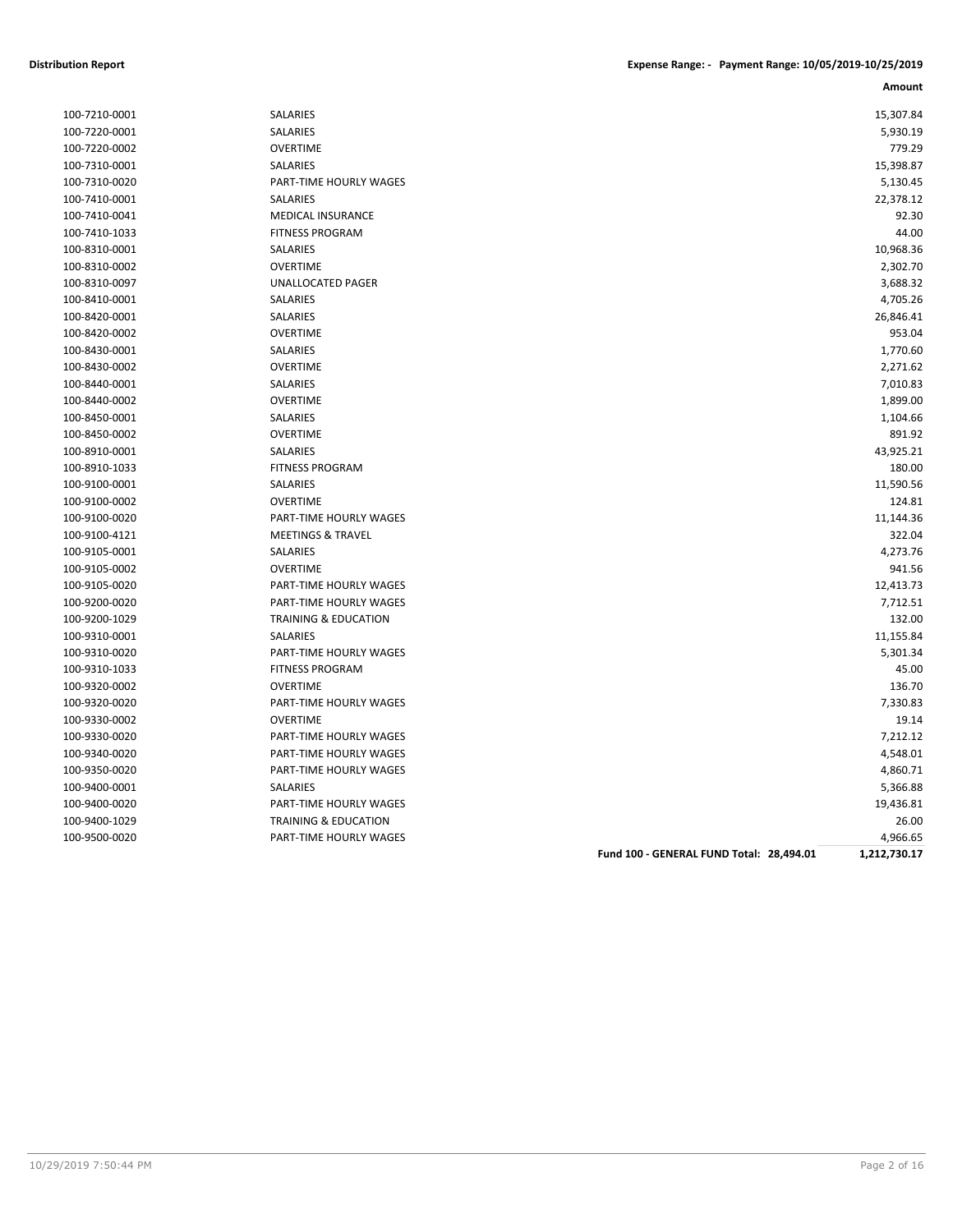|               |                                 |                                          | Amount       |
|---------------|---------------------------------|------------------------------------------|--------------|
| 100-7210-0001 | SALARIES                        |                                          | 15,307.84    |
| 100-7220-0001 | SALARIES                        |                                          | 5,930.19     |
| 100-7220-0002 | <b>OVERTIME</b>                 |                                          | 779.29       |
| 100-7310-0001 | SALARIES                        |                                          | 15,398.87    |
| 100-7310-0020 | PART-TIME HOURLY WAGES          |                                          | 5,130.45     |
| 100-7410-0001 | SALARIES                        |                                          | 22,378.12    |
| 100-7410-0041 | <b>MEDICAL INSURANCE</b>        |                                          | 92.30        |
| 100-7410-1033 | <b>FITNESS PROGRAM</b>          |                                          | 44.00        |
| 100-8310-0001 | SALARIES                        |                                          | 10,968.36    |
| 100-8310-0002 | <b>OVERTIME</b>                 |                                          | 2,302.70     |
| 100-8310-0097 | <b>UNALLOCATED PAGER</b>        |                                          | 3,688.32     |
| 100-8410-0001 | SALARIES                        |                                          | 4,705.26     |
| 100-8420-0001 | SALARIES                        |                                          | 26,846.41    |
| 100-8420-0002 | <b>OVERTIME</b>                 |                                          | 953.04       |
| 100-8430-0001 | SALARIES                        |                                          | 1,770.60     |
| 100-8430-0002 | <b>OVERTIME</b>                 |                                          | 2,271.62     |
| 100-8440-0001 | <b>SALARIES</b>                 |                                          | 7,010.83     |
| 100-8440-0002 | <b>OVERTIME</b>                 |                                          | 1,899.00     |
| 100-8450-0001 | SALARIES                        |                                          | 1,104.66     |
| 100-8450-0002 | <b>OVERTIME</b>                 |                                          | 891.92       |
| 100-8910-0001 | SALARIES                        |                                          | 43,925.21    |
| 100-8910-1033 | <b>FITNESS PROGRAM</b>          |                                          | 180.00       |
| 100-9100-0001 | SALARIES                        |                                          | 11,590.56    |
| 100-9100-0002 | <b>OVERTIME</b>                 |                                          | 124.81       |
| 100-9100-0020 | PART-TIME HOURLY WAGES          |                                          | 11,144.36    |
| 100-9100-4121 | <b>MEETINGS &amp; TRAVEL</b>    |                                          | 322.04       |
| 100-9105-0001 | <b>SALARIES</b>                 |                                          | 4,273.76     |
| 100-9105-0002 | <b>OVERTIME</b>                 |                                          | 941.56       |
| 100-9105-0020 | PART-TIME HOURLY WAGES          |                                          | 12,413.73    |
| 100-9200-0020 | PART-TIME HOURLY WAGES          |                                          | 7,712.51     |
| 100-9200-1029 | <b>TRAINING &amp; EDUCATION</b> |                                          | 132.00       |
| 100-9310-0001 | <b>SALARIES</b>                 |                                          | 11,155.84    |
| 100-9310-0020 | PART-TIME HOURLY WAGES          |                                          | 5,301.34     |
| 100-9310-1033 | <b>FITNESS PROGRAM</b>          |                                          | 45.00        |
| 100-9320-0002 | <b>OVERTIME</b>                 |                                          | 136.70       |
| 100-9320-0020 | PART-TIME HOURLY WAGES          |                                          | 7,330.83     |
| 100-9330-0002 | <b>OVERTIME</b>                 |                                          | 19.14        |
| 100-9330-0020 | PART-TIME HOURLY WAGES          |                                          | 7,212.12     |
| 100-9340-0020 | PART-TIME HOURLY WAGES          |                                          | 4,548.01     |
| 100-9350-0020 | PART-TIME HOURLY WAGES          |                                          | 4,860.71     |
| 100-9400-0001 | <b>SALARIES</b>                 |                                          | 5,366.88     |
| 100-9400-0020 | PART-TIME HOURLY WAGES          |                                          | 19,436.81    |
| 100-9400-1029 | <b>TRAINING &amp; EDUCATION</b> |                                          | 26.00        |
| 100-9500-0020 | PART-TIME HOURLY WAGES          |                                          | 4,966.65     |
|               |                                 | Fund 100 - GENERAL FUND Total: 28,494.01 | 1,212,730.17 |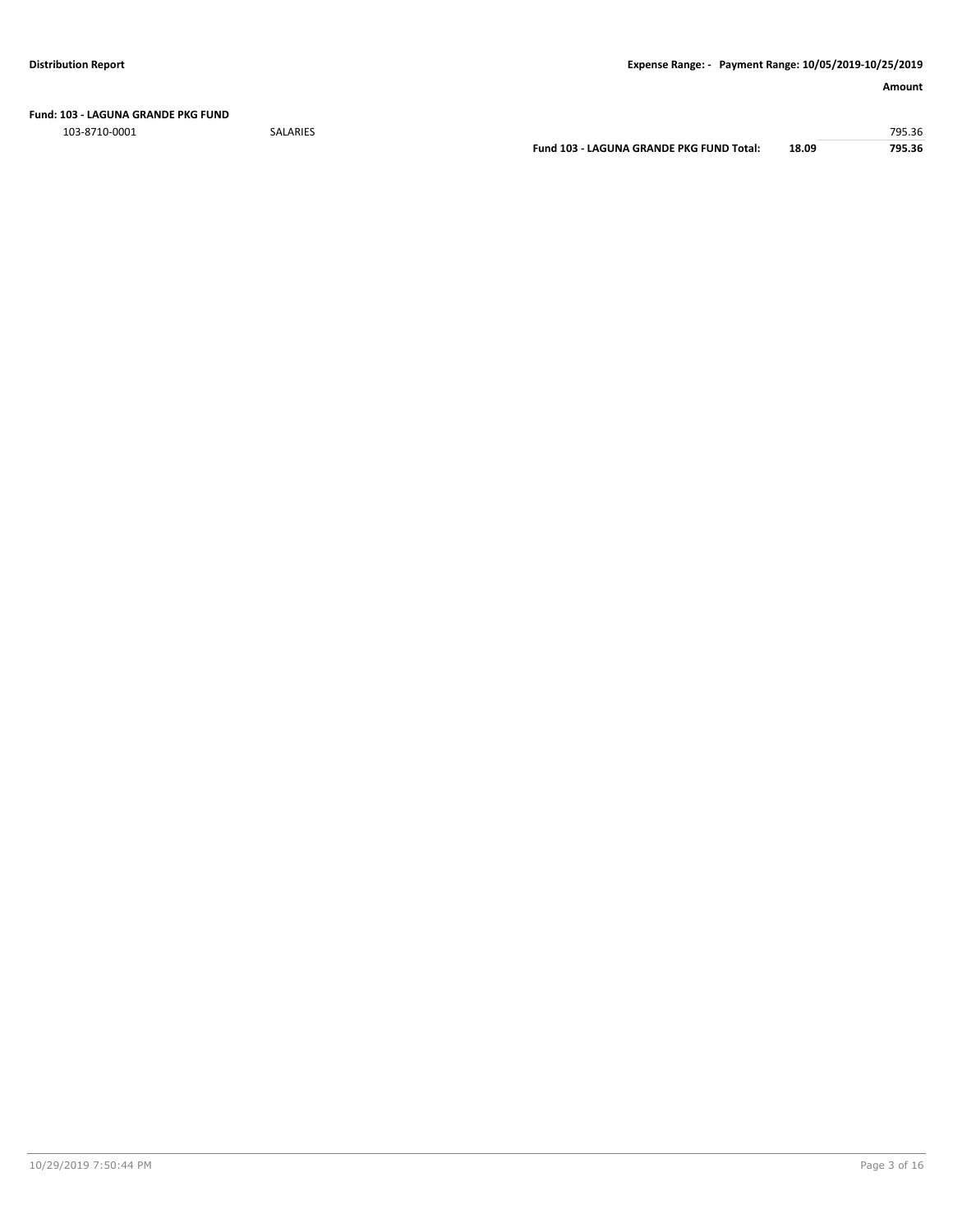**Fund: 103 - LAGUNA GRANDE PKG FUND**

103-8710-0001 SALARIES 795.36

**Fund 103 - LAGUNA GRANDE PKG FUND Total: 18.09 795.36**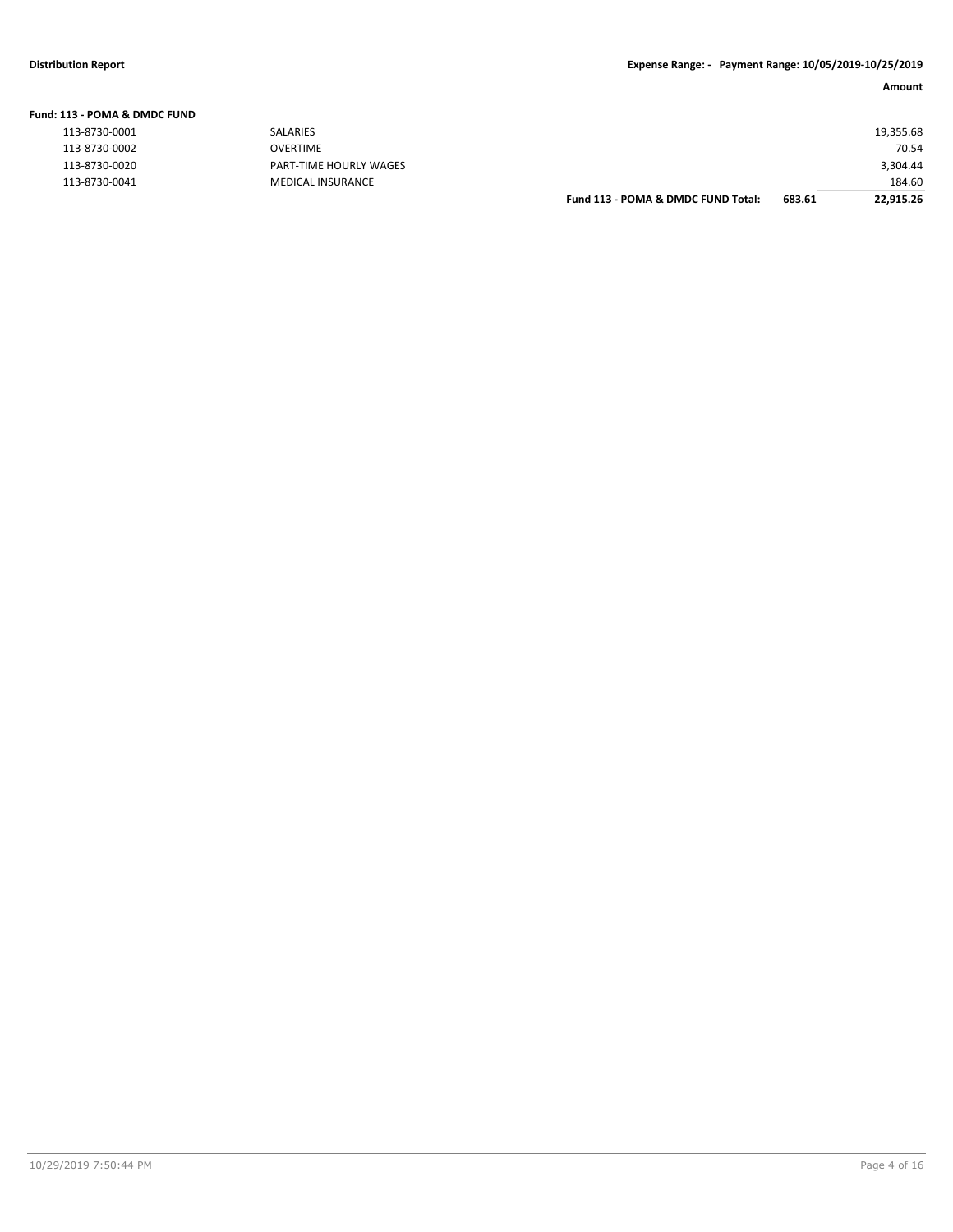| Fund: 113 - POMA & DMDC FUND |  |
|------------------------------|--|
|------------------------------|--|

| 113-8730-0001 |  |
|---------------|--|
| 113-8730-0002 |  |
| 113-8730-0020 |  |
| 113-8730-0041 |  |

| SALARIES               |                                    |        | 19,355.68 |
|------------------------|------------------------------------|--------|-----------|
| OVERTIME               |                                    |        | 70.54     |
| PART-TIME HOURLY WAGES |                                    |        | 3,304.44  |
| MEDICAL INSURANCE      |                                    |        | 184.60    |
|                        | Fund 113 - POMA & DMDC FUND Total: | 683.61 | 22,915.26 |
|                        |                                    |        |           |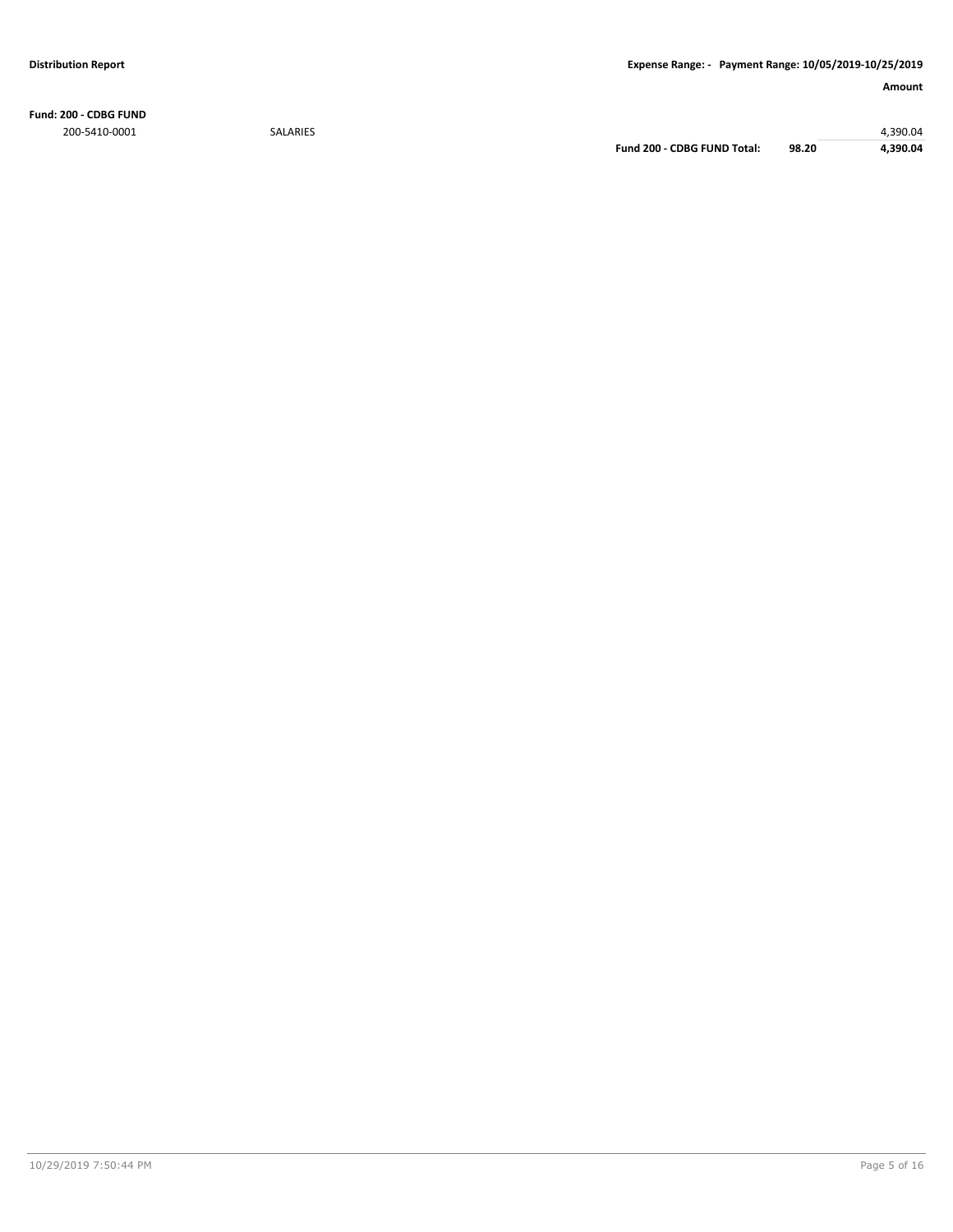**Fund: 200 - CDBG FUND** 200-5410-0001 SALARIES 4,390.04

**Fund 200 - CDBG FUND Total: 98.20 4,390.04**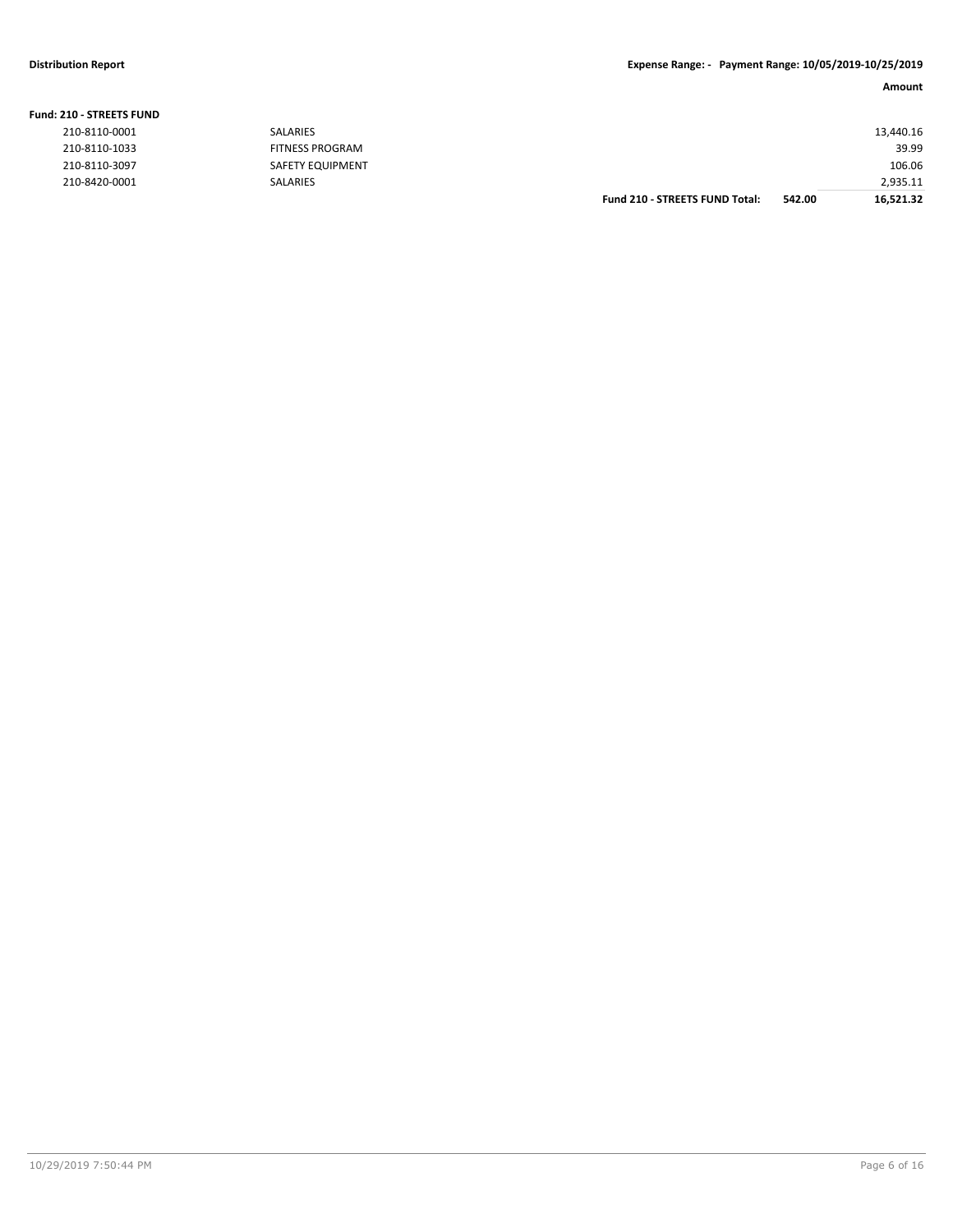| 210-8110-1033<br>210-8110-3097 | <b>FITNESS PROGRAM</b><br>SAFETY EQUIPMENT |                                       |        | 39.99<br>106.06 |
|--------------------------------|--------------------------------------------|---------------------------------------|--------|-----------------|
|                                |                                            |                                       |        |                 |
| 210-8420-0001                  | SALARIES                                   |                                       |        | 2,935.11        |
|                                |                                            | <b>Fund 210 - STREETS FUND Total:</b> | 542.00 | 16,521.32       |

# **Fund: 210 - STREETS FUND**

| 210-8110-0001 |
|---------------|
| 210-8110-1033 |
| 210-8110-3097 |
| 210-8420-0001 |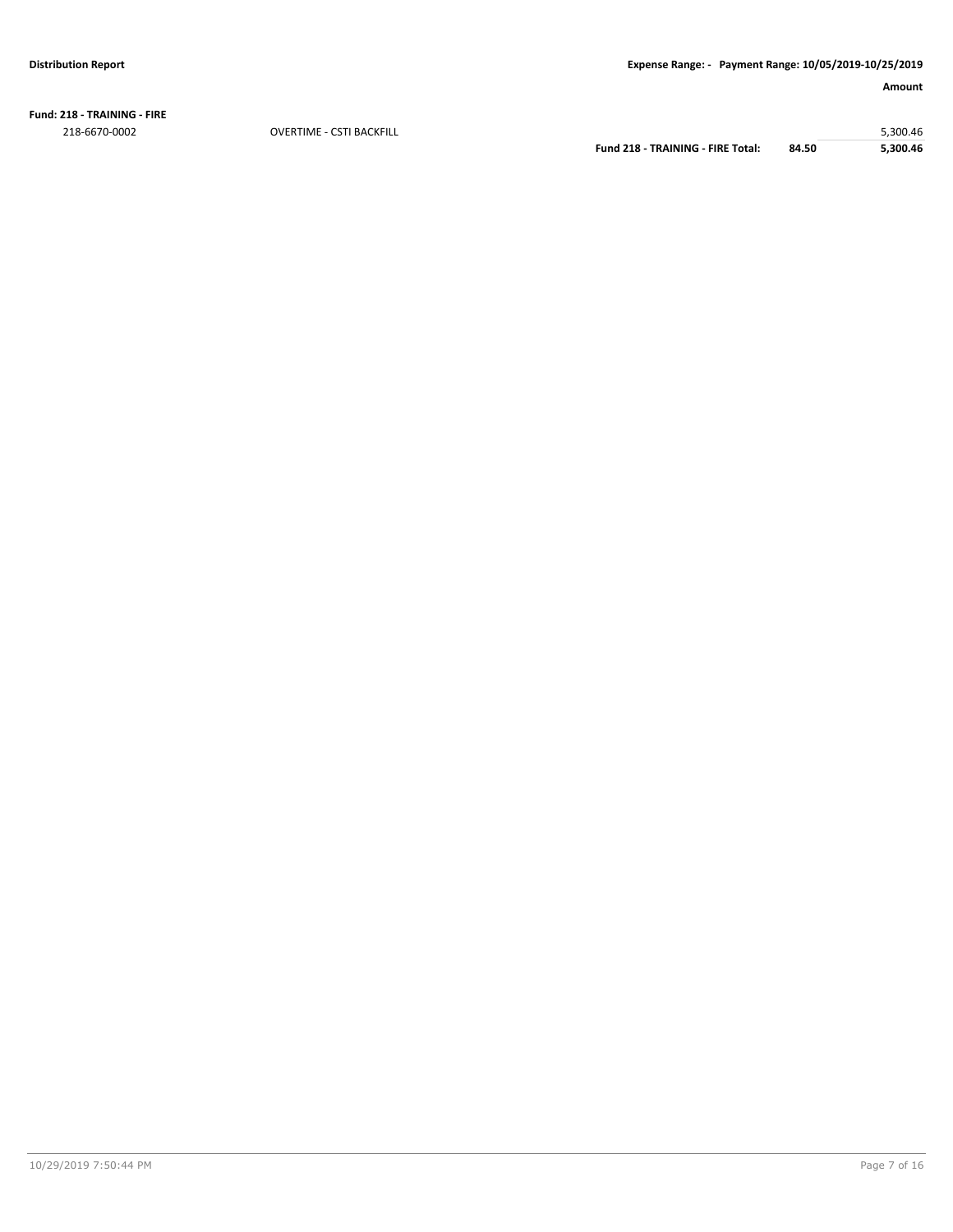**Fund: 218 - TRAINING - FIRE**

218-6670-0002 OVERTIME - CSTI BACKFILL 5,300.46 **Fund 218 - TRAINING - FIRE Total: 84.50**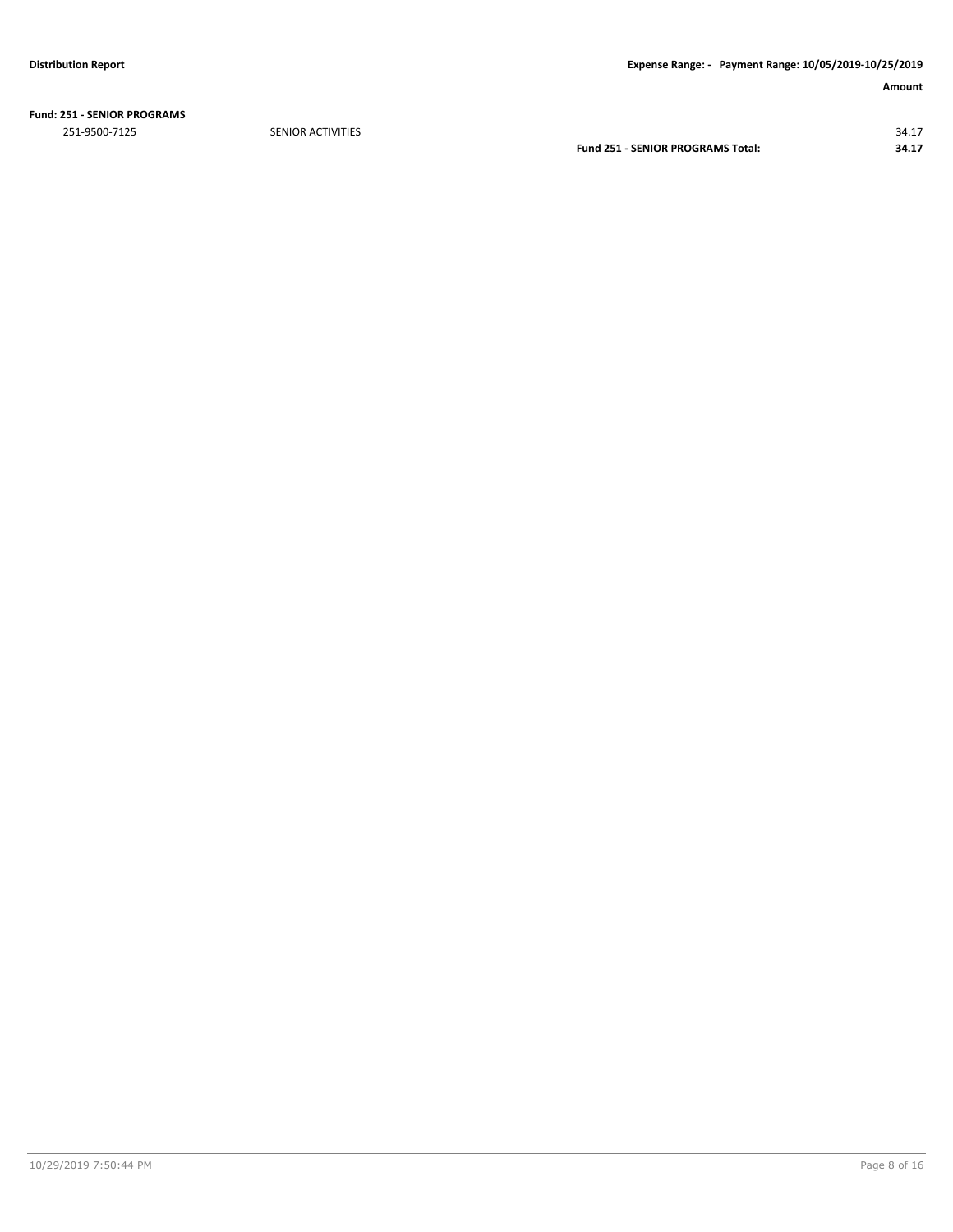**Fund: 251 - SENIOR PROGRAMS**

251-9500-7125 SENIOR ACTIVITIES 34.17 **Fund 251 - SENIOR PROGRAMS Total: 34.17**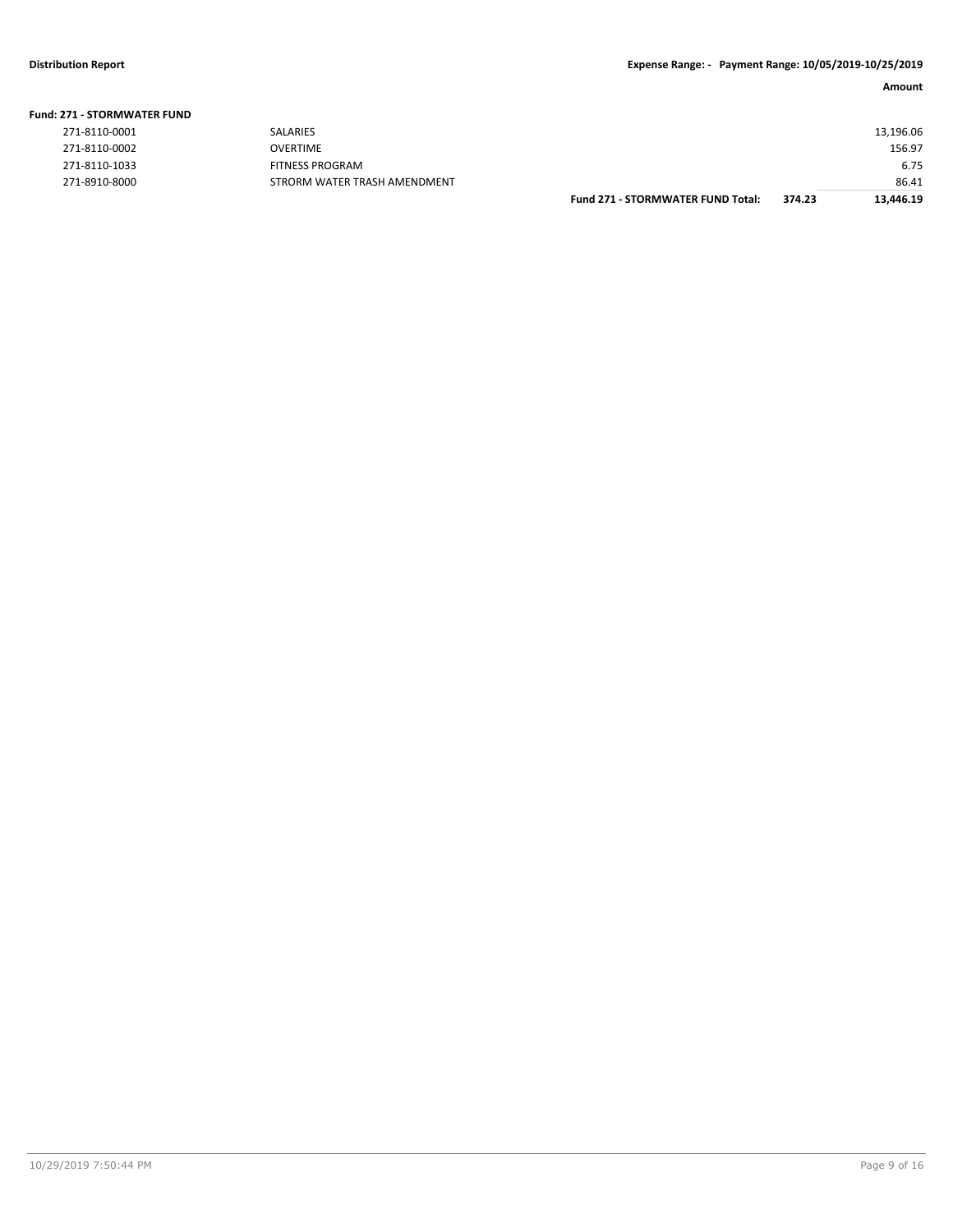| <b>Fund: 271 - STORMWATER FUND</b> |                              |                                          |        |           |
|------------------------------------|------------------------------|------------------------------------------|--------|-----------|
| 271-8110-0001                      | <b>SALARIES</b>              |                                          |        | 13,196.06 |
| 271-8110-0002                      | <b>OVERTIME</b>              |                                          |        | 156.97    |
| 271-8110-1033                      | <b>FITNESS PROGRAM</b>       |                                          |        | 6.75      |
| 271-8910-8000                      | STRORM WATER TRASH AMENDMENT |                                          |        | 86.41     |
|                                    |                              | <b>Fund 271 - STORMWATER FUND Total:</b> | 374.23 | 13.446.19 |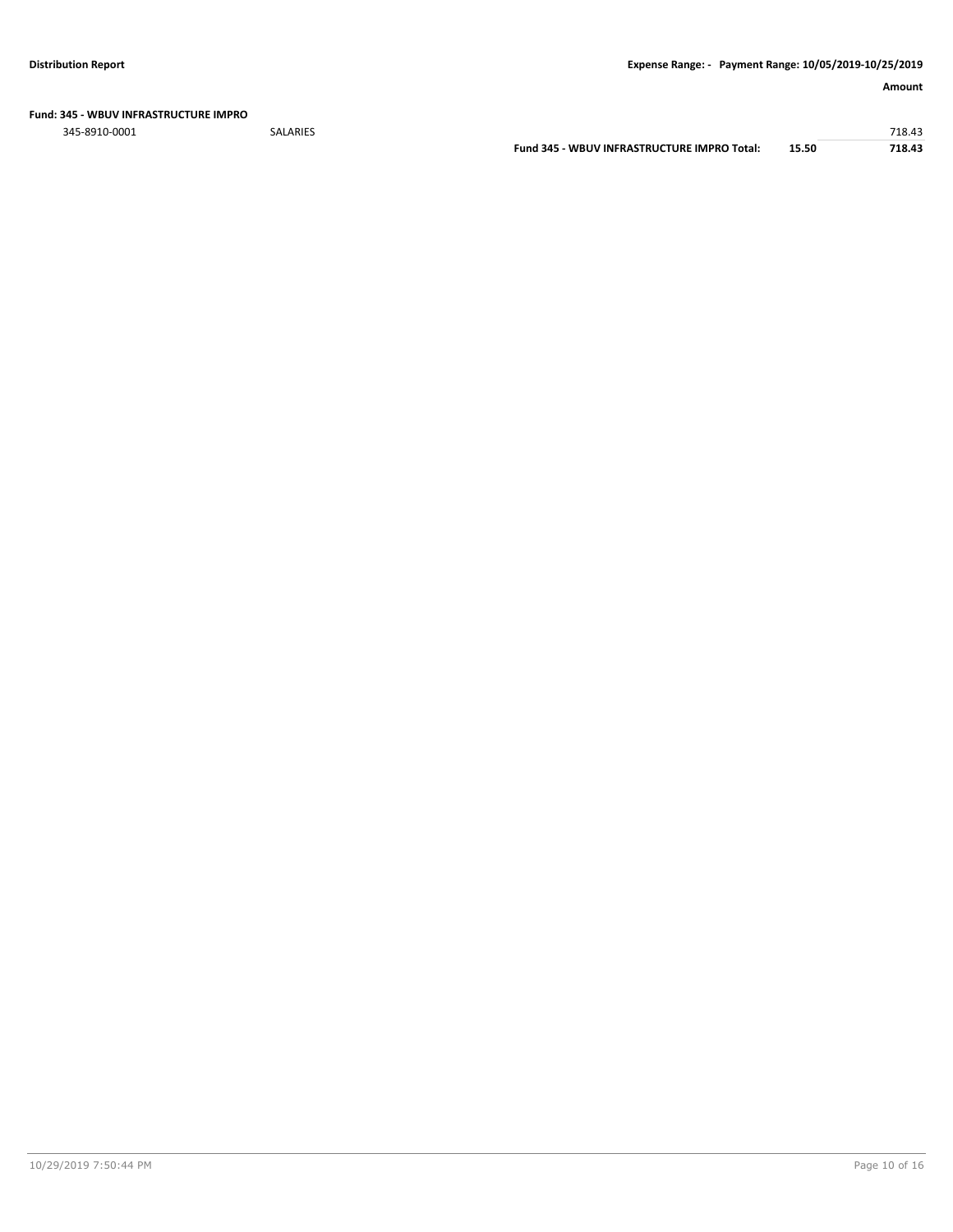**Fund: 345 - WBUV INFRASTRUCTURE IMPRO**

345-8910-0001 SALARIES 718.43 **Fund 345 - WBUV INFRASTRUCTURE IMPRO Total: 15.50 718.43**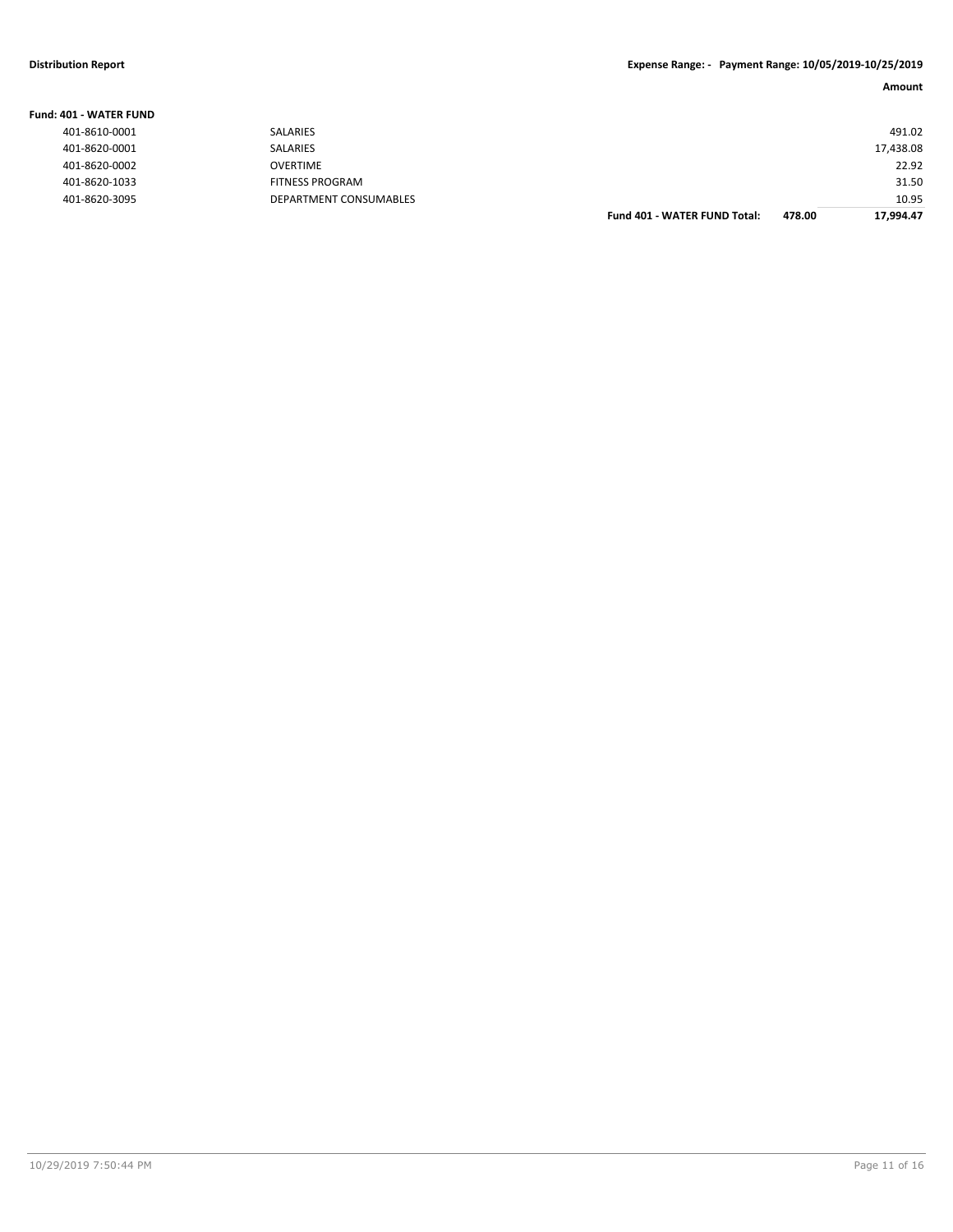| Fund: 401 - WATER FUND |                        |                                     |        |           |
|------------------------|------------------------|-------------------------------------|--------|-----------|
| 401-8610-0001          | <b>SALARIES</b>        |                                     |        | 491.02    |
| 401-8620-0001          | <b>SALARIES</b>        |                                     |        | 17,438.08 |
| 401-8620-0002          | <b>OVERTIME</b>        |                                     |        | 22.92     |
| 401-8620-1033          | FITNESS PROGRAM        |                                     |        | 31.50     |
| 401-8620-3095          | DEPARTMENT CONSUMABLES |                                     |        | 10.95     |
|                        |                        | <b>Fund 401 - WATER FUND Total:</b> | 478.00 | 17.994.47 |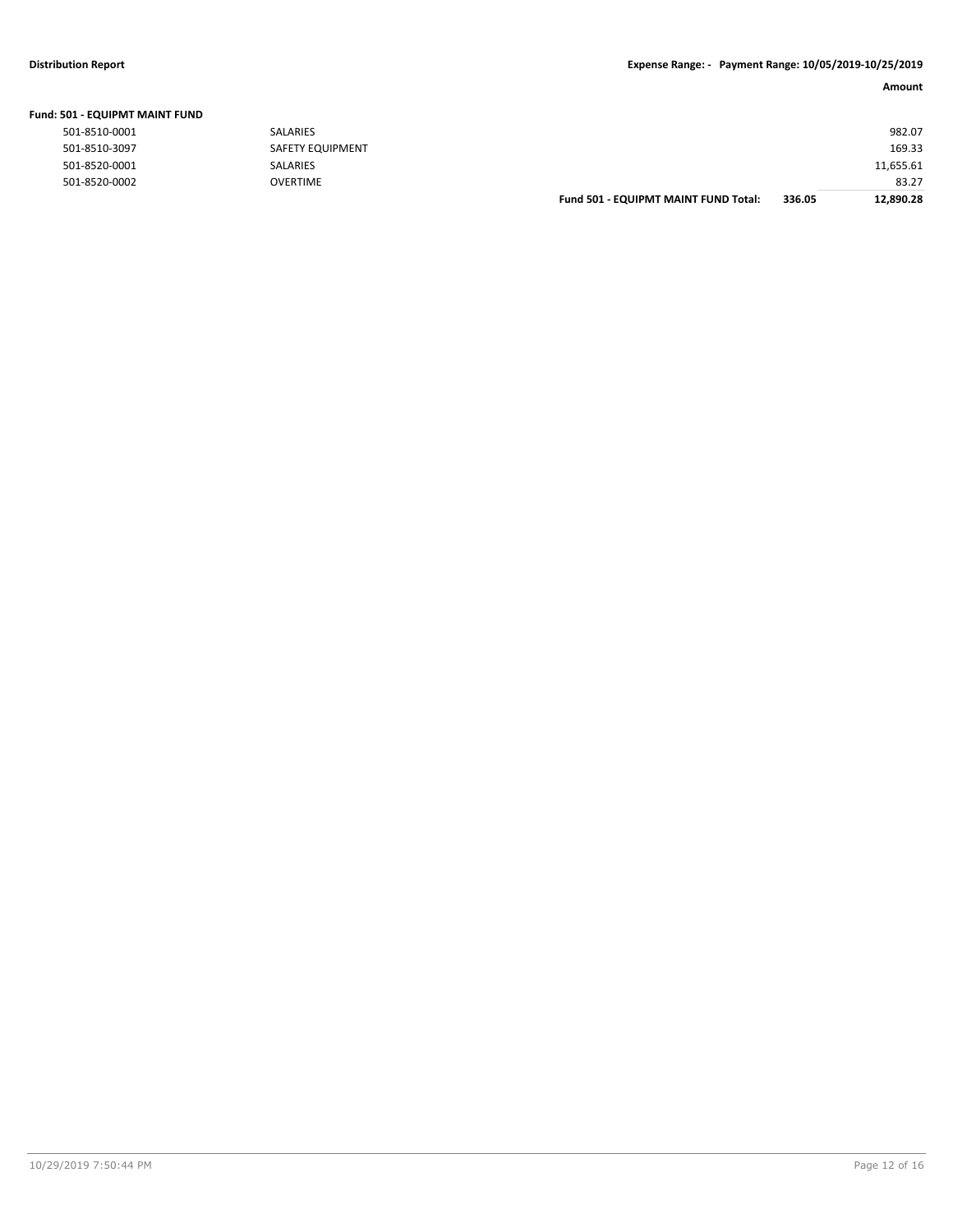# **Distribution Report Expense Range: - Payment Range: 10/05/2019-10/25/2019**

|  |  | Fund: 501 - EQUIPMT MAINT FUND |  |
|--|--|--------------------------------|--|
|--|--|--------------------------------|--|

| 501-8510-0001 |  |
|---------------|--|
| 501-8510-3097 |  |
| 501-8520-0001 |  |
| 501-8520-0002 |  |

| UU - EQUIPIVIT IVIAII'I FUI'U |                  |                                      |        |           |
|-------------------------------|------------------|--------------------------------------|--------|-----------|
| 501-8510-0001                 | SALARIES         |                                      |        | 982.07    |
| 501-8510-3097                 | SAFETY EQUIPMENT |                                      |        | 169.33    |
| 501-8520-0001                 | SALARIES         |                                      |        | 11,655.61 |
| 501-8520-0002                 | <b>OVERTIME</b>  |                                      |        | 83.27     |
|                               |                  | Fund 501 - EQUIPMT MAINT FUND Total: | 336.05 | 12,890.28 |
|                               |                  |                                      |        |           |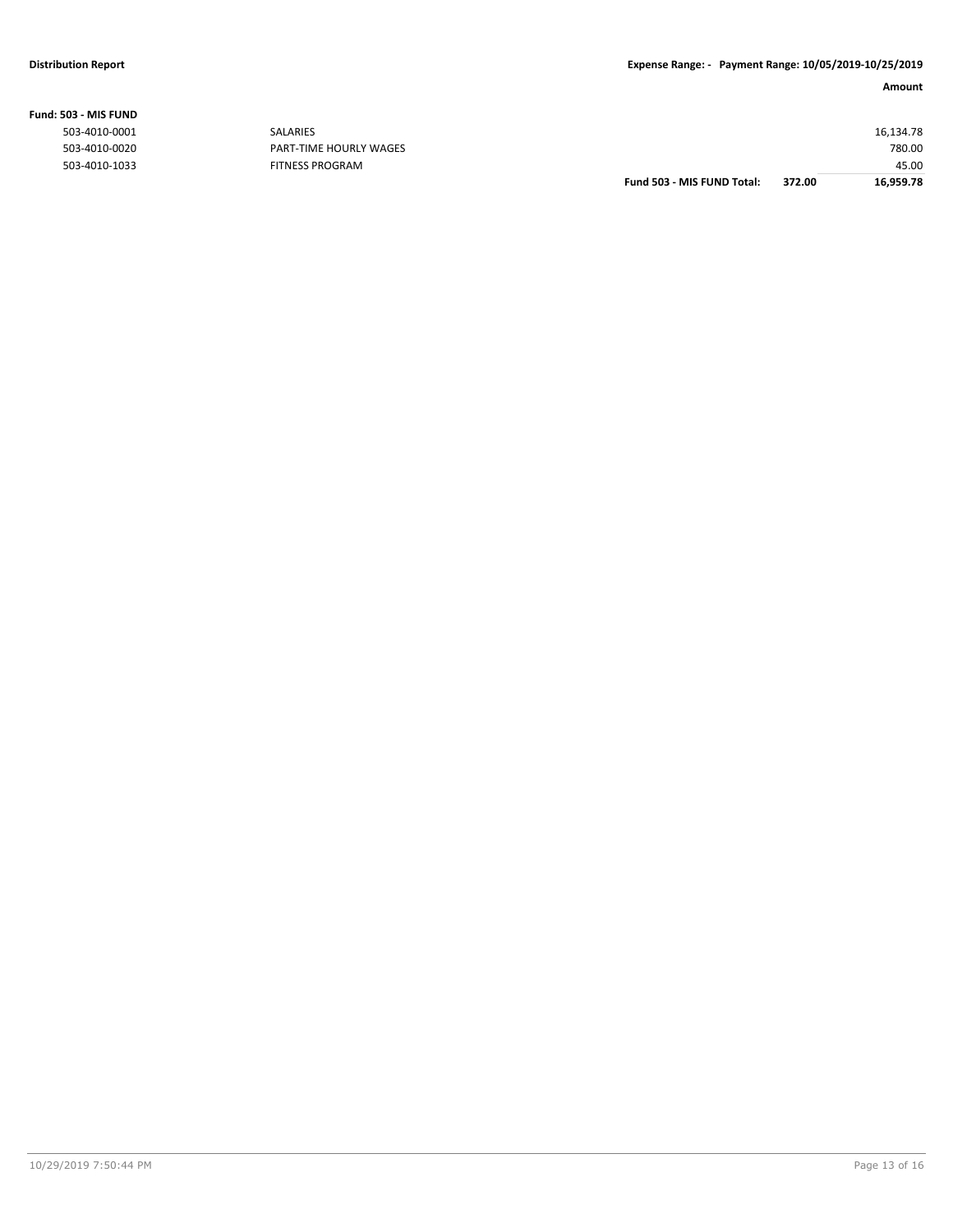|                  |                        | Fund 503 - MIS FUND Total: | 372.00 | 16,959.78 |
|------------------|------------------------|----------------------------|--------|-----------|
| 503-4010-1033    | <b>FITNESS PROGRAM</b> |                            |        | 45.00     |
| 503-4010-0020    | PART-TIME HOURLY WAGES |                            |        | 780.00    |
| 503-4010-0001    | SALARIES               |                            |        | 16,134.78 |
| ,U3 - IVIIS FUND |                        |                            |        |           |

**Fund: 503 - MIS FUND**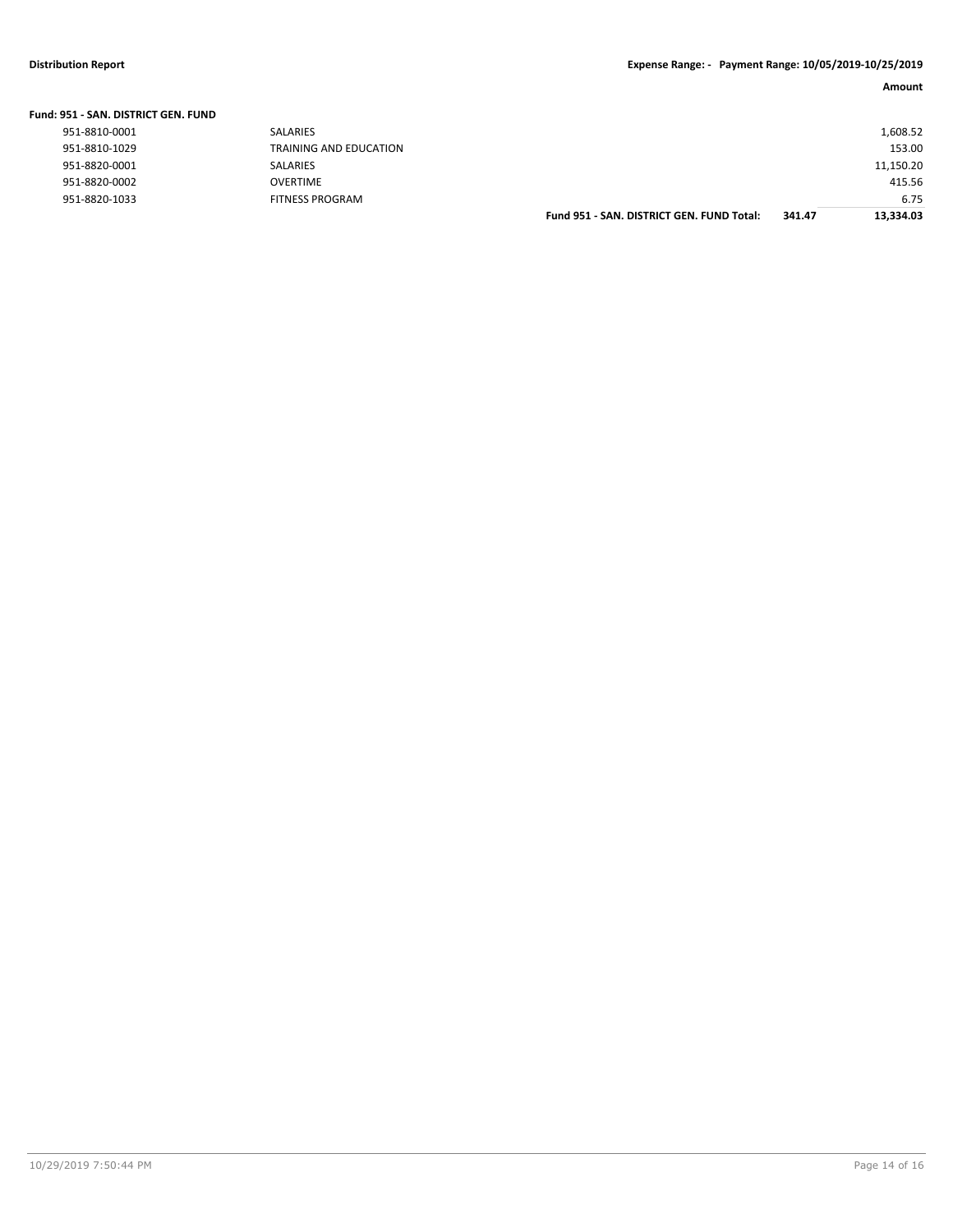| <b>Fund: 951 - SAN, DISTRICT GEN, FUND</b> |                        |                                           |        |           |
|--------------------------------------------|------------------------|-------------------------------------------|--------|-----------|
| 951-8810-0001                              | <b>SALARIES</b>        |                                           |        | 1,608.52  |
| 951-8810-1029                              | TRAINING AND EDUCATION |                                           |        | 153.00    |
| 951-8820-0001                              | SALARIES               |                                           |        | 11,150.20 |
| 951-8820-0002                              | <b>OVERTIME</b>        |                                           |        | 415.56    |
| 951-8820-1033                              | <b>FITNESS PROGRAM</b> |                                           |        | 6.75      |
|                                            |                        | Fund 951 - SAN, DISTRICT GEN, FUND Total: | 341.47 | 13.334.03 |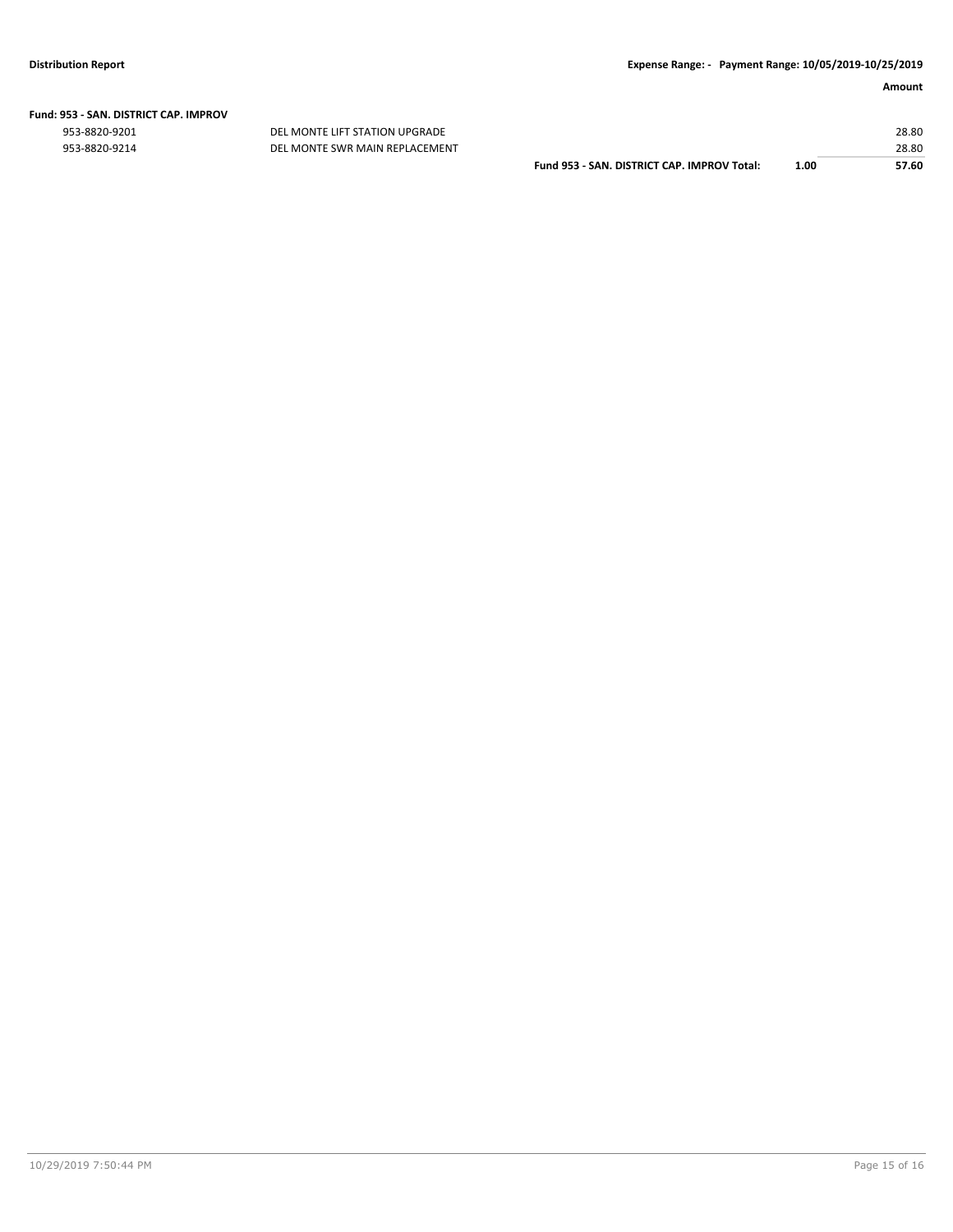|  | Fund: 953 - SAN. DISTRICT CAP. IMPROV |  |
|--|---------------------------------------|--|
|  |                                       |  |

953-8820-9201 DEL MONTE LIFT STATION UPGRADE 28.80

| 953-8820-9214 | DEL MONTE SWR MAIN REPLACEMENT |                                             |      | 28.80 |
|---------------|--------------------------------|---------------------------------------------|------|-------|
|               |                                | Fund 953 - SAN, DISTRICT CAP, IMPROV Total: | 1.00 | 57.60 |